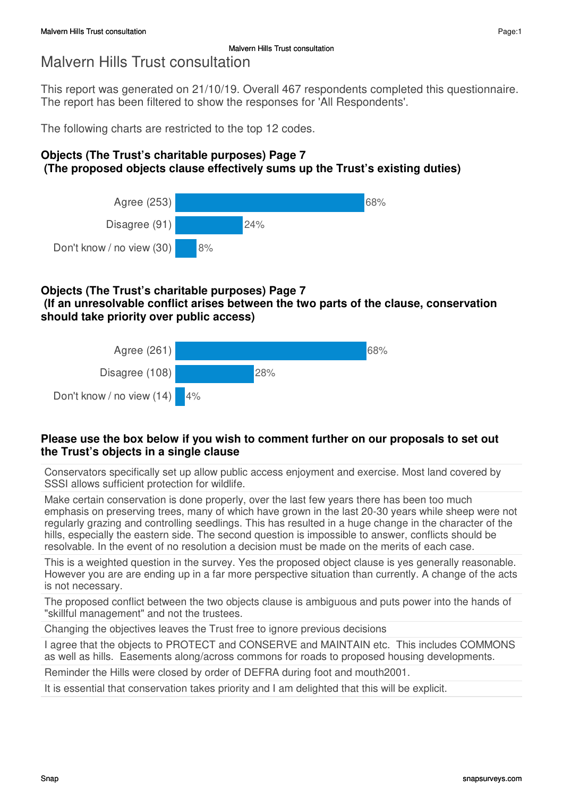This report was generated on 21/10/19. Overall 467 respondents completed this questionnaire. The report has been filtered to show the responses for 'All Respondents'.

The following charts are restricted to the top 12 codes.

## **Objects (The Trust's charitable purposes) Page 7 (The proposed objects clause effectively sums up the Trust's existing duties)**



## **Objects (The Trust's charitable purposes) Page 7**

 **(If an unresolvable conflict arises between the two parts of the clause, conservation should take priority over public access)**



### **Please use the box below if you wish to comment further on our proposals to set out the Trust's objects in a single clause**

Conservators specifically set up allow public access enjoyment and exercise. Most land covered by SSSI allows sufficient protection for wildlife.

Make certain conservation is done properly, over the last few years there has been too much emphasis on preserving trees, many of which have grown in the last 20-30 years while sheep were not regularly grazing and controlling seedlings. This has resulted in a huge change in the character of the hills, especially the eastern side. The second question is impossible to answer, conflicts should be resolvable. In the event of no resolution a decision must be made on the merits of each case.

This is a weighted question in the survey. Yes the proposed object clause is yes generally reasonable. However you are are ending up in a far more perspective situation than currently. A change of the acts is not necessary.

The proposed conflict between the two objects clause is ambiguous and puts power into the hands of "skillful management" and not the trustees.

Changing the objectives leaves the Trust free to ignore previous decisions

I agree that the objects to PROTECT and CONSERVE and MAINTAIN etc. This includes COMMONS as well as hills. Easements along/across commons for roads to proposed housing developments.

Reminder the Hills were closed by order of DEFRA during foot and mouth2001.

It is essential that conservation takes priority and I am delighted that this will be explicit.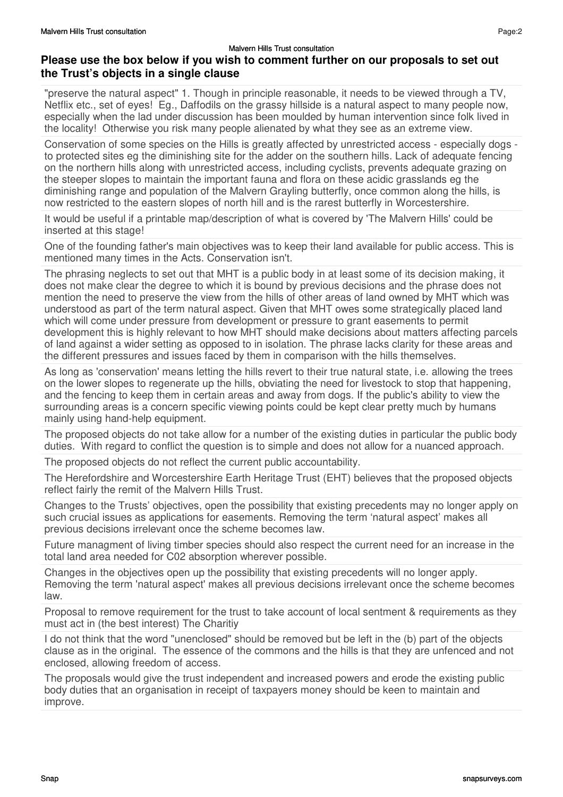### **Please use the box below if you wish to comment further on our proposals to set out the Trust's objects in a single clause**

"preserve the natural aspect" 1. Though in principle reasonable, it needs to be viewed through a TV, Netflix etc., set of eyes! Eg., Daffodils on the grassy hillside is a natural aspect to many people now, especially when the lad under discussion has been moulded by human intervention since folk lived in the locality! Otherwise you risk many people alienated by what they see as an extreme view.

Conservation of some species on the Hills is greatly affected by unrestricted access - especially dogs to protected sites eg the diminishing site for the adder on the southern hills. Lack of adequate fencing on the northern hills along with unrestricted access, including cyclists, prevents adequate grazing on the steeper slopes to maintain the important fauna and flora on these acidic grasslands eg the diminishing range and population of the Malvern Grayling butterfly, once common along the hills, is now restricted to the eastern slopes of north hill and is the rarest butterfly in Worcestershire.

It would be useful if a printable map/description of what is covered by 'The Malvern Hills' could be inserted at this stage!

One of the founding father's main objectives was to keep their land available for public access. This is mentioned many times in the Acts. Conservation isn't.

The phrasing neglects to set out that MHT is a public body in at least some of its decision making, it does not make clear the degree to which it is bound by previous decisions and the phrase does not mention the need to preserve the view from the hills of other areas of land owned by MHT which was understood as part of the term natural aspect. Given that MHT owes some strategically placed land which will come under pressure from development or pressure to grant easements to permit development this is highly relevant to how MHT should make decisions about matters affecting parcels of land against a wider setting as opposed to in isolation. The phrase lacks clarity for these areas and the different pressures and issues faced by them in comparison with the hills themselves.

As long as 'conservation' means letting the hills revert to their true natural state, i.e. allowing the trees on the lower slopes to regenerate up the hills, obviating the need for livestock to stop that happening, and the fencing to keep them in certain areas and away from dogs. If the public's ability to view the surrounding areas is a concern specific viewing points could be kept clear pretty much by humans mainly using hand-help equipment.

The proposed objects do not take allow for a number of the existing duties in particular the public body duties. With regard to conflict the question is to simple and does not allow for a nuanced approach.

The proposed objects do not reflect the current public accountability.

The Herefordshire and Worcestershire Earth Heritage Trust (EHT) believes that the proposed objects reflect fairly the remit of the Malvern Hills Trust.

Changes to the Trusts' objectives, open the possibility that existing precedents may no longer apply on such crucial issues as applications for easements. Removing the term 'natural aspect' makes all previous decisions irrelevant once the scheme becomes law.

Future managment of living timber species should also respect the current need for an increase in the total land area needed for C02 absorption wherever possible.

Changes in the objectives open up the possibility that existing precedents will no longer apply. Removing the term 'natural aspect' makes all previous decisions irrelevant once the scheme becomes law.

Proposal to remove requirement for the trust to take account of local sentment & requirements as they must act in (the best interest) The Charitiy

I do not think that the word "unenclosed" should be removed but be left in the (b) part of the objects clause as in the original. The essence of the commons and the hills is that they are unfenced and not enclosed, allowing freedom of access.

The proposals would give the trust independent and increased powers and erode the existing public body duties that an organisation in receipt of taxpayers money should be keen to maintain and improve.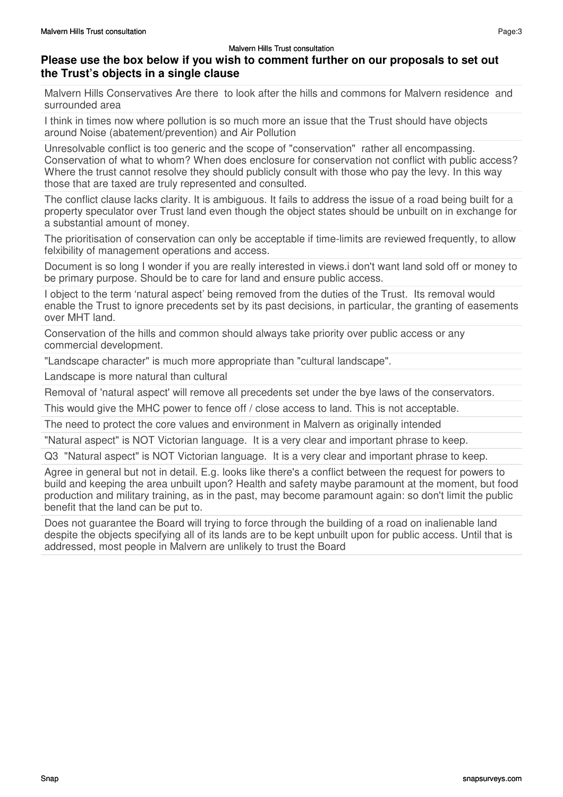### **Please use the box below if you wish to comment further on our proposals to set out the Trust's objects in a single clause**

Malvern Hills Conservatives Are there to look after the hills and commons for Malvern residence and surrounded area

I think in times now where pollution is so much more an issue that the Trust should have objects around Noise (abatement/prevention) and Air Pollution

Unresolvable conflict is too generic and the scope of "conservation" rather all encompassing. Conservation of what to whom? When does enclosure for conservation not conflict with public access? Where the trust cannot resolve they should publicly consult with those who pay the levy. In this way those that are taxed are truly represented and consulted.

The conflict clause lacks clarity. It is ambiguous. It fails to address the issue of a road being built for a property speculator over Trust land even though the object states should be unbuilt on in exchange for a substantial amount of money.

The prioritisation of conservation can only be acceptable if time-limits are reviewed frequently, to allow felxibility of management operations and access.

Document is so long I wonder if you are really interested in views.i don't want land sold off or money to be primary purpose. Should be to care for land and ensure public access.

I object to the term 'natural aspect' being removed from the duties of the Trust. Its removal would enable the Trust to ignore precedents set by its past decisions, in particular, the granting of easements over MHT land.

Conservation of the hills and common should always take priority over public access or any commercial development.

"Landscape character" is much more appropriate than "cultural landscape".

Landscape is more natural than cultural

Removal of 'natural aspect' will remove all precedents set under the bye laws of the conservators.

This would give the MHC power to fence off / close access to land. This is not acceptable.

The need to protect the core values and environment in Malvern as originally intended

"Natural aspect" is NOT Victorian language. It is a very clear and important phrase to keep.

Q3 "Natural aspect" is NOT Victorian language. It is a very clear and important phrase to keep.

Agree in general but not in detail. E.g. looks like there's a conflict between the request for powers to build and keeping the area unbuilt upon? Health and safety maybe paramount at the moment, but food production and military training, as in the past, may become paramount again: so don't limit the public benefit that the land can be put to.

Does not guarantee the Board will trying to force through the building of a road on inalienable land despite the objects specifying all of its lands are to be kept unbuilt upon for public access. Until that is addressed, most people in Malvern are unlikely to trust the Board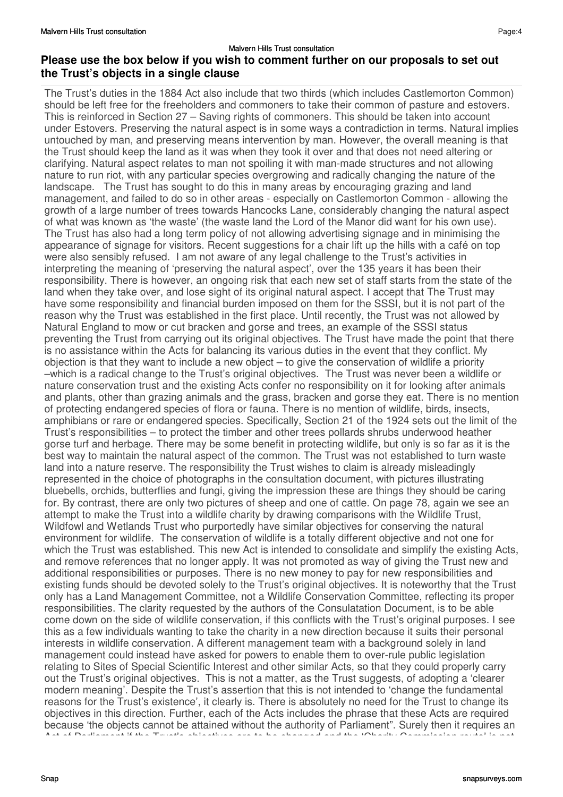## **Please use the box below if you wish to comment further on our proposals to set out the Trust's objects in a single clause**

The Trust's duties in the 1884 Act also include that two thirds (which includes Castlemorton Common) should be left free for the freeholders and commoners to take their common of pasture and estovers. This is reinforced in Section 27 – Saving rights of commoners. This should be taken into account under Estovers. Preserving the natural aspect is in some ways a contradiction in terms. Natural implies untouched by man, and preserving means intervention by man. However, the overall meaning is that the Trust should keep the land as it was when they took it over and that does not need altering or clarifying. Natural aspect relates to man not spoiling it with man-made structures and not allowing nature to run riot, with any particular species overgrowing and radically changing the nature of the landscape. The Trust has sought to do this in many areas by encouraging grazing and land management, and failed to do so in other areas - especially on Castlemorton Common - allowing the growth of a large number of trees towards Hancocks Lane, considerably changing the natural aspect of what was known as 'the waste' (the waste land the Lord of the Manor did want for his own use). The Trust has also had a long term policy of not allowing advertising signage and in minimising the appearance of signage for visitors. Recent suggestions for a chair lift up the hills with a café on top were also sensibly refused. I am not aware of any legal challenge to the Trust's activities in interpreting the meaning of 'preserving the natural aspect', over the 135 years it has been their responsibility. There is however, an ongoing risk that each new set of staff starts from the state of the land when they take over, and lose sight of its original natural aspect. I accept that The Trust may have some responsibility and financial burden imposed on them for the SSSI, but it is not part of the reason why the Trust was established in the first place. Until recently, the Trust was not allowed by Natural England to mow or cut bracken and gorse and trees, an example of the SSSI status preventing the Trust from carrying out its original objectives. The Trust have made the point that there is no assistance within the Acts for balancing its various duties in the event that they conflict. My objection is that they want to include a new object – to give the conservation of wildlife a priority –which is a radical change to the Trust's original objectives. The Trust was never been a wildlife or nature conservation trust and the existing Acts confer no responsibility on it for looking after animals and plants, other than grazing animals and the grass, bracken and gorse they eat. There is no mention of protecting endangered species of flora or fauna. There is no mention of wildlife, birds, insects, amphibians or rare or endangered species. Specifically, Section 21 of the 1924 sets out the limit of the Trust's responsibilities – to protect the timber and other trees pollards shrubs underwood heather gorse turf and herbage. There may be some benefit in protecting wildlife, but only is so far as it is the best way to maintain the natural aspect of the common. The Trust was not established to turn waste land into a nature reserve. The responsibility the Trust wishes to claim is already misleadingly represented in the choice of photographs in the consultation document, with pictures illustrating bluebells, orchids, butterflies and fungi, giving the impression these are things they should be caring for. By contrast, there are only two pictures of sheep and one of cattle. On page 78, again we see an attempt to make the Trust into a wildlife charity by drawing comparisons with the Wildlife Trust, Wildfowl and Wetlands Trust who purportedly have similar objectives for conserving the natural environment for wildlife. The conservation of wildlife is a totally different objective and not one for which the Trust was established. This new Act is intended to consolidate and simplify the existing Acts, and remove references that no longer apply. It was not promoted as way of giving the Trust new and additional responsibilities or purposes. There is no new money to pay for new responsibilities and existing funds should be devoted solely to the Trust's original objectives. It is noteworthy that the Trust only has a Land Management Committee, not a Wildlife Conservation Committee, reflecting its proper responsibilities. The clarity requested by the authors of the Consulatation Document, is to be able come down on the side of wildlife conservation, if this conflicts with the Trust's original purposes. I see this as a few individuals wanting to take the charity in a new direction because it suits their personal interests in wildlife conservation. A different management team with a background solely in land management could instead have asked for powers to enable them to over-rule public legislation relating to Sites of Special Scientific Interest and other similar Acts, so that they could properly carry out the Trust's original objectives. This is not a matter, as the Trust suggests, of adopting a 'clearer modern meaning'. Despite the Trust's assertion that this is not intended to 'change the fundamental reasons for the Trust's existence', it clearly is. There is absolutely no need for the Trust to change its objectives in this direction. Further, each of the Acts includes the phrase that these Acts are required because 'the objects cannot be attained without the authority of Parliament". Surely then it requires an Act of Parliament if the Trust's objectives are to be changed and the 'Charity Commission route' is not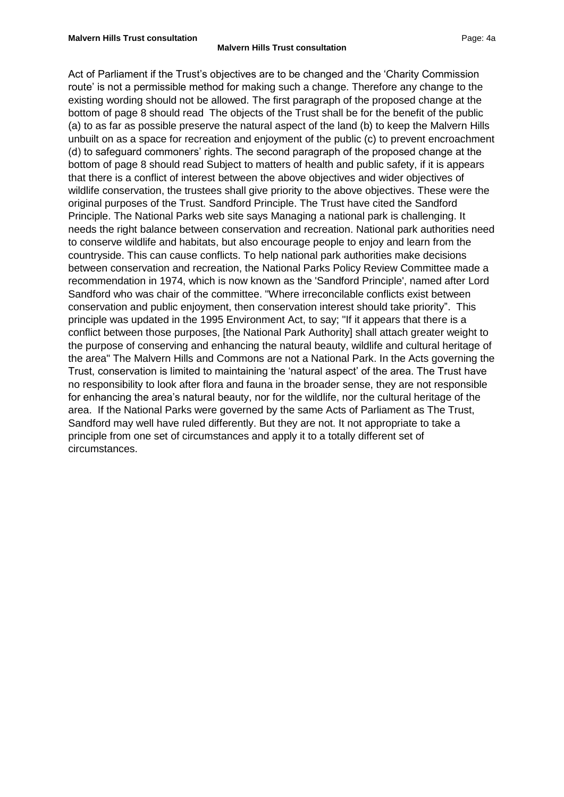Act of Parliament if the Trust's objectives are to be changed and the 'Charity Commission route' is not a permissible method for making such a change. Therefore any change to the existing wording should not be allowed. The first paragraph of the proposed change at the bottom of page 8 should read The objects of the Trust shall be for the benefit of the public (a) to as far as possible preserve the natural aspect of the land (b) to keep the Malvern Hills unbuilt on as a space for recreation and enjoyment of the public (c) to prevent encroachment (d) to safeguard commoners' rights. The second paragraph of the proposed change at the bottom of page 8 should read Subject to matters of health and public safety, if it is appears that there is a conflict of interest between the above objectives and wider objectives of wildlife conservation, the trustees shall give priority to the above objectives. These were the original purposes of the Trust. Sandford Principle. The Trust have cited the Sandford Principle. The National Parks web site says Managing a national park is challenging. It needs the right balance between conservation and recreation. National park authorities need to conserve wildlife and habitats, but also encourage people to enjoy and learn from the countryside. This can cause conflicts. To help national park authorities make decisions between conservation and recreation, the National Parks Policy Review Committee made a recommendation in 1974, which is now known as the 'Sandford Principle', named after Lord Sandford who was chair of the committee. "Where irreconcilable conflicts exist between conservation and public enjoyment, then conservation interest should take priority". This principle was updated in the 1995 Environment Act, to say; "If it appears that there is a conflict between those purposes, [the National Park Authority] shall attach greater weight to the purpose of conserving and enhancing the natural beauty, wildlife and cultural heritage of the area" The Malvern Hills and Commons are not a National Park. In the Acts governing the Trust, conservation is limited to maintaining the 'natural aspect' of the area. The Trust have no responsibility to look after flora and fauna in the broader sense, they are not responsible for enhancing the area's natural beauty, nor for the wildlife, nor the cultural heritage of the area. If the National Parks were governed by the same Acts of Parliament as The Trust, Sandford may well have ruled differently. But they are not. It not appropriate to take a principle from one set of circumstances and apply it to a totally different set of circumstances.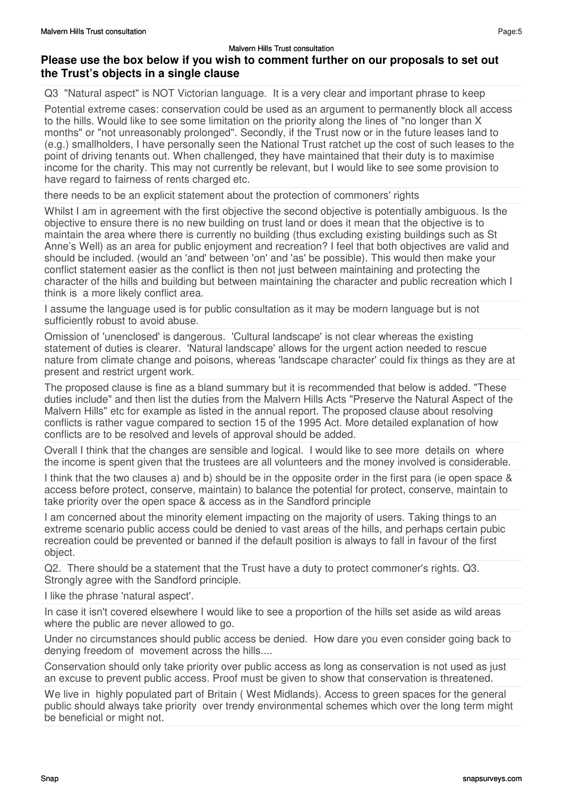### **Please use the box below if you wish to comment further on our proposals to set out the Trust's objects in a single clause**

Q3 "Natural aspect" is NOT Victorian language. It is a very clear and important phrase to keep

Potential extreme cases: conservation could be used as an argument to permanently block all access to the hills. Would like to see some limitation on the priority along the lines of "no longer than X months" or "not unreasonably prolonged". Secondly, if the Trust now or in the future leases land to (e.g.) smallholders, I have personally seen the National Trust ratchet up the cost of such leases to the point of driving tenants out. When challenged, they have maintained that their duty is to maximise income for the charity. This may not currently be relevant, but I would like to see some provision to have regard to fairness of rents charged etc.

there needs to be an explicit statement about the protection of commoners' rights

Whilst I am in agreement with the first objective the second objective is potentially ambiguous. Is the objective to ensure there is no new building on trust land or does it mean that the objective is to maintain the area where there is currently no building (thus excluding existing buildings such as St Anne's Well) as an area for public enjoyment and recreation? I feel that both objectives are valid and should be included. (would an 'and' between 'on' and 'as' be possible). This would then make your conflict statement easier as the conflict is then not just between maintaining and protecting the character of the hills and building but between maintaining the character and public recreation which I think is a more likely conflict area.

I assume the language used is for public consultation as it may be modern language but is not sufficiently robust to avoid abuse.

Omission of 'unenclosed' is dangerous. 'Cultural landscape' is not clear whereas the existing statement of duties is clearer. 'Natural landscape' allows for the urgent action needed to rescue nature from climate change and poisons, whereas 'landscape character' could fix things as they are at present and restrict urgent work.

The proposed clause is fine as a bland summary but it is recommended that below is added. "These duties include" and then list the duties from the Malvern Hills Acts "Preserve the Natural Aspect of the Malvern Hills" etc for example as listed in the annual report. The proposed clause about resolving conflicts is rather vague compared to section 15 of the 1995 Act. More detailed explanation of how conflicts are to be resolved and levels of approval should be added.

Overall I think that the changes are sensible and logical. I would like to see more details on where the income is spent given that the trustees are all volunteers and the money involved is considerable.

I think that the two clauses a) and b) should be in the opposite order in the first para (ie open space & access before protect, conserve, maintain) to balance the potential for protect, conserve, maintain to take priority over the open space & access as in the Sandford principle

I am concerned about the minority element impacting on the majority of users. Taking things to an extreme scenario public access could be denied to vast areas of the hills, and perhaps certain pubic recreation could be prevented or banned if the default position is always to fall in favour of the first object.

Q2. There should be a statement that the Trust have a duty to protect commoner's rights. Q3. Strongly agree with the Sandford principle.

I like the phrase 'natural aspect'.

In case it isn't covered elsewhere I would like to see a proportion of the hills set aside as wild areas where the public are never allowed to go.

Under no circumstances should public access be denied. How dare you even consider going back to denying freedom of movement across the hills....

Conservation should only take priority over public access as long as conservation is not used as just an excuse to prevent public access. Proof must be given to show that conservation is threatened.

We live in highly populated part of Britain ( West Midlands). Access to green spaces for the general public should always take priority over trendy environmental schemes which over the long term might be beneficial or might not.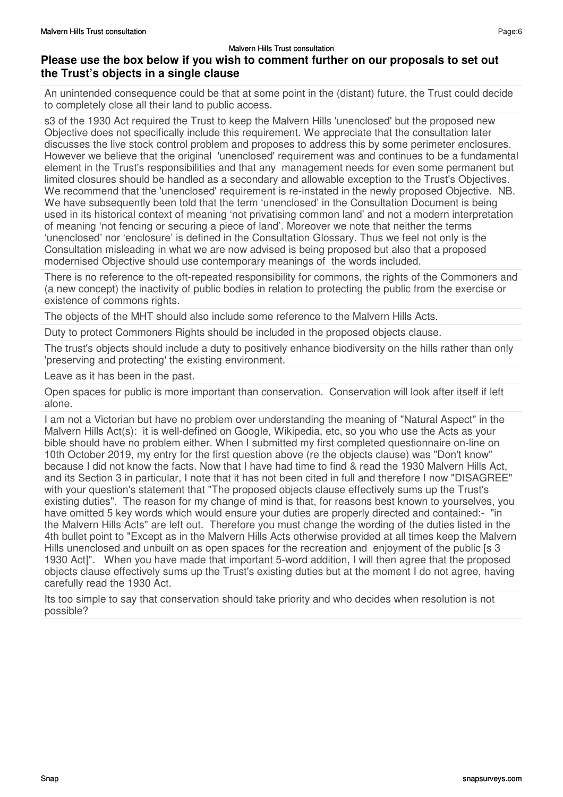### **Please use the box below if you wish to comment further on our proposals to set out the Trust's objects in a single clause**

An unintended consequence could be that at some point in the (distant) future, the Trust could decide to completely close all their land to public access.

s3 of the 1930 Act required the Trust to keep the Malvern Hills 'unenclosed' but the proposed new Objective does not specifically include this requirement. We appreciate that the consultation later discusses the live stock control problem and proposes to address this by some perimeter enclosures. However we believe that the original 'unenclosed' requirement was and continues to be a fundamental element in the Trust's responsibilities and that any management needs for even some permanent but limited closures should be handled as a secondary and allowable exception to the Trust's Objectives. We recommend that the 'unenclosed' requirement is re-instated in the newly proposed Objective. NB. We have subsequently been told that the term 'unenclosed' in the Consultation Document is being used in its historical context of meaning 'not privatising common land' and not a modern interpretation of meaning 'not fencing or securing a piece of land'. Moreover we note that neither the terms 'unenclosed' nor 'enclosure' is defined in the Consultation Glossary. Thus we feel not only is the Consultation misleading in what we are now advised is being proposed but also that a proposed modernised Objective should use contemporary meanings of the words included.

There is no reference to the oft-repeated responsibility for commons, the rights of the Commoners and (a new concept) the inactivity of public bodies in relation to protecting the public from the exercise or existence of commons rights.

The objects of the MHT should also include some reference to the Malvern Hills Acts.

Duty to protect Commoners Rights should be included in the proposed objects clause.

The trust's objects should include a duty to positively enhance biodiversity on the hills rather than only 'preserving and protecting' the existing environment.

Leave as it has been in the past.

Open spaces for public is more important than conservation. Conservation will look after itself if left alone.

I am not a Victorian but have no problem over understanding the meaning of "Natural Aspect" in the Malvern Hills Act(s): it is well-defined on Google, Wikipedia, etc, so you who use the Acts as your bible should have no problem either. When I submitted my first completed questionnaire on-line on 10th October 2019, my entry for the first question above (re the objects clause) was "Don't know" because I did not know the facts. Now that I have had time to find & read the 1930 Malvern Hills Act, and its Section 3 in particular, I note that it has not been cited in full and therefore I now "DISAGREE" with your question's statement that "The proposed objects clause effectively sums up the Trust's existing duties". The reason for my change of mind is that, for reasons best known to yourselves, you have omitted 5 key words which would ensure your duties are properly directed and contained:- "in the Malvern Hills Acts" are left out. Therefore you must change the wording of the duties listed in the 4th bullet point to "Except as in the Malvern Hills Acts otherwise provided at all times keep the Malvern Hills unenclosed and unbuilt on as open spaces for the recreation and enjoyment of the public Is 3 1930 Act]". When you have made that important 5-word addition, I will then agree that the proposed objects clause effectively sums up the Trust's existing duties but at the moment I do not agree, having carefully read the 1930 Act.

Its too simple to say that conservation should take priority and who decides when resolution is not possible?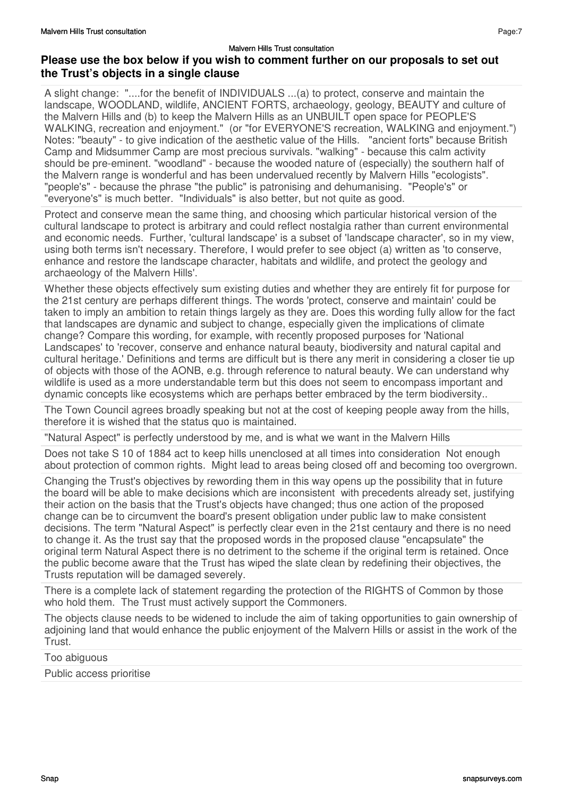### **Please use the box below if you wish to comment further on our proposals to set out the Trust's objects in a single clause**

A slight change: "....for the benefit of INDIVIDUALS ...(a) to protect, conserve and maintain the landscape, WOODLAND, wildlife, ANCIENT FORTS, archaeology, geology, BEAUTY and culture of the Malvern Hills and (b) to keep the Malvern Hills as an UNBUILT open space for PEOPLE'S WALKING, recreation and enjoyment." (or "for EVERYONE'S recreation, WALKING and enjoyment.") Notes: "beauty" - to give indication of the aesthetic value of the Hills. "ancient forts" because British Camp and Midsummer Camp are most precious survivals. "walking" - because this calm activity should be pre-eminent. "woodland" - because the wooded nature of (especially) the southern half of the Malvern range is wonderful and has been undervalued recently by Malvern Hills "ecologists". "people's" - because the phrase "the public" is patronising and dehumanising. "People's" or "everyone's" is much better. "Individuals" is also better, but not quite as good.

Protect and conserve mean the same thing, and choosing which particular historical version of the cultural landscape to protect is arbitrary and could reflect nostalgia rather than current environmental and economic needs. Further, 'cultural landscape' is a subset of 'landscape character', so in my view, using both terms isn't necessary. Therefore, I would prefer to see object (a) written as 'to conserve, enhance and restore the landscape character, habitats and wildlife, and protect the geology and archaeology of the Malvern Hills'.

Whether these objects effectively sum existing duties and whether they are entirely fit for purpose for the 21st century are perhaps different things. The words 'protect, conserve and maintain' could be taken to imply an ambition to retain things largely as they are. Does this wording fully allow for the fact that landscapes are dynamic and subject to change, especially given the implications of climate change? Compare this wording, for example, with recently proposed purposes for 'National Landscapes' to 'recover, conserve and enhance natural beauty, biodiversity and natural capital and cultural heritage.' Definitions and terms are difficult but is there any merit in considering a closer tie up of objects with those of the AONB, e.g. through reference to natural beauty. We can understand why wildlife is used as a more understandable term but this does not seem to encompass important and dynamic concepts like ecosystems which are perhaps better embraced by the term biodiversity..

The Town Council agrees broadly speaking but not at the cost of keeping people away from the hills, therefore it is wished that the status quo is maintained.

"Natural Aspect" is perfectly understood by me, and is what we want in the Malvern Hills

Does not take S 10 of 1884 act to keep hills unenclosed at all times into consideration Not enough about protection of common rights. Might lead to areas being closed off and becoming too overgrown.

Changing the Trust's objectives by rewording them in this way opens up the possibility that in future the board will be able to make decisions which are inconsistent with precedents already set, justifying their action on the basis that the Trust's objects have changed; thus one action of the proposed change can be to circumvent the board's present obligation under public law to make consistent decisions. The term "Natural Aspect" is perfectly clear even in the 21st centaury and there is no need to change it. As the trust say that the proposed words in the proposed clause "encapsulate" the original term Natural Aspect there is no detriment to the scheme if the original term is retained. Once the public become aware that the Trust has wiped the slate clean by redefining their objectives, the Trusts reputation will be damaged severely.

There is a complete lack of statement regarding the protection of the RIGHTS of Common by those who hold them. The Trust must actively support the Commoners.

The objects clause needs to be widened to include the aim of taking opportunities to gain ownership of adjoining land that would enhance the public enjoyment of the Malvern Hills or assist in the work of the Trust.

Too abiguous

Public access prioritise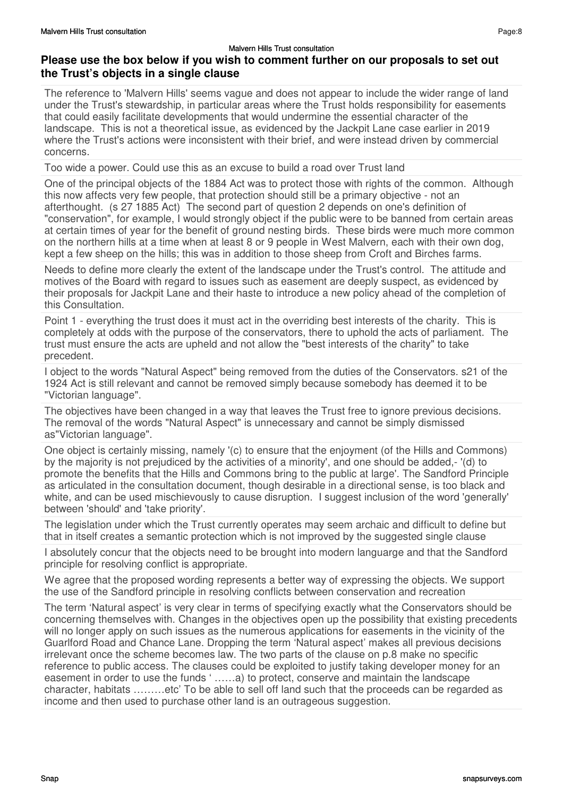### **Please use the box below if you wish to comment further on our proposals to set out the Trust's objects in a single clause**

The reference to 'Malvern Hills' seems vague and does not appear to include the wider range of land under the Trust's stewardship, in particular areas where the Trust holds responsibility for easements that could easily facilitate developments that would undermine the essential character of the landscape. This is not a theoretical issue, as evidenced by the Jackpit Lane case earlier in 2019 where the Trust's actions were inconsistent with their brief, and were instead driven by commercial concerns.

Too wide a power. Could use this as an excuse to build a road over Trust land

One of the principal objects of the 1884 Act was to protect those with rights of the common. Although this now affects very few people, that protection should still be a primary objective - not an afterthought. (s 27 1885 Act) The second part of question 2 depends on one's definition of "conservation", for example, I would strongly object if the public were to be banned from certain areas at certain times of year for the benefit of ground nesting birds. These birds were much more common on the northern hills at a time when at least 8 or 9 people in West Malvern, each with their own dog, kept a few sheep on the hills; this was in addition to those sheep from Croft and Birches farms.

Needs to define more clearly the extent of the landscape under the Trust's control. The attitude and motives of the Board with regard to issues such as easement are deeply suspect, as evidenced by their proposals for Jackpit Lane and their haste to introduce a new policy ahead of the completion of this Consultation.

Point 1 - everything the trust does it must act in the overriding best interests of the charity. This is completely at odds with the purpose of the conservators, there to uphold the acts of parliament. The trust must ensure the acts are upheld and not allow the "best interests of the charity" to take precedent.

I object to the words "Natural Aspect" being removed from the duties of the Conservators. s21 of the 1924 Act is still relevant and cannot be removed simply because somebody has deemed it to be "Victorian language".

The objectives have been changed in a way that leaves the Trust free to ignore previous decisions. The removal of the words "Natural Aspect" is unnecessary and cannot be simply dismissed as"Victorian language".

One object is certainly missing, namely '(c) to ensure that the enjoyment (of the Hills and Commons) by the majority is not prejudiced by the activities of a minority', and one should be added,- '(d) to promote the benefits that the Hills and Commons bring to the public at large'. The Sandford Principle as articulated in the consultation document, though desirable in a directional sense, is too black and white, and can be used mischievously to cause disruption. I suggest inclusion of the word 'generally' between 'should' and 'take priority'.

The legislation under which the Trust currently operates may seem archaic and difficult to define but that in itself creates a semantic protection which is not improved by the suggested single clause

I absolutely concur that the objects need to be brought into modern languarge and that the Sandford principle for resolving conflict is appropriate.

We agree that the proposed wording represents a better way of expressing the objects. We support the use of the Sandford principle in resolving conflicts between conservation and recreation

The term 'Natural aspect' is very clear in terms of specifying exactly what the Conservators should be concerning themselves with. Changes in the objectives open up the possibility that existing precedents will no longer apply on such issues as the numerous applications for easements in the vicinity of the Guarlford Road and Chance Lane. Dropping the term 'Natural aspect' makes all previous decisions irrelevant once the scheme becomes law. The two parts of the clause on p.8 make no specific reference to public access. The clauses could be exploited to justify taking developer money for an easement in order to use the funds ' ……a) to protect, conserve and maintain the landscape character, habitats ………etc' To be able to sell off land such that the proceeds can be regarded as income and then used to purchase other land is an outrageous suggestion.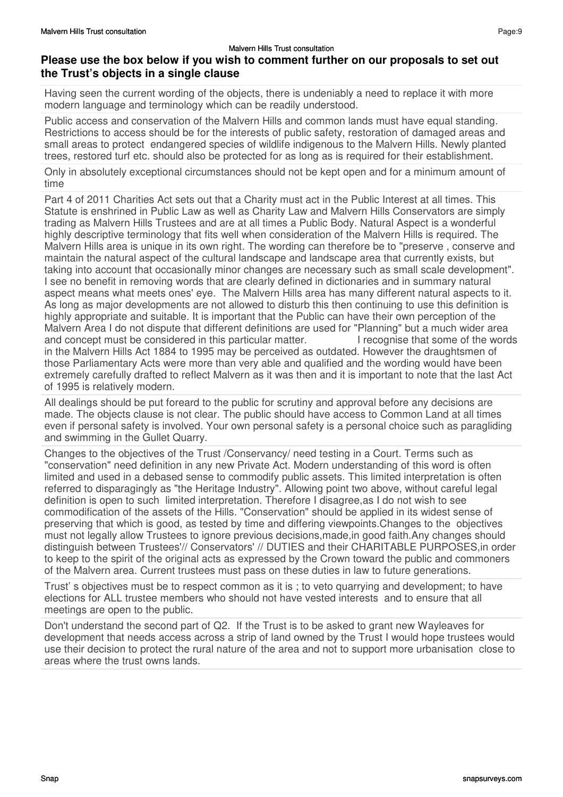## **Please use the box below if you wish to comment further on our proposals to set out the Trust's objects in a single clause**

Having seen the current wording of the objects, there is undeniably a need to replace it with more modern language and terminology which can be readily understood.

Public access and conservation of the Malvern Hills and common lands must have equal standing. Restrictions to access should be for the interests of public safety, restoration of damaged areas and small areas to protect endangered species of wildlife indigenous to the Malvern Hills. Newly planted trees, restored turf etc. should also be protected for as long as is required for their establishment.

Only in absolutely exceptional circumstances should not be kept open and for a minimum amount of time

Part 4 of 2011 Charities Act sets out that a Charity must act in the Public Interest at all times. This Statute is enshrined in Public Law as well as Charity Law and Malvern Hills Conservators are simply trading as Malvern Hills Trustees and are at all times a Public Body. Natural Aspect is a wonderful highly descriptive terminology that fits well when consideration of the Malvern Hills is required. The Malvern Hills area is unique in its own right. The wording can therefore be to "preserve , conserve and maintain the natural aspect of the cultural landscape and landscape area that currently exists, but taking into account that occasionally minor changes are necessary such as small scale development". I see no benefit in removing words that are clearly defined in dictionaries and in summary natural aspect means what meets ones' eye. The Malvern Hills area has many different natural aspects to it. As long as major developments are not allowed to disturb this then continuing to use this definition is highly appropriate and suitable. It is important that the Public can have their own perception of the Malvern Area I do not dispute that different definitions are used for "Planning" but a much wider area and concept must be considered in this particular matter. I recognise that some of the words in the Malvern Hills Act 1884 to 1995 may be perceived as outdated. However the draughtsmen of those Parliamentary Acts were more than very able and qualified and the wording would have been extremely carefully drafted to reflect Malvern as it was then and it is important to note that the last Act of 1995 is relatively modern.

All dealings should be put foreard to the public for scrutiny and approval before any decisions are made. The objects clause is not clear. The public should have access to Common Land at all times even if personal safety is involved. Your own personal safety is a personal choice such as paragliding and swimming in the Gullet Quarry.

Changes to the objectives of the Trust /Conservancy/ need testing in a Court. Terms such as "conservation" need definition in any new Private Act. Modern understanding of this word is often limited and used in a debased sense to commodify public assets. This limited interpretation is often referred to disparagingly as "the Heritage Industry". Allowing point two above, without careful legal definition is open to such limited interpretation. Therefore I disagree,as I do not wish to see commodification of the assets of the Hills. "Conservation" should be applied in its widest sense of preserving that which is good, as tested by time and differing viewpoints.Changes to the objectives must not legally allow Trustees to ignore previous decisions,made,in good faith.Any changes should distinguish between Trustees'// Conservators' // DUTIES and their CHARITABLE PURPOSES,in order to keep to the spirit of the original acts as expressed by the Crown toward the public and commoners of the Malvern area. Current trustees must pass on these duties in law to future generations.

Trust' s objectives must be to respect common as it is ; to veto quarrying and development; to have elections for ALL trustee members who should not have vested interests and to ensure that all meetings are open to the public.

Don't understand the second part of Q2. If the Trust is to be asked to grant new Wayleaves for development that needs access across a strip of land owned by the Trust I would hope trustees would use their decision to protect the rural nature of the area and not to support more urbanisation close to areas where the trust owns lands.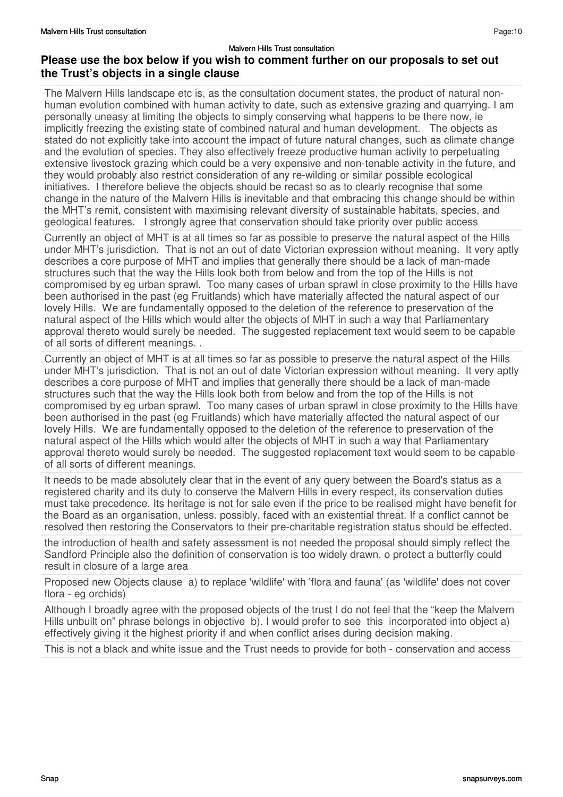### **Please use the box below if you wish to comment further on our proposals to set out the Trust's objects in a single clause**

The Malvern Hills landscape etc is, as the consultation document states, the product of natural nonhuman evolution combined with human activity to date, such as extensive grazing and quarrying. I am personally uneasy at limiting the objects to simply conserving what happens to be there now, ie implicitly freezing the existing state of combined natural and human development. The objects as stated do not explicitly take into account the impact of future natural changes, such as climate change and the evolution of species. They also effectively freeze productive human activity to perpetuating extensive livestock grazing which could be a very expensive and non-tenable activity in the future, and they would probably also restrict consideration of any re-wilding or similar possible ecological initiatives. I therefore believe the objects should be recast so as to clearly recognise that some change in the nature of the Malvern Hills is inevitable and that embracing this change should be within the MHT's remit, consistent with maximising relevant diversity of sustainable habitats, species, and geological features. I strongly agree that conservation should take priority over public access

Currently an object of MHT is at all times so far as possible to preserve the natural aspect of the Hills under MHT's jurisdiction. That is not an out of date Victorian expression without meaning. It very aptly describes a core purpose of MHT and implies that generally there should be a lack of man-made structures such that the way the Hills look both from below and from the top of the Hills is not compromised by eg urban sprawl. Too many cases of urban sprawl in close proximity to the Hills have been authorised in the past (eg Fruitlands) which have materially affected the natural aspect of our lovely Hills. We are fundamentally opposed to the deletion of the reference to preservation of the natural aspect of the Hills which would alter the objects of MHT in such a way that Parliamentary approval thereto would surely be needed. The suggested replacement text would seem to be capable of all sorts of different meanings. .

Currently an object of MHT is at all times so far as possible to preserve the natural aspect of the Hills under MHT's jurisdiction. That is not an out of date Victorian expression without meaning. It very aptly describes a core purpose of MHT and implies that generally there should be a lack of man-made structures such that the way the Hills look both from below and from the top of the Hills is not compromised by eg urban sprawl. Too many cases of urban sprawl in close proximity to the Hills have been authorised in the past (eg Fruitlands) which have materially affected the natural aspect of our lovely Hills. We are fundamentally opposed to the deletion of the reference to preservation of the natural aspect of the Hills which would alter the objects of MHT in such a way that Parliamentary approval thereto would surely be needed. The suggested replacement text would seem to be capable of all sorts of different meanings.

It needs to be made absolutely clear that in the event of any query between the Board's status as a registered charity and its duty to conserve the Malvern Hills in every respect, its conservation duties must take precedence. Its heritage is not for sale even if the price to be realised might have benefit for the Board as an organisation, unless. possibly, faced with an existential threat. If a conflict cannot be resolved then restoring the Conservators to their pre-charitable registration status should be effected.

the introduction of health and safety assessment is not needed the proposal should simply reflect the Sandford Principle also the definition of conservation is too widely drawn. o protect a butterfly could result in closure of a large area

Proposed new Objects clause a) to replace 'wildlife' with 'flora and fauna' (as 'wildlife' does not cover flora - eg orchids)

Although I broadly agree with the proposed objects of the trust I do not feel that the "keep the Malvern Hills unbuilt on" phrase belongs in objective b). I would prefer to see this incorporated into object a) effectively giving it the highest priority if and when conflict arises during decision making.

This is not a black and white issue and the Trust needs to provide for both - conservation and access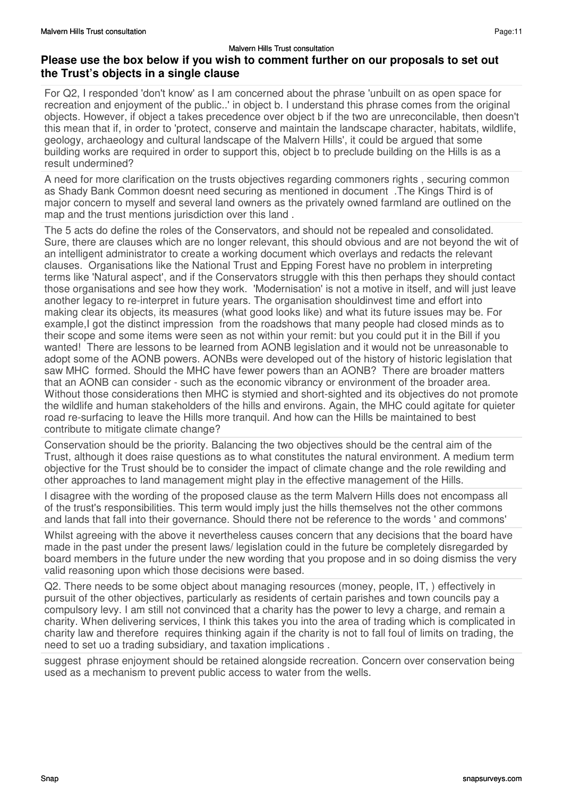### **Please use the box below if you wish to comment further on our proposals to set out the Trust's objects in a single clause**

For Q2, I responded 'don't know' as I am concerned about the phrase 'unbuilt on as open space for recreation and enjoyment of the public..' in object b. I understand this phrase comes from the original objects. However, if object a takes precedence over object b if the two are unreconcilable, then doesn't this mean that if, in order to 'protect, conserve and maintain the landscape character, habitats, wildlife, geology, archaeology and cultural landscape of the Malvern Hills', it could be argued that some building works are required in order to support this, object b to preclude building on the Hills is as a result undermined?

A need for more clarification on the trusts objectives regarding commoners rights , securing common as Shady Bank Common doesnt need securing as mentioned in document .The Kings Third is of major concern to myself and several land owners as the privately owned farmland are outlined on the map and the trust mentions jurisdiction over this land .

The 5 acts do define the roles of the Conservators, and should not be repealed and consolidated. Sure, there are clauses which are no longer relevant, this should obvious and are not beyond the wit of an intelligent administrator to create a working document which overlays and redacts the relevant clauses. Organisations like the National Trust and Epping Forest have no problem in interpreting terms like 'Natural aspect', and if the Conservators struggle with this then perhaps they should contact those organisations and see how they work. 'Modernisation' is not a motive in itself, and will just leave another legacy to re-interpret in future years. The organisation shouldinvest time and effort into making clear its objects, its measures (what good looks like) and what its future issues may be. For example,I got the distinct impression from the roadshows that many people had closed minds as to their scope and some items were seen as not within your remit: but you could put it in the Bill if you wanted! There are lessons to be learned from AONB legislation and it would not be unreasonable to adopt some of the AONB powers. AONBs were developed out of the history of historic legislation that saw MHC formed. Should the MHC have fewer powers than an AONB? There are broader matters that an AONB can consider - such as the economic vibrancy or environment of the broader area. Without those considerations then MHC is stymied and short-sighted and its objectives do not promote the wildlife and human stakeholders of the hills and environs. Again, the MHC could agitate for quieter road re-surfacing to leave the Hills more tranquil. And how can the Hills be maintained to best contribute to mitigate climate change?

Conservation should be the priority. Balancing the two objectives should be the central aim of the Trust, although it does raise questions as to what constitutes the natural environment. A medium term objective for the Trust should be to consider the impact of climate change and the role rewilding and other approaches to land management might play in the effective management of the Hills.

I disagree with the wording of the proposed clause as the term Malvern Hills does not encompass all of the trust's responsibilities. This term would imply just the hills themselves not the other commons and lands that fall into their governance. Should there not be reference to the words ' and commons'

Whilst agreeing with the above it nevertheless causes concern that any decisions that the board have made in the past under the present laws/ legislation could in the future be completely disregarded by board members in the future under the new wording that you propose and in so doing dismiss the very valid reasoning upon which those decisions were based.

Q2. There needs to be some object about managing resources (money, people, IT, ) effectively in pursuit of the other objectives, particularly as residents of certain parishes and town councils pay a compulsory levy. I am still not convinced that a charity has the power to levy a charge, and remain a charity. When delivering services, I think this takes you into the area of trading which is complicated in charity law and therefore requires thinking again if the charity is not to fall foul of limits on trading, the need to set uo a trading subsidiary, and taxation implications .

suggest phrase enjoyment should be retained alongside recreation. Concern over conservation being used as a mechanism to prevent public access to water from the wells.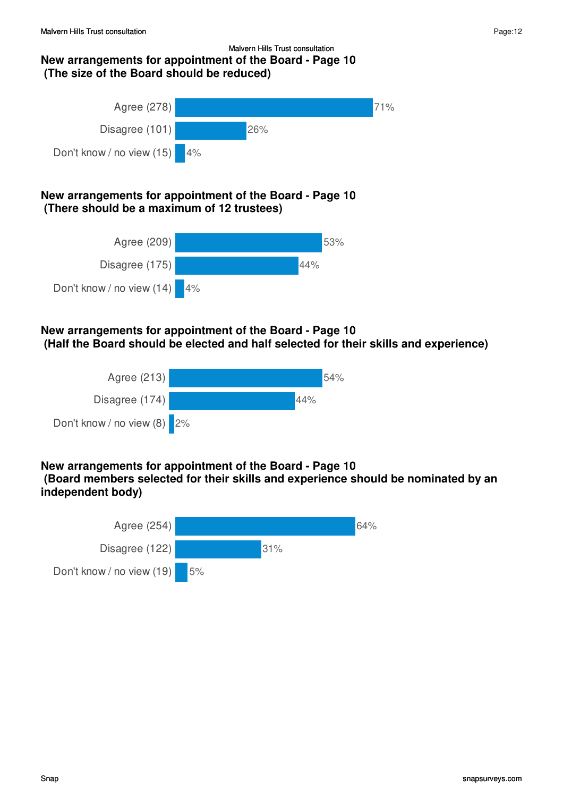### Malvern Hills Trust consultation **New arrangements for appointment of the Board - Page 10 (The size of the Board should be reduced)**



### **New arrangements for appointment of the Board - Page 10 (There should be a maximum of 12 trustees)**



### **New arrangements for appointment of the Board - Page 10 (Half the Board should be elected and half selected for their skills and experience)**



## **New arrangements for appointment of the Board - Page 10**

 **(Board members selected for their skills and experience should be nominated by an independent body)**

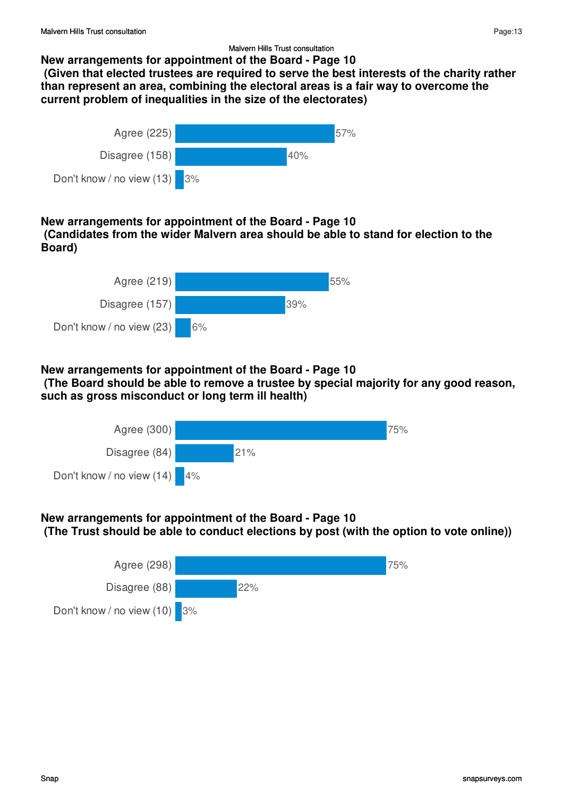### **New arrangements for appointment of the Board - Page 10**

 **(Given that elected trustees are required to serve the best interests of the charity rather than represent an area, combining the electoral areas is a fair way to overcome the current problem of inequalities in the size of the electorates)**



### **New arrangements for appointment of the Board - Page 10 (Candidates from the wider Malvern area should be able to stand for election to the Board)**



### **New arrangements for appointment of the Board - Page 10**

 **(The Board should be able to remove a trustee by special majority for any good reason, such as gross misconduct or long term ill health)**



### **New arrangements for appointment of the Board - Page 10 (The Trust should be able to conduct elections by post (with the option to vote online))**

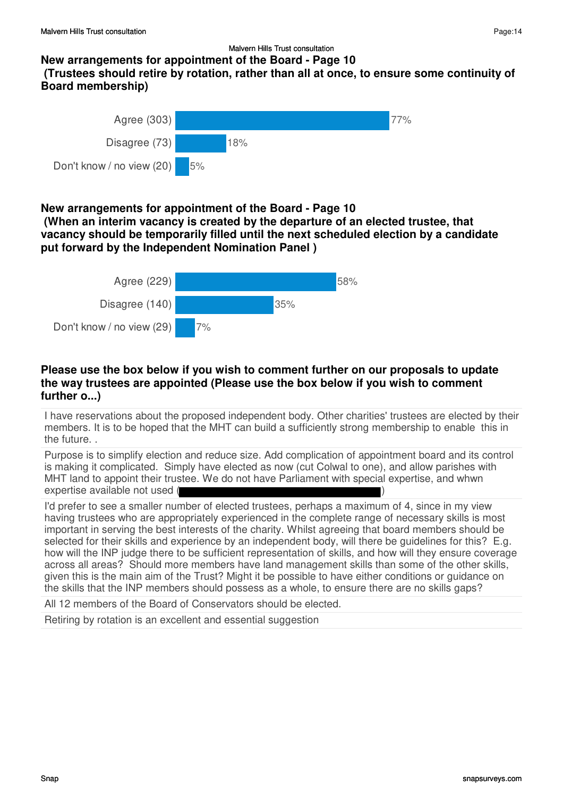### **New arrangements for appointment of the Board - Page 10 (Trustees should retire by rotation, rather than all at once, to ensure some continuity of Board membership)**



### **New arrangements for appointment of the Board - Page 10**

 **(When an interim vacancy is created by the departure of an elected trustee, that vacancy should be temporarily filled until the next scheduled election by a candidate put forward by the Independent Nomination Panel )**



### **Please use the box below if you wish to comment further on our proposals to update the way trustees are appointed (Please use the box below if you wish to comment further o...)**

I have reservations about the proposed independent body. Other charities' trustees are elected by their members. It is to be hoped that the MHT can build a sufficiently strong membership to enable this in the future. .

Purpose is to simplify election and reduce size. Add complication of appointment board and its control is making it complicated. Simply have elected as now (cut Colwal to one), and allow parishes with MHT land to appoint their trustee. We do not have Parliament with special expertise, and whwn expertise available not used (

I'd prefer to see a smaller number of elected trustees, perhaps a maximum of 4, since in my view having trustees who are appropriately experienced in the complete range of necessary skills is most important in serving the best interests of the charity. Whilst agreeing that board members should be selected for their skills and experience by an independent body, will there be guidelines for this? E.g. how will the INP judge there to be sufficient representation of skills, and how will they ensure coverage across all areas? Should more members have land management skills than some of the other skills, given this is the main aim of the Trust? Might it be possible to have either conditions or guidance on the skills that the INP members should possess as a whole, to ensure there are no skills gaps?

All 12 members of the Board of Conservators should be elected.

Retiring by rotation is an excellent and essential suggestion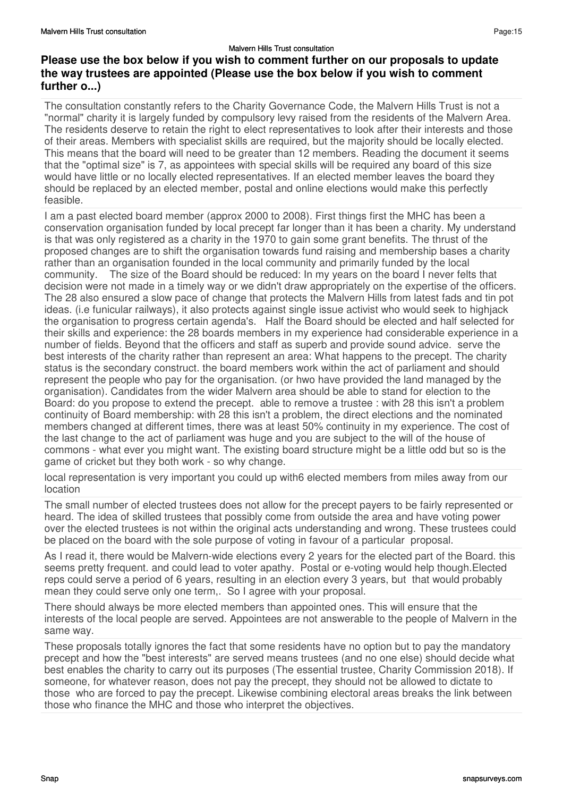The consultation constantly refers to the Charity Governance Code, the Malvern Hills Trust is not a "normal" charity it is largely funded by compulsory levy raised from the residents of the Malvern Area. The residents deserve to retain the right to elect representatives to look after their interests and those of their areas. Members with specialist skills are required, but the majority should be locally elected. This means that the board will need to be greater than 12 members. Reading the document it seems that the "optimal size" is 7, as appointees with special skills will be required any board of this size would have little or no locally elected representatives. If an elected member leaves the board they should be replaced by an elected member, postal and online elections would make this perfectly feasible.

I am a past elected board member (approx 2000 to 2008). First things first the MHC has been a conservation organisation funded by local precept far longer than it has been a charity. My understand is that was only registered as a charity in the 1970 to gain some grant benefits. The thrust of the proposed changes are to shift the organisation towards fund raising and membership bases a charity rather than an organisation founded in the local community and primarily funded by the local community. The size of the Board should be reduced: In my years on the board I never felts that decision were not made in a timely way or we didn't draw appropriately on the expertise of the officers. The 28 also ensured a slow pace of change that protects the Malvern Hills from latest fads and tin pot ideas. (i.e funicular railways), it also protects against single issue activist who would seek to highjack the organisation to progress certain agenda's. Half the Board should be elected and half selected for their skills and experience: the 28 boards members in my experience had considerable experience in a number of fields. Beyond that the officers and staff as superb and provide sound advice. serve the best interests of the charity rather than represent an area: What happens to the precept. The charity status is the secondary construct. the board members work within the act of parliament and should represent the people who pay for the organisation. (or hwo have provided the land managed by the organisation). Candidates from the wider Malvern area should be able to stand for election to the Board: do you propose to extend the precept. able to remove a trustee : with 28 this isn't a problem continuity of Board membership: with 28 this isn't a problem, the direct elections and the nominated members changed at different times, there was at least 50% continuity in my experience. The cost of the last change to the act of parliament was huge and you are subject to the will of the house of commons - what ever you might want. The existing board structure might be a little odd but so is the game of cricket but they both work - so why change.

local representation is very important you could up with6 elected members from miles away from our location

The small number of elected trustees does not allow for the precept payers to be fairly represented or heard. The idea of skilled trustees that possibly come from outside the area and have voting power over the elected trustees is not within the original acts understanding and wrong. These trustees could be placed on the board with the sole purpose of voting in favour of a particular proposal.

As I read it, there would be Malvern-wide elections every 2 years for the elected part of the Board. this seems pretty frequent. and could lead to voter apathy. Postal or e-voting would help though.Elected reps could serve a period of 6 years, resulting in an election every 3 years, but that would probably mean they could serve only one term,. So I agree with your proposal.

There should always be more elected members than appointed ones. This will ensure that the interests of the local people are served. Appointees are not answerable to the people of Malvern in the same way.

These proposals totally ignores the fact that some residents have no option but to pay the mandatory precept and how the "best interests" are served means trustees (and no one else) should decide what best enables the charity to carry out its purposes (The essential trustee, Charity Commission 2018). If someone, for whatever reason, does not pay the precept, they should not be allowed to dictate to those who are forced to pay the precept. Likewise combining electoral areas breaks the link between those who finance the MHC and those who interpret the objectives.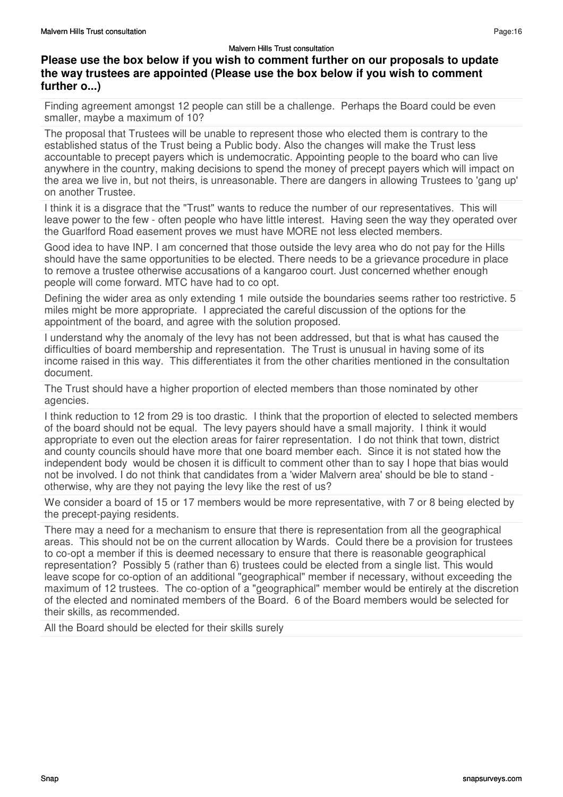## **Please use the box below if you wish to comment further on our proposals to update the way trustees are appointed (Please use the box below if you wish to comment further o...)**

Finding agreement amongst 12 people can still be a challenge. Perhaps the Board could be even smaller, maybe a maximum of 10?

The proposal that Trustees will be unable to represent those who elected them is contrary to the established status of the Trust being a Public body. Also the changes will make the Trust less accountable to precept payers which is undemocratic. Appointing people to the board who can live anywhere in the country, making decisions to spend the money of precept payers which will impact on the area we live in, but not theirs, is unreasonable. There are dangers in allowing Trustees to 'gang up' on another Trustee.

I think it is a disgrace that the "Trust" wants to reduce the number of our representatives. This will leave power to the few - often people who have little interest. Having seen the way they operated over the Guarlford Road easement proves we must have MORE not less elected members.

Good idea to have INP. I am concerned that those outside the levy area who do not pay for the Hills should have the same opportunities to be elected. There needs to be a grievance procedure in place to remove a trustee otherwise accusations of a kangaroo court. Just concerned whether enough people will come forward. MTC have had to co opt.

Defining the wider area as only extending 1 mile outside the boundaries seems rather too restrictive. 5 miles might be more appropriate. I appreciated the careful discussion of the options for the appointment of the board, and agree with the solution proposed.

I understand why the anomaly of the levy has not been addressed, but that is what has caused the difficulties of board membership and representation. The Trust is unusual in having some of its income raised in this way. This differentiates it from the other charities mentioned in the consultation document.

The Trust should have a higher proportion of elected members than those nominated by other agencies.

I think reduction to 12 from 29 is too drastic. I think that the proportion of elected to selected members of the board should not be equal. The levy payers should have a small majority. I think it would appropriate to even out the election areas for fairer representation. I do not think that town, district and county councils should have more that one board member each. Since it is not stated how the independent body would be chosen it is difficult to comment other than to say I hope that bias would not be involved. I do not think that candidates from a 'wider Malvern area' should be ble to stand otherwise, why are they not paying the levy like the rest of us?

We consider a board of 15 or 17 members would be more representative, with 7 or 8 being elected by the precept-paying residents.

There may a need for a mechanism to ensure that there is representation from all the geographical areas. This should not be on the current allocation by Wards. Could there be a provision for trustees to co-opt a member if this is deemed necessary to ensure that there is reasonable geographical representation? Possibly 5 (rather than 6) trustees could be elected from a single list. This would leave scope for co-option of an additional "geographical" member if necessary, without exceeding the maximum of 12 trustees. The co-option of a "geographical" member would be entirely at the discretion of the elected and nominated members of the Board. 6 of the Board members would be selected for their skills, as recommended.

All the Board should be elected for their skills surely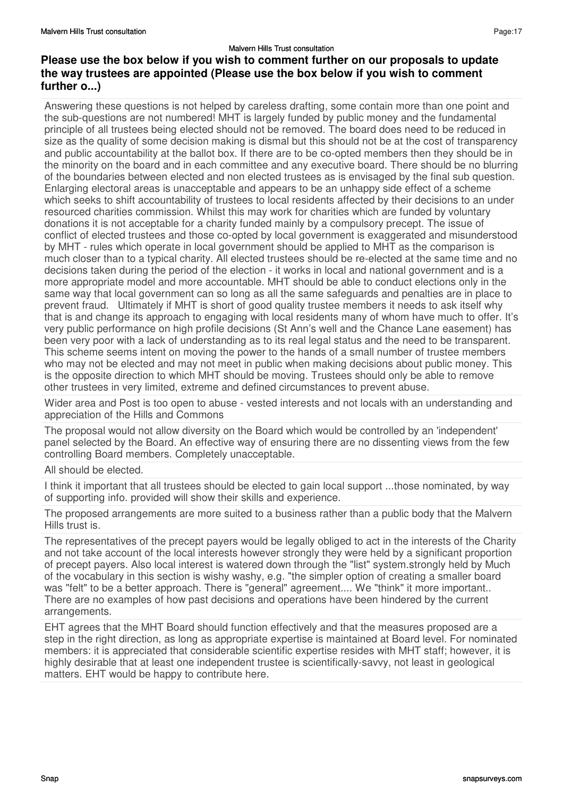Answering these questions is not helped by careless drafting, some contain more than one point and the sub-questions are not numbered! MHT is largely funded by public money and the fundamental principle of all trustees being elected should not be removed. The board does need to be reduced in size as the quality of some decision making is dismal but this should not be at the cost of transparency and public accountability at the ballot box. If there are to be co-opted members then they should be in the minority on the board and in each committee and any executive board. There should be no blurring of the boundaries between elected and non elected trustees as is envisaged by the final sub question. Enlarging electoral areas is unacceptable and appears to be an unhappy side effect of a scheme which seeks to shift accountability of trustees to local residents affected by their decisions to an under resourced charities commission. Whilst this may work for charities which are funded by voluntary donations it is not acceptable for a charity funded mainly by a compulsory precept. The issue of conflict of elected trustees and those co-opted by local government is exaggerated and misunderstood by MHT - rules which operate in local government should be applied to MHT as the comparison is much closer than to a typical charity. All elected trustees should be re-elected at the same time and no decisions taken during the period of the election - it works in local and national government and is a more appropriate model and more accountable. MHT should be able to conduct elections only in the same way that local government can so long as all the same safeguards and penalties are in place to prevent fraud. Ultimately if MHT is short of good quality trustee members it needs to ask itself why that is and change its approach to engaging with local residents many of whom have much to offer. It's very public performance on high profile decisions (St Ann's well and the Chance Lane easement) has been very poor with a lack of understanding as to its real legal status and the need to be transparent. This scheme seems intent on moving the power to the hands of a small number of trustee members who may not be elected and may not meet in public when making decisions about public money. This is the opposite direction to which MHT should be moving. Trustees should only be able to remove other trustees in very limited, extreme and defined circumstances to prevent abuse.

Wider area and Post is too open to abuse - vested interests and not locals with an understanding and appreciation of the Hills and Commons

The proposal would not allow diversity on the Board which would be controlled by an 'independent' panel selected by the Board. An effective way of ensuring there are no dissenting views from the few controlling Board members. Completely unacceptable.

### All should be elected.

I think it important that all trustees should be elected to gain local support ...those nominated, by way of supporting info. provided will show their skills and experience.

The proposed arrangements are more suited to a business rather than a public body that the Malvern Hills trust is.

The representatives of the precept payers would be legally obliged to act in the interests of the Charity and not take account of the local interests however strongly they were held by a significant proportion of precept payers. Also local interest is watered down through the "list" system.strongly held by Much of the vocabulary in this section is wishy washy, e.g. "the simpler option of creating a smaller board was "felt" to be a better approach. There is "general" agreement.... We "think" it more important.. There are no examples of how past decisions and operations have been hindered by the current arrangements.

EHT agrees that the MHT Board should function effectively and that the measures proposed are a step in the right direction, as long as appropriate expertise is maintained at Board level. For nominated members: it is appreciated that considerable scientific expertise resides with MHT staff; however, it is highly desirable that at least one independent trustee is scientifically-savvy, not least in geological matters. EHT would be happy to contribute here.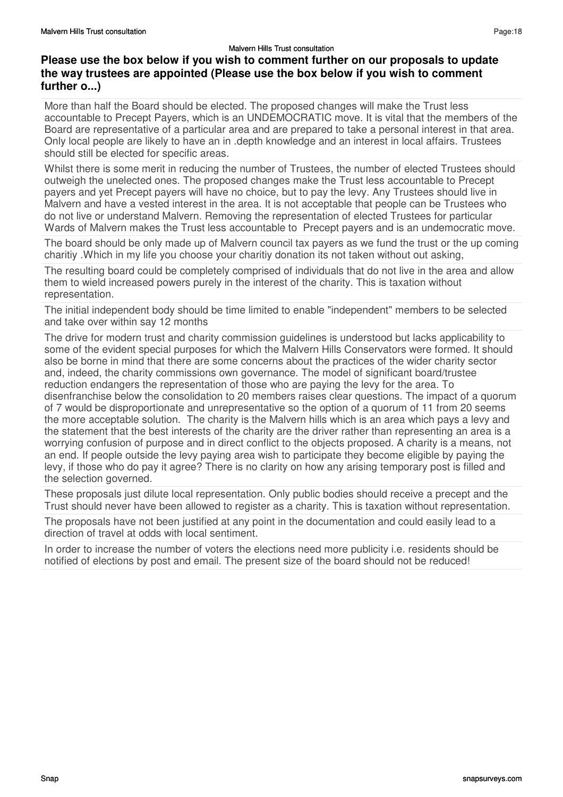## **Please use the box below if you wish to comment further on our proposals to update the way trustees are appointed (Please use the box below if you wish to comment further o...)**

More than half the Board should be elected. The proposed changes will make the Trust less accountable to Precept Payers, which is an UNDEMOCRATIC move. It is vital that the members of the Board are representative of a particular area and are prepared to take a personal interest in that area. Only local people are likely to have an in .depth knowledge and an interest in local affairs. Trustees should still be elected for specific areas.

Whilst there is some merit in reducing the number of Trustees, the number of elected Trustees should outweigh the unelected ones. The proposed changes make the Trust less accountable to Precept payers and yet Precept payers will have no choice, but to pay the levy. Any Trustees should live in Malvern and have a vested interest in the area. It is not acceptable that people can be Trustees who do not live or understand Malvern. Removing the representation of elected Trustees for particular Wards of Malvern makes the Trust less accountable to Precept payers and is an undemocratic move.

The board should be only made up of Malvern council tax payers as we fund the trust or the up coming charitiy .Which in my life you choose your charitiy donation its not taken without out asking,

The resulting board could be completely comprised of individuals that do not live in the area and allow them to wield increased powers purely in the interest of the charity. This is taxation without representation.

The initial independent body should be time limited to enable "independent" members to be selected and take over within say 12 months

The drive for modern trust and charity commission guidelines is understood but lacks applicability to some of the evident special purposes for which the Malvern Hills Conservators were formed. It should also be borne in mind that there are some concerns about the practices of the wider charity sector and, indeed, the charity commissions own governance. The model of significant board/trustee reduction endangers the representation of those who are paying the levy for the area. To disenfranchise below the consolidation to 20 members raises clear questions. The impact of a quorum of 7 would be disproportionate and unrepresentative so the option of a quorum of 11 from 20 seems the more acceptable solution. The charity is the Malvern hills which is an area which pays a levy and the statement that the best interests of the charity are the driver rather than representing an area is a worrying confusion of purpose and in direct conflict to the objects proposed. A charity is a means, not an end. If people outside the levy paying area wish to participate they become eligible by paying the levy, if those who do pay it agree? There is no clarity on how any arising temporary post is filled and the selection governed.

These proposals just dilute local representation. Only public bodies should receive a precept and the Trust should never have been allowed to register as a charity. This is taxation without representation.

The proposals have not been justified at any point in the documentation and could easily lead to a direction of travel at odds with local sentiment.

In order to increase the number of voters the elections need more publicity i.e. residents should be notified of elections by post and email. The present size of the board should not be reduced!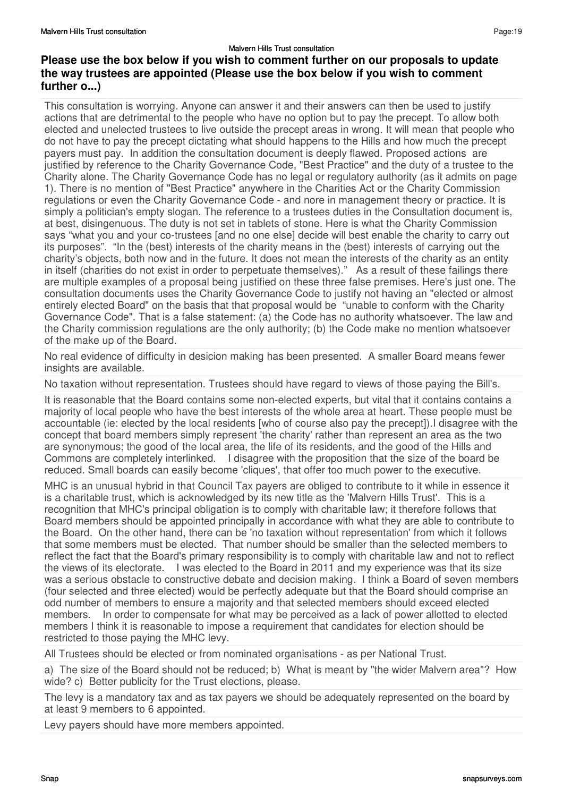This consultation is worrying. Anyone can answer it and their answers can then be used to justify actions that are detrimental to the people who have no option but to pay the precept. To allow both elected and unelected trustees to live outside the precept areas in wrong. It will mean that people who do not have to pay the precept dictating what should happens to the Hills and how much the precept payers must pay. In addition the consultation document is deeply flawed. Proposed actions are justified by reference to the Charity Governance Code, "Best Practice" and the duty of a trustee to the Charity alone. The Charity Governance Code has no legal or regulatory authority (as it admits on page 1). There is no mention of "Best Practice" anywhere in the Charities Act or the Charity Commission regulations or even the Charity Governance Code - and nore in management theory or practice. It is simply a politician's empty slogan. The reference to a trustees duties in the Consultation document is, at best, disingenuous. The duty is not set in tablets of stone. Here is what the Charity Commission says "what you and your co-trustees [and no one else] decide will best enable the charity to carry out its purposes". "In the (best) interests of the charity means in the (best) interests of carrying out the charity's objects, both now and in the future. It does not mean the interests of the charity as an entity in itself (charities do not exist in order to perpetuate themselves)." As a result of these failings there are multiple examples of a proposal being justified on these three false premises. Here's just one. The consultation documents uses the Charity Governance Code to justify not having an "elected or almost entirely elected Board" on the basis that that proposal would be "unable to conform with the Charity Governance Code". That is a false statement: (a) the Code has no authority whatsoever. The law and the Charity commission regulations are the only authority; (b) the Code make no mention whatsoever of the make up of the Board.

No real evidence of difficulty in desicion making has been presented. A smaller Board means fewer insights are available.

No taxation without representation. Trustees should have regard to views of those paying the Bill's.

It is reasonable that the Board contains some non-elected experts, but vital that it contains contains a majority of local people who have the best interests of the whole area at heart. These people must be accountable (ie: elected by the local residents [who of course also pay the precept]).I disagree with the concept that board members simply represent 'the charity' rather than represent an area as the two are synonymous; the good of the local area, the life of its residents, and the good of the Hills and Commons are completely interlinked. I disagree with the proposition that the size of the board be reduced. Small boards can easily become 'cliques', that offer too much power to the executive.

MHC is an unusual hybrid in that Council Tax payers are obliged to contribute to it while in essence it is a charitable trust, which is acknowledged by its new title as the 'Malvern Hills Trust'. This is a recognition that MHC's principal obligation is to comply with charitable law; it therefore follows that Board members should be appointed principally in accordance with what they are able to contribute to the Board. On the other hand, there can be 'no taxation without representation' from which it follows that some members must be elected. That number should be smaller than the selected members to reflect the fact that the Board's primary responsibility is to comply with charitable law and not to reflect the views of its electorate. I was elected to the Board in 2011 and my experience was that its size was a serious obstacle to constructive debate and decision making. I think a Board of seven members (four selected and three elected) would be perfectly adequate but that the Board should comprise an odd number of members to ensure a majority and that selected members should exceed elected members. In order to compensate for what may be perceived as a lack of power allotted to elected members I think it is reasonable to impose a requirement that candidates for election should be restricted to those paying the MHC levy.

All Trustees should be elected or from nominated organisations - as per National Trust.

a) The size of the Board should not be reduced; b) What is meant by "the wider Malvern area"? How wide? c) Better publicity for the Trust elections, please.

The levy is a mandatory tax and as tax payers we should be adequately represented on the board by at least 9 members to 6 appointed.

Levy payers should have more members appointed.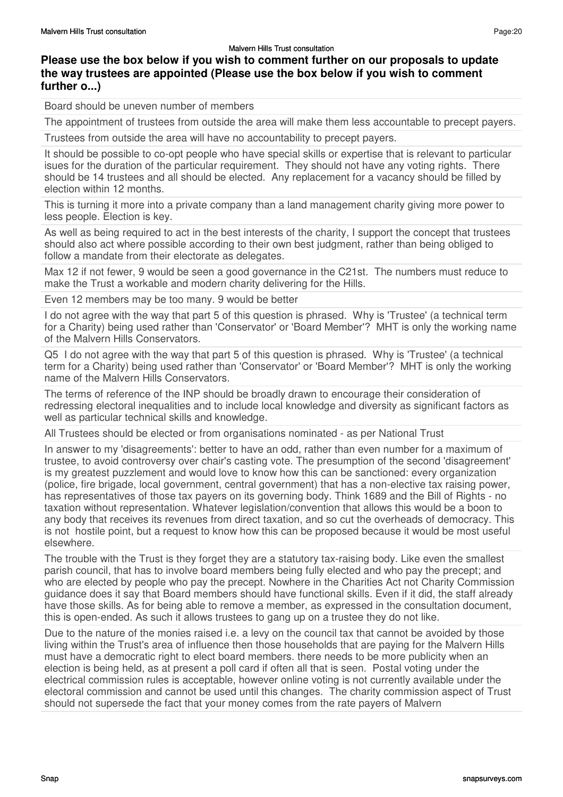## **Please use the box below if you wish to comment further on our proposals to update the way trustees are appointed (Please use the box below if you wish to comment further o...)**

Board should be uneven number of members

The appointment of trustees from outside the area will make them less accountable to precept payers.

Trustees from outside the area will have no accountability to precept payers.

It should be possible to co-opt people who have special skills or expertise that is relevant to particular isues for the duration of the particular requirement. They should not have any voting rights. There should be 14 trustees and all should be elected. Any replacement for a vacancy should be filled by election within 12 months.

This is turning it more into a private company than a land management charity giving more power to less people. Election is key.

As well as being required to act in the best interests of the charity, I support the concept that trustees should also act where possible according to their own best judgment, rather than being obliged to follow a mandate from their electorate as delegates.

Max 12 if not fewer, 9 would be seen a good governance in the C21st. The numbers must reduce to make the Trust a workable and modern charity delivering for the Hills.

Even 12 members may be too many. 9 would be better

I do not agree with the way that part 5 of this question is phrased. Why is 'Trustee' (a technical term for a Charity) being used rather than 'Conservator' or 'Board Member'? MHT is only the working name of the Malvern Hills Conservators.

Q5 I do not agree with the way that part 5 of this question is phrased. Why is 'Trustee' (a technical term for a Charity) being used rather than 'Conservator' or 'Board Member'? MHT is only the working name of the Malvern Hills Conservators.

The terms of reference of the INP should be broadly drawn to encourage their consideration of redressing electoral inequalities and to include local knowledge and diversity as significant factors as well as particular technical skills and knowledge.

All Trustees should be elected or from organisations nominated - as per National Trust

In answer to my 'disagreements': better to have an odd, rather than even number for a maximum of trustee, to avoid controversy over chair's casting vote. The presumption of the second 'disagreement' is my greatest puzzlement and would love to know how this can be sanctioned: every organization (police, fire brigade, local government, central government) that has a non-elective tax raising power, has representatives of those tax payers on its governing body. Think 1689 and the Bill of Rights - no taxation without representation. Whatever legislation/convention that allows this would be a boon to any body that receives its revenues from direct taxation, and so cut the overheads of democracy. This is not hostile point, but a request to know how this can be proposed because it would be most useful elsewhere.

The trouble with the Trust is they forget they are a statutory tax-raising body. Like even the smallest parish council, that has to involve board members being fully elected and who pay the precept; and who are elected by people who pay the precept. Nowhere in the Charities Act not Charity Commission guidance does it say that Board members should have functional skills. Even if it did, the staff already have those skills. As for being able to remove a member, as expressed in the consultation document, this is open-ended. As such it allows trustees to gang up on a trustee they do not like.

Due to the nature of the monies raised i.e. a levy on the council tax that cannot be avoided by those living within the Trust's area of influence then those households that are paying for the Malvern Hills must have a democratic right to elect board members. there needs to be more publicity when an election is being held, as at present a poll card if often all that is seen. Postal voting under the electrical commission rules is acceptable, however online voting is not currently available under the electoral commission and cannot be used until this changes. The charity commission aspect of Trust should not supersede the fact that your money comes from the rate payers of Malvern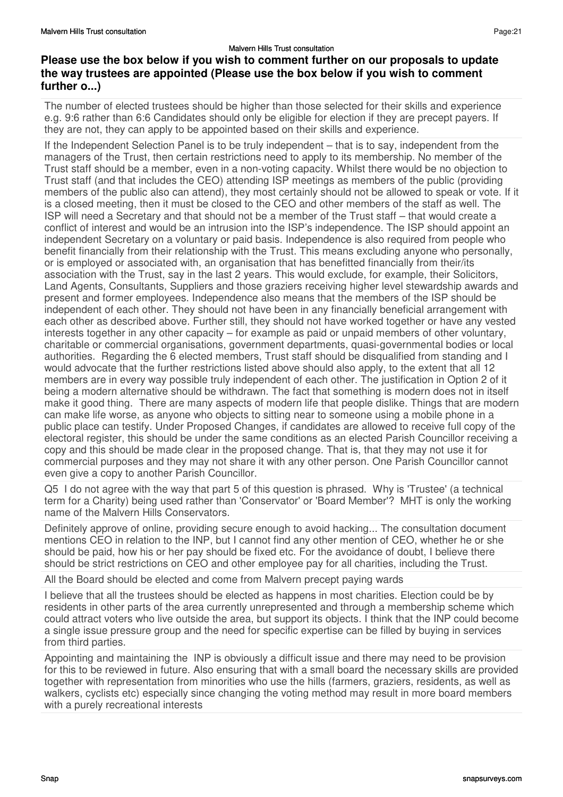The number of elected trustees should be higher than those selected for their skills and experience e.g. 9:6 rather than 6:6 Candidates should only be eligible for election if they are precept payers. If they are not, they can apply to be appointed based on their skills and experience.

If the Independent Selection Panel is to be truly independent – that is to say, independent from the managers of the Trust, then certain restrictions need to apply to its membership. No member of the Trust staff should be a member, even in a non-voting capacity. Whilst there would be no objection to Trust staff (and that includes the CEO) attending ISP meetings as members of the public (providing members of the public also can attend), they most certainly should not be allowed to speak or vote. If it is a closed meeting, then it must be closed to the CEO and other members of the staff as well. The ISP will need a Secretary and that should not be a member of the Trust staff – that would create a conflict of interest and would be an intrusion into the ISP's independence. The ISP should appoint an independent Secretary on a voluntary or paid basis. Independence is also required from people who benefit financially from their relationship with the Trust. This means excluding anyone who personally, or is employed or associated with, an organisation that has benefitted financially from their/its association with the Trust, say in the last 2 years. This would exclude, for example, their Solicitors, Land Agents, Consultants, Suppliers and those graziers receiving higher level stewardship awards and present and former employees. Independence also means that the members of the ISP should be independent of each other. They should not have been in any financially beneficial arrangement with each other as described above. Further still, they should not have worked together or have any vested interests together in any other capacity – for example as paid or unpaid members of other voluntary, charitable or commercial organisations, government departments, quasi-governmental bodies or local authorities. Regarding the 6 elected members, Trust staff should be disqualified from standing and I would advocate that the further restrictions listed above should also apply, to the extent that all 12 members are in every way possible truly independent of each other. The justification in Option 2 of it being a modern alternative should be withdrawn. The fact that something is modern does not in itself make it good thing. There are many aspects of modern life that people dislike. Things that are modern can make life worse, as anyone who objects to sitting near to someone using a mobile phone in a public place can testify. Under Proposed Changes, if candidates are allowed to receive full copy of the electoral register, this should be under the same conditions as an elected Parish Councillor receiving a copy and this should be made clear in the proposed change. That is, that they may not use it for commercial purposes and they may not share it with any other person. One Parish Councillor cannot even give a copy to another Parish Councillor.

Q5 I do not agree with the way that part 5 of this question is phrased. Why is 'Trustee' (a technical term for a Charity) being used rather than 'Conservator' or 'Board Member'? MHT is only the working name of the Malvern Hills Conservators.

Definitely approve of online, providing secure enough to avoid hacking... The consultation document mentions CEO in relation to the INP, but I cannot find any other mention of CEO, whether he or she should be paid, how his or her pay should be fixed etc. For the avoidance of doubt, I believe there should be strict restrictions on CEO and other employee pay for all charities, including the Trust.

All the Board should be elected and come from Malvern precept paying wards

I believe that all the trustees should be elected as happens in most charities. Election could be by residents in other parts of the area currently unrepresented and through a membership scheme which could attract voters who live outside the area, but support its objects. I think that the INP could become a single issue pressure group and the need for specific expertise can be filled by buying in services from third parties.

Appointing and maintaining the INP is obviously a difficult issue and there may need to be provision for this to be reviewed in future. Also ensuring that with a small board the necessary skills are provided together with representation from minorities who use the hills (farmers, graziers, residents, as well as walkers, cyclists etc) especially since changing the voting method may result in more board members with a purely recreational interests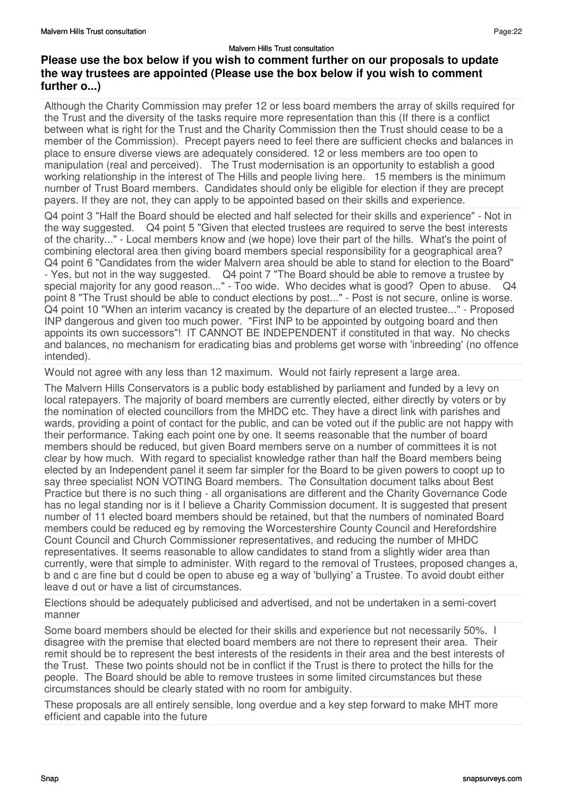Although the Charity Commission may prefer 12 or less board members the array of skills required for the Trust and the diversity of the tasks require more representation than this (If there is a conflict between what is right for the Trust and the Charity Commission then the Trust should cease to be a member of the Commission). Precept payers need to feel there are sufficient checks and balances in place to ensure diverse views are adequately considered. 12 or less members are too open to manipulation (real and perceived). The Trust modernisation is an opportunity to establish a good working relationship in the interest of The Hills and people living here. 15 members is the minimum number of Trust Board members. Candidates should only be eligible for election if they are precept payers. If they are not, they can apply to be appointed based on their skills and experience.

Q4 point 3 "Half the Board should be elected and half selected for their skills and experience" - Not in the way suggested. Q4 point 5 "Given that elected trustees are required to serve the best interests of the charity..." - Local members know and (we hope) love their part of the hills. What's the point of combining electoral area then giving board members special responsibility for a geographical area? Q4 point 6 "Candidates from the wider Malvern area should be able to stand for election to the Board" - Yes, but not in the way suggested. Q4 point 7 "The Board should be able to remove a trustee by special majority for any good reason..." - Too wide. Who decides what is good? Open to abuse. point 8 "The Trust should be able to conduct elections by post..." - Post is not secure, online is worse. Q4 point 10 "When an interim vacancy is created by the departure of an elected trustee..." - Proposed INP dangerous and given too much power. "First INP to be appointed by outgoing board and then appoints its own successors"! IT CANNOT BE INDEPENDENT if constituted in that way. No checks and balances, no mechanism for eradicating bias and problems get worse with 'inbreeding' (no offence intended).

Would not agree with any less than 12 maximum. Would not fairly represent a large area.

The Malvern Hills Conservators is a public body established by parliament and funded by a levy on local ratepayers. The majority of board members are currently elected, either directly by voters or by the nomination of elected councillors from the MHDC etc. They have a direct link with parishes and wards, providing a point of contact for the public, and can be voted out if the public are not happy with their performance. Taking each point one by one. It seems reasonable that the number of board members should be reduced, but given Board members serve on a number of committees it is not clear by how much. With regard to specialist knowledge rather than half the Board members being elected by an Independent panel it seem far simpler for the Board to be given powers to coopt up to say three specialist NON VOTING Board members. The Consultation document talks about Best Practice but there is no such thing - all organisations are different and the Charity Governance Code has no legal standing nor is it I believe a Charity Commission document. It is suggested that present number of 11 elected board members should be retained, but that the numbers of nominated Board members could be reduced eg by removing the Worcestershire County Council and Herefordshire Count Council and Church Commissioner representatives, and reducing the number of MHDC representatives. It seems reasonable to allow candidates to stand from a slightly wider area than currently, were that simple to administer. With regard to the removal of Trustees, proposed changes a, b and c are fine but d could be open to abuse eg a way of 'bullying' a Trustee. To avoid doubt either leave d out or have a list of circumstances.

Elections should be adequately publicised and advertised, and not be undertaken in a semi-covert manner

Some board members should be elected for their skills and experience but not necessarily 50%. I disagree with the premise that elected board members are not there to represent their area. Their remit should be to represent the best interests of the residents in their area and the best interests of the Trust. These two points should not be in conflict if the Trust is there to protect the hills for the people. The Board should be able to remove trustees in some limited circumstances but these circumstances should be clearly stated with no room for ambiguity.

These proposals are all entirely sensible, long overdue and a key step forward to make MHT more efficient and capable into the future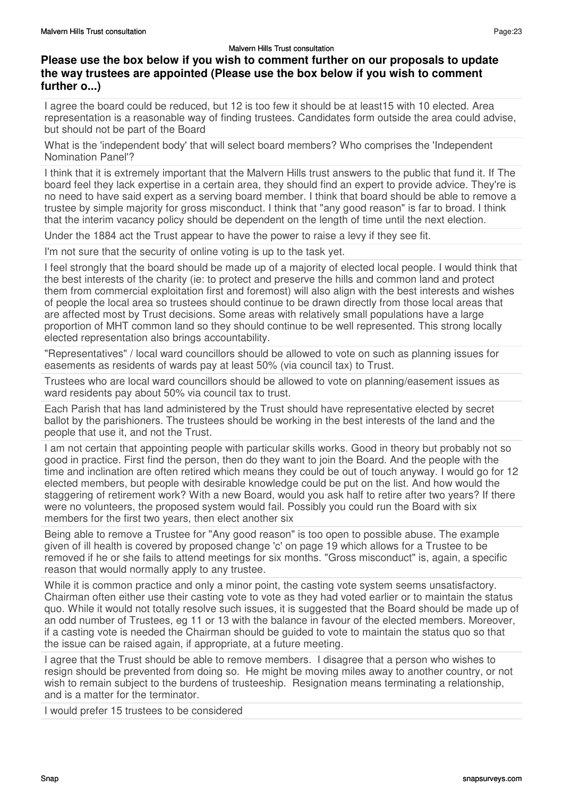## **Please use the box below if you wish to comment further on our proposals to update the way trustees are appointed (Please use the box below if you wish to comment further o...)**

I agree the board could be reduced, but 12 is too few it should be at least15 with 10 elected. Area representation is a reasonable way of finding trustees. Candidates form outside the area could advise, but should not be part of the Board

What is the 'independent body' that will select board members? Who comprises the 'Independent Nomination Panel'?

I think that it is extremely important that the Malvern Hills trust answers to the public that fund it. If The board feel they lack expertise in a certain area, they should find an expert to provide advice. They're is no need to have said expert as a serving board member. I think that board should be able to remove a trustee by simple majority for gross misconduct. I think that "any good reason" is far to broad. I think that the interim vacancy policy should be dependent on the length of time until the next election.

Under the 1884 act the Trust appear to have the power to raise a levy if they see fit.

I'm not sure that the security of online voting is up to the task yet.

I feel strongly that the board should be made up of a majority of elected local people. I would think that the best interests of the charity (ie: to protect and preserve the hills and common land and protect them from commercial exploitation first and foremost) will also align with the best interests and wishes of people the local area so trustees should continue to be drawn directly from those local areas that are affected most by Trust decisions. Some areas with relatively small populations have a large proportion of MHT common land so they should continue to be well represented. This strong locally elected representation also brings accountability.

"Representatives" / local ward councillors should be allowed to vote on such as planning issues for easements as residents of wards pay at least 50% (via council tax) to Trust.

Trustees who are local ward councillors should be allowed to vote on planning/easement issues as ward residents pay about 50% via council tax to trust.

Each Parish that has land administered by the Trust should have representative elected by secret ballot by the parishioners. The trustees should be working in the best interests of the land and the people that use it, and not the Trust.

I am not certain that appointing people with particular skills works. Good in theory but probably not so good in practice. First find the person, then do they want to join the Board. And the people with the time and inclination are often retired which means they could be out of touch anyway. I would go for 12 elected members, but people with desirable knowledge could be put on the list. And how would the staggering of retirement work? With a new Board, would you ask half to retire after two years? If there were no volunteers, the proposed system would fail. Possibly you could run the Board with six members for the first two years, then elect another six

Being able to remove a Trustee for "Any good reason" is too open to possible abuse. The example given of ill health is covered by proposed change 'c' on page 19 which allows for a Trustee to be removed if he or she fails to attend meetings for six months. "Gross misconduct" is, again, a specific reason that would normally apply to any trustee.

While it is common practice and only a minor point, the casting vote system seems unsatisfactory. Chairman often either use their casting vote to vote as they had voted earlier or to maintain the status quo. While it would not totally resolve such issues, it is suggested that the Board should be made up of an odd number of Trustees, eg 11 or 13 with the balance in favour of the elected members. Moreover, if a casting vote is needed the Chairman should be guided to vote to maintain the status quo so that the issue can be raised again, if appropriate, at a future meeting.

I agree that the Trust should be able to remove members. I disagree that a person who wishes to resign should be prevented from doing so. He might be moving miles away to another country, or not wish to remain subject to the burdens of trusteeship. Resignation means terminating a relationship, and is a matter for the terminator.

I would prefer 15 trustees to be considered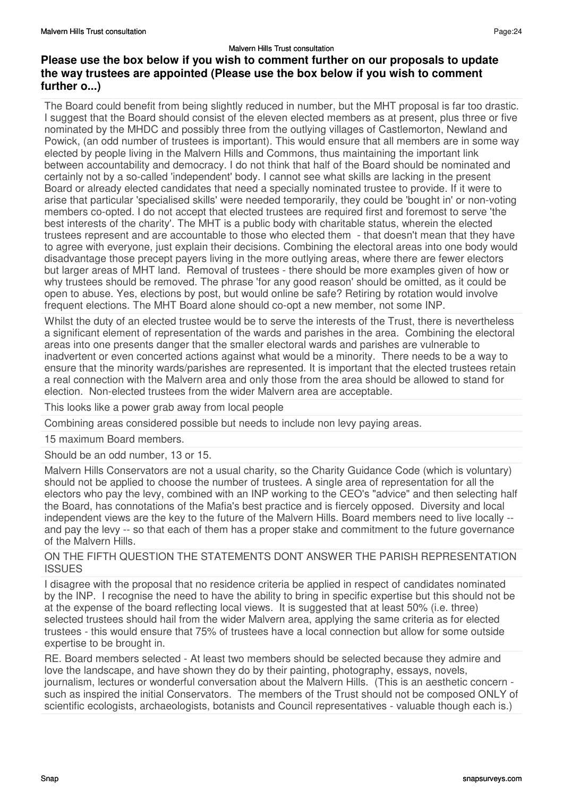The Board could benefit from being slightly reduced in number, but the MHT proposal is far too drastic. I suggest that the Board should consist of the eleven elected members as at present, plus three or five nominated by the MHDC and possibly three from the outlying villages of Castlemorton, Newland and Powick, (an odd number of trustees is important). This would ensure that all members are in some way elected by people living in the Malvern Hills and Commons, thus maintaining the important link between accountability and democracy. I do not think that half of the Board should be nominated and certainly not by a so-called 'independent' body. I cannot see what skills are lacking in the present Board or already elected candidates that need a specially nominated trustee to provide. If it were to arise that particular 'specialised skills' were needed temporarily, they could be 'bought in' or non-voting members co-opted. I do not accept that elected trustees are required first and foremost to serve 'the best interests of the charity'. The MHT is a public body with charitable status, wherein the elected trustees represent and are accountable to those who elected them - that doesn't mean that they have to agree with everyone, just explain their decisions. Combining the electoral areas into one body would disadvantage those precept payers living in the more outlying areas, where there are fewer electors but larger areas of MHT land. Removal of trustees - there should be more examples given of how or why trustees should be removed. The phrase 'for any good reason' should be omitted, as it could be open to abuse. Yes, elections by post, but would online be safe? Retiring by rotation would involve frequent elections. The MHT Board alone should co-opt a new member, not some INP.

Whilst the duty of an elected trustee would be to serve the interests of the Trust, there is nevertheless a significant element of representation of the wards and parishes in the area. Combining the electoral areas into one presents danger that the smaller electoral wards and parishes are vulnerable to inadvertent or even concerted actions against what would be a minority. There needs to be a way to ensure that the minority wards/parishes are represented. It is important that the elected trustees retain a real connection with the Malvern area and only those from the area should be allowed to stand for election. Non-elected trustees from the wider Malvern area are acceptable.

This looks like a power grab away from local people

Combining areas considered possible but needs to include non levy paying areas.

15 maximum Board members.

Should be an odd number, 13 or 15.

Malvern Hills Conservators are not a usual charity, so the Charity Guidance Code (which is voluntary) should not be applied to choose the number of trustees. A single area of representation for all the electors who pay the levy, combined with an INP working to the CEO's "advice" and then selecting half the Board, has connotations of the Mafia's best practice and is fiercely opposed. Diversity and local independent views are the key to the future of the Malvern Hills. Board members need to live locally - and pay the levy -- so that each of them has a proper stake and commitment to the future governance of the Malvern Hills.

### ON THE FIFTH QUESTION THE STATEMENTS DONT ANSWER THE PARISH REPRESENTATION ISSUES

I disagree with the proposal that no residence criteria be applied in respect of candidates nominated by the INP. I recognise the need to have the ability to bring in specific expertise but this should not be at the expense of the board reflecting local views. It is suggested that at least 50% (i.e. three) selected trustees should hail from the wider Malvern area, applying the same criteria as for elected trustees - this would ensure that 75% of trustees have a local connection but allow for some outside expertise to be brought in.

RE. Board members selected - At least two members should be selected because they admire and love the landscape, and have shown they do by their painting, photography, essays, novels, journalism, lectures or wonderful conversation about the Malvern Hills. (This is an aesthetic concern such as inspired the initial Conservators. The members of the Trust should not be composed ONLY of scientific ecologists, archaeologists, botanists and Council representatives - valuable though each is.)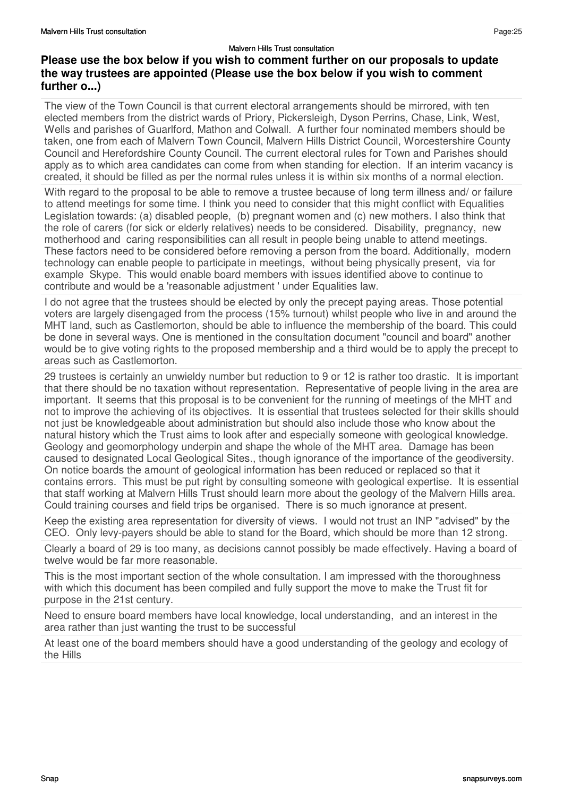The view of the Town Council is that current electoral arrangements should be mirrored, with ten elected members from the district wards of Priory, Pickersleigh, Dyson Perrins, Chase, Link, West, Wells and parishes of Guarlford, Mathon and Colwall. A further four nominated members should be taken, one from each of Malvern Town Council, Malvern Hills District Council, Worcestershire County Council and Herefordshire County Council. The current electoral rules for Town and Parishes should apply as to which area candidates can come from when standing for election. If an interim vacancy is created, it should be filled as per the normal rules unless it is within six months of a normal election.

With regard to the proposal to be able to remove a trustee because of long term illness and/ or failure to attend meetings for some time. I think you need to consider that this might conflict with Equalities Legislation towards: (a) disabled people, (b) pregnant women and (c) new mothers. I also think that the role of carers (for sick or elderly relatives) needs to be considered. Disability, pregnancy, new motherhood and caring responsibilities can all result in people being unable to attend meetings. These factors need to be considered before removing a person from the board. Additionally, modern technology can enable people to participate in meetings, without being physically present, via for example Skype. This would enable board members with issues identified above to continue to contribute and would be a 'reasonable adjustment ' under Equalities law.

I do not agree that the trustees should be elected by only the precept paying areas. Those potential voters are largely disengaged from the process (15% turnout) whilst people who live in and around the MHT land, such as Castlemorton, should be able to influence the membership of the board. This could be done in several ways. One is mentioned in the consultation document "council and board" another would be to give voting rights to the proposed membership and a third would be to apply the precept to areas such as Castlemorton.

29 trustees is certainly an unwieldy number but reduction to 9 or 12 is rather too drastic. It is important that there should be no taxation without representation. Representative of people living in the area are important. It seems that this proposal is to be convenient for the running of meetings of the MHT and not to improve the achieving of its objectives. It is essential that trustees selected for their skills should not just be knowledgeable about administration but should also include those who know about the natural history which the Trust aims to look after and especially someone with geological knowledge. Geology and geomorphology underpin and shape the whole of the MHT area. Damage has been caused to designated Local Geological Sites., though ignorance of the importance of the geodiversity. On notice boards the amount of geological information has been reduced or replaced so that it contains errors. This must be put right by consulting someone with geological expertise. It is essential that staff working at Malvern Hills Trust should learn more about the geology of the Malvern Hills area. Could training courses and field trips be organised. There is so much ignorance at present.

Keep the existing area representation for diversity of views. I would not trust an INP "advised" by the CEO. Only levy-payers should be able to stand for the Board, which should be more than 12 strong.

Clearly a board of 29 is too many, as decisions cannot possibly be made effectively. Having a board of twelve would be far more reasonable.

This is the most important section of the whole consultation. I am impressed with the thoroughness with which this document has been compiled and fully support the move to make the Trust fit for purpose in the 21st century.

Need to ensure board members have local knowledge, local understanding, and an interest in the area rather than just wanting the trust to be successful

At least one of the board members should have a good understanding of the geology and ecology of the Hills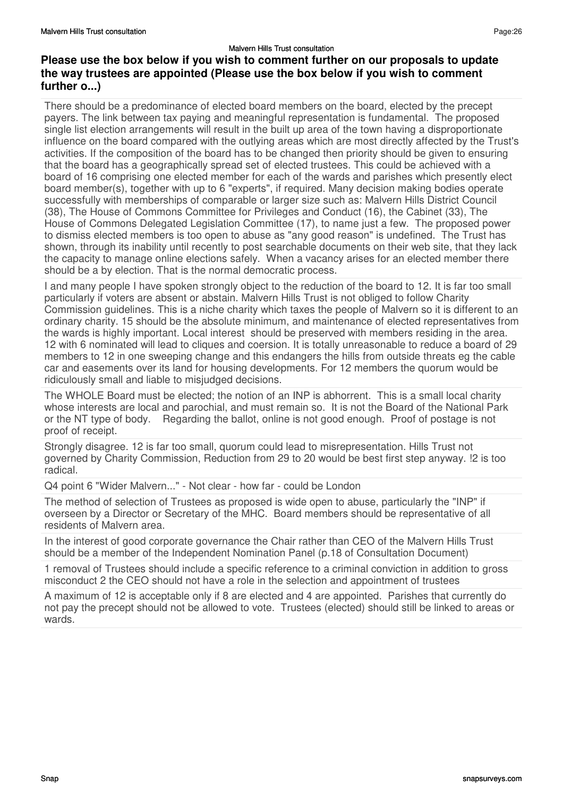There should be a predominance of elected board members on the board, elected by the precept payers. The link between tax paying and meaningful representation is fundamental. The proposed single list election arrangements will result in the built up area of the town having a disproportionate influence on the board compared with the outlying areas which are most directly affected by the Trust's activities. If the composition of the board has to be changed then priority should be given to ensuring that the board has a geographically spread set of elected trustees. This could be achieved with a board of 16 comprising one elected member for each of the wards and parishes which presently elect board member(s), together with up to 6 "experts", if required. Many decision making bodies operate successfully with memberships of comparable or larger size such as: Malvern Hills District Council (38), The House of Commons Committee for Privileges and Conduct (16), the Cabinet (33), The House of Commons Delegated Legislation Committee (17), to name just a few. The proposed power to dismiss elected members is too open to abuse as "any good reason" is undefined. The Trust has shown, through its inability until recently to post searchable documents on their web site, that they lack the capacity to manage online elections safely. When a vacancy arises for an elected member there should be a by election. That is the normal democratic process.

I and many people I have spoken strongly object to the reduction of the board to 12. It is far too small particularly if voters are absent or abstain. Malvern Hills Trust is not obliged to follow Charity Commission guidelines. This is a niche charity which taxes the people of Malvern so it is different to an ordinary charity. 15 should be the absolute minimum, and maintenance of elected representatives from the wards is highly important. Local interest should be preserved with members residing in the area. 12 with 6 nominated will lead to cliques and coersion. It is totally unreasonable to reduce a board of 29 members to 12 in one sweeping change and this endangers the hills from outside threats eg the cable car and easements over its land for housing developments. For 12 members the quorum would be ridiculously small and liable to misjudged decisions.

The WHOLE Board must be elected; the notion of an INP is abhorrent. This is a small local charity whose interests are local and parochial, and must remain so. It is not the Board of the National Park or the NT type of body. Regarding the ballot, online is not good enough. Proof of postage is not proof of receipt.

Strongly disagree. 12 is far too small, quorum could lead to misrepresentation. Hills Trust not governed by Charity Commission, Reduction from 29 to 20 would be best first step anyway. !2 is too radical.

Q4 point 6 "Wider Malvern..." - Not clear - how far - could be London

The method of selection of Trustees as proposed is wide open to abuse, particularly the "INP" if overseen by a Director or Secretary of the MHC. Board members should be representative of all residents of Malvern area.

In the interest of good corporate governance the Chair rather than CEO of the Malvern Hills Trust should be a member of the Independent Nomination Panel (p.18 of Consultation Document)

1 removal of Trustees should include a specific reference to a criminal conviction in addition to gross misconduct 2 the CEO should not have a role in the selection and appointment of trustees

A maximum of 12 is acceptable only if 8 are elected and 4 are appointed. Parishes that currently do not pay the precept should not be allowed to vote. Trustees (elected) should still be linked to areas or wards.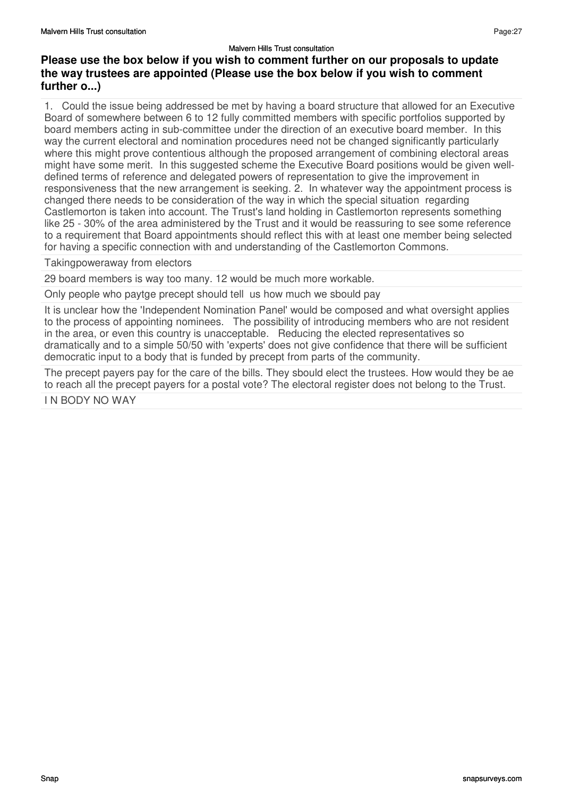1. Could the issue being addressed be met by having a board structure that allowed for an Executive Board of somewhere between 6 to 12 fully committed members with specific portfolios supported by board members acting in sub-committee under the direction of an executive board member. In this way the current electoral and nomination procedures need not be changed significantly particularly where this might prove contentious although the proposed arrangement of combining electoral areas might have some merit. In this suggested scheme the Executive Board positions would be given welldefined terms of reference and delegated powers of representation to give the improvement in responsiveness that the new arrangement is seeking. 2. In whatever way the appointment process is changed there needs to be consideration of the way in which the special situation regarding Castlemorton is taken into account. The Trust's land holding in Castlemorton represents something like 25 - 30% of the area administered by the Trust and it would be reassuring to see some reference to a requirement that Board appointments should reflect this with at least one member being selected for having a specific connection with and understanding of the Castlemorton Commons.

### Takingpoweraway from electors

29 board members is way too many. 12 would be much more workable.

Only people who paytge precept should tell us how much we sbould pay

It is unclear how the 'Independent Nomination Panel' would be composed and what oversight applies to the process of appointing nominees. The possibility of introducing members who are not resident in the area, or even this country is unacceptable. Reducing the elected representatives so dramatically and to a simple 50/50 with 'experts' does not give confidence that there will be sufficient democratic input to a body that is funded by precept from parts of the community.

The precept payers pay for the care of the bills. They sbould elect the trustees. How would they be ae to reach all the precept payers for a postal vote? The electoral register does not belong to the Trust.

I N BODY NO WAY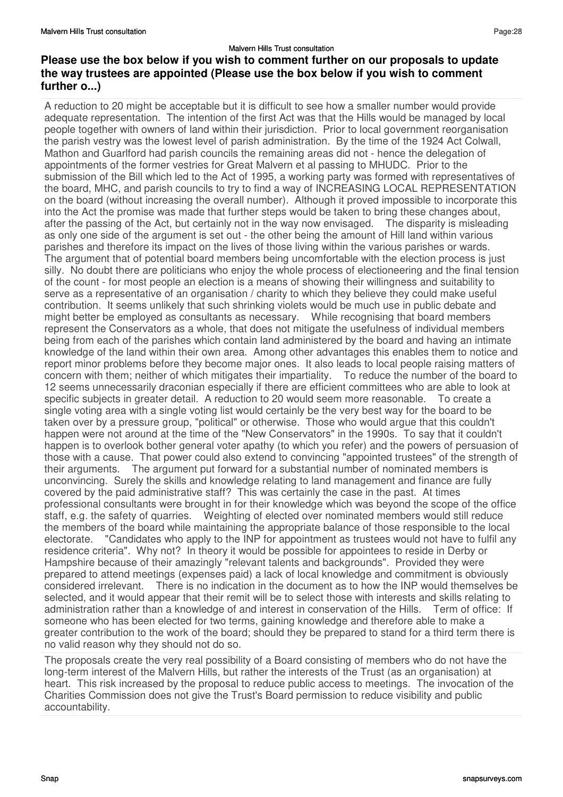A reduction to 20 might be acceptable but it is difficult to see how a smaller number would provide adequate representation. The intention of the first Act was that the Hills would be managed by local people together with owners of land within their jurisdiction. Prior to local government reorganisation the parish vestry was the lowest level of parish administration. By the time of the 1924 Act Colwall, Mathon and Guarlford had parish councils the remaining areas did not - hence the delegation of appointments of the former vestries for Great Malvern et al passing to MHUDC. Prior to the submission of the Bill which led to the Act of 1995, a working party was formed with representatives of the board, MHC, and parish councils to try to find a way of INCREASING LOCAL REPRESENTATION on the board (without increasing the overall number). Although it proved impossible to incorporate this into the Act the promise was made that further steps would be taken to bring these changes about, after the passing of the Act, but certainly not in the way now envisaged. The disparity is misleading as only one side of the argument is set out - the other being the amount of Hill land within various parishes and therefore its impact on the lives of those living within the various parishes or wards. The argument that of potential board members being uncomfortable with the election process is just silly. No doubt there are politicians who enjoy the whole process of electioneering and the final tension of the count - for most people an election is a means of showing their willingness and suitability to serve as a representative of an organisation / charity to which they believe they could make useful contribution. It seems unlikely that such shrinking violets would be much use in public debate and might better be employed as consultants as necessary. While recognising that board members represent the Conservators as a whole, that does not mitigate the usefulness of individual members being from each of the parishes which contain land administered by the board and having an intimate knowledge of the land within their own area. Among other advantages this enables them to notice and report minor problems before they become major ones. It also leads to local people raising matters of concern with them; neither of which mitigates their impartiality. To reduce the number of the board to 12 seems unnecessarily draconian especially if there are efficient committees who are able to look at specific subjects in greater detail. A reduction to 20 would seem more reasonable. To create a single voting area with a single voting list would certainly be the very best way for the board to be taken over by a pressure group, "political" or otherwise. Those who would argue that this couldn't happen were not around at the time of the "New Conservators" in the 1990s. To say that it couldn't happen is to overlook bother general voter apathy (to which you refer) and the powers of persuasion of those with a cause. That power could also extend to convincing "appointed trustees" of the strength of their arguments. The argument put forward for a substantial number of nominated members is unconvincing. Surely the skills and knowledge relating to land management and finance are fully covered by the paid administrative staff? This was certainly the case in the past. At times professional consultants were brought in for their knowledge which was beyond the scope of the office staff, e.g. the safety of quarries. Weighting of elected over nominated members would still reduce the members of the board while maintaining the appropriate balance of those responsible to the local electorate. "Candidates who apply to the INP for appointment as trustees would not have to fulfil any residence criteria". Why not? In theory it would be possible for appointees to reside in Derby or Hampshire because of their amazingly "relevant talents and backgrounds". Provided they were prepared to attend meetings (expenses paid) a lack of local knowledge and commitment is obviously considered irrelevant. There is no indication in the document as to how the INP would themselves be selected, and it would appear that their remit will be to select those with interests and skills relating to administration rather than a knowledge of and interest in conservation of the Hills. Term of office: If someone who has been elected for two terms, gaining knowledge and therefore able to make a greater contribution to the work of the board; should they be prepared to stand for a third term there is no valid reason why they should not do so.

The proposals create the very real possibility of a Board consisting of members who do not have the long-term interest of the Malvern Hills, but rather the interests of the Trust (as an organisation) at heart. This risk increased by the proposal to reduce public access to meetings. The invocation of the Charities Commission does not give the Trust's Board permission to reduce visibility and public accountability.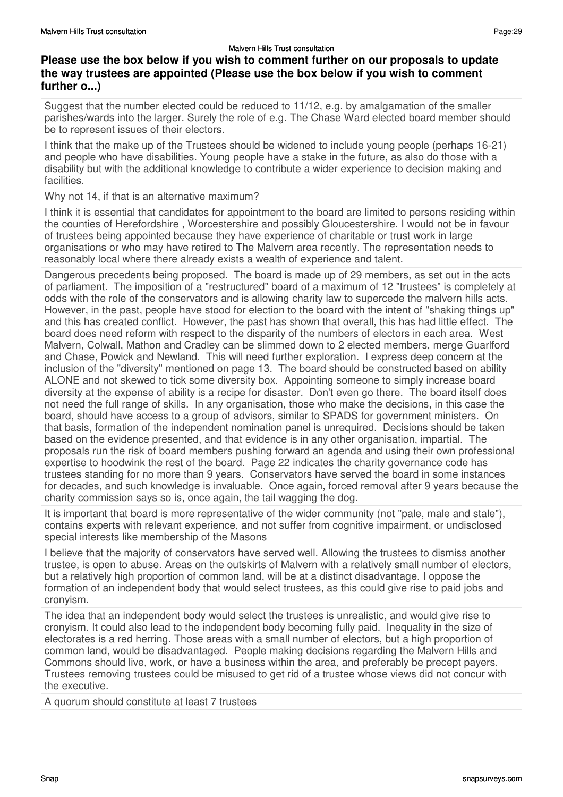Suggest that the number elected could be reduced to 11/12, e.g. by amalgamation of the smaller parishes/wards into the larger. Surely the role of e.g. The Chase Ward elected board member should be to represent issues of their electors.

I think that the make up of the Trustees should be widened to include young people (perhaps 16-21) and people who have disabilities. Young people have a stake in the future, as also do those with a disability but with the additional knowledge to contribute a wider experience to decision making and facilities.

Why not 14, if that is an alternative maximum?

I think it is essential that candidates for appointment to the board are limited to persons residing within the counties of Herefordshire , Worcestershire and possibly Gloucestershire. I would not be in favour of trustees being appointed because they have experience of charitable or trust work in large organisations or who may have retired to The Malvern area recently. The representation needs to reasonably local where there already exists a wealth of experience and talent.

Dangerous precedents being proposed. The board is made up of 29 members, as set out in the acts of parliament. The imposition of a "restructured" board of a maximum of 12 "trustees" is completely at odds with the role of the conservators and is allowing charity law to supercede the malvern hills acts. However, in the past, people have stood for election to the board with the intent of "shaking things up" and this has created conflict. However, the past has shown that overall, this has had little effect. The board does need reform with respect to the disparity of the numbers of electors in each area. West Malvern, Colwall, Mathon and Cradley can be slimmed down to 2 elected members, merge Guarlford and Chase, Powick and Newland. This will need further exploration. I express deep concern at the inclusion of the "diversity" mentioned on page 13. The board should be constructed based on ability ALONE and not skewed to tick some diversity box. Appointing someone to simply increase board diversity at the expense of ability is a recipe for disaster. Don't even go there. The board itself does not need the full range of skills. In any organisation, those who make the decisions, in this case the board, should have access to a group of advisors, similar to SPADS for government ministers. On that basis, formation of the independent nomination panel is unrequired. Decisions should be taken based on the evidence presented, and that evidence is in any other organisation, impartial. The proposals run the risk of board members pushing forward an agenda and using their own professional expertise to hoodwink the rest of the board. Page 22 indicates the charity governance code has trustees standing for no more than 9 years. Conservators have served the board in some instances for decades, and such knowledge is invaluable. Once again, forced removal after 9 years because the charity commission says so is, once again, the tail wagging the dog.

It is important that board is more representative of the wider community (not "pale, male and stale"), contains experts with relevant experience, and not suffer from cognitive impairment, or undisclosed special interests like membership of the Masons

I believe that the majority of conservators have served well. Allowing the trustees to dismiss another trustee, is open to abuse. Areas on the outskirts of Malvern with a relatively small number of electors, but a relatively high proportion of common land, will be at a distinct disadvantage. I oppose the formation of an independent body that would select trustees, as this could give rise to paid jobs and cronyism.

The idea that an independent body would select the trustees is unrealistic, and would give rise to cronyism. It could also lead to the independent body becoming fully paid. Inequality in the size of electorates is a red herring. Those areas with a small number of electors, but a high proportion of common land, would be disadvantaged. People making decisions regarding the Malvern Hills and Commons should live, work, or have a business within the area, and preferably be precept payers. Trustees removing trustees could be misused to get rid of a trustee whose views did not concur with the executive.

A quorum should constitute at least 7 trustees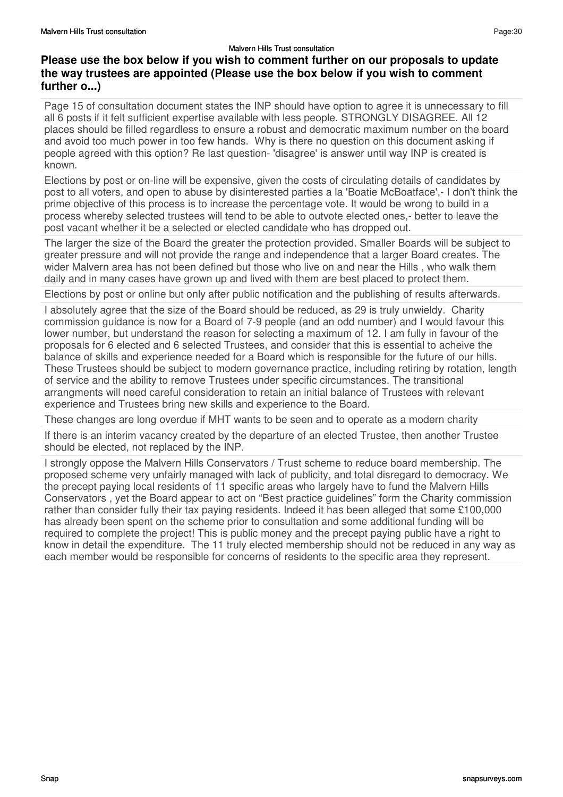Page 15 of consultation document states the INP should have option to agree it is unnecessary to fill all 6 posts if it felt sufficient expertise available with less people. STRONGLY DISAGREE. All 12 places should be filled regardless to ensure a robust and democratic maximum number on the board and avoid too much power in too few hands. Why is there no question on this document asking if people agreed with this option? Re last question- 'disagree' is answer until way INP is created is known.

Elections by post or on-line will be expensive, given the costs of circulating details of candidates by post to all voters, and open to abuse by disinterested parties a la 'Boatie McBoatface',- I don't think the prime objective of this process is to increase the percentage vote. It would be wrong to build in a process whereby selected trustees will tend to be able to outvote elected ones,- better to leave the post vacant whether it be a selected or elected candidate who has dropped out.

The larger the size of the Board the greater the protection provided. Smaller Boards will be subject to greater pressure and will not provide the range and independence that a larger Board creates. The wider Malvern area has not been defined but those who live on and near the Hills , who walk them daily and in many cases have grown up and lived with them are best placed to protect them.

Elections by post or online but only after public notification and the publishing of results afterwards.

I absolutely agree that the size of the Board should be reduced, as 29 is truly unwieldy. Charity commission guidance is now for a Board of 7-9 people (and an odd number) and I would favour this lower number, but understand the reason for selecting a maximum of 12. I am fully in favour of the proposals for 6 elected and 6 selected Trustees, and consider that this is essential to acheive the balance of skills and experience needed for a Board which is responsible for the future of our hills. These Trustees should be subject to modern governance practice, including retiring by rotation, length of service and the ability to remove Trustees under specific circumstances. The transitional arrangments will need careful consideration to retain an initial balance of Trustees with relevant experience and Trustees bring new skills and experience to the Board.

These changes are long overdue if MHT wants to be seen and to operate as a modern charity

If there is an interim vacancy created by the departure of an elected Trustee, then another Trustee should be elected, not replaced by the INP.

I strongly oppose the Malvern Hills Conservators / Trust scheme to reduce board membership. The proposed scheme very unfairly managed with lack of publicity, and total disregard to democracy. We the precept paying local residents of 11 specific areas who largely have to fund the Malvern Hills Conservators , yet the Board appear to act on "Best practice guidelines" form the Charity commission rather than consider fully their tax paying residents. Indeed it has been alleged that some £100,000 has already been spent on the scheme prior to consultation and some additional funding will be required to complete the project! This is public money and the precept paying public have a right to know in detail the expenditure. The 11 truly elected membership should not be reduced in any way as each member would be responsible for concerns of residents to the specific area they represent.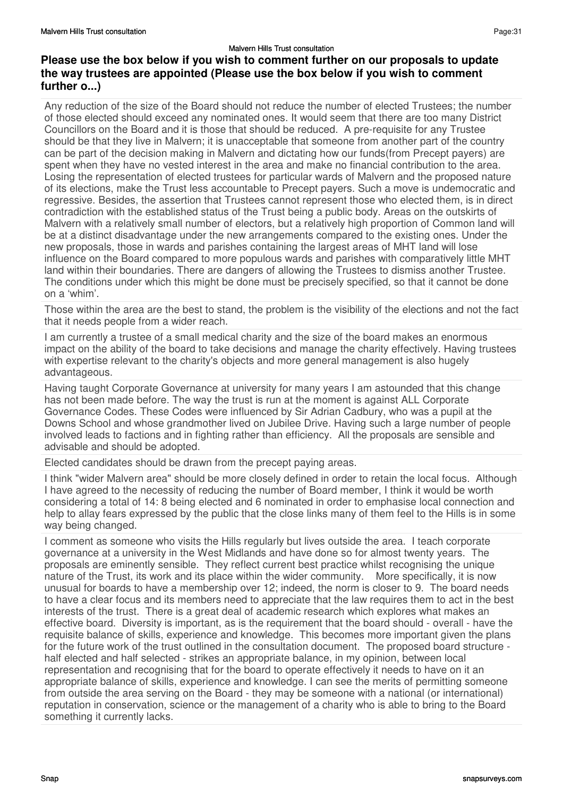## **Please use the box below if you wish to comment further on our proposals to update the way trustees are appointed (Please use the box below if you wish to comment further o...)**

Any reduction of the size of the Board should not reduce the number of elected Trustees; the number of those elected should exceed any nominated ones. It would seem that there are too many District Councillors on the Board and it is those that should be reduced. A pre-requisite for any Trustee should be that they live in Malvern; it is unacceptable that someone from another part of the country can be part of the decision making in Malvern and dictating how our funds(from Precept payers) are spent when they have no vested interest in the area and make no financial contribution to the area. Losing the representation of elected trustees for particular wards of Malvern and the proposed nature of its elections, make the Trust less accountable to Precept payers. Such a move is undemocratic and regressive. Besides, the assertion that Trustees cannot represent those who elected them, is in direct contradiction with the established status of the Trust being a public body. Areas on the outskirts of Malvern with a relatively small number of electors, but a relatively high proportion of Common land will be at a distinct disadvantage under the new arrangements compared to the existing ones. Under the new proposals, those in wards and parishes containing the largest areas of MHT land will lose influence on the Board compared to more populous wards and parishes with comparatively little MHT land within their boundaries. There are dangers of allowing the Trustees to dismiss another Trustee. The conditions under which this might be done must be precisely specified, so that it cannot be done on a 'whim'.

Those within the area are the best to stand, the problem is the visibility of the elections and not the fact that it needs people from a wider reach.

I am currently a trustee of a small medical charity and the size of the board makes an enormous impact on the ability of the board to take decisions and manage the charity effectively. Having trustees with expertise relevant to the charity's objects and more general management is also hugely advantageous.

Having taught Corporate Governance at university for many years I am astounded that this change has not been made before. The way the trust is run at the moment is against ALL Corporate Governance Codes. These Codes were influenced by Sir Adrian Cadbury, who was a pupil at the Downs School and whose grandmother lived on Jubilee Drive. Having such a large number of people involved leads to factions and in fighting rather than efficiency. All the proposals are sensible and advisable and should be adopted.

Elected candidates should be drawn from the precept paying areas.

I think "wider Malvern area" should be more closely defined in order to retain the local focus. Although I have agreed to the necessity of reducing the number of Board member, I think it would be worth considering a total of 14: 8 being elected and 6 nominated in order to emphasise local connection and help to allay fears expressed by the public that the close links many of them feel to the Hills is in some way being changed.

I comment as someone who visits the Hills regularly but lives outside the area. I teach corporate governance at a university in the West Midlands and have done so for almost twenty years. The proposals are eminently sensible. They reflect current best practice whilst recognising the unique nature of the Trust, its work and its place within the wider community. More specifically, it is now unusual for boards to have a membership over 12; indeed, the norm is closer to 9. The board needs to have a clear focus and its members need to appreciate that the law requires them to act in the best interests of the trust. There is a great deal of academic research which explores what makes an effective board. Diversity is important, as is the requirement that the board should - overall - have the requisite balance of skills, experience and knowledge. This becomes more important given the plans for the future work of the trust outlined in the consultation document. The proposed board structure half elected and half selected - strikes an appropriate balance, in my opinion, between local representation and recognising that for the board to operate effectively it needs to have on it an appropriate balance of skills, experience and knowledge. I can see the merits of permitting someone from outside the area serving on the Board - they may be someone with a national (or international) reputation in conservation, science or the management of a charity who is able to bring to the Board something it currently lacks.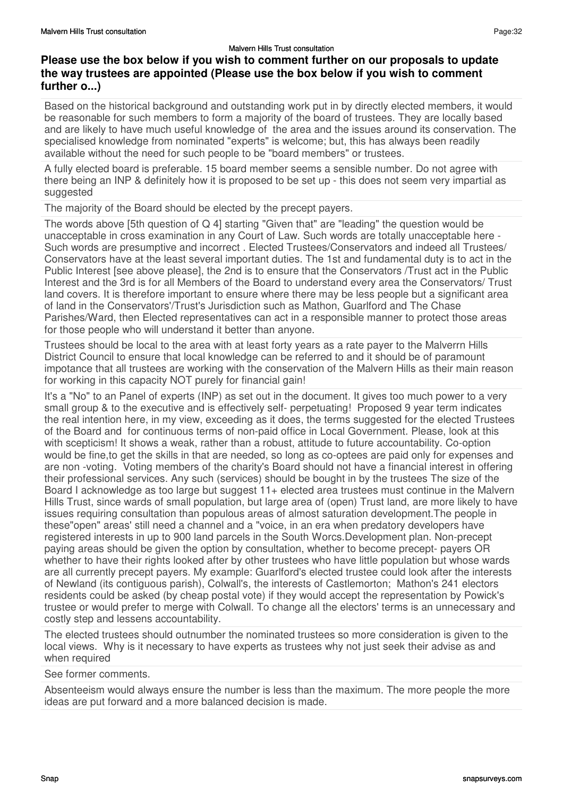Based on the historical background and outstanding work put in by directly elected members, it would be reasonable for such members to form a majority of the board of trustees. They are locally based and are likely to have much useful knowledge of the area and the issues around its conservation. The specialised knowledge from nominated "experts" is welcome; but, this has always been readily available without the need for such people to be "board members" or trustees.

A fully elected board is preferable. 15 board member seems a sensible number. Do not agree with there being an INP & definitely how it is proposed to be set up - this does not seem very impartial as suggested

The majority of the Board should be elected by the precept payers.

The words above [5th question of Q 4] starting "Given that" are "leading" the question would be unacceptable in cross examination in any Court of Law. Such words are totally unacceptable here - Such words are presumptive and incorrect . Elected Trustees/Conservators and indeed all Trustees/ Conservators have at the least several important duties. The 1st and fundamental duty is to act in the Public Interest [see above please], the 2nd is to ensure that the Conservators /Trust act in the Public Interest and the 3rd is for all Members of the Board to understand every area the Conservators/ Trust land covers. It is therefore important to ensure where there may be less people but a significant area of land in the Conservators'/Trust's Jurisdiction such as Mathon, Guarlford and The Chase Parishes/Ward, then Elected representatives can act in a responsible manner to protect those areas for those people who will understand it better than anyone.

Trustees should be local to the area with at least forty years as a rate payer to the Malverrn Hills District Council to ensure that local knowledge can be referred to and it should be of paramount impotance that all trustees are working with the conservation of the Malvern Hills as their main reason for working in this capacity NOT purely for financial gain!

It's a "No" to an Panel of experts (INP) as set out in the document. It gives too much power to a very small group & to the executive and is effectively self- perpetuating! Proposed 9 year term indicates the real intention here, in my view, exceeding as it does, the terms suggested for the elected Trustees of the Board and for continuous terms of non-paid office in Local Government. Please, look at this with scepticism! It shows a weak, rather than a robust, attitude to future accountability. Co-option would be fine,to get the skills in that are needed, so long as co-optees are paid only for expenses and are non -voting. Voting members of the charity's Board should not have a financial interest in offering their professional services. Any such (services) should be bought in by the trustees The size of the Board I acknowledge as too large but suggest 11+ elected area trustees must continue in the Malvern Hills Trust, since wards of small population, but large area of (open) Trust land, are more likely to have issues requiring consultation than populous areas of almost saturation development.The people in these"open" areas' still need a channel and a "voice, in an era when predatory developers have registered interests in up to 900 land parcels in the South Worcs.Development plan. Non-precept paying areas should be given the option by consultation, whether to become precept- payers OR whether to have their rights looked after by other trustees who have little population but whose wards are all currently precept payers. My example: Guarlford's elected trustee could look after the interests of Newland (its contiguous parish), Colwall's, the interests of Castlemorton; Mathon's 241 electors residents could be asked (by cheap postal vote) if they would accept the representation by Powick's trustee or would prefer to merge with Colwall. To change all the electors' terms is an unnecessary and costly step and lessens accountability.

The elected trustees should outnumber the nominated trustees so more consideration is given to the local views. Why is it necessary to have experts as trustees why not just seek their advise as and when required

See former comments.

Absenteeism would always ensure the number is less than the maximum. The more people the more ideas are put forward and a more balanced decision is made.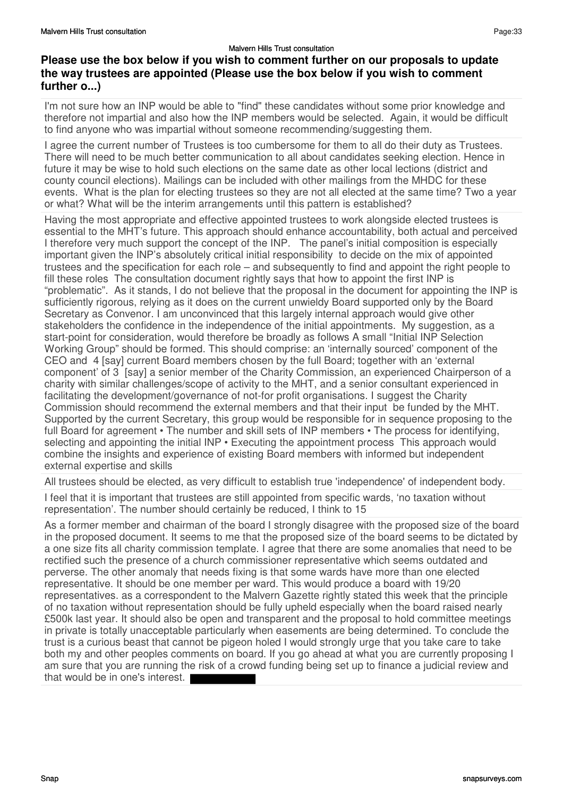I'm not sure how an INP would be able to "find" these candidates without some prior knowledge and therefore not impartial and also how the INP members would be selected. Again, it would be difficult to find anyone who was impartial without someone recommending/suggesting them.

I agree the current number of Trustees is too cumbersome for them to all do their duty as Trustees. There will need to be much better communication to all about candidates seeking election. Hence in future it may be wise to hold such elections on the same date as other local lections (district and county council elections). Mailings can be included with other mailings from the MHDC for these events. What is the plan for electing trustees so they are not all elected at the same time? Two a year or what? What will be the interim arrangements until this pattern is established?

Having the most appropriate and effective appointed trustees to work alongside elected trustees is essential to the MHT's future. This approach should enhance accountability, both actual and perceived I therefore very much support the concept of the INP. The panel's initial composition is especially important given the INP's absolutely critical initial responsibility to decide on the mix of appointed trustees and the specification for each role – and subsequently to find and appoint the right people to fill these roles The consultation document rightly says that how to appoint the first INP is "problematic". As it stands, I do not believe that the proposal in the document for appointing the INP is sufficiently rigorous, relying as it does on the current unwieldy Board supported only by the Board Secretary as Convenor. I am unconvinced that this largely internal approach would give other stakeholders the confidence in the independence of the initial appointments. My suggestion, as a start-point for consideration, would therefore be broadly as follows A small "Initial INP Selection Working Group" should be formed. This should comprise: an 'internally sourced' component of the CEO and 4 [say] current Board members chosen by the full Board; together with an 'external component' of 3 [say] a senior member of the Charity Commission, an experienced Chairperson of a charity with similar challenges/scope of activity to the MHT, and a senior consultant experienced in facilitating the development/governance of not-for profit organisations. I suggest the Charity Commission should recommend the external members and that their input be funded by the MHT. Supported by the current Secretary, this group would be responsible for in sequence proposing to the full Board for agreement • The number and skill sets of INP members • The process for identifying, selecting and appointing the initial INP • Executing the appointment process This approach would combine the insights and experience of existing Board members with informed but independent external expertise and skills

All trustees should be elected, as very difficult to establish true 'independence' of independent body.

I feel that it is important that trustees are still appointed from specific wards, 'no taxation without representation'. The number should certainly be reduced, I think to 15

As a former member and chairman of the board I strongly disagree with the proposed size of the board in the proposed document. It seems to me that the proposed size of the board seems to be dictated by a one size fits all charity commission template. I agree that there are some anomalies that need to be rectified such the presence of a church commissioner representative which seems outdated and perverse. The other anomaly that needs fixing is that some wards have more than one elected representative. It should be one member per ward. This would produce a board with 19/20 representatives. as a correspondent to the Malvern Gazette rightly stated this week that the principle of no taxation without representation should be fully upheld especially when the board raised nearly £500k last year. It should also be open and transparent and the proposal to hold committee meetings in private is totally unacceptable particularly when easements are being determined. To conclude the trust is a curious beast that cannot be pigeon holed I would strongly urge that you take care to take both my and other peoples comments on board. If you go ahead at what you are currently proposing I am sure that you are running the risk of a crowd funding being set up to finance a judicial review and that would be in one's interest.

Page:33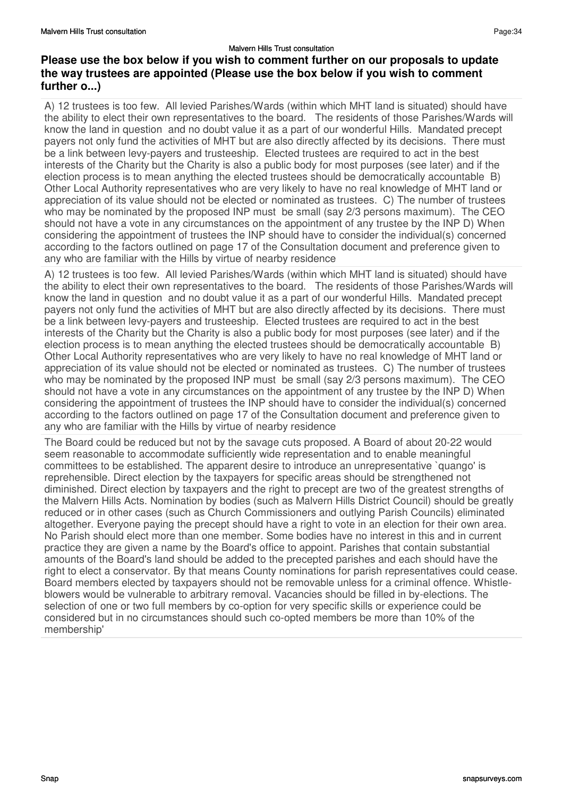A) 12 trustees is too few. All levied Parishes/Wards (within which MHT land is situated) should have the ability to elect their own representatives to the board. The residents of those Parishes/Wards will know the land in question and no doubt value it as a part of our wonderful Hills. Mandated precept payers not only fund the activities of MHT but are also directly affected by its decisions. There must be a link between levy-payers and trusteeship. Elected trustees are required to act in the best interests of the Charity but the Charity is also a public body for most purposes (see later) and if the election process is to mean anything the elected trustees should be democratically accountable B) Other Local Authority representatives who are very likely to have no real knowledge of MHT land or appreciation of its value should not be elected or nominated as trustees. C) The number of trustees who may be nominated by the proposed INP must be small (say 2/3 persons maximum). The CEO should not have a vote in any circumstances on the appointment of any trustee by the INP D) When considering the appointment of trustees the INP should have to consider the individual(s) concerned according to the factors outlined on page 17 of the Consultation document and preference given to any who are familiar with the Hills by virtue of nearby residence

A) 12 trustees is too few. All levied Parishes/Wards (within which MHT land is situated) should have the ability to elect their own representatives to the board. The residents of those Parishes/Wards will know the land in question and no doubt value it as a part of our wonderful Hills. Mandated precept payers not only fund the activities of MHT but are also directly affected by its decisions. There must be a link between levy-payers and trusteeship. Elected trustees are required to act in the best interests of the Charity but the Charity is also a public body for most purposes (see later) and if the election process is to mean anything the elected trustees should be democratically accountable B) Other Local Authority representatives who are very likely to have no real knowledge of MHT land or appreciation of its value should not be elected or nominated as trustees. C) The number of trustees who may be nominated by the proposed INP must be small (say 2/3 persons maximum). The CEO should not have a vote in any circumstances on the appointment of any trustee by the INP D) When considering the appointment of trustees the INP should have to consider the individual(s) concerned according to the factors outlined on page 17 of the Consultation document and preference given to any who are familiar with the Hills by virtue of nearby residence

The Board could be reduced but not by the savage cuts proposed. A Board of about 20-22 would seem reasonable to accommodate sufficiently wide representation and to enable meaningful committees to be established. The apparent desire to introduce an unrepresentative `quango' is reprehensible. Direct election by the taxpayers for specific areas should be strengthened not diminished. Direct election by taxpayers and the right to precept are two of the greatest strengths of the Malvern Hills Acts. Nomination by bodies (such as Malvern Hills District Council) should be greatly reduced or in other cases (such as Church Commissioners and outlying Parish Councils) eliminated altogether. Everyone paying the precept should have a right to vote in an election for their own area. No Parish should elect more than one member. Some bodies have no interest in this and in current practice they are given a name by the Board's office to appoint. Parishes that contain substantial amounts of the Board's land should be added to the precepted parishes and each should have the right to elect a conservator. By that means County nominations for parish representatives could cease. Board members elected by taxpayers should not be removable unless for a criminal offence. Whistleblowers would be vulnerable to arbitrary removal. Vacancies should be filled in by-elections. The selection of one or two full members by co-option for very specific skills or experience could be considered but in no circumstances should such co-opted members be more than 10% of the membership'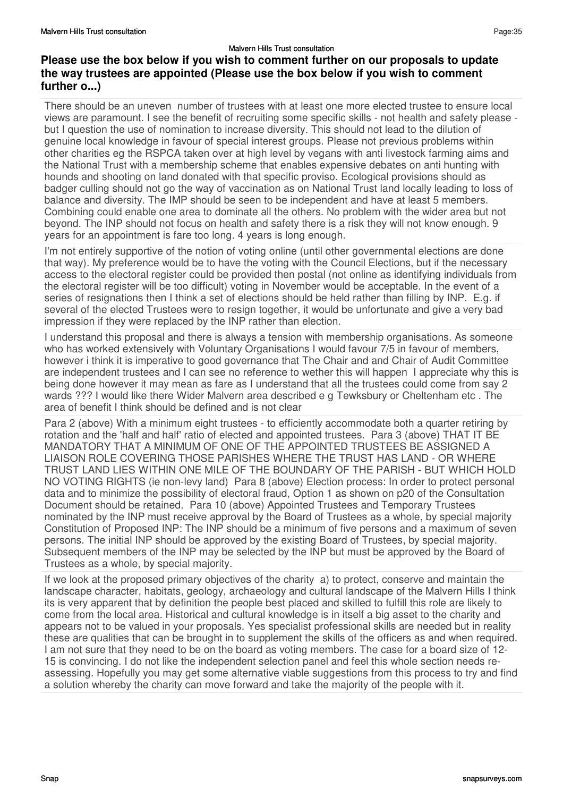There should be an uneven number of trustees with at least one more elected trustee to ensure local views are paramount. I see the benefit of recruiting some specific skills - not health and safety please but I question the use of nomination to increase diversity. This should not lead to the dilution of genuine local knowledge in favour of special interest groups. Please not previous problems within other charities eg the RSPCA taken over at high level by vegans with anti livestock farming aims and the National Trust with a membership scheme that enables expensive debates on anti hunting with hounds and shooting on land donated with that specific proviso. Ecological provisions should as badger culling should not go the way of vaccination as on National Trust land locally leading to loss of balance and diversity. The IMP should be seen to be independent and have at least 5 members. Combining could enable one area to dominate all the others. No problem with the wider area but not beyond. The INP should not focus on health and safety there is a risk they will not know enough. 9 years for an appointment is fare too long. 4 years is long enough.

I'm not entirely supportive of the notion of voting online (until other governmental elections are done that way). My preference would be to have the voting with the Council Elections, but if the necessary access to the electoral register could be provided then postal (not online as identifying individuals from the electoral register will be too difficult) voting in November would be acceptable. In the event of a series of resignations then I think a set of elections should be held rather than filling by INP. E.g. if several of the elected Trustees were to resign together, it would be unfortunate and give a very bad impression if they were replaced by the INP rather than election.

I understand this proposal and there is always a tension with membership organisations. As someone who has worked extensively with Voluntary Organisations I would favour 7/5 in favour of members, however i think it is imperative to good governance that The Chair and and Chair of Audit Committee are independent trustees and I can see no reference to wether this will happen I appreciate why this is being done however it may mean as fare as I understand that all the trustees could come from say 2 wards ??? I would like there Wider Malvern area described e g Tewksbury or Cheltenham etc . The area of benefit I think should be defined and is not clear

Para 2 (above) With a minimum eight trustees - to efficiently accommodate both a quarter retiring by rotation and the 'half and half' ratio of elected and appointed trustees. Para 3 (above) THAT IT BE MANDATORY THAT A MINIMUM OF ONE OF THE APPOINTED TRUSTEES BE ASSIGNED A LIAISON ROLE COVERING THOSE PARISHES WHERE THE TRUST HAS LAND - OR WHERE TRUST LAND LIES WITHIN ONE MILE OF THE BOUNDARY OF THE PARISH - BUT WHICH HOLD NO VOTING RIGHTS (ie non-levy land) Para 8 (above) Election process: In order to protect personal data and to minimize the possibility of electoral fraud, Option 1 as shown on p20 of the Consultation Document should be retained. Para 10 (above) Appointed Trustees and Temporary Trustees nominated by the INP must receive approval by the Board of Trustees as a whole, by special majority Constitution of Proposed INP: The INP should be a minimum of five persons and a maximum of seven persons. The initial INP should be approved by the existing Board of Trustees, by special majority. Subsequent members of the INP may be selected by the INP but must be approved by the Board of Trustees as a whole, by special majority.

If we look at the proposed primary objectives of the charity a) to protect, conserve and maintain the landscape character, habitats, geology, archaeology and cultural landscape of the Malvern Hills I think its is very apparent that by definition the people best placed and skilled to fulfill this role are likely to come from the local area. Historical and cultural knowledge is in itself a big asset to the charity and appears not to be valued in your proposals. Yes specialist professional skills are needed but in reality these are qualities that can be brought in to supplement the skills of the officers as and when required. I am not sure that they need to be on the board as voting members. The case for a board size of 12- 15 is convincing. I do not like the independent selection panel and feel this whole section needs reassessing. Hopefully you may get some alternative viable suggestions from this process to try and find a solution whereby the charity can move forward and take the majority of the people with it.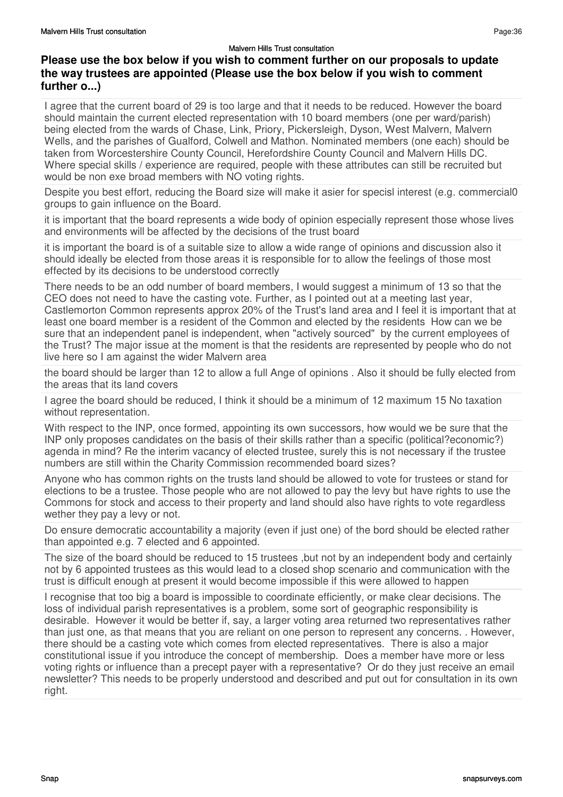I agree that the current board of 29 is too large and that it needs to be reduced. However the board should maintain the current elected representation with 10 board members (one per ward/parish) being elected from the wards of Chase, Link, Priory, Pickersleigh, Dyson, West Malvern, Malvern Wells, and the parishes of Gualford, Colwell and Mathon. Nominated members (one each) should be taken from Worcestershire County Council, Herefordshire County Council and Malvern Hills DC. Where special skills / experience are required, people with these attributes can still be recruited but would be non exe broad members with NO voting rights.

Despite you best effort, reducing the Board size will make it asier for specisl interest (e.g. commercial0 groups to gain influence on the Board.

it is important that the board represents a wide body of opinion especially represent those whose lives and environments will be affected by the decisions of the trust board

it is important the board is of a suitable size to allow a wide range of opinions and discussion also it should ideally be elected from those areas it is responsible for to allow the feelings of those most effected by its decisions to be understood correctly

There needs to be an odd number of board members, I would suggest a minimum of 13 so that the CEO does not need to have the casting vote. Further, as I pointed out at a meeting last year, Castlemorton Common represents approx 20% of the Trust's land area and I feel it is important that at least one board member is a resident of the Common and elected by the residents How can we be sure that an independent panel is independent, when "actively sourced" by the current employees of the Trust? The major issue at the moment is that the residents are represented by people who do not live here so I am against the wider Malvern area

the board should be larger than 12 to allow a full Ange of opinions . Also it should be fully elected from the areas that its land covers

I agree the board should be reduced, I think it should be a minimum of 12 maximum 15 No taxation without representation.

With respect to the INP, once formed, appointing its own successors, how would we be sure that the INP only proposes candidates on the basis of their skills rather than a specific (political?economic?) agenda in mind? Re the interim vacancy of elected trustee, surely this is not necessary if the trustee numbers are still within the Charity Commission recommended board sizes?

Anyone who has common rights on the trusts land should be allowed to vote for trustees or stand for elections to be a trustee. Those people who are not allowed to pay the levy but have rights to use the Commons for stock and access to their property and land should also have rights to vote regardless wether they pay a levy or not.

Do ensure democratic accountability a majority (even if just one) of the bord should be elected rather than appointed e.g. 7 elected and 6 appointed.

The size of the board should be reduced to 15 trustees ,but not by an independent body and certainly not by 6 appointed trustees as this would lead to a closed shop scenario and communication with the trust is difficult enough at present it would become impossible if this were allowed to happen

I recognise that too big a board is impossible to coordinate efficiently, or make clear decisions. The loss of individual parish representatives is a problem, some sort of geographic responsibility is desirable. However it would be better if, say, a larger voting area returned two representatives rather than just one, as that means that you are reliant on one person to represent any concerns. . However, there should be a casting vote which comes from elected representatives. There is also a major constitutional issue if you introduce the concept of membership. Does a member have more or less voting rights or influence than a precept payer with a representative? Or do they just receive an email newsletter? This needs to be properly understood and described and put out for consultation in its own right.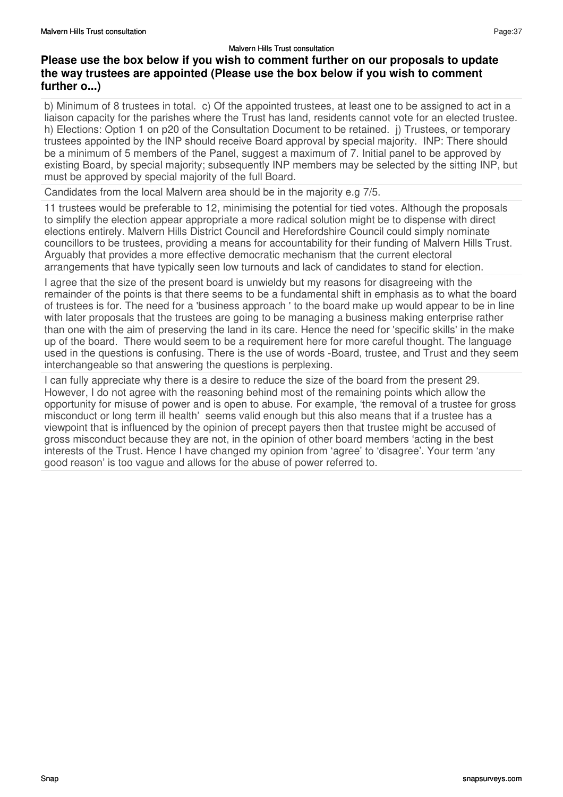# **Please use the box below if you wish to comment further on our proposals to update the way trustees are appointed (Please use the box below if you wish to comment further o...)**

b) Minimum of 8 trustees in total. c) Of the appointed trustees, at least one to be assigned to act in a liaison capacity for the parishes where the Trust has land, residents cannot vote for an elected trustee. h) Elections: Option 1 on p20 of the Consultation Document to be retained. j) Trustees, or temporary trustees appointed by the INP should receive Board approval by special majority. INP: There should be a minimum of 5 members of the Panel, suggest a maximum of 7. Initial panel to be approved by existing Board, by special majority; subsequently INP members may be selected by the sitting INP, but must be approved by special majority of the full Board.

Candidates from the local Malvern area should be in the majority e.g 7/5.

11 trustees would be preferable to 12, minimising the potential for tied votes. Although the proposals to simplify the election appear appropriate a more radical solution might be to dispense with direct elections entirely. Malvern Hills District Council and Herefordshire Council could simply nominate councillors to be trustees, providing a means for accountability for their funding of Malvern Hills Trust. Arguably that provides a more effective democratic mechanism that the current electoral arrangements that have typically seen low turnouts and lack of candidates to stand for election.

I agree that the size of the present board is unwieldy but my reasons for disagreeing with the remainder of the points is that there seems to be a fundamental shift in emphasis as to what the board of trustees is for. The need for a 'business approach ' to the board make up would appear to be in line with later proposals that the trustees are going to be managing a business making enterprise rather than one with the aim of preserving the land in its care. Hence the need for 'specific skills' in the make up of the board. There would seem to be a requirement here for more careful thought. The language used in the questions is confusing. There is the use of words -Board, trustee, and Trust and they seem interchangeable so that answering the questions is perplexing.

I can fully appreciate why there is a desire to reduce the size of the board from the present 29. However, I do not agree with the reasoning behind most of the remaining points which allow the opportunity for misuse of power and is open to abuse. For example, 'the removal of a trustee for gross misconduct or long term ill health' seems valid enough but this also means that if a trustee has a viewpoint that is influenced by the opinion of precept payers then that trustee might be accused of gross misconduct because they are not, in the opinion of other board members 'acting in the best interests of the Trust. Hence I have changed my opinion from 'agree' to 'disagree'. Your term 'any good reason' is too vague and allows for the abuse of power referred to.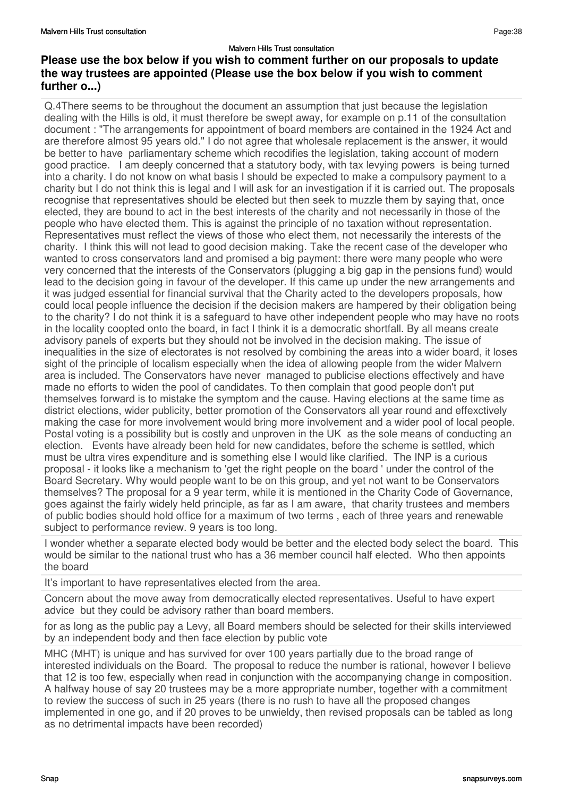#### Malvern Hills Trust consultation **Please use the box below if you wish to comment further on our proposals to update the way trustees are appointed (Please use the box below if you wish to comment further o...)**

Q.4There seems to be throughout the document an assumption that just because the legislation dealing with the Hills is old, it must therefore be swept away, for example on p.11 of the consultation document : "The arrangements for appointment of board members are contained in the 1924 Act and are therefore almost 95 years old." I do not agree that wholesale replacement is the answer, it would be better to have parliamentary scheme which recodifies the legislation, taking account of modern good practice. I am deeply concerned that a statutory body, with tax levying powers is being turned into a charity. I do not know on what basis I should be expected to make a compulsory payment to a charity but I do not think this is legal and I will ask for an investigation if it is carried out. The proposals recognise that representatives should be elected but then seek to muzzle them by saying that, once elected, they are bound to act in the best interests of the charity and not necessarily in those of the people who have elected them. This is against the principle of no taxation without representation. Representatives must reflect the views of those who elect them, not necessarily the interests of the charity. I think this will not lead to good decision making. Take the recent case of the developer who wanted to cross conservators land and promised a big payment: there were many people who were very concerned that the interests of the Conservators (plugging a big gap in the pensions fund) would lead to the decision going in favour of the developer. If this came up under the new arrangements and it was judged essential for financial survival that the Charity acted to the developers proposals, how could local people influence the decision if the decision makers are hampered by their obligation being to the charity? I do not think it is a safeguard to have other independent people who may have no roots in the locality coopted onto the board, in fact I think it is a democratic shortfall. By all means create advisory panels of experts but they should not be involved in the decision making. The issue of inequalities in the size of electorates is not resolved by combining the areas into a wider board, it loses sight of the principle of localism especially when the idea of allowing people from the wider Malvern area is included. The Conservators have never managed to publicise elections effectively and have made no efforts to widen the pool of candidates. To then complain that good people don't put themselves forward is to mistake the symptom and the cause. Having elections at the same time as district elections, wider publicity, better promotion of the Conservators all year round and effexctively making the case for more involvement would bring more involvement and a wider pool of local people. Postal voting is a possibility but is costly and unproven in the UK as the sole means of conducting an election. Events have already been held for new candidates, before the scheme is settled, which must be ultra vires expenditure and is something else I would like clarified. The INP is a curious proposal - it looks like a mechanism to 'get the right people on the board ' under the control of the Board Secretary. Why would people want to be on this group, and yet not want to be Conservators themselves? The proposal for a 9 year term, while it is mentioned in the Charity Code of Governance, goes against the fairly widely held principle, as far as I am aware, that charity trustees and members of public bodies should hold office for a maximum of two terms , each of three years and renewable subject to performance review. 9 years is too long.

I wonder whether a separate elected body would be better and the elected body select the board. This would be similar to the national trust who has a 36 member council half elected. Who then appoints the board

It's important to have representatives elected from the area.

Concern about the move away from democratically elected representatives. Useful to have expert advice but they could be advisory rather than board members.

for as long as the public pay a Levy, all Board members should be selected for their skills interviewed by an independent body and then face election by public vote

MHC (MHT) is unique and has survived for over 100 years partially due to the broad range of interested individuals on the Board. The proposal to reduce the number is rational, however I believe that 12 is too few, especially when read in conjunction with the accompanying change in composition. A halfway house of say 20 trustees may be a more appropriate number, together with a commitment to review the success of such in 25 years (there is no rush to have all the proposed changes implemented in one go, and if 20 proves to be unwieldy, then revised proposals can be tabled as long as no detrimental impacts have been recorded)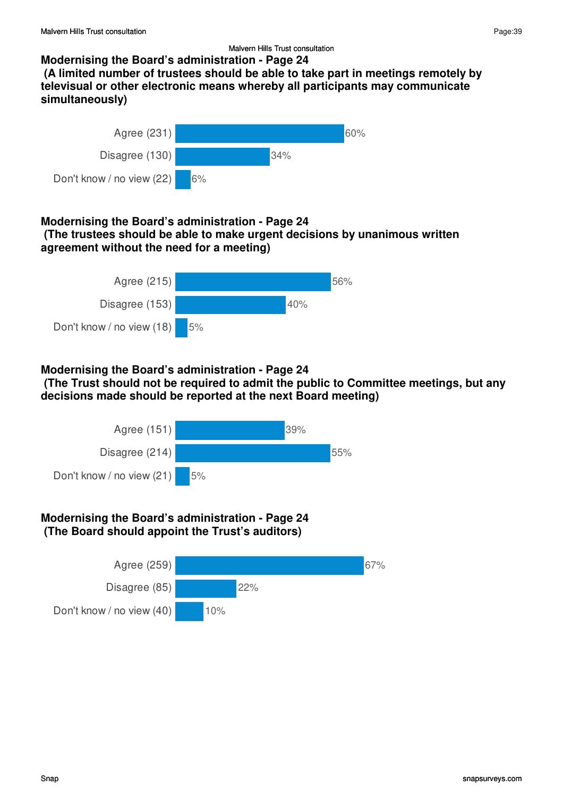# **Modernising the Board's administration - Page 24**

 **(A limited number of trustees should be able to take part in meetings remotely by televisual or other electronic means whereby all participants may communicate simultaneously)**



#### **Modernising the Board's administration - Page 24 (The trustees should be able to make urgent decisions by unanimous written agreement without the need for a meeting)**



## **Modernising the Board's administration - Page 24**

 **(The Trust should not be required to admit the public to Committee meetings, but any decisions made should be reported at the next Board meeting)**



## **Modernising the Board's administration - Page 24 (The Board should appoint the Trust's auditors)**

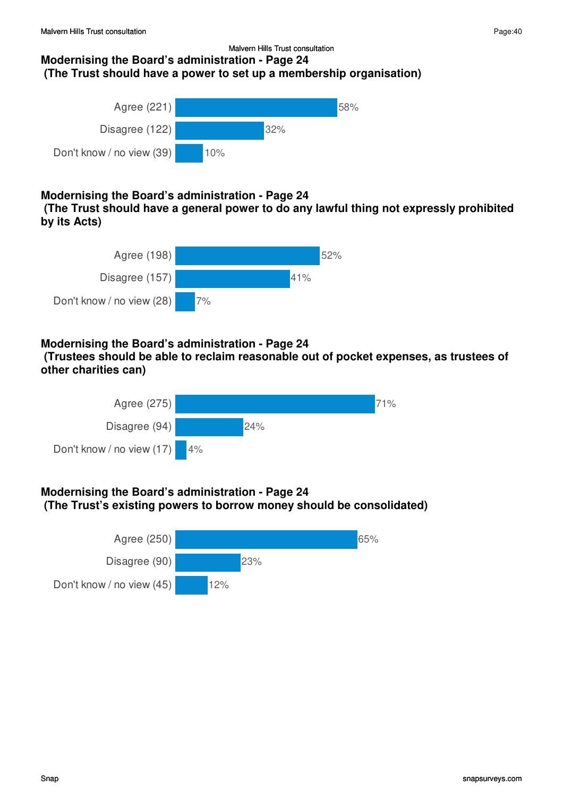#### Malvern Hills Trust consultation **Modernising the Board's administration - Page 24 (The Trust should have a power to set up a membership organisation)**



# **Modernising the Board's administration - Page 24**

 **(The Trust should have a general power to do any lawful thing not expressly prohibited by its Acts)**



# **Modernising the Board's administration - Page 24**

 **(Trustees should be able to reclaim reasonable out of pocket expenses, as trustees of other charities can)**



# **Modernising the Board's administration - Page 24 (The Trust's existing powers to borrow money should be consolidated)**

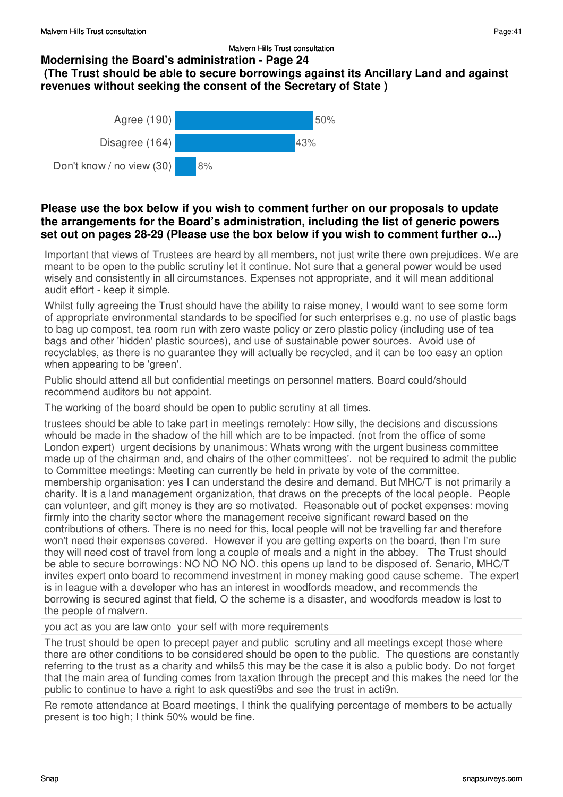## **Modernising the Board's administration - Page 24**

# **(The Trust should be able to secure borrowings against its Ancillary Land and against revenues without seeking the consent of the Secretary of State )**



## **Please use the box below if you wish to comment further on our proposals to update the arrangements for the Board's administration, including the list of generic powers set out on pages 28-29 (Please use the box below if you wish to comment further o...)**

Important that views of Trustees are heard by all members, not just write there own prejudices. We are meant to be open to the public scrutiny let it continue. Not sure that a general power would be used wisely and consistently in all circumstances. Expenses not appropriate, and it will mean additional audit effort - keep it simple.

Whilst fully agreeing the Trust should have the ability to raise money, I would want to see some form of appropriate environmental standards to be specified for such enterprises e.g. no use of plastic bags to bag up compost, tea room run with zero waste policy or zero plastic policy (including use of tea bags and other 'hidden' plastic sources), and use of sustainable power sources. Avoid use of recyclables, as there is no guarantee they will actually be recycled, and it can be too easy an option when appearing to be 'green'.

Public should attend all but confidential meetings on personnel matters. Board could/should recommend auditors bu not appoint.

The working of the board should be open to public scrutiny at all times.

trustees should be able to take part in meetings remotely: How silly, the decisions and discussions whould be made in the shadow of the hill which are to be impacted. (not from the office of some London expert) urgent decisions by unanimous: Whats wrong with the urgent business committee made up of the chairman and, and chairs of the other committees'. not be required to admit the public to Committee meetings: Meeting can currently be held in private by vote of the committee. membership organisation: yes I can understand the desire and demand. But MHC/T is not primarily a charity. It is a land management organization, that draws on the precepts of the local people. People can volunteer, and gift money is they are so motivated. Reasonable out of pocket expenses: moving firmly into the charity sector where the management receive significant reward based on the contributions of others. There is no need for this, local people will not be travelling far and therefore won't need their expenses covered. However if you are getting experts on the board, then I'm sure they will need cost of travel from long a couple of meals and a night in the abbey. The Trust should be able to secure borrowings: NO NO NO NO. this opens up land to be disposed of. Senario, MHC/T invites expert onto board to recommend investment in money making good cause scheme. The expert is in league with a developer who has an interest in woodfords meadow, and recommends the borrowing is secured aginst that field, O the scheme is a disaster, and woodfords meadow is lost to the people of malvern.

you act as you are law onto your self with more requirements

The trust should be open to precept payer and public scrutiny and all meetings except those where there are other conditions to be considered should be open to the public. The questions are constantly referring to the trust as a charity and whils5 this may be the case it is also a public body. Do not forget that the main area of funding comes from taxation through the precept and this makes the need for the public to continue to have a right to ask questi9bs and see the trust in acti9n.

Re remote attendance at Board meetings, I think the qualifying percentage of members to be actually present is too high; I think 50% would be fine.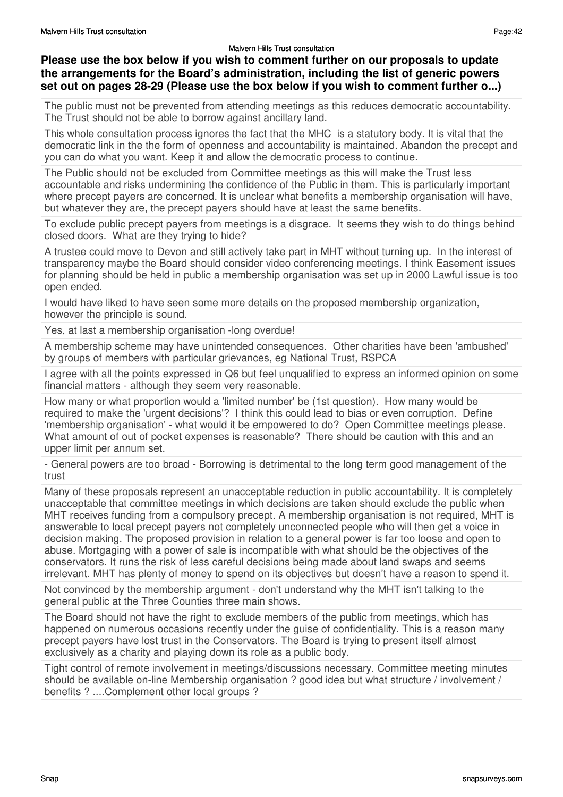## **Please use the box below if you wish to comment further on our proposals to update the arrangements for the Board's administration, including the list of generic powers set out on pages 28-29 (Please use the box below if you wish to comment further o...)**

The public must not be prevented from attending meetings as this reduces democratic accountability. The Trust should not be able to borrow against ancillary land.

This whole consultation process ignores the fact that the MHC is a statutory body. It is vital that the democratic link in the the form of openness and accountability is maintained. Abandon the precept and you can do what you want. Keep it and allow the democratic process to continue.

The Public should not be excluded from Committee meetings as this will make the Trust less accountable and risks undermining the confidence of the Public in them. This is particularly important where precept payers are concerned. It is unclear what benefits a membership organisation will have, but whatever they are, the precept payers should have at least the same benefits.

To exclude public precept payers from meetings is a disgrace. It seems they wish to do things behind closed doors. What are they trying to hide?

A trustee could move to Devon and still actively take part in MHT without turning up. In the interest of transparency maybe the Board should consider video conferencing meetings. I think Easement issues for planning should be held in public a membership organisation was set up in 2000 Lawful issue is too open ended.

I would have liked to have seen some more details on the proposed membership organization, however the principle is sound.

Yes, at last a membership organisation -long overdue!

A membership scheme may have unintended consequences. Other charities have been 'ambushed' by groups of members with particular grievances, eg National Trust, RSPCA

I agree with all the points expressed in Q6 but feel unqualified to express an informed opinion on some financial matters - although they seem very reasonable.

How many or what proportion would a 'limited number' be (1st question). How many would be required to make the 'urgent decisions'? I think this could lead to bias or even corruption. Define 'membership organisation' - what would it be empowered to do? Open Committee meetings please. What amount of out of pocket expenses is reasonable? There should be caution with this and an upper limit per annum set.

- General powers are too broad - Borrowing is detrimental to the long term good management of the trust

Many of these proposals represent an unacceptable reduction in public accountability. It is completely unacceptable that committee meetings in which decisions are taken should exclude the public when MHT receives funding from a compulsory precept. A membership organisation is not required, MHT is answerable to local precept payers not completely unconnected people who will then get a voice in decision making. The proposed provision in relation to a general power is far too loose and open to abuse. Mortgaging with a power of sale is incompatible with what should be the objectives of the conservators. It runs the risk of less careful decisions being made about land swaps and seems irrelevant. MHT has plenty of money to spend on its objectives but doesn't have a reason to spend it.

Not convinced by the membership argument - don't understand why the MHT isn't talking to the general public at the Three Counties three main shows.

The Board should not have the right to exclude members of the public from meetings, which has happened on numerous occasions recently under the guise of confidentiality. This is a reason many precept payers have lost trust in the Conservators. The Board is trying to present itself almost exclusively as a charity and playing down its role as a public body.

Tight control of remote involvement in meetings/discussions necessary. Committee meeting minutes should be available on-line Membership organisation ? good idea but what structure / involvement / benefits ? ....Complement other local groups ?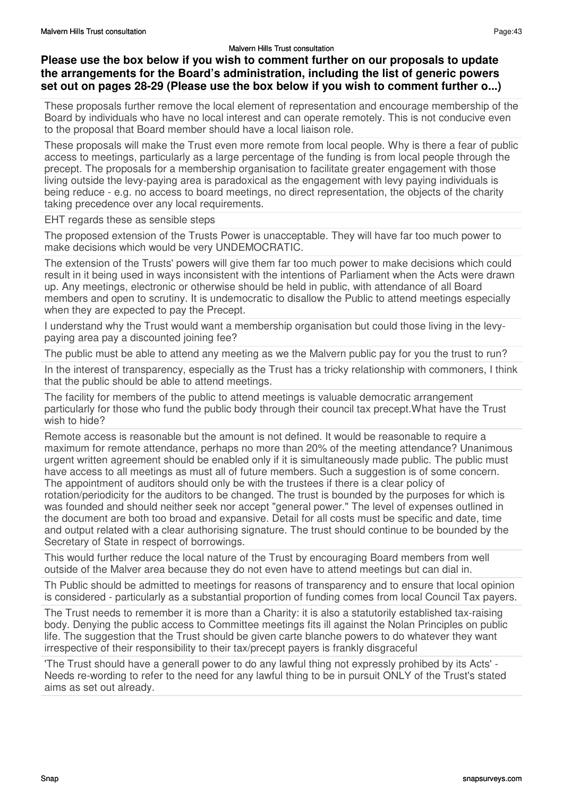## **Please use the box below if you wish to comment further on our proposals to update the arrangements for the Board's administration, including the list of generic powers set out on pages 28-29 (Please use the box below if you wish to comment further o...)**

These proposals further remove the local element of representation and encourage membership of the Board by individuals who have no local interest and can operate remotely. This is not conducive even to the proposal that Board member should have a local liaison role.

These proposals will make the Trust even more remote from local people. Why is there a fear of public access to meetings, particularly as a large percentage of the funding is from local people through the precept. The proposals for a membership organisation to facilitate greater engagement with those living outside the levy-paying area is paradoxical as the engagement with levy paying individuals is being reduce - e.g. no access to board meetings, no direct representation, the objects of the charity taking precedence over any local requirements.

EHT regards these as sensible steps

The proposed extension of the Trusts Power is unacceptable. They will have far too much power to make decisions which would be very UNDEMOCRATIC.

The extension of the Trusts' powers will give them far too much power to make decisions which could result in it being used in ways inconsistent with the intentions of Parliament when the Acts were drawn up. Any meetings, electronic or otherwise should be held in public, with attendance of all Board members and open to scrutiny. It is undemocratic to disallow the Public to attend meetings especially when they are expected to pay the Precept.

I understand why the Trust would want a membership organisation but could those living in the levypaying area pay a discounted joining fee?

The public must be able to attend any meeting as we the Malvern public pay for you the trust to run?

In the interest of transparency, especially as the Trust has a tricky relationship with commoners, I think that the public should be able to attend meetings.

The facility for members of the public to attend meetings is valuable democratic arrangement particularly for those who fund the public body through their council tax precept.What have the Trust wish to hide?

Remote access is reasonable but the amount is not defined. It would be reasonable to require a maximum for remote attendance, perhaps no more than 20% of the meeting attendance? Unanimous urgent written agreement should be enabled only if it is simultaneously made public. The public must have access to all meetings as must all of future members. Such a suggestion is of some concern. The appointment of auditors should only be with the trustees if there is a clear policy of rotation/periodicity for the auditors to be changed. The trust is bounded by the purposes for which is was founded and should neither seek nor accept "general power." The level of expenses outlined in the document are both too broad and expansive. Detail for all costs must be specific and date, time and output related with a clear authorising signature. The trust should continue to be bounded by the Secretary of State in respect of borrowings.

This would further reduce the local nature of the Trust by encouraging Board members from well outside of the Malver area because they do not even have to attend meetings but can dial in.

Th Public should be admitted to meetings for reasons of transparency and to ensure that local opinion is considered - particularly as a substantial proportion of funding comes from local Council Tax payers.

The Trust needs to remember it is more than a Charity: it is also a statutorily established tax-raising body. Denying the public access to Committee meetings fits ill against the Nolan Principles on public life. The suggestion that the Trust should be given carte blanche powers to do whatever they want irrespective of their responsibility to their tax/precept payers is frankly disgraceful

'The Trust should have a generall power to do any lawful thing not expressly prohibed by its Acts' - Needs re-wording to refer to the need for any lawful thing to be in pursuit ONLY of the Trust's stated aims as set out already.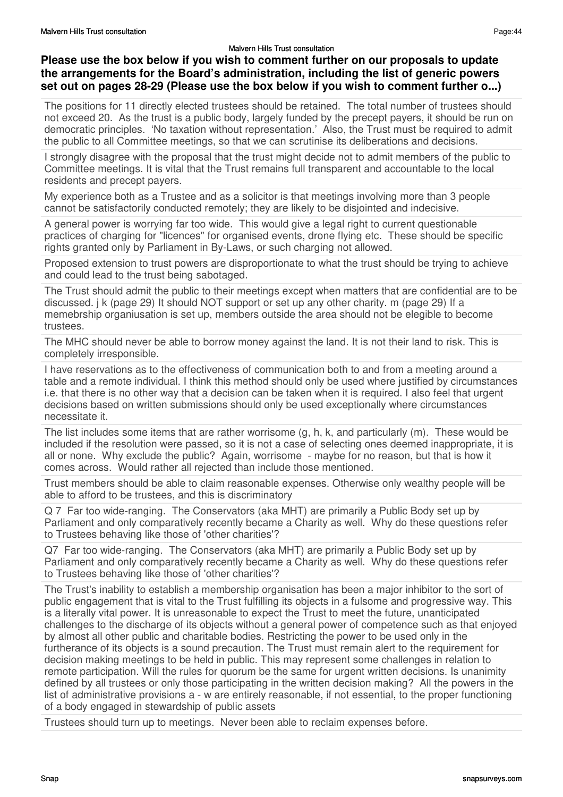## **Please use the box below if you wish to comment further on our proposals to update the arrangements for the Board's administration, including the list of generic powers set out on pages 28-29 (Please use the box below if you wish to comment further o...)**

The positions for 11 directly elected trustees should be retained. The total number of trustees should not exceed 20. As the trust is a public body, largely funded by the precept payers, it should be run on democratic principles. 'No taxation without representation.' Also, the Trust must be required to admit the public to all Committee meetings, so that we can scrutinise its deliberations and decisions.

I strongly disagree with the proposal that the trust might decide not to admit members of the public to Committee meetings. It is vital that the Trust remains full transparent and accountable to the local residents and precept payers.

My experience both as a Trustee and as a solicitor is that meetings involving more than 3 people cannot be satisfactorily conducted remotely; they are likely to be disjointed and indecisive.

A general power is worrying far too wide. This would give a legal right to current questionable practices of charging for "licences" for organised events, drone flying etc. These should be specific rights granted only by Parliament in By-Laws, or such charging not allowed.

Proposed extension to trust powers are disproportionate to what the trust should be trying to achieve and could lead to the trust being sabotaged.

The Trust should admit the public to their meetings except when matters that are confidential are to be discussed. j k (page 29) It should NOT support or set up any other charity. m (page 29) If a memebrship organiusation is set up, members outside the area should not be elegible to become trustees.

The MHC should never be able to borrow money against the land. It is not their land to risk. This is completely irresponsible.

I have reservations as to the effectiveness of communication both to and from a meeting around a table and a remote individual. I think this method should only be used where justified by circumstances i.e. that there is no other way that a decision can be taken when it is required. I also feel that urgent decisions based on written submissions should only be used exceptionally where circumstances necessitate it.

The list includes some items that are rather worrisome (g, h, k, and particularly (m). These would be included if the resolution were passed, so it is not a case of selecting ones deemed inappropriate, it is all or none. Why exclude the public? Again, worrisome - maybe for no reason, but that is how it comes across. Would rather all rejected than include those mentioned.

Trust members should be able to claim reasonable expenses. Otherwise only wealthy people will be able to afford to be trustees, and this is discriminatory

Q 7 Far too wide-ranging. The Conservators (aka MHT) are primarily a Public Body set up by Parliament and only comparatively recently became a Charity as well. Why do these questions refer to Trustees behaving like those of 'other charities'?

Q7 Far too wide-ranging. The Conservators (aka MHT) are primarily a Public Body set up by Parliament and only comparatively recently became a Charity as well. Why do these questions refer to Trustees behaving like those of 'other charities'?

The Trust's inability to establish a membership organisation has been a major inhibitor to the sort of public engagement that is vital to the Trust fulfilling its objects in a fulsome and progressive way. This is a literally vital power. It is unreasonable to expect the Trust to meet the future, unanticipated challenges to the discharge of its objects without a general power of competence such as that enjoyed by almost all other public and charitable bodies. Restricting the power to be used only in the furtherance of its objects is a sound precaution. The Trust must remain alert to the requirement for decision making meetings to be held in public. This may represent some challenges in relation to remote participation. Will the rules for quorum be the same for urgent written decisions. Is unanimity defined by all trustees or only those participating in the written decision making? All the powers in the list of administrative provisions a - w are entirely reasonable, if not essential, to the proper functioning of a body engaged in stewardship of public assets

Trustees should turn up to meetings. Never been able to reclaim expenses before.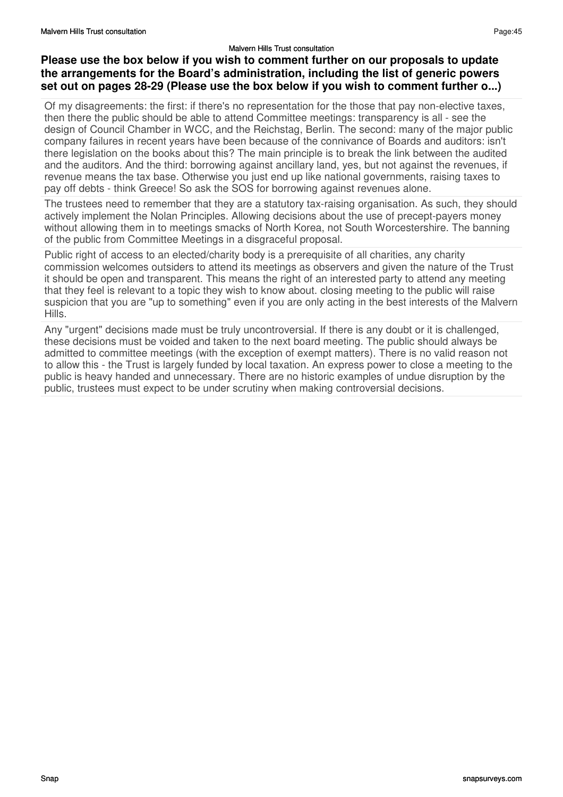#### **Please use the box below if you wish to comment further on our proposals to update the arrangements for the Board's administration, including the list of generic powers set out on pages 28-29 (Please use the box below if you wish to comment further o...)**

Of my disagreements: the first: if there's no representation for the those that pay non-elective taxes, then there the public should be able to attend Committee meetings: transparency is all - see the design of Council Chamber in WCC, and the Reichstag, Berlin. The second: many of the major public company failures in recent years have been because of the connivance of Boards and auditors: isn't there legislation on the books about this? The main principle is to break the link between the audited and the auditors. And the third: borrowing against ancillary land, yes, but not against the revenues, if revenue means the tax base. Otherwise you just end up like national governments, raising taxes to pay off debts - think Greece! So ask the SOS for borrowing against revenues alone.

The trustees need to remember that they are a statutory tax-raising organisation. As such, they should actively implement the Nolan Principles. Allowing decisions about the use of precept-payers money without allowing them in to meetings smacks of North Korea, not South Worcestershire. The banning of the public from Committee Meetings in a disgraceful proposal.

Public right of access to an elected/charity body is a prerequisite of all charities, any charity commission welcomes outsiders to attend its meetings as observers and given the nature of the Trust it should be open and transparent. This means the right of an interested party to attend any meeting that they feel is relevant to a topic they wish to know about. closing meeting to the public will raise suspicion that you are "up to something" even if you are only acting in the best interests of the Malvern Hills.

Any "urgent" decisions made must be truly uncontroversial. If there is any doubt or it is challenged, these decisions must be voided and taken to the next board meeting. The public should always be admitted to committee meetings (with the exception of exempt matters). There is no valid reason not to allow this - the Trust is largely funded by local taxation. An express power to close a meeting to the public is heavy handed and unnecessary. There are no historic examples of undue disruption by the public, trustees must expect to be under scrutiny when making controversial decisions.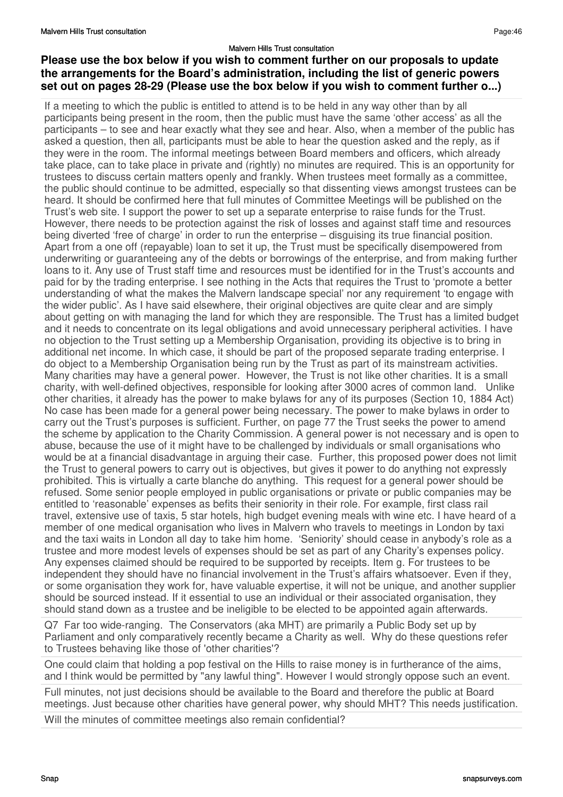## **Please use the box below if you wish to comment further on our proposals to update the arrangements for the Board's administration, including the list of generic powers set out on pages 28-29 (Please use the box below if you wish to comment further o...)**

If a meeting to which the public is entitled to attend is to be held in any way other than by all participants being present in the room, then the public must have the same 'other access' as all the participants – to see and hear exactly what they see and hear. Also, when a member of the public has asked a question, then all, participants must be able to hear the question asked and the reply, as if they were in the room. The informal meetings between Board members and officers, which already take place, can to take place in private and (rightly) no minutes are required. This is an opportunity for trustees to discuss certain matters openly and frankly. When trustees meet formally as a committee, the public should continue to be admitted, especially so that dissenting views amongst trustees can be heard. It should be confirmed here that full minutes of Committee Meetings will be published on the Trust's web site. I support the power to set up a separate enterprise to raise funds for the Trust. However, there needs to be protection against the risk of losses and against staff time and resources being diverted 'free of charge' in order to run the enterprise – disguising its true financial position. Apart from a one off (repayable) loan to set it up, the Trust must be specifically disempowered from underwriting or guaranteeing any of the debts or borrowings of the enterprise, and from making further loans to it. Any use of Trust staff time and resources must be identified for in the Trust's accounts and paid for by the trading enterprise. I see nothing in the Acts that requires the Trust to 'promote a better understanding of what the makes the Malvern landscape special' nor any requirement 'to engage with the wider public'. As I have said elsewhere, their original objectives are quite clear and are simply about getting on with managing the land for which they are responsible. The Trust has a limited budget and it needs to concentrate on its legal obligations and avoid unnecessary peripheral activities. I have no objection to the Trust setting up a Membership Organisation, providing its objective is to bring in additional net income. In which case, it should be part of the proposed separate trading enterprise. I do object to a Membership Organisation being run by the Trust as part of its mainstream activities. Many charities may have a general power. However, the Trust is not like other charities. It is a small charity, with well-defined objectives, responsible for looking after 3000 acres of common land. Unlike other charities, it already has the power to make bylaws for any of its purposes (Section 10, 1884 Act) No case has been made for a general power being necessary. The power to make bylaws in order to carry out the Trust's purposes is sufficient. Further, on page 77 the Trust seeks the power to amend the scheme by application to the Charity Commission. A general power is not necessary and is open to abuse, because the use of it might have to be challenged by individuals or small organisations who would be at a financial disadvantage in arguing their case. Further, this proposed power does not limit the Trust to general powers to carry out is objectives, but gives it power to do anything not expressly prohibited. This is virtually a carte blanche do anything. This request for a general power should be refused. Some senior people employed in public organisations or private or public companies may be entitled to 'reasonable' expenses as befits their seniority in their role. For example, first class rail travel, extensive use of taxis, 5 star hotels, high budget evening meals with wine etc. I have heard of a member of one medical organisation who lives in Malvern who travels to meetings in London by taxi and the taxi waits in London all day to take him home. 'Seniority' should cease in anybody's role as a trustee and more modest levels of expenses should be set as part of any Charity's expenses policy. Any expenses claimed should be required to be supported by receipts. Item g. For trustees to be independent they should have no financial involvement in the Trust's affairs whatsoever. Even if they, or some organisation they work for, have valuable expertise, it will not be unique, and another supplier should be sourced instead. If it essential to use an individual or their associated organisation, they should stand down as a trustee and be ineligible to be elected to be appointed again afterwards.

Q7 Far too wide-ranging. The Conservators (aka MHT) are primarily a Public Body set up by Parliament and only comparatively recently became a Charity as well. Why do these questions refer to Trustees behaving like those of 'other charities'?

One could claim that holding a pop festival on the Hills to raise money is in furtherance of the aims, and I think would be permitted by "any lawful thing". However I would strongly oppose such an event.

Full minutes, not just decisions should be available to the Board and therefore the public at Board meetings. Just because other charities have general power, why should MHT? This needs justification.

Will the minutes of committee meetings also remain confidential?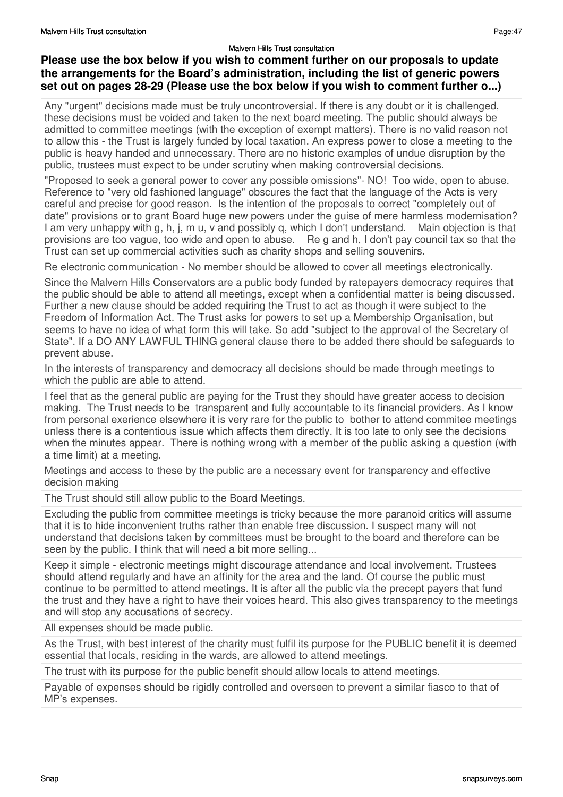## **Please use the box below if you wish to comment further on our proposals to update the arrangements for the Board's administration, including the list of generic powers set out on pages 28-29 (Please use the box below if you wish to comment further o...)**

Any "urgent" decisions made must be truly uncontroversial. If there is any doubt or it is challenged, these decisions must be voided and taken to the next board meeting. The public should always be admitted to committee meetings (with the exception of exempt matters). There is no valid reason not to allow this - the Trust is largely funded by local taxation. An express power to close a meeting to the public is heavy handed and unnecessary. There are no historic examples of undue disruption by the public, trustees must expect to be under scrutiny when making controversial decisions.

"Proposed to seek a general power to cover any possible omissions"- NO! Too wide, open to abuse. Reference to "very old fashioned language" obscures the fact that the language of the Acts is very careful and precise for good reason. Is the intention of the proposals to correct "completely out of date" provisions or to grant Board huge new powers under the guise of mere harmless modernisation? I am very unhappy with g, h, j, m u, v and possibly q, which I don't understand. Main objection is that provisions are too vague, too wide and open to abuse. Re g and h, I don't pay council tax so that the Trust can set up commercial activities such as charity shops and selling souvenirs.

Re electronic communication - No member should be allowed to cover all meetings electronically.

Since the Malvern Hills Conservators are a public body funded by ratepayers democracy requires that the public should be able to attend all meetings, except when a confidential matter is being discussed. Further a new clause should be added requiring the Trust to act as though it were subject to the Freedom of Information Act. The Trust asks for powers to set up a Membership Organisation, but seems to have no idea of what form this will take. So add "subject to the approval of the Secretary of State". If a DO ANY LAWFUL THING general clause there to be added there should be safeguards to prevent abuse.

In the interests of transparency and democracy all decisions should be made through meetings to which the public are able to attend.

I feel that as the general public are paying for the Trust they should have greater access to decision making. The Trust needs to be transparent and fully accountable to its financial providers. As I know from personal exerience elsewhere it is very rare for the public to bother to attend commitee meetings unless there is a contentious issue which affects them directly. It is too late to only see the decisions when the minutes appear. There is nothing wrong with a member of the public asking a question (with a time limit) at a meeting.

Meetings and access to these by the public are a necessary event for transparency and effective decision making

The Trust should still allow public to the Board Meetings.

Excluding the public from committee meetings is tricky because the more paranoid critics will assume that it is to hide inconvenient truths rather than enable free discussion. I suspect many will not understand that decisions taken by committees must be brought to the board and therefore can be seen by the public. I think that will need a bit more selling...

Keep it simple - electronic meetings might discourage attendance and local involvement. Trustees should attend regularly and have an affinity for the area and the land. Of course the public must continue to be permitted to attend meetings. It is after all the public via the precept payers that fund the trust and they have a right to have their voices heard. This also gives transparency to the meetings and will stop any accusations of secrecy.

All expenses should be made public.

As the Trust, with best interest of the charity must fulfil its purpose for the PUBLIC benefit it is deemed essential that locals, residing in the wards, are allowed to attend meetings.

The trust with its purpose for the public benefit should allow locals to attend meetings.

Payable of expenses should be rigidly controlled and overseen to prevent a similar fiasco to that of MP's expenses.

Page:47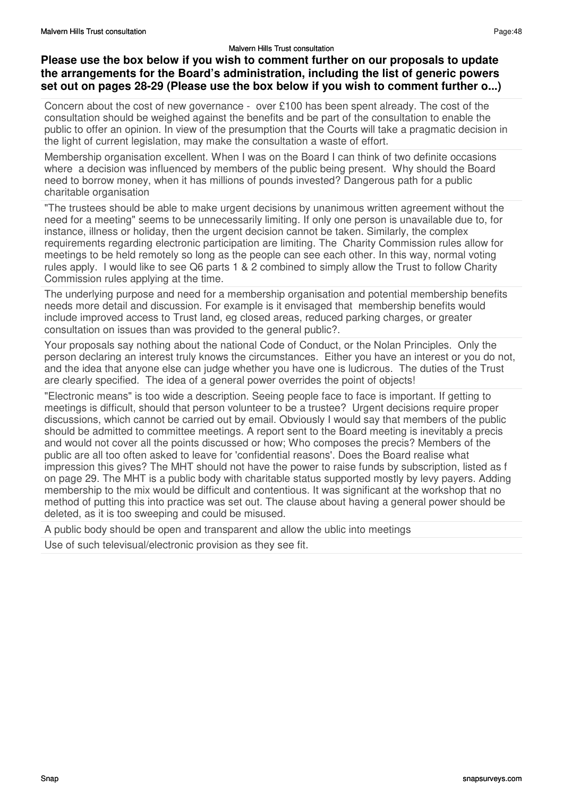## **Please use the box below if you wish to comment further on our proposals to update the arrangements for the Board's administration, including the list of generic powers set out on pages 28-29 (Please use the box below if you wish to comment further o...)**

Concern about the cost of new governance - over £100 has been spent already. The cost of the consultation should be weighed against the benefits and be part of the consultation to enable the public to offer an opinion. In view of the presumption that the Courts will take a pragmatic decision in the light of current legislation, may make the consultation a waste of effort.

Membership organisation excellent. When I was on the Board I can think of two definite occasions where a decision was influenced by members of the public being present. Why should the Board need to borrow money, when it has millions of pounds invested? Dangerous path for a public charitable organisation

"The trustees should be able to make urgent decisions by unanimous written agreement without the need for a meeting" seems to be unnecessarily limiting. If only one person is unavailable due to, for instance, illness or holiday, then the urgent decision cannot be taken. Similarly, the complex requirements regarding electronic participation are limiting. The Charity Commission rules allow for meetings to be held remotely so long as the people can see each other. In this way, normal voting rules apply. I would like to see Q6 parts 1 & 2 combined to simply allow the Trust to follow Charity Commission rules applying at the time.

The underlying purpose and need for a membership organisation and potential membership benefits needs more detail and discussion. For example is it envisaged that membership benefits would include improved access to Trust land, eg closed areas, reduced parking charges, or greater consultation on issues than was provided to the general public?.

Your proposals say nothing about the national Code of Conduct, or the Nolan Principles. Only the person declaring an interest truly knows the circumstances. Either you have an interest or you do not, and the idea that anyone else can judge whether you have one is ludicrous. The duties of the Trust are clearly specified. The idea of a general power overrides the point of objects!

"Electronic means" is too wide a description. Seeing people face to face is important. If getting to meetings is difficult, should that person volunteer to be a trustee? Urgent decisions require proper discussions, which cannot be carried out by email. Obviously I would say that members of the public should be admitted to committee meetings. A report sent to the Board meeting is inevitably a precis and would not cover all the points discussed or how; Who composes the precis? Members of the public are all too often asked to leave for 'confidential reasons'. Does the Board realise what impression this gives? The MHT should not have the power to raise funds by subscription, listed as f on page 29. The MHT is a public body with charitable status supported mostly by levy payers. Adding membership to the mix would be difficult and contentious. It was significant at the workshop that no method of putting this into practice was set out. The clause about having a general power should be deleted, as it is too sweeping and could be misused.

A public body should be open and transparent and allow the ublic into meetings

Use of such televisual/electronic provision as they see fit.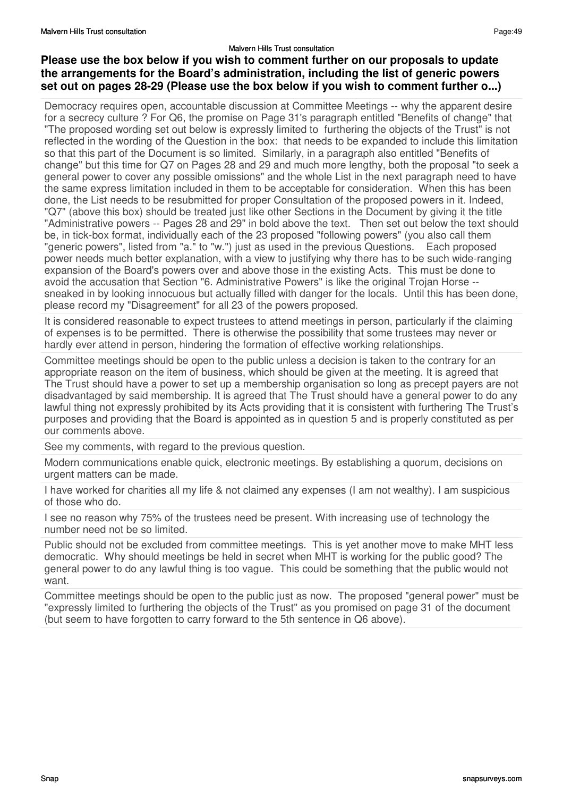## **Please use the box below if you wish to comment further on our proposals to update the arrangements for the Board's administration, including the list of generic powers set out on pages 28-29 (Please use the box below if you wish to comment further o...)**

Democracy requires open, accountable discussion at Committee Meetings -- why the apparent desire for a secrecy culture ? For Q6, the promise on Page 31's paragraph entitled "Benefits of change" that "The proposed wording set out below is expressly limited to furthering the objects of the Trust" is not reflected in the wording of the Question in the box: that needs to be expanded to include this limitation so that this part of the Document is so limited. Similarly, in a paragraph also entitled "Benefits of change" but this time for Q7 on Pages 28 and 29 and much more lengthy, both the proposal "to seek a general power to cover any possible omissions" and the whole List in the next paragraph need to have the same express limitation included in them to be acceptable for consideration. When this has been done, the List needs to be resubmitted for proper Consultation of the proposed powers in it. Indeed, "Q7" (above this box) should be treated just like other Sections in the Document by giving it the title "Administrative powers -- Pages 28 and 29" in bold above the text. Then set out below the text should be, in tick-box format, individually each of the 23 proposed "following powers" (you also call them "generic powers", listed from "a." to "w.") just as used in the previous Questions. Each proposed power needs much better explanation, with a view to justifying why there has to be such wide-ranging expansion of the Board's powers over and above those in the existing Acts. This must be done to avoid the accusation that Section "6. Administrative Powers" is like the original Trojan Horse - sneaked in by looking innocuous but actually filled with danger for the locals. Until this has been done, please record my "Disagreement" for all 23 of the powers proposed.

It is considered reasonable to expect trustees to attend meetings in person, particularly if the claiming of expenses is to be permitted. There is otherwise the possibility that some trustees may never or hardly ever attend in person, hindering the formation of effective working relationships.

Committee meetings should be open to the public unless a decision is taken to the contrary for an appropriate reason on the item of business, which should be given at the meeting. It is agreed that The Trust should have a power to set up a membership organisation so long as precept payers are not disadvantaged by said membership. It is agreed that The Trust should have a general power to do any lawful thing not expressly prohibited by its Acts providing that it is consistent with furthering The Trust's purposes and providing that the Board is appointed as in question 5 and is properly constituted as per our comments above.

See my comments, with regard to the previous question.

Modern communications enable quick, electronic meetings. By establishing a quorum, decisions on urgent matters can be made.

I have worked for charities all my life & not claimed any expenses (I am not wealthy). I am suspicious of those who do.

I see no reason why 75% of the trustees need be present. With increasing use of technology the number need not be so limited.

Public should not be excluded from committee meetings. This is yet another move to make MHT less democratic. Why should meetings be held in secret when MHT is working for the public good? The general power to do any lawful thing is too vague. This could be something that the public would not want.

Committee meetings should be open to the public just as now. The proposed "general power" must be "expressly limited to furthering the objects of the Trust" as you promised on page 31 of the document (but seem to have forgotten to carry forward to the 5th sentence in Q6 above).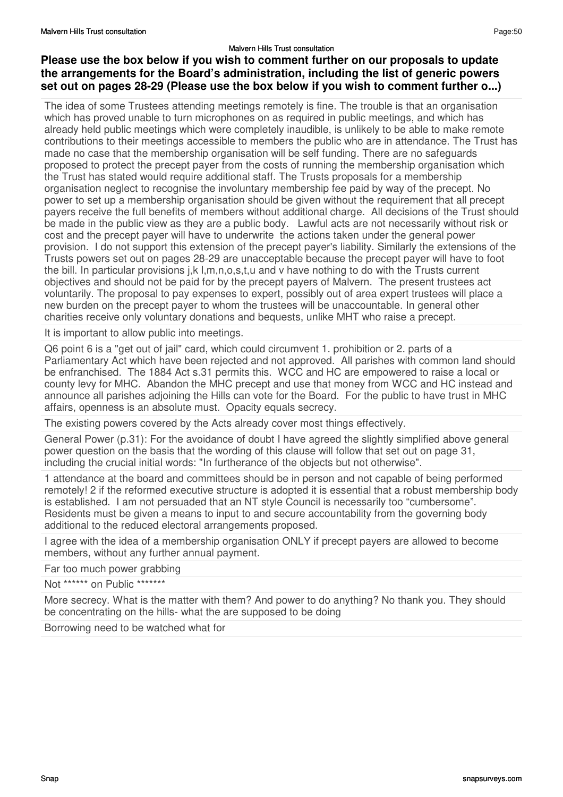## **Please use the box below if you wish to comment further on our proposals to update the arrangements for the Board's administration, including the list of generic powers set out on pages 28-29 (Please use the box below if you wish to comment further o...)**

The idea of some Trustees attending meetings remotely is fine. The trouble is that an organisation which has proved unable to turn microphones on as required in public meetings, and which has already held public meetings which were completely inaudible, is unlikely to be able to make remote contributions to their meetings accessible to members the public who are in attendance. The Trust has made no case that the membership organisation will be self funding. There are no safeguards proposed to protect the precept payer from the costs of running the membership organisation which the Trust has stated would require additional staff. The Trusts proposals for a membership organisation neglect to recognise the involuntary membership fee paid by way of the precept. No power to set up a membership organisation should be given without the requirement that all precept payers receive the full benefits of members without additional charge. All decisions of the Trust should be made in the public view as they are a public body. Lawful acts are not necessarily without risk or cost and the precept payer will have to underwrite the actions taken under the general power provision. I do not support this extension of the precept payer's liability. Similarly the extensions of the Trusts powers set out on pages 28-29 are unacceptable because the precept payer will have to foot the bill. In particular provisions j,k l,m,n,o,s,t,u and v have nothing to do with the Trusts current objectives and should not be paid for by the precept payers of Malvern. The present trustees act voluntarily. The proposal to pay expenses to expert, possibly out of area expert trustees will place a new burden on the precept payer to whom the trustees will be unaccountable. In general other charities receive only voluntary donations and bequests, unlike MHT who raise a precept.

It is important to allow public into meetings.

Q6 point 6 is a "get out of jail" card, which could circumvent 1. prohibition or 2. parts of a Parliamentary Act which have been rejected and not approved. All parishes with common land should be enfranchised. The 1884 Act s.31 permits this. WCC and HC are empowered to raise a local or county levy for MHC. Abandon the MHC precept and use that money from WCC and HC instead and announce all parishes adjoining the Hills can vote for the Board. For the public to have trust in MHC affairs, openness is an absolute must. Opacity equals secrecy.

The existing powers covered by the Acts already cover most things effectively.

General Power (p.31): For the avoidance of doubt I have agreed the slightly simplified above general power question on the basis that the wording of this clause will follow that set out on page 31, including the crucial initial words: "In furtherance of the objects but not otherwise".

1 attendance at the board and committees should be in person and not capable of being performed remotely! 2 if the reformed executive structure is adopted it is essential that a robust membership body is established. I am not persuaded that an NT style Council is necessarily too "cumbersome". Residents must be given a means to input to and secure accountability from the governing body additional to the reduced electoral arrangements proposed.

I agree with the idea of a membership organisation ONLY if precept payers are allowed to become members, without any further annual payment.

Far too much power grabbing

Not \*\*\*\*\*\* on Public \*\*\*\*\*\*\*

More secrecy. What is the matter with them? And power to do anything? No thank you. They should be concentrating on the hills- what the are supposed to be doing

Borrowing need to be watched what for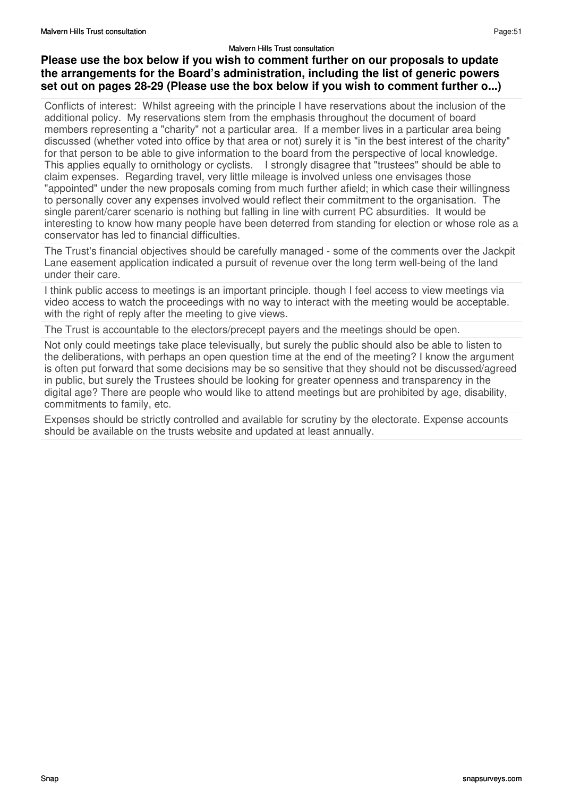## **Please use the box below if you wish to comment further on our proposals to update the arrangements for the Board's administration, including the list of generic powers set out on pages 28-29 (Please use the box below if you wish to comment further o...)**

Conflicts of interest: Whilst agreeing with the principle I have reservations about the inclusion of the additional policy. My reservations stem from the emphasis throughout the document of board members representing a "charity" not a particular area. If a member lives in a particular area being discussed (whether voted into office by that area or not) surely it is "in the best interest of the charity" for that person to be able to give information to the board from the perspective of local knowledge. This applies equally to ornithology or cyclists. I strongly disagree that "trustees" should be able to claim expenses. Regarding travel, very little mileage is involved unless one envisages those "appointed" under the new proposals coming from much further afield; in which case their willingness to personally cover any expenses involved would reflect their commitment to the organisation. The single parent/carer scenario is nothing but falling in line with current PC absurdities. It would be interesting to know how many people have been deterred from standing for election or whose role as a conservator has led to financial difficulties.

The Trust's financial objectives should be carefully managed - some of the comments over the Jackpit Lane easement application indicated a pursuit of revenue over the long term well-being of the land under their care.

I think public access to meetings is an important principle. though I feel access to view meetings via video access to watch the proceedings with no way to interact with the meeting would be acceptable. with the right of reply after the meeting to give views.

The Trust is accountable to the electors/precept payers and the meetings should be open.

Not only could meetings take place televisually, but surely the public should also be able to listen to the deliberations, with perhaps an open question time at the end of the meeting? I know the argument is often put forward that some decisions may be so sensitive that they should not be discussed/agreed in public, but surely the Trustees should be looking for greater openness and transparency in the digital age? There are people who would like to attend meetings but are prohibited by age, disability, commitments to family, etc.

Expenses should be strictly controlled and available for scrutiny by the electorate. Expense accounts should be available on the trusts website and updated at least annually.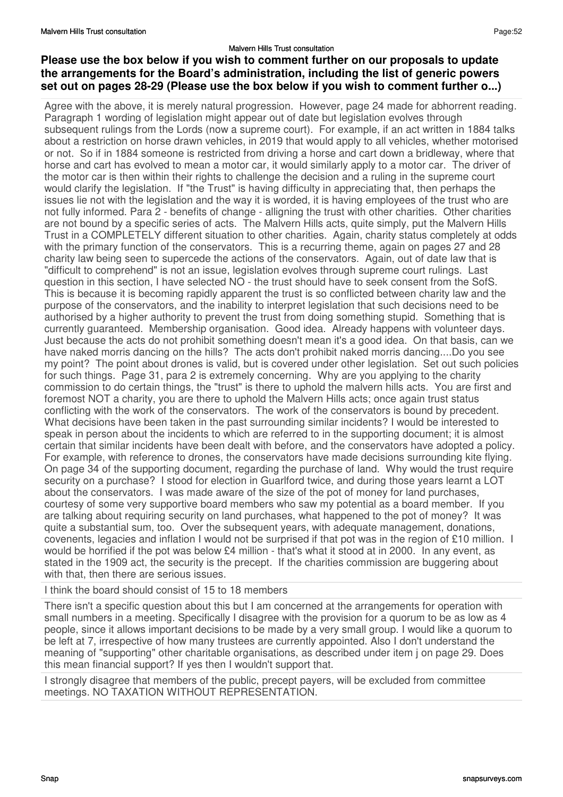## **Please use the box below if you wish to comment further on our proposals to update the arrangements for the Board's administration, including the list of generic powers set out on pages 28-29 (Please use the box below if you wish to comment further o...)**

Agree with the above, it is merely natural progression. However, page 24 made for abhorrent reading. Paragraph 1 wording of legislation might appear out of date but legislation evolves through subsequent rulings from the Lords (now a supreme court). For example, if an act written in 1884 talks about a restriction on horse drawn vehicles, in 2019 that would apply to all vehicles, whether motorised or not. So if in 1884 someone is restricted from driving a horse and cart down a bridleway, where that horse and cart has evolved to mean a motor car, it would similarly apply to a motor car. The driver of the motor car is then within their rights to challenge the decision and a ruling in the supreme court would clarify the legislation. If "the Trust" is having difficulty in appreciating that, then perhaps the issues lie not with the legislation and the way it is worded, it is having employees of the trust who are not fully informed. Para 2 - benefits of change - alligning the trust with other charities. Other charities are not bound by a specific series of acts. The Malvern Hills acts, quite simply, put the Malvern Hills Trust in a COMPLETELY different situation to other charities. Again, charity status completely at odds with the primary function of the conservators. This is a recurring theme, again on pages 27 and 28 charity law being seen to supercede the actions of the conservators. Again, out of date law that is "difficult to comprehend" is not an issue, legislation evolves through supreme court rulings. Last question in this section, I have selected NO - the trust should have to seek consent from the SofS. This is because it is becoming rapidly apparent the trust is so conflicted between charity law and the purpose of the conservators, and the inability to interpret legislation that such decisions need to be authorised by a higher authority to prevent the trust from doing something stupid. Something that is currently guaranteed. Membership organisation. Good idea. Already happens with volunteer days. Just because the acts do not prohibit something doesn't mean it's a good idea. On that basis, can we have naked morris dancing on the hills? The acts don't prohibit naked morris dancing....Do you see my point? The point about drones is valid, but is covered under other legislation. Set out such policies for such things. Page 31, para 2 is extremely concerning. Why are you applying to the charity commission to do certain things, the "trust" is there to uphold the malvern hills acts. You are first and foremost NOT a charity, you are there to uphold the Malvern Hills acts; once again trust status conflicting with the work of the conservators. The work of the conservators is bound by precedent. What decisions have been taken in the past surrounding similar incidents? I would be interested to speak in person about the incidents to which are referred to in the supporting document; it is almost certain that similar incidents have been dealt with before, and the conservators have adopted a policy. For example, with reference to drones, the conservators have made decisions surrounding kite flying. On page 34 of the supporting document, regarding the purchase of land. Why would the trust require security on a purchase? I stood for election in Guarlford twice, and during those years learnt a LOT about the conservators. I was made aware of the size of the pot of money for land purchases, courtesy of some very supportive board members who saw my potential as a board member. If you are talking about requiring security on land purchases, what happened to the pot of money? It was quite a substantial sum, too. Over the subsequent years, with adequate management, donations, covenents, legacies and inflation I would not be surprised if that pot was in the region of £10 million. I would be horrified if the pot was below £4 million - that's what it stood at in 2000. In any event, as stated in the 1909 act, the security is the precept. If the charities commission are buggering about with that, then there are serious issues.

I think the board should consist of 15 to 18 members

There isn't a specific question about this but I am concerned at the arrangements for operation with small numbers in a meeting. Specifically I disagree with the provision for a quorum to be as low as 4 people, since it allows important decisions to be made by a very small group. I would like a quorum to be left at 7, irrespective of how many trustees are currently appointed. Also I don't understand the meaning of "supporting" other charitable organisations, as described under item j on page 29. Does this mean financial support? If yes then I wouldn't support that.

I strongly disagree that members of the public, precept payers, will be excluded from committee meetings. NO TAXATION WITHOUT REPRESENTATION.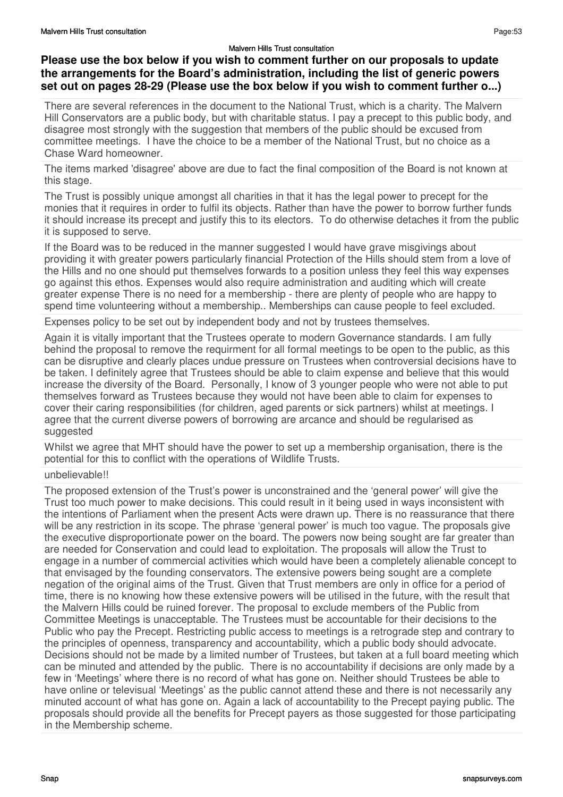# **Please use the box below if you wish to comment further on our proposals to update the arrangements for the Board's administration, including the list of generic powers set out on pages 28-29 (Please use the box below if you wish to comment further o...)**

There are several references in the document to the National Trust, which is a charity. The Malvern Hill Conservators are a public body, but with charitable status. I pay a precept to this public body, and disagree most strongly with the suggestion that members of the public should be excused from committee meetings. I have the choice to be a member of the National Trust, but no choice as a Chase Ward homeowner.

The items marked 'disagree' above are due to fact the final composition of the Board is not known at this stage.

The Trust is possibly unique amongst all charities in that it has the legal power to precept for the monies that it requires in order to fulfil its objects. Rather than have the power to borrow further funds it should increase its precept and justify this to its electors. To do otherwise detaches it from the public it is supposed to serve.

If the Board was to be reduced in the manner suggested I would have grave misgivings about providing it with greater powers particularly financial Protection of the Hills should stem from a love of the Hills and no one should put themselves forwards to a position unless they feel this way expenses go against this ethos. Expenses would also require administration and auditing which will create greater expense There is no need for a membership - there are plenty of people who are happy to spend time volunteering without a membership.. Memberships can cause people to feel excluded.

Expenses policy to be set out by independent body and not by trustees themselves.

Again it is vitally important that the Trustees operate to modern Governance standards. I am fully behind the proposal to remove the requirment for all formal meetings to be open to the public, as this can be disruptive and clearly places undue pressure on Trustees when controversial decisions have to be taken. I definitely agree that Trustees should be able to claim expense and believe that this would increase the diversity of the Board. Personally, I know of 3 younger people who were not able to put themselves forward as Trustees because they would not have been able to claim for expenses to cover their caring responsibilities (for children, aged parents or sick partners) whilst at meetings. I agree that the current diverse powers of borrowing are arcance and should be regularised as suggested

Whilst we agree that MHT should have the power to set up a membership organisation, there is the potential for this to conflict with the operations of Wildlife Trusts.

#### unbelievable!!

The proposed extension of the Trust's power is unconstrained and the 'general power' will give the Trust too much power to make decisions. This could result in it being used in ways inconsistent with the intentions of Parliament when the present Acts were drawn up. There is no reassurance that there will be any restriction in its scope. The phrase 'general power' is much too vague. The proposals give the executive disproportionate power on the board. The powers now being sought are far greater than are needed for Conservation and could lead to exploitation. The proposals will allow the Trust to engage in a number of commercial activities which would have been a completely alienable concept to that envisaged by the founding conservators. The extensive powers being sought are a complete negation of the original aims of the Trust. Given that Trust members are only in office for a period of time, there is no knowing how these extensive powers will be utilised in the future, with the result that the Malvern Hills could be ruined forever. The proposal to exclude members of the Public from Committee Meetings is unacceptable. The Trustees must be accountable for their decisions to the Public who pay the Precept. Restricting public access to meetings is a retrograde step and contrary to the principles of openness, transparency and accountability, which a public body should advocate. Decisions should not be made by a limited number of Trustees, but taken at a full board meeting which can be minuted and attended by the public. There is no accountability if decisions are only made by a few in 'Meetings' where there is no record of what has gone on. Neither should Trustees be able to have online or televisual 'Meetings' as the public cannot attend these and there is not necessarily any minuted account of what has gone on. Again a lack of accountability to the Precept paying public. The proposals should provide all the benefits for Precept payers as those suggested for those participating in the Membership scheme.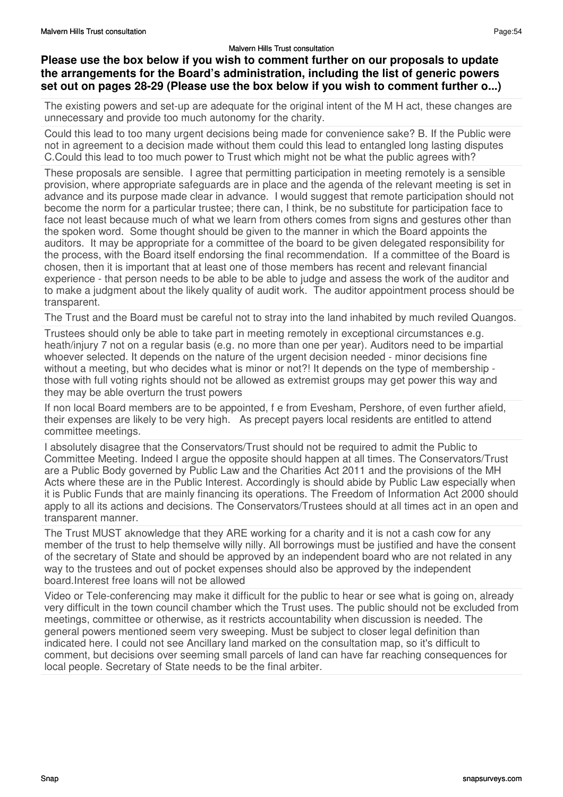## **Please use the box below if you wish to comment further on our proposals to update the arrangements for the Board's administration, including the list of generic powers set out on pages 28-29 (Please use the box below if you wish to comment further o...)**

The existing powers and set-up are adequate for the original intent of the M H act, these changes are unnecessary and provide too much autonomy for the charity.

Could this lead to too many urgent decisions being made for convenience sake? B. If the Public were not in agreement to a decision made without them could this lead to entangled long lasting disputes C.Could this lead to too much power to Trust which might not be what the public agrees with?

These proposals are sensible. I agree that permitting participation in meeting remotely is a sensible provision, where appropriate safeguards are in place and the agenda of the relevant meeting is set in advance and its purpose made clear in advance. I would suggest that remote participation should not become the norm for a particular trustee; there can, I think, be no substitute for participation face to face not least because much of what we learn from others comes from signs and gestures other than the spoken word. Some thought should be given to the manner in which the Board appoints the auditors. It may be appropriate for a committee of the board to be given delegated responsibility for the process, with the Board itself endorsing the final recommendation. If a committee of the Board is chosen, then it is important that at least one of those members has recent and relevant financial experience - that person needs to be able to be able to judge and assess the work of the auditor and to make a judgment about the likely quality of audit work. The auditor appointment process should be transparent.

The Trust and the Board must be careful not to stray into the land inhabited by much reviled Quangos.

Trustees should only be able to take part in meeting remotely in exceptional circumstances e.g. heath/injury 7 not on a regular basis (e.g. no more than one per year). Auditors need to be impartial whoever selected. It depends on the nature of the urgent decision needed - minor decisions fine without a meeting, but who decides what is minor or not?! It depends on the type of membership those with full voting rights should not be allowed as extremist groups may get power this way and they may be able overturn the trust powers

If non local Board members are to be appointed, f e from Evesham, Pershore, of even further afield, their expenses are likely to be very high. As precept payers local residents are entitled to attend committee meetings.

I absolutely disagree that the Conservators/Trust should not be required to admit the Public to Committee Meeting. Indeed I argue the opposite should happen at all times. The Conservators/Trust are a Public Body governed by Public Law and the Charities Act 2011 and the provisions of the MH Acts where these are in the Public Interest. Accordingly is should abide by Public Law especially when it is Public Funds that are mainly financing its operations. The Freedom of Information Act 2000 should apply to all its actions and decisions. The Conservators/Trustees should at all times act in an open and transparent manner.

The Trust MUST aknowledge that they ARE working for a charity and it is not a cash cow for any member of the trust to help themselve willy nilly. All borrowings must be justified and have the consent of the secretary of State and should be approved by an independent board who are not related in any way to the trustees and out of pocket expenses should also be approved by the independent board.Interest free loans will not be allowed

Video or Tele-conferencing may make it difficult for the public to hear or see what is going on, already very difficult in the town council chamber which the Trust uses. The public should not be excluded from meetings, committee or otherwise, as it restricts accountability when discussion is needed. The general powers mentioned seem very sweeping. Must be subject to closer legal definition than indicated here. I could not see Ancillary land marked on the consultation map, so it's difficult to comment, but decisions over seeming small parcels of land can have far reaching consequences for local people. Secretary of State needs to be the final arbiter.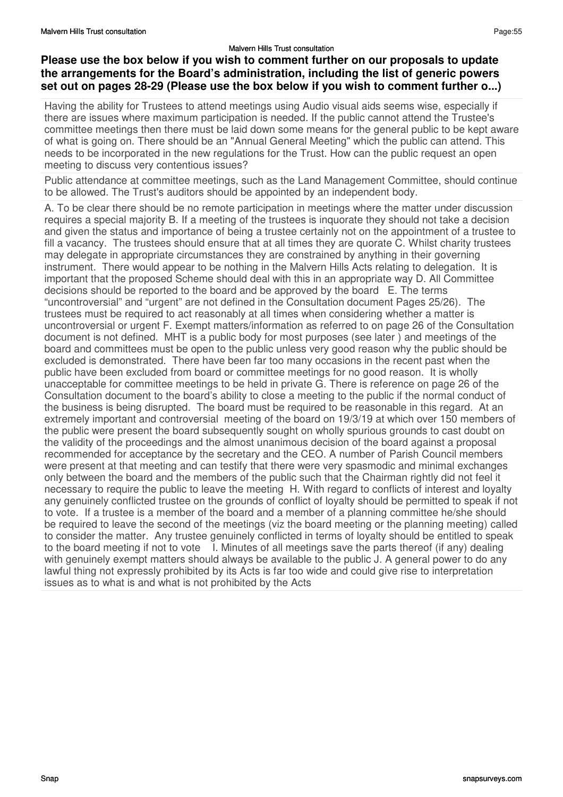## Page:55

## **Please use the box below if you wish to comment further on our proposals to update the arrangements for the Board's administration, including the list of generic powers set out on pages 28-29 (Please use the box below if you wish to comment further o...)**

Having the ability for Trustees to attend meetings using Audio visual aids seems wise, especially if there are issues where maximum participation is needed. If the public cannot attend the Trustee's committee meetings then there must be laid down some means for the general public to be kept aware of what is going on. There should be an "Annual General Meeting" which the public can attend. This needs to be incorporated in the new regulations for the Trust. How can the public request an open meeting to discuss very contentious issues?

Public attendance at committee meetings, such as the Land Management Committee, should continue to be allowed. The Trust's auditors should be appointed by an independent body.

A. To be clear there should be no remote participation in meetings where the matter under discussion requires a special majority B. If a meeting of the trustees is inquorate they should not take a decision and given the status and importance of being a trustee certainly not on the appointment of a trustee to fill a vacancy. The trustees should ensure that at all times they are quorate C. Whilst charity trustees may delegate in appropriate circumstances they are constrained by anything in their governing instrument. There would appear to be nothing in the Malvern Hills Acts relating to delegation. It is important that the proposed Scheme should deal with this in an appropriate way D. All Committee decisions should be reported to the board and be approved by the board E. The terms "uncontroversial" and "urgent" are not defined in the Consultation document Pages 25/26). The trustees must be required to act reasonably at all times when considering whether a matter is uncontroversial or urgent F. Exempt matters/information as referred to on page 26 of the Consultation document is not defined. MHT is a public body for most purposes (see later ) and meetings of the board and committees must be open to the public unless very good reason why the public should be excluded is demonstrated. There have been far too many occasions in the recent past when the public have been excluded from board or committee meetings for no good reason. It is wholly unacceptable for committee meetings to be held in private G. There is reference on page 26 of the Consultation document to the board's ability to close a meeting to the public if the normal conduct of the business is being disrupted. The board must be required to be reasonable in this regard. At an extremely important and controversial meeting of the board on 19/3/19 at which over 150 members of the public were present the board subsequently sought on wholly spurious grounds to cast doubt on the validity of the proceedings and the almost unanimous decision of the board against a proposal recommended for acceptance by the secretary and the CEO. A number of Parish Council members were present at that meeting and can testify that there were very spasmodic and minimal exchanges only between the board and the members of the public such that the Chairman rightly did not feel it necessary to require the public to leave the meeting H. With regard to conflicts of interest and loyalty any genuinely conflicted trustee on the grounds of conflict of loyalty should be permitted to speak if not to vote. If a trustee is a member of the board and a member of a planning committee he/she should be required to leave the second of the meetings (viz the board meeting or the planning meeting) called to consider the matter. Any trustee genuinely conflicted in terms of loyalty should be entitled to speak to the board meeting if not to vote I. Minutes of all meetings save the parts thereof (if any) dealing with genuinely exempt matters should always be available to the public J. A general power to do any lawful thing not expressly prohibited by its Acts is far too wide and could give rise to interpretation issues as to what is and what is not prohibited by the Acts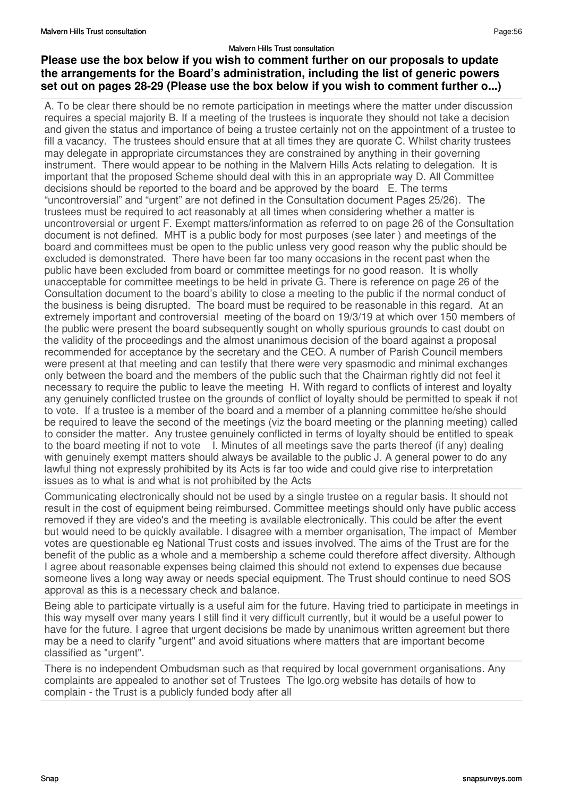## **Please use the box below if you wish to comment further on our proposals to update the arrangements for the Board's administration, including the list of generic powers set out on pages 28-29 (Please use the box below if you wish to comment further o...)**

A. To be clear there should be no remote participation in meetings where the matter under discussion requires a special majority B. If a meeting of the trustees is inquorate they should not take a decision and given the status and importance of being a trustee certainly not on the appointment of a trustee to fill a vacancy. The trustees should ensure that at all times they are quorate C. Whilst charity trustees may delegate in appropriate circumstances they are constrained by anything in their governing instrument. There would appear to be nothing in the Malvern Hills Acts relating to delegation. It is important that the proposed Scheme should deal with this in an appropriate way D. All Committee decisions should be reported to the board and be approved by the board E. The terms "uncontroversial" and "urgent" are not defined in the Consultation document Pages 25/26). The trustees must be required to act reasonably at all times when considering whether a matter is uncontroversial or urgent F. Exempt matters/information as referred to on page 26 of the Consultation document is not defined. MHT is a public body for most purposes (see later ) and meetings of the board and committees must be open to the public unless very good reason why the public should be excluded is demonstrated. There have been far too many occasions in the recent past when the public have been excluded from board or committee meetings for no good reason. It is wholly unacceptable for committee meetings to be held in private G. There is reference on page 26 of the Consultation document to the board's ability to close a meeting to the public if the normal conduct of the business is being disrupted. The board must be required to be reasonable in this regard. At an extremely important and controversial meeting of the board on 19/3/19 at which over 150 members of the public were present the board subsequently sought on wholly spurious grounds to cast doubt on the validity of the proceedings and the almost unanimous decision of the board against a proposal recommended for acceptance by the secretary and the CEO. A number of Parish Council members were present at that meeting and can testify that there were very spasmodic and minimal exchanges only between the board and the members of the public such that the Chairman rightly did not feel it necessary to require the public to leave the meeting H. With regard to conflicts of interest and loyalty any genuinely conflicted trustee on the grounds of conflict of loyalty should be permitted to speak if not to vote. If a trustee is a member of the board and a member of a planning committee he/she should be required to leave the second of the meetings (viz the board meeting or the planning meeting) called to consider the matter. Any trustee genuinely conflicted in terms of loyalty should be entitled to speak to the board meeting if not to vote I. Minutes of all meetings save the parts thereof (if any) dealing with genuinely exempt matters should always be available to the public J. A general power to do any lawful thing not expressly prohibited by its Acts is far too wide and could give rise to interpretation issues as to what is and what is not prohibited by the Acts

Communicating electronically should not be used by a single trustee on a regular basis. It should not result in the cost of equipment being reimbursed. Committee meetings should only have public access removed if they are video's and the meeting is available electronically. This could be after the event but would need to be quickly available. I disagree with a member organisation, The impact of Member votes are questionable eg National Trust costs and issues involved. The aims of the Trust are for the benefit of the public as a whole and a membership a scheme could therefore affect diversity. Although I agree about reasonable expenses being claimed this should not extend to expenses due because someone lives a long way away or needs special equipment. The Trust should continue to need SOS approval as this is a necessary check and balance.

Being able to participate virtually is a useful aim for the future. Having tried to participate in meetings in this way myself over many years I still find it very difficult currently, but it would be a useful power to have for the future. I agree that urgent decisions be made by unanimous written agreement but there may be a need to clarify "urgent" and avoid situations where matters that are important become classified as "urgent".

There is no independent Ombudsman such as that required by local government organisations. Any complaints are appealed to another set of Trustees The lgo.org website has details of how to complain - the Trust is a publicly funded body after all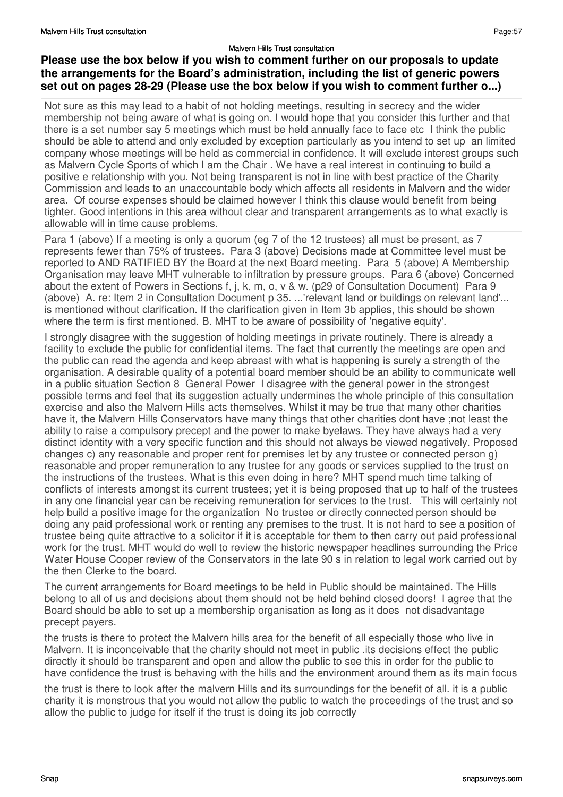## **Please use the box below if you wish to comment further on our proposals to update the arrangements for the Board's administration, including the list of generic powers set out on pages 28-29 (Please use the box below if you wish to comment further o...)**

Not sure as this may lead to a habit of not holding meetings, resulting in secrecy and the wider membership not being aware of what is going on. I would hope that you consider this further and that there is a set number say 5 meetings which must be held annually face to face etc I think the public should be able to attend and only excluded by exception particularly as you intend to set up an limited company whose meetings will be held as commercial in confidence. It will exclude interest groups such as Malvern Cycle Sports of which I am the Chair . We have a real interest in continuing to build a positive e relationship with you. Not being transparent is not in line with best practice of the Charity Commission and leads to an unaccountable body which affects all residents in Malvern and the wider area. Of course expenses should be claimed however I think this clause would benefit from being tighter. Good intentions in this area without clear and transparent arrangements as to what exactly is allowable will in time cause problems.

Para 1 (above) If a meeting is only a quorum (eg 7 of the 12 trustees) all must be present, as 7 represents fewer than 75% of trustees. Para 3 (above) Decisions made at Committee level must be reported to AND RATIFIED BY the Board at the next Board meeting. Para 5 (above) A Membership Organisation may leave MHT vulnerable to infiltration by pressure groups. Para 6 (above) Concerned about the extent of Powers in Sections f, j, k, m, o, v & w. (p29 of Consultation Document) Para 9 (above) A. re: Item 2 in Consultation Document p 35. ...'relevant land or buildings on relevant land'... is mentioned without clarification. If the clarification given in Item 3b applies, this should be shown where the term is first mentioned. B. MHT to be aware of possibility of 'negative equity'.

I strongly disagree with the suggestion of holding meetings in private routinely. There is already a facility to exclude the public for confidential items. The fact that currently the meetings are open and the public can read the agenda and keep abreast with what is happening is surely a strength of the organisation. A desirable quality of a potential board member should be an ability to communicate well in a public situation Section 8 General Power I disagree with the general power in the strongest possible terms and feel that its suggestion actually undermines the whole principle of this consultation exercise and also the Malvern Hills acts themselves. Whilst it may be true that many other charities have it, the Malvern Hills Conservators have many things that other charities dont have ;not least the ability to raise a compulsory precept and the power to make byelaws. They have always had a very distinct identity with a very specific function and this should not always be viewed negatively. Proposed changes c) any reasonable and proper rent for premises let by any trustee or connected person g) reasonable and proper remuneration to any trustee for any goods or services supplied to the trust on the instructions of the trustees. What is this even doing in here? MHT spend much time talking of conflicts of interests amongst its current trustees; yet it is being proposed that up to half of the trustees in any one financial year can be receiving remuneration for services to the trust. This will certainly not help build a positive image for the organization No trustee or directly connected person should be doing any paid professional work or renting any premises to the trust. It is not hard to see a position of trustee being quite attractive to a solicitor if it is acceptable for them to then carry out paid professional work for the trust. MHT would do well to review the historic newspaper headlines surrounding the Price Water House Cooper review of the Conservators in the late 90 s in relation to legal work carried out by the then Clerke to the board.

The current arrangements for Board meetings to be held in Public should be maintained. The Hills belong to all of us and decisions about them should not be held behind closed doors! I agree that the Board should be able to set up a membership organisation as long as it does not disadvantage precept payers.

the trusts is there to protect the Malvern hills area for the benefit of all especially those who live in Malvern. It is inconceivable that the charity should not meet in public .its decisions effect the public directly it should be transparent and open and allow the public to see this in order for the public to have confidence the trust is behaving with the hills and the environment around them as its main focus

the trust is there to look after the malvern Hills and its surroundings for the benefit of all. it is a public charity it is monstrous that you would not allow the public to watch the proceedings of the trust and so allow the public to judge for itself if the trust is doing its job correctly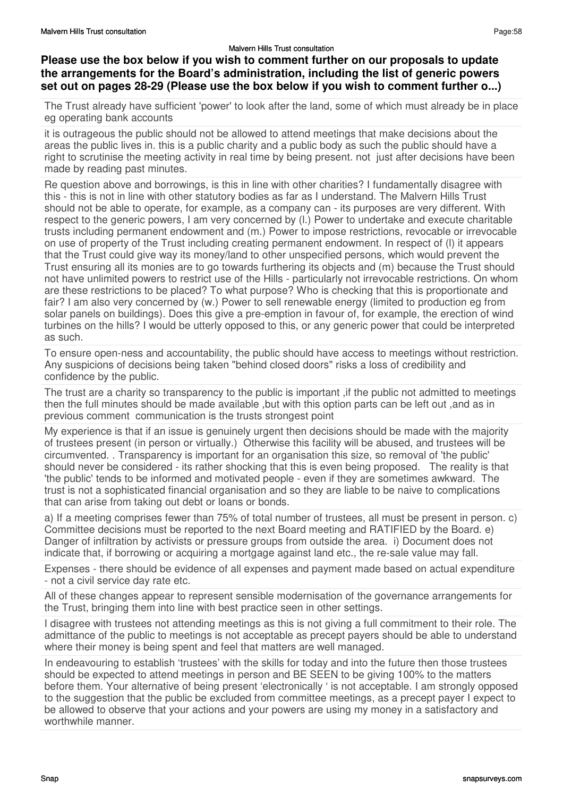# **Please use the box below if you wish to comment further on our proposals to update the arrangements for the Board's administration, including the list of generic powers set out on pages 28-29 (Please use the box below if you wish to comment further o...)**

The Trust already have sufficient 'power' to look after the land, some of which must already be in place eg operating bank accounts

it is outrageous the public should not be allowed to attend meetings that make decisions about the areas the public lives in. this is a public charity and a public body as such the public should have a right to scrutinise the meeting activity in real time by being present. not just after decisions have been made by reading past minutes.

Re question above and borrowings, is this in line with other charities? I fundamentally disagree with this - this is not in line with other statutory bodies as far as I understand. The Malvern Hills Trust should not be able to operate, for example, as a company can - its purposes are very different. With respect to the generic powers, I am very concerned by (l.) Power to undertake and execute charitable trusts including permanent endowment and (m.) Power to impose restrictions, revocable or irrevocable on use of property of the Trust including creating permanent endowment. In respect of (l) it appears that the Trust could give way its money/land to other unspecified persons, which would prevent the Trust ensuring all its monies are to go towards furthering its objects and (m) because the Trust should not have unlimited powers to restrict use of the Hills - particularly not irrevocable restrictions. On whom are these restrictions to be placed? To what purpose? Who is checking that this is proportionate and fair? I am also very concerned by (w.) Power to sell renewable energy (limited to production eg from solar panels on buildings). Does this give a pre-emption in favour of, for example, the erection of wind turbines on the hills? I would be utterly opposed to this, or any generic power that could be interpreted as such.

To ensure open-ness and accountability, the public should have access to meetings without restriction. Any suspicions of decisions being taken "behind closed doors" risks a loss of credibility and confidence by the public.

The trust are a charity so transparency to the public is important ,if the public not admitted to meetings then the full minutes should be made available ,but with this option parts can be left out ,and as in previous comment communication is the trusts strongest point

My experience is that if an issue is genuinely urgent then decisions should be made with the majority of trustees present (in person or virtually.) Otherwise this facility will be abused, and trustees will be circumvented. . Transparency is important for an organisation this size, so removal of 'the public' should never be considered - its rather shocking that this is even being proposed. The reality is that 'the public' tends to be informed and motivated people - even if they are sometimes awkward. The trust is not a sophisticated financial organisation and so they are liable to be naive to complications that can arise from taking out debt or loans or bonds.

a) If a meeting comprises fewer than 75% of total number of trustees, all must be present in person. c) Committee decisions must be reported to the next Board meeting and RATIFIED by the Board. e) Danger of infiltration by activists or pressure groups from outside the area. i) Document does not indicate that, if borrowing or acquiring a mortgage against land etc., the re-sale value may fall.

Expenses - there should be evidence of all expenses and payment made based on actual expenditure - not a civil service day rate etc.

All of these changes appear to represent sensible modernisation of the governance arrangements for the Trust, bringing them into line with best practice seen in other settings.

I disagree with trustees not attending meetings as this is not giving a full commitment to their role. The admittance of the public to meetings is not acceptable as precept payers should be able to understand where their money is being spent and feel that matters are well managed.

In endeavouring to establish 'trustees' with the skills for today and into the future then those trustees should be expected to attend meetings in person and BE SEEN to be giving 100% to the matters before them. Your alternative of being present 'electronically ' is not acceptable. I am strongly opposed to the suggestion that the public be excluded from committee meetings, as a precept payer I expect to be allowed to observe that your actions and your powers are using my money in a satisfactory and worthwhile manner.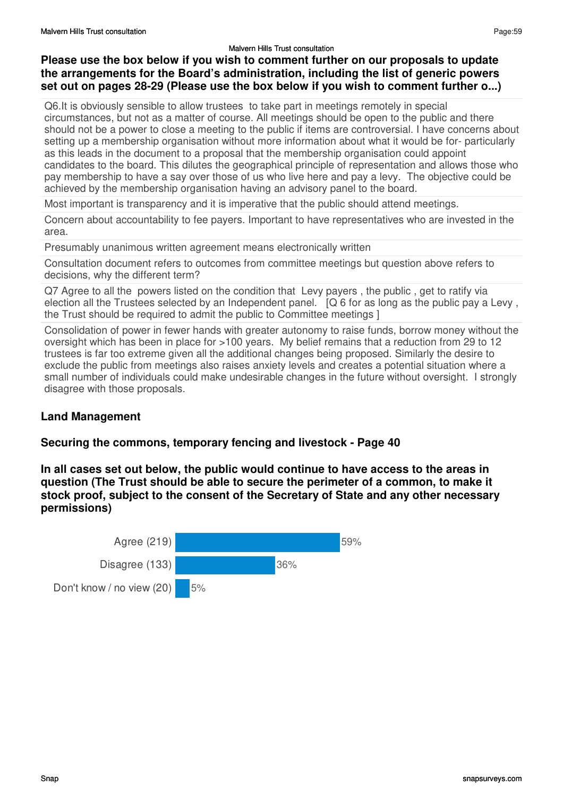## **Please use the box below if you wish to comment further on our proposals to update the arrangements for the Board's administration, including the list of generic powers set out on pages 28-29 (Please use the box below if you wish to comment further o...)**

Q6.It is obviously sensible to allow trustees to take part in meetings remotely in special circumstances, but not as a matter of course. All meetings should be open to the public and there should not be a power to close a meeting to the public if items are controversial. I have concerns about setting up a membership organisation without more information about what it would be for- particularly as this leads in the document to a proposal that the membership organisation could appoint candidates to the board. This dilutes the geographical principle of representation and allows those who pay membership to have a say over those of us who live here and pay a levy. The objective could be achieved by the membership organisation having an advisory panel to the board.

Most important is transparency and it is imperative that the public should attend meetings.

Concern about accountability to fee payers. Important to have representatives who are invested in the area.

Presumably unanimous written agreement means electronically written

Consultation document refers to outcomes from committee meetings but question above refers to decisions, why the different term?

Q7 Agree to all the powers listed on the condition that Levy payers , the public , get to ratify via election all the Trustees selected by an Independent panel. [Q 6 for as long as the public pay a Levy , the Trust should be required to admit the public to Committee meetings ]

Consolidation of power in fewer hands with greater autonomy to raise funds, borrow money without the oversight which has been in place for >100 years. My belief remains that a reduction from 29 to 12 trustees is far too extreme given all the additional changes being proposed. Similarly the desire to exclude the public from meetings also raises anxiety levels and creates a potential situation where a small number of individuals could make undesirable changes in the future without oversight. I strongly disagree with those proposals.

#### **Land Management**

#### **Securing the commons, temporary fencing and livestock - Page 40**

**In all cases set out below, the public would continue to have access to the areas in question (The Trust should be able to secure the perimeter of a common, to make it stock proof, subject to the consent of the Secretary of State and any other necessary permissions)**

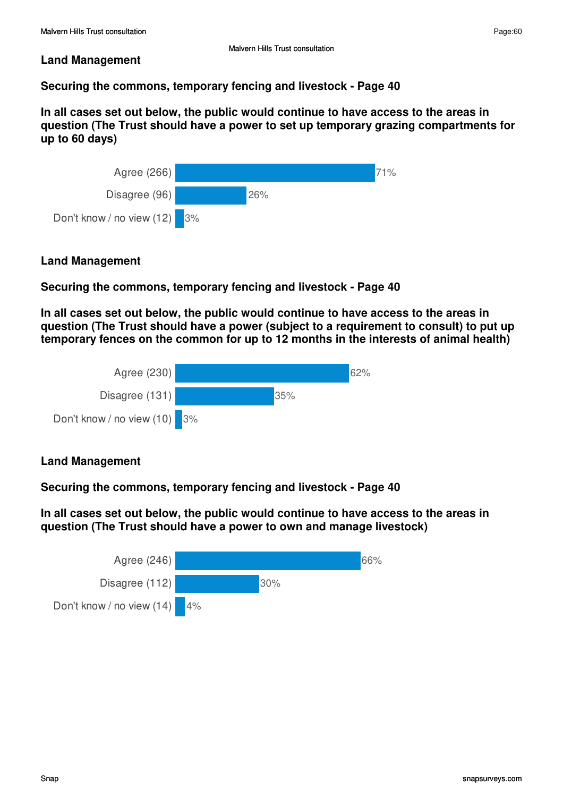Page:60

#### **Land Management**

# **Securing the commons, temporary fencing and livestock - Page 40**

**In all cases set out below, the public would continue to have access to the areas in question (The Trust should have a power to set up temporary grazing compartments for up to 60 days)**



## **Land Management**

# **Securing the commons, temporary fencing and livestock - Page 40**

**In all cases set out below, the public would continue to have access to the areas in question (The Trust should have a power (subject to a requirement to consult) to put up temporary fences on the common for up to 12 months in the interests of animal health)**



## **Land Management**

**Securing the commons, temporary fencing and livestock - Page 40** 

**In all cases set out below, the public would continue to have access to the areas in question (The Trust should have a power to own and manage livestock)**

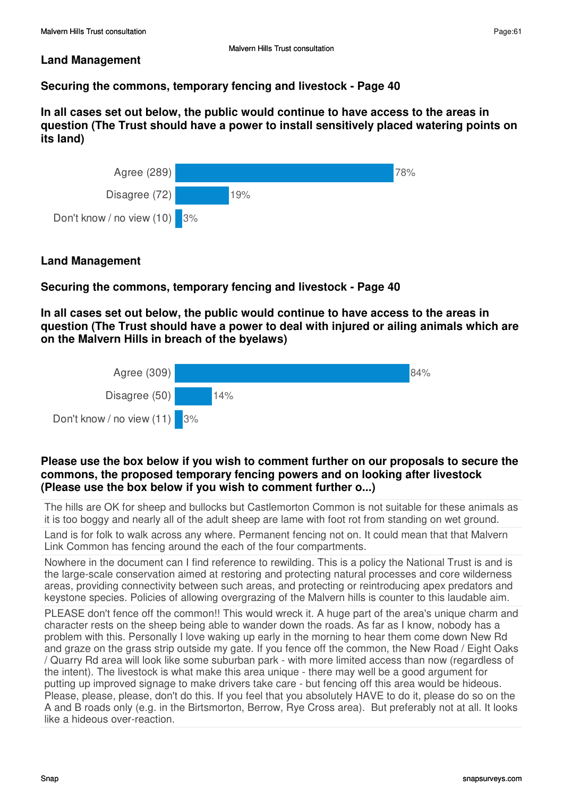#### **Land Management**

# **Securing the commons, temporary fencing and livestock - Page 40**

**In all cases set out below, the public would continue to have access to the areas in question (The Trust should have a power to install sensitively placed watering points on its land)**



## **Land Management**

## **Securing the commons, temporary fencing and livestock - Page 40**

**In all cases set out below, the public would continue to have access to the areas in question (The Trust should have a power to deal with injured or ailing animals which are on the Malvern Hills in breach of the byelaws)**



#### **Please use the box below if you wish to comment further on our proposals to secure the commons, the proposed temporary fencing powers and on looking after livestock (Please use the box below if you wish to comment further o...)**

The hills are OK for sheep and bullocks but Castlemorton Common is not suitable for these animals as it is too boggy and nearly all of the adult sheep are lame with foot rot from standing on wet ground.

Land is for folk to walk across any where. Permanent fencing not on. It could mean that that Malvern Link Common has fencing around the each of the four compartments.

Nowhere in the document can I find reference to rewilding. This is a policy the National Trust is and is the large-scale conservation aimed at restoring and protecting natural processes and core wilderness areas, providing connectivity between such areas, and protecting or reintroducing apex predators and keystone species. Policies of allowing overgrazing of the Malvern hills is counter to this laudable aim.

PLEASE don't fence off the common!! This would wreck it. A huge part of the area's unique charm and character rests on the sheep being able to wander down the roads. As far as I know, nobody has a problem with this. Personally I love waking up early in the morning to hear them come down New Rd and graze on the grass strip outside my gate. If you fence off the common, the New Road / Eight Oaks / Quarry Rd area will look like some suburban park - with more limited access than now (regardless of the intent). The livestock is what make this area unique - there may well be a good argument for putting up improved signage to make drivers take care - but fencing off this area would be hideous. Please, please, please, don't do this. If you feel that you absolutely HAVE to do it, please do so on the A and B roads only (e.g. in the Birtsmorton, Berrow, Rye Cross area). But preferably not at all. It looks like a hideous over-reaction.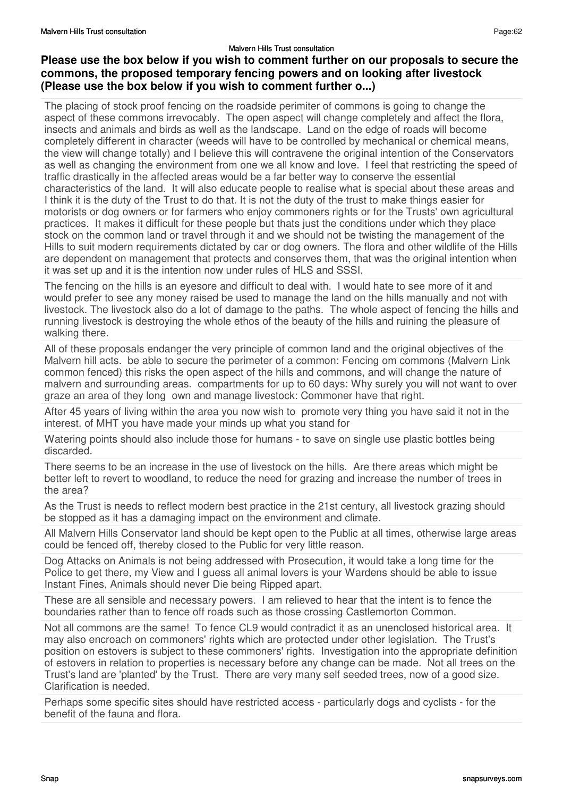# **Please use the box below if you wish to comment further on our proposals to secure the commons, the proposed temporary fencing powers and on looking after livestock (Please use the box below if you wish to comment further o...)**

The placing of stock proof fencing on the roadside perimiter of commons is going to change the aspect of these commons irrevocably. The open aspect will change completely and affect the flora, insects and animals and birds as well as the landscape. Land on the edge of roads will become completely different in character (weeds will have to be controlled by mechanical or chemical means, the view will change totally) and I believe this will contravene the original intention of the Conservators as well as changing the environment from one we all know and love. I feel that restricting the speed of traffic drastically in the affected areas would be a far better way to conserve the essential characteristics of the land. It will also educate people to realise what is special about these areas and I think it is the duty of the Trust to do that. It is not the duty of the trust to make things easier for motorists or dog owners or for farmers who enjoy commoners rights or for the Trusts' own agricultural practices. It makes it difficult for these people but thats just the conditions under which they place stock on the common land or travel through it and we should not be twisting the management of the Hills to suit modern requirements dictated by car or dog owners. The flora and other wildlife of the Hills are dependent on management that protects and conserves them, that was the original intention when it was set up and it is the intention now under rules of HLS and SSSI.

The fencing on the hills is an eyesore and difficult to deal with. I would hate to see more of it and would prefer to see any money raised be used to manage the land on the hills manually and not with livestock. The livestock also do a lot of damage to the paths. The whole aspect of fencing the hills and running livestock is destroying the whole ethos of the beauty of the hills and ruining the pleasure of walking there.

All of these proposals endanger the very principle of common land and the original objectives of the Malvern hill acts. be able to secure the perimeter of a common: Fencing om commons (Malvern Link common fenced) this risks the open aspect of the hills and commons, and will change the nature of malvern and surrounding areas. compartments for up to 60 days: Why surely you will not want to over graze an area of they long own and manage livestock: Commoner have that right.

After 45 years of living within the area you now wish to promote very thing you have said it not in the interest. of MHT you have made your minds up what you stand for

Watering points should also include those for humans - to save on single use plastic bottles being discarded.

There seems to be an increase in the use of livestock on the hills. Are there areas which might be better left to revert to woodland, to reduce the need for grazing and increase the number of trees in the area?

As the Trust is needs to reflect modern best practice in the 21st century, all livestock grazing should be stopped as it has a damaging impact on the environment and climate.

All Malvern Hills Conservator land should be kept open to the Public at all times, otherwise large areas could be fenced off, thereby closed to the Public for very little reason.

Dog Attacks on Animals is not being addressed with Prosecution, it would take a long time for the Police to get there, my View and I guess all animal lovers is your Wardens should be able to issue Instant Fines, Animals should never Die being Ripped apart.

These are all sensible and necessary powers. I am relieved to hear that the intent is to fence the boundaries rather than to fence off roads such as those crossing Castlemorton Common.

Not all commons are the same! To fence CL9 would contradict it as an unenclosed historical area. It may also encroach on commoners' rights which are protected under other legislation. The Trust's position on estovers is subject to these commoners' rights. Investigation into the appropriate definition of estovers in relation to properties is necessary before any change can be made. Not all trees on the Trust's land are 'planted' by the Trust. There are very many self seeded trees, now of a good size. Clarification is needed.

Perhaps some specific sites should have restricted access - particularly dogs and cyclists - for the benefit of the fauna and flora.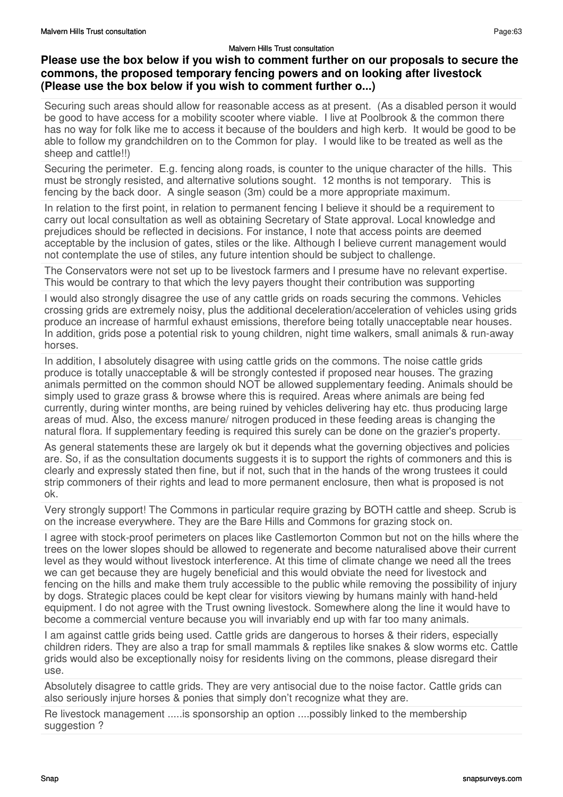## **Please use the box below if you wish to comment further on our proposals to secure the commons, the proposed temporary fencing powers and on looking after livestock (Please use the box below if you wish to comment further o...)**

Securing such areas should allow for reasonable access as at present. (As a disabled person it would be good to have access for a mobility scooter where viable. I live at Poolbrook & the common there has no way for folk like me to access it because of the boulders and high kerb. It would be good to be able to follow my grandchildren on to the Common for play. I would like to be treated as well as the sheep and cattle!!)

Securing the perimeter. E.g. fencing along roads, is counter to the unique character of the hills. This must be strongly resisted, and alternative solutions sought. 12 months is not temporary. This is fencing by the back door. A single season (3m) could be a more appropriate maximum.

In relation to the first point, in relation to permanent fencing I believe it should be a requirement to carry out local consultation as well as obtaining Secretary of State approval. Local knowledge and prejudices should be reflected in decisions. For instance, I note that access points are deemed acceptable by the inclusion of gates, stiles or the like. Although I believe current management would not contemplate the use of stiles, any future intention should be subject to challenge.

The Conservators were not set up to be livestock farmers and I presume have no relevant expertise. This would be contrary to that which the levy payers thought their contribution was supporting

I would also strongly disagree the use of any cattle grids on roads securing the commons. Vehicles crossing grids are extremely noisy, plus the additional deceleration/acceleration of vehicles using grids produce an increase of harmful exhaust emissions, therefore being totally unacceptable near houses. In addition, grids pose a potential risk to young children, night time walkers, small animals & run-away horses.

In addition, I absolutely disagree with using cattle grids on the commons. The noise cattle grids produce is totally unacceptable & will be strongly contested if proposed near houses. The grazing animals permitted on the common should NOT be allowed supplementary feeding. Animals should be simply used to graze grass & browse where this is required. Areas where animals are being fed currently, during winter months, are being ruined by vehicles delivering hay etc. thus producing large areas of mud. Also, the excess manure/ nitrogen produced in these feeding areas is changing the natural flora. If supplementary feeding is required this surely can be done on the grazier's property.

As general statements these are largely ok but it depends what the governing objectives and policies are. So, if as the consultation documents suggests it is to support the rights of commoners and this is clearly and expressly stated then fine, but if not, such that in the hands of the wrong trustees it could strip commoners of their rights and lead to more permanent enclosure, then what is proposed is not ok.

Very strongly support! The Commons in particular require grazing by BOTH cattle and sheep. Scrub is on the increase everywhere. They are the Bare Hills and Commons for grazing stock on.

I agree with stock-proof perimeters on places like Castlemorton Common but not on the hills where the trees on the lower slopes should be allowed to regenerate and become naturalised above their current level as they would without livestock interference. At this time of climate change we need all the trees we can get because they are hugely beneficial and this would obviate the need for livestock and fencing on the hills and make them truly accessible to the public while removing the possibility of injury by dogs. Strategic places could be kept clear for visitors viewing by humans mainly with hand-held equipment. I do not agree with the Trust owning livestock. Somewhere along the line it would have to become a commercial venture because you will invariably end up with far too many animals.

I am against cattle grids being used. Cattle grids are dangerous to horses & their riders, especially children riders. They are also a trap for small mammals & reptiles like snakes & slow worms etc. Cattle grids would also be exceptionally noisy for residents living on the commons, please disregard their use.

Absolutely disagree to cattle grids. They are very antisocial due to the noise factor. Cattle grids can also seriously injure horses & ponies that simply don't recognize what they are.

Re livestock management .....is sponsorship an option ....possibly linked to the membership suggestion ?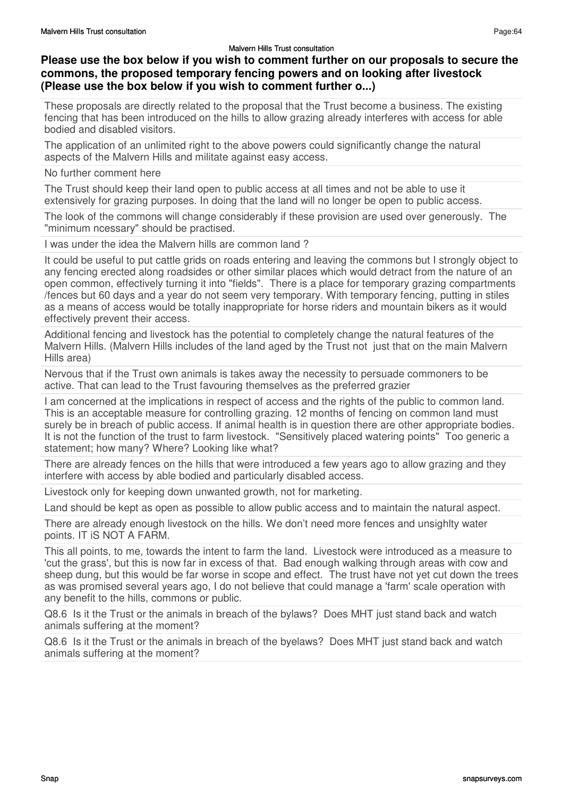## **Please use the box below if you wish to comment further on our proposals to secure the commons, the proposed temporary fencing powers and on looking after livestock (Please use the box below if you wish to comment further o...)**

These proposals are directly related to the proposal that the Trust become a business. The existing fencing that has been introduced on the hills to allow grazing already interferes with access for able bodied and disabled visitors.

The application of an unlimited right to the above powers could significantly change the natural aspects of the Malvern Hills and militate against easy access.

#### No further comment here

The Trust should keep their land open to public access at all times and not be able to use it extensively for grazing purposes. In doing that the land will no longer be open to public access.

The look of the commons will change considerably if these provision are used over generously. The "minimum ncessary" should be practised.

I was under the idea the Malvern hills are common land ?

It could be useful to put cattle grids on roads entering and leaving the commons but I strongly object to any fencing erected along roadsides or other similar places which would detract from the nature of an open common, effectively turning it into "fields". There is a place for temporary grazing compartments /fences but 60 days and a year do not seem very temporary. With temporary fencing, putting in stiles as a means of access would be totally inappropriate for horse riders and mountain bikers as it would effectively prevent their access.

Additional fencing and livestock has the potential to completely change the natural features of the Malvern Hills. (Malvern Hills includes of the land aged by the Trust not just that on the main Malvern Hills area)

Nervous that if the Trust own animals is takes away the necessity to persuade commoners to be active. That can lead to the Trust favouring themselves as the preferred grazier

I am concerned at the implications in respect of access and the rights of the public to common land. This is an acceptable measure for controlling grazing. 12 months of fencing on common land must surely be in breach of public access. If animal health is in question there are other appropriate bodies. It is not the function of the trust to farm livestock. "Sensitively placed watering points" Too generic a statement; how many? Where? Looking like what?

There are already fences on the hills that were introduced a few years ago to allow grazing and they interfere with access by able bodied and particularly disabled access.

Livestock only for keeping down unwanted growth, not for marketing.

Land should be kept as open as possible to allow public access and to maintain the natural aspect.

There are already enough livestock on the hills. We don't need more fences and unsighlty water points. IT iS NOT A FARM.

This all points, to me, towards the intent to farm the land. Livestock were introduced as a measure to 'cut the grass', but this is now far in excess of that. Bad enough walking through areas with cow and sheep dung, but this would be far worse in scope and effect. The trust have not yet cut down the trees as was promised several years ago, I do not believe that could manage a 'farm' scale operation with any benefit to the hills, commons or public.

Q8.6 Is it the Trust or the animals in breach of the bylaws? Does MHT just stand back and watch animals suffering at the moment?

Q8.6 Is it the Trust or the animals in breach of the byelaws? Does MHT just stand back and watch animals suffering at the moment?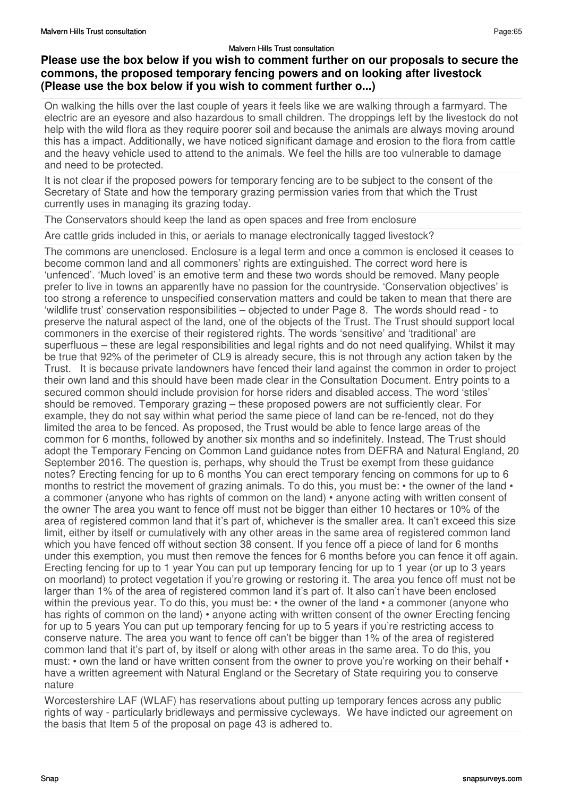## **Please use the box below if you wish to comment further on our proposals to secure the commons, the proposed temporary fencing powers and on looking after livestock (Please use the box below if you wish to comment further o...)**

On walking the hills over the last couple of years it feels like we are walking through a farmyard. The electric are an eyesore and also hazardous to small children. The droppings left by the livestock do not help with the wild flora as they require poorer soil and because the animals are always moving around this has a impact. Additionally, we have noticed significant damage and erosion to the flora from cattle and the heavy vehicle used to attend to the animals. We feel the hills are too vulnerable to damage and need to be protected.

It is not clear if the proposed powers for temporary fencing are to be subject to the consent of the Secretary of State and how the temporary grazing permission varies from that which the Trust currently uses in managing its grazing today.

The Conservators should keep the land as open spaces and free from enclosure

Are cattle grids included in this, or aerials to manage electronically tagged livestock?

The commons are unenclosed. Enclosure is a legal term and once a common is enclosed it ceases to become common land and all commoners' rights are extinguished. The correct word here is 'unfenced'. 'Much loved' is an emotive term and these two words should be removed. Many people prefer to live in towns an apparently have no passion for the countryside. 'Conservation objectives' is too strong a reference to unspecified conservation matters and could be taken to mean that there are 'wildlife trust' conservation responsibilities – objected to under Page 8. The words should read - to preserve the natural aspect of the land, one of the objects of the Trust. The Trust should support local commoners in the exercise of their registered rights. The words 'sensitive' and 'traditional' are superfluous – these are legal responsibilities and legal rights and do not need qualifying. Whilst it may be true that 92% of the perimeter of CL9 is already secure, this is not through any action taken by the Trust. It is because private landowners have fenced their land against the common in order to project their own land and this should have been made clear in the Consultation Document. Entry points to a secured common should include provision for horse riders and disabled access. The word 'stiles' should be removed. Temporary grazing – these proposed powers are not sufficiently clear. For example, they do not say within what period the same piece of land can be re-fenced, not do they limited the area to be fenced. As proposed, the Trust would be able to fence large areas of the common for 6 months, followed by another six months and so indefinitely. Instead, The Trust should adopt the Temporary Fencing on Common Land guidance notes from DEFRA and Natural England, 20 September 2016. The question is, perhaps, why should the Trust be exempt from these guidance notes? Erecting fencing for up to 6 months You can erect temporary fencing on commons for up to 6 months to restrict the movement of grazing animals. To do this, you must be: • the owner of the land • a commoner (anyone who has rights of common on the land) • anyone acting with written consent of the owner The area you want to fence off must not be bigger than either 10 hectares or 10% of the area of registered common land that it's part of, whichever is the smaller area. It can't exceed this size limit, either by itself or cumulatively with any other areas in the same area of registered common land which you have fenced off without section 38 consent. If you fence off a piece of land for 6 months under this exemption, you must then remove the fences for 6 months before you can fence it off again. Erecting fencing for up to 1 year You can put up temporary fencing for up to 1 year (or up to 3 years on moorland) to protect vegetation if you're growing or restoring it. The area you fence off must not be larger than 1% of the area of registered common land it's part of. It also can't have been enclosed within the previous year. To do this, you must be: • the owner of the land • a commoner (anyone who has rights of common on the land) • anyone acting with written consent of the owner Erecting fencing for up to 5 years You can put up temporary fencing for up to 5 years if you're restricting access to conserve nature. The area you want to fence off can't be bigger than 1% of the area of registered common land that it's part of, by itself or along with other areas in the same area. To do this, you must: • own the land or have written consent from the owner to prove you're working on their behalf • have a written agreement with Natural England or the Secretary of State requiring you to conserve nature

Worcestershire LAF (WLAF) has reservations about putting up temporary fences across any public rights of way - particularly bridleways and permissive cycleways. We have indicted our agreement on the basis that Item 5 of the proposal on page 43 is adhered to.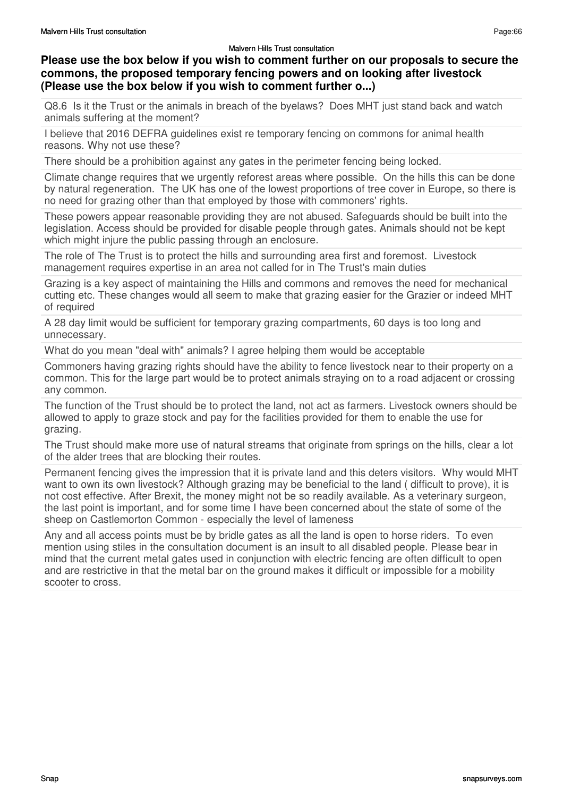## **Please use the box below if you wish to comment further on our proposals to secure the commons, the proposed temporary fencing powers and on looking after livestock (Please use the box below if you wish to comment further o...)**

Q8.6 Is it the Trust or the animals in breach of the byelaws? Does MHT just stand back and watch animals suffering at the moment?

I believe that 2016 DEFRA guidelines exist re temporary fencing on commons for animal health reasons. Why not use these?

There should be a prohibition against any gates in the perimeter fencing being locked.

Climate change requires that we urgently reforest areas where possible. On the hills this can be done by natural regeneration. The UK has one of the lowest proportions of tree cover in Europe, so there is no need for grazing other than that employed by those with commoners' rights.

These powers appear reasonable providing they are not abused. Safeguards should be built into the legislation. Access should be provided for disable people through gates. Animals should not be kept which might injure the public passing through an enclosure.

The role of The Trust is to protect the hills and surrounding area first and foremost. Livestock management requires expertise in an area not called for in The Trust's main duties

Grazing is a key aspect of maintaining the Hills and commons and removes the need for mechanical cutting etc. These changes would all seem to make that grazing easier for the Grazier or indeed MHT of required

A 28 day limit would be sufficient for temporary grazing compartments, 60 days is too long and unnecessary.

What do you mean "deal with" animals? I agree helping them would be acceptable

Commoners having grazing rights should have the ability to fence livestock near to their property on a common. This for the large part would be to protect animals straying on to a road adjacent or crossing any common.

The function of the Trust should be to protect the land, not act as farmers. Livestock owners should be allowed to apply to graze stock and pay for the facilities provided for them to enable the use for grazing.

The Trust should make more use of natural streams that originate from springs on the hills, clear a lot of the alder trees that are blocking their routes.

Permanent fencing gives the impression that it is private land and this deters visitors. Why would MHT want to own its own livestock? Although grazing may be beneficial to the land ( difficult to prove), it is not cost effective. After Brexit, the money might not be so readily available. As a veterinary surgeon, the last point is important, and for some time I have been concerned about the state of some of the sheep on Castlemorton Common - especially the level of lameness

Any and all access points must be by bridle gates as all the land is open to horse riders. To even mention using stiles in the consultation document is an insult to all disabled people. Please bear in mind that the current metal gates used in conjunction with electric fencing are often difficult to open and are restrictive in that the metal bar on the ground makes it difficult or impossible for a mobility scooter to cross.

Page:66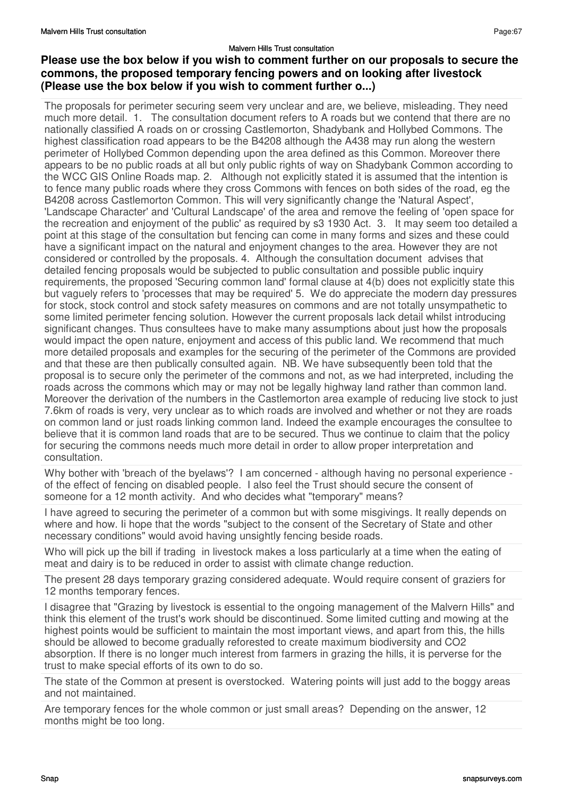## **Please use the box below if you wish to comment further on our proposals to secure the commons, the proposed temporary fencing powers and on looking after livestock (Please use the box below if you wish to comment further o...)**

The proposals for perimeter securing seem very unclear and are, we believe, misleading. They need much more detail. 1. The consultation document refers to A roads but we contend that there are no nationally classified A roads on or crossing Castlemorton, Shadybank and Hollybed Commons. The highest classification road appears to be the B4208 although the A438 may run along the western perimeter of Hollybed Common depending upon the area defined as this Common. Moreover there appears to be no public roads at all but only public rights of way on Shadybank Common according to the WCC GIS Online Roads map. 2. Although not explicitly stated it is assumed that the intention is to fence many public roads where they cross Commons with fences on both sides of the road, eg the B4208 across Castlemorton Common. This will very significantly change the 'Natural Aspect', 'Landscape Character' and 'Cultural Landscape' of the area and remove the feeling of 'open space for the recreation and enjoyment of the public' as required by s3 1930 Act. 3. It may seem too detailed a point at this stage of the consultation but fencing can come in many forms and sizes and these could have a significant impact on the natural and enjoyment changes to the area. However they are not considered or controlled by the proposals. 4. Although the consultation document advises that detailed fencing proposals would be subjected to public consultation and possible public inquiry requirements, the proposed 'Securing common land' formal clause at 4(b) does not explicitly state this but vaguely refers to 'processes that may be required' 5. We do appreciate the modern day pressures for stock, stock control and stock safety measures on commons and are not totally unsympathetic to some limited perimeter fencing solution. However the current proposals lack detail whilst introducing significant changes. Thus consultees have to make many assumptions about just how the proposals would impact the open nature, enjoyment and access of this public land. We recommend that much more detailed proposals and examples for the securing of the perimeter of the Commons are provided and that these are then publically consulted again. NB. We have subsequently been told that the proposal is to secure only the perimeter of the commons and not, as we had interpreted, including the roads across the commons which may or may not be legally highway land rather than common land. Moreover the derivation of the numbers in the Castlemorton area example of reducing live stock to just 7.6km of roads is very, very unclear as to which roads are involved and whether or not they are roads on common land or just roads linking common land. Indeed the example encourages the consultee to believe that it is common land roads that are to be secured. Thus we continue to claim that the policy for securing the commons needs much more detail in order to allow proper interpretation and consultation.

Why bother with 'breach of the byelaws'? I am concerned - although having no personal experience of the effect of fencing on disabled people. I also feel the Trust should secure the consent of someone for a 12 month activity. And who decides what "temporary" means?

I have agreed to securing the perimeter of a common but with some misgivings. It really depends on where and how. Ii hope that the words "subject to the consent of the Secretary of State and other necessary conditions" would avoid having unsightly fencing beside roads.

Who will pick up the bill if trading in livestock makes a loss particularly at a time when the eating of meat and dairy is to be reduced in order to assist with climate change reduction.

The present 28 days temporary grazing considered adequate. Would require consent of graziers for 12 months temporary fences.

I disagree that "Grazing by livestock is essential to the ongoing management of the Malvern Hills" and think this element of the trust's work should be discontinued. Some limited cutting and mowing at the highest points would be sufficient to maintain the most important views, and apart from this, the hills should be allowed to become gradually reforested to create maximum biodiversity and CO2 absorption. If there is no longer much interest from farmers in grazing the hills, it is perverse for the trust to make special efforts of its own to do so.

The state of the Common at present is overstocked. Watering points will just add to the boggy areas and not maintained.

Are temporary fences for the whole common or just small areas? Depending on the answer, 12 months might be too long.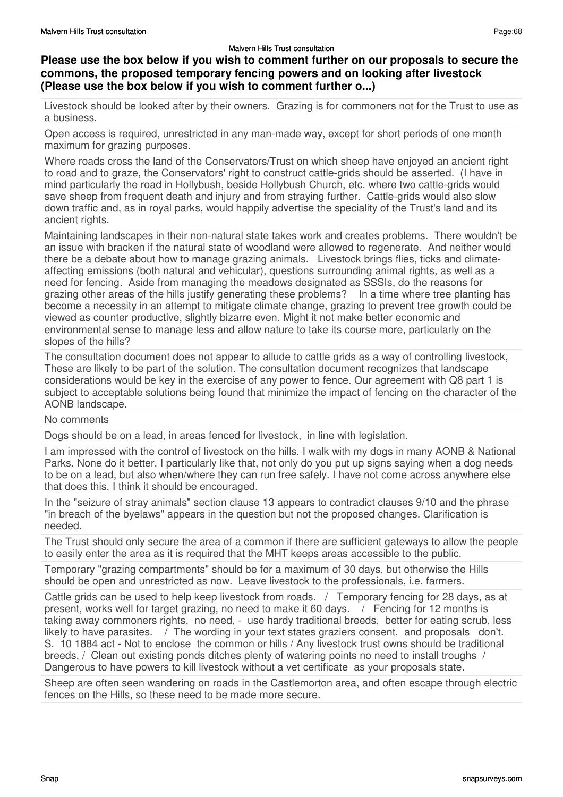## **Please use the box below if you wish to comment further on our proposals to secure the commons, the proposed temporary fencing powers and on looking after livestock (Please use the box below if you wish to comment further o...)**

Livestock should be looked after by their owners. Grazing is for commoners not for the Trust to use as a business.

Open access is required, unrestricted in any man-made way, except for short periods of one month maximum for grazing purposes.

Where roads cross the land of the Conservators/Trust on which sheep have enjoyed an ancient right to road and to graze, the Conservators' right to construct cattle-grids should be asserted. (I have in mind particularly the road in Hollybush, beside Hollybush Church, etc. where two cattle-grids would save sheep from frequent death and injury and from straying further. Cattle-grids would also slow down traffic and, as in royal parks, would happily advertise the speciality of the Trust's land and its ancient rights.

Maintaining landscapes in their non-natural state takes work and creates problems. There wouldn't be an issue with bracken if the natural state of woodland were allowed to regenerate. And neither would there be a debate about how to manage grazing animals. Livestock brings flies, ticks and climateaffecting emissions (both natural and vehicular), questions surrounding animal rights, as well as a need for fencing. Aside from managing the meadows designated as SSSIs, do the reasons for grazing other areas of the hills justify generating these problems? In a time where tree planting has become a necessity in an attempt to mitigate climate change, grazing to prevent tree growth could be viewed as counter productive, slightly bizarre even. Might it not make better economic and environmental sense to manage less and allow nature to take its course more, particularly on the slopes of the hills?

The consultation document does not appear to allude to cattle grids as a way of controlling livestock, These are likely to be part of the solution. The consultation document recognizes that landscape considerations would be key in the exercise of any power to fence. Our agreement with Q8 part 1 is subject to acceptable solutions being found that minimize the impact of fencing on the character of the AONB landscape.

#### No comments

Dogs should be on a lead, in areas fenced for livestock, in line with legislation.

I am impressed with the control of livestock on the hills. I walk with my dogs in many AONB & National Parks. None do it better. I particularly like that, not only do you put up signs saying when a dog needs to be on a lead, but also when/where they can run free safely. I have not come across anywhere else that does this. I think it should be encouraged.

In the "seizure of stray animals" section clause 13 appears to contradict clauses 9/10 and the phrase "in breach of the byelaws" appears in the question but not the proposed changes. Clarification is needed.

The Trust should only secure the area of a common if there are sufficient gateways to allow the people to easily enter the area as it is required that the MHT keeps areas accessible to the public.

Temporary "grazing compartments" should be for a maximum of 30 days, but otherwise the Hills should be open and unrestricted as now. Leave livestock to the professionals, i.e. farmers.

Cattle grids can be used to help keep livestock from roads. / Temporary fencing for 28 days, as at present, works well for target grazing, no need to make it 60 days. / Fencing for 12 months is taking away commoners rights, no need, - use hardy traditional breeds, better for eating scrub, less likely to have parasites.  $\overline{1}$  The wording in your text states graziers consent, and proposals don't. S. 10 1884 act - Not to enclose the common or hills / Any livestock trust owns should be traditional breeds, / Clean out existing ponds ditches plenty of watering points no need to install troughs / Dangerous to have powers to kill livestock without a vet certificate as your proposals state.

Sheep are often seen wandering on roads in the Castlemorton area, and often escape through electric fences on the Hills, so these need to be made more secure.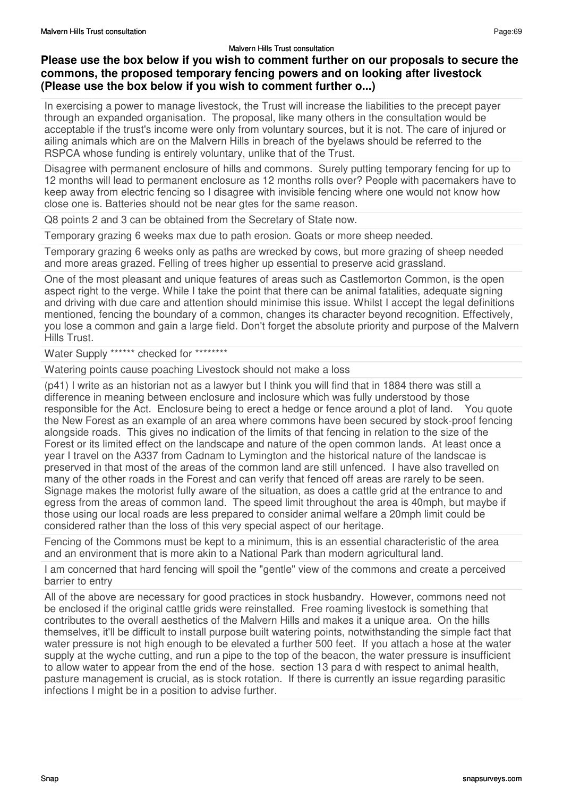## **Please use the box below if you wish to comment further on our proposals to secure the commons, the proposed temporary fencing powers and on looking after livestock (Please use the box below if you wish to comment further o...)**

In exercising a power to manage livestock, the Trust will increase the liabilities to the precept payer through an expanded organisation. The proposal, like many others in the consultation would be acceptable if the trust's income were only from voluntary sources, but it is not. The care of injured or ailing animals which are on the Malvern Hills in breach of the byelaws should be referred to the RSPCA whose funding is entirely voluntary, unlike that of the Trust.

Disagree with permanent enclosure of hills and commons. Surely putting temporary fencing for up to 12 months will lead to permanent enclosure as 12 months rolls over? People with pacemakers have to keep away from electric fencing so I disagree with invisible fencing where one would not know how close one is. Batteries should not be near gtes for the same reason.

Q8 points 2 and 3 can be obtained from the Secretary of State now.

Temporary grazing 6 weeks max due to path erosion. Goats or more sheep needed.

Temporary grazing 6 weeks only as paths are wrecked by cows, but more grazing of sheep needed and more areas grazed. Felling of trees higher up essential to preserve acid grassland.

One of the most pleasant and unique features of areas such as Castlemorton Common, is the open aspect right to the verge. While I take the point that there can be animal fatalities, adequate signing and driving with due care and attention should minimise this issue. Whilst I accept the legal definitions mentioned, fencing the boundary of a common, changes its character beyond recognition. Effectively, you lose a common and gain a large field. Don't forget the absolute priority and purpose of the Malvern Hills Trust.

Water Supply \*\*\*\*\*\* checked for \*\*\*\*\*\*\*\*

Watering points cause poaching Livestock should not make a loss

(p41) I write as an historian not as a lawyer but I think you will find that in 1884 there was still a difference in meaning between enclosure and inclosure which was fully understood by those responsible for the Act. Enclosure being to erect a hedge or fence around a plot of land. You quote the New Forest as an example of an area where commons have been secured by stock-proof fencing alongside roads. This gives no indication of the limits of that fencing in relation to the size of the Forest or its limited effect on the landscape and nature of the open common lands. At least once a year I travel on the A337 from Cadnam to Lymington and the historical nature of the landscae is preserved in that most of the areas of the common land are still unfenced. I have also travelled on many of the other roads in the Forest and can verify that fenced off areas are rarely to be seen. Signage makes the motorist fully aware of the situation, as does a cattle grid at the entrance to and egress from the areas of common land. The speed limit throughout the area is 40mph, but maybe if those using our local roads are less prepared to consider animal welfare a 20mph limit could be considered rather than the loss of this very special aspect of our heritage.

Fencing of the Commons must be kept to a minimum, this is an essential characteristic of the area and an environment that is more akin to a National Park than modern agricultural land.

I am concerned that hard fencing will spoil the "gentle" view of the commons and create a perceived barrier to entry

All of the above are necessary for good practices in stock husbandry. However, commons need not be enclosed if the original cattle grids were reinstalled. Free roaming livestock is something that contributes to the overall aesthetics of the Malvern Hills and makes it a unique area. On the hills themselves, it'll be difficult to install purpose built watering points, notwithstanding the simple fact that water pressure is not high enough to be elevated a further 500 feet. If you attach a hose at the water supply at the wyche cutting, and run a pipe to the top of the beacon, the water pressure is insufficient to allow water to appear from the end of the hose. section 13 para d with respect to animal health, pasture management is crucial, as is stock rotation. If there is currently an issue regarding parasitic infections I might be in a position to advise further.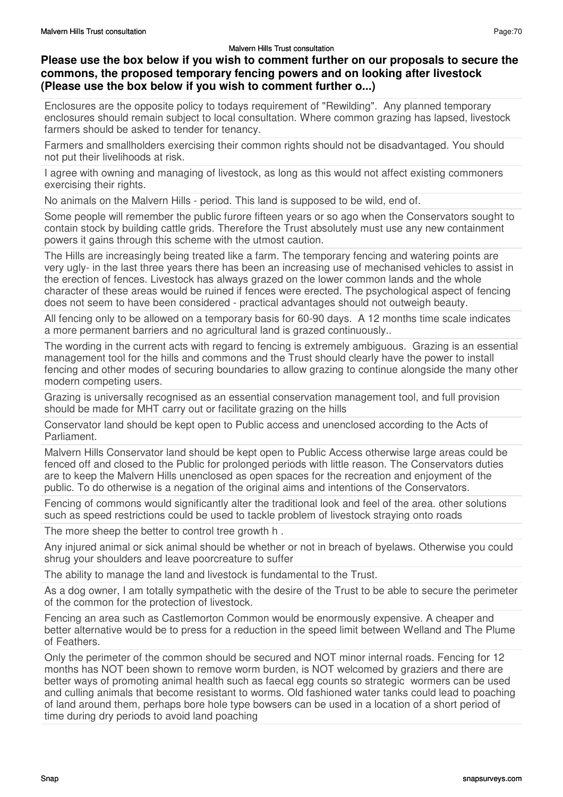## **Please use the box below if you wish to comment further on our proposals to secure the commons, the proposed temporary fencing powers and on looking after livestock (Please use the box below if you wish to comment further o...)**

Enclosures are the opposite policy to todays requirement of "Rewilding". Any planned temporary enclosures should remain subject to local consultation. Where common grazing has lapsed, livestock farmers should be asked to tender for tenancy.

Farmers and smallholders exercising their common rights should not be disadvantaged. You should not put their livelihoods at risk.

I agree with owning and managing of livestock, as long as this would not affect existing commoners exercising their rights.

No animals on the Malvern Hills - period. This land is supposed to be wild, end of.

Some people will remember the public furore fifteen years or so ago when the Conservators sought to contain stock by building cattle grids. Therefore the Trust absolutely must use any new containment powers it gains through this scheme with the utmost caution.

The Hills are increasingly being treated like a farm. The temporary fencing and watering points are very ugly- in the last three years there has been an increasing use of mechanised vehicles to assist in the erection of fences. Livestock has always grazed on the lower common lands and the whole character of these areas would be ruined if fences were erected. The psychological aspect of fencing does not seem to have been considered - practical advantages should not outweigh beauty.

All fencing only to be allowed on a temporary basis for 60-90 days. A 12 months time scale indicates a more permanent barriers and no agricultural land is grazed continuously..

The wording in the current acts with regard to fencing is extremely ambiguous. Grazing is an essential management tool for the hills and commons and the Trust should clearly have the power to install fencing and other modes of securing boundaries to allow grazing to continue alongside the many other modern competing users.

Grazing is universally recognised as an essential conservation management tool, and full provision should be made for MHT carry out or facilitate grazing on the hills

Conservator land should be kept open to Public access and unenclosed according to the Acts of Parliament.

Malvern Hills Conservator land should be kept open to Public Access otherwise large areas could be fenced off and closed to the Public for prolonged periods with little reason. The Conservators duties are to keep the Malvern Hills unenclosed as open spaces for the recreation and enjoyment of the public. To do otherwise is a negation of the original aims and intentions of the Conservators.

Fencing of commons would significantly alter the traditional look and feel of the area. other solutions such as speed restrictions could be used to tackle problem of livestock straying onto roads

The more sheep the better to control tree growth h .

Any injured animal or sick animal should be whether or not in breach of byelaws. Otherwise you could shrug your shoulders and leave poorcreature to suffer

The ability to manage the land and livestock is fundamental to the Trust.

As a dog owner, I am totally sympathetic with the desire of the Trust to be able to secure the perimeter of the common for the protection of livestock.

Fencing an area such as Castlemorton Common would be enormously expensive. A cheaper and better alternative would be to press for a reduction in the speed limit between Welland and The Plume of Feathers.

Only the perimeter of the common should be secured and NOT minor internal roads. Fencing for 12 months has NOT been shown to remove worm burden, is NOT welcomed by graziers and there are better ways of promoting animal health such as faecal egg counts so strategic wormers can be used and culling animals that become resistant to worms. Old fashioned water tanks could lead to poaching of land around them, perhaps bore hole type bowsers can be used in a location of a short period of time during dry periods to avoid land poaching

Page:70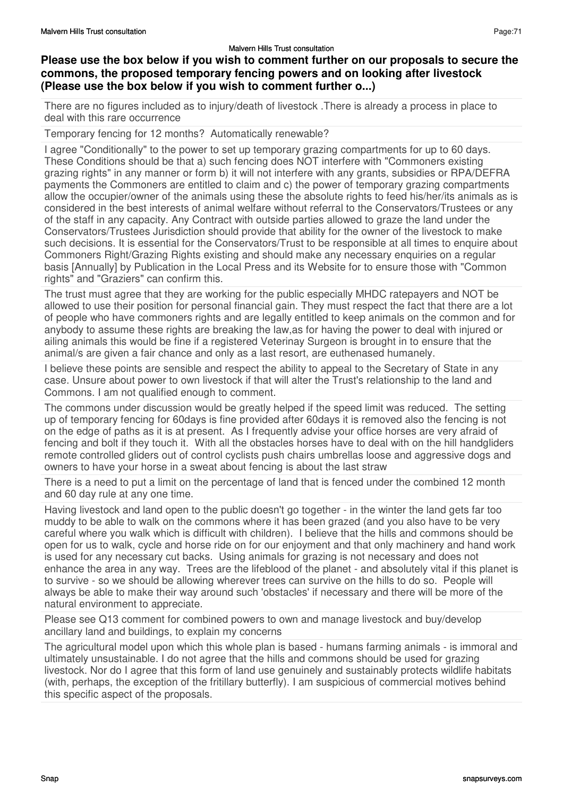## **Please use the box below if you wish to comment further on our proposals to secure the commons, the proposed temporary fencing powers and on looking after livestock (Please use the box below if you wish to comment further o...)**

There are no figures included as to injury/death of livestock .There is already a process in place to deal with this rare occurrence

Temporary fencing for 12 months? Automatically renewable?

I agree "Conditionally" to the power to set up temporary grazing compartments for up to 60 days. These Conditions should be that a) such fencing does NOT interfere with "Commoners existing grazing rights" in any manner or form b) it will not interfere with any grants, subsidies or RPA/DEFRA payments the Commoners are entitled to claim and c) the power of temporary grazing compartments allow the occupier/owner of the animals using these the absolute rights to feed his/her/its animals as is considered in the best interests of animal welfare without referral to the Conservators/Trustees or any of the staff in any capacity. Any Contract with outside parties allowed to graze the land under the Conservators/Trustees Jurisdiction should provide that ability for the owner of the livestock to make such decisions. It is essential for the Conservators/Trust to be responsible at all times to enquire about Commoners Right/Grazing Rights existing and should make any necessary enquiries on a regular basis [Annually] by Publication in the Local Press and its Website for to ensure those with "Common rights" and "Graziers" can confirm this.

The trust must agree that they are working for the public especially MHDC ratepayers and NOT be allowed to use their position for personal financial gain. They must respect the fact that there are a lot of people who have commoners rights and are legally entitled to keep animals on the common and for anybody to assume these rights are breaking the law,as for having the power to deal with injured or ailing animals this would be fine if a registered Veterinay Surgeon is brought in to ensure that the animal/s are given a fair chance and only as a last resort, are euthenased humanely.

I believe these points are sensible and respect the ability to appeal to the Secretary of State in any case. Unsure about power to own livestock if that will alter the Trust's relationship to the land and Commons. I am not qualified enough to comment.

The commons under discussion would be greatly helped if the speed limit was reduced. The setting up of temporary fencing for 60days is fine provided after 60days it is removed also the fencing is not on the edge of paths as it is at present. As I frequently advise your office horses are very afraid of fencing and bolt if they touch it. With all the obstacles horses have to deal with on the hill handgliders remote controlled gliders out of control cyclists push chairs umbrellas loose and aggressive dogs and owners to have your horse in a sweat about fencing is about the last straw

There is a need to put a limit on the percentage of land that is fenced under the combined 12 month and 60 day rule at any one time.

Having livestock and land open to the public doesn't go together - in the winter the land gets far too muddy to be able to walk on the commons where it has been grazed (and you also have to be very careful where you walk which is difficult with children). I believe that the hills and commons should be open for us to walk, cycle and horse ride on for our enjoyment and that only machinery and hand work is used for any necessary cut backs. Using animals for grazing is not necessary and does not enhance the area in any way. Trees are the lifeblood of the planet - and absolutely vital if this planet is to survive - so we should be allowing wherever trees can survive on the hills to do so. People will always be able to make their way around such 'obstacles' if necessary and there will be more of the natural environment to appreciate.

Please see Q13 comment for combined powers to own and manage livestock and buy/develop ancillary land and buildings, to explain my concerns

The agricultural model upon which this whole plan is based - humans farming animals - is immoral and ultimately unsustainable. I do not agree that the hills and commons should be used for grazing livestock. Nor do I agree that this form of land use genuinely and sustainably protects wildlife habitats (with, perhaps, the exception of the fritillary butterfly). I am suspicious of commercial motives behind this specific aspect of the proposals.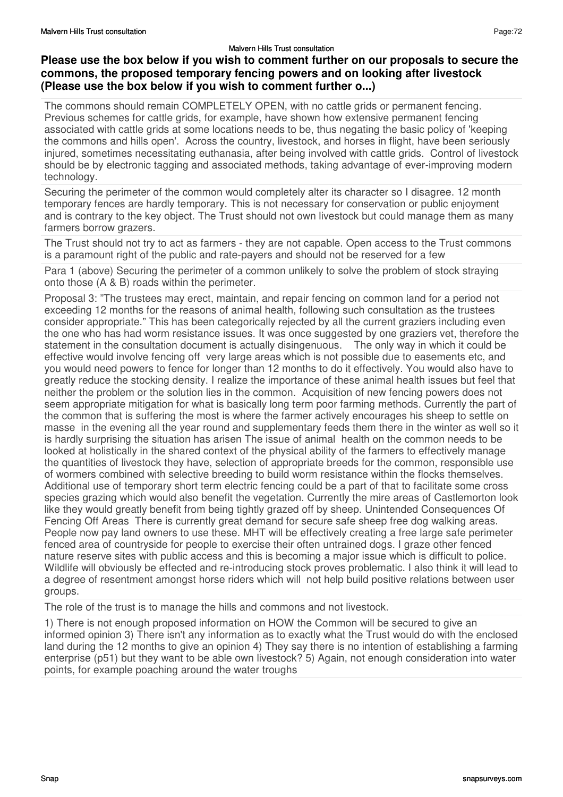# **Please use the box below if you wish to comment further on our proposals to secure the commons, the proposed temporary fencing powers and on looking after livestock (Please use the box below if you wish to comment further o...)**

The commons should remain COMPLETELY OPEN, with no cattle grids or permanent fencing. Previous schemes for cattle grids, for example, have shown how extensive permanent fencing associated with cattle grids at some locations needs to be, thus negating the basic policy of 'keeping the commons and hills open'. Across the country, livestock, and horses in flight, have been seriously injured, sometimes necessitating euthanasia, after being involved with cattle grids. Control of livestock should be by electronic tagging and associated methods, taking advantage of ever-improving modern technology.

Securing the perimeter of the common would completely alter its character so I disagree. 12 month temporary fences are hardly temporary. This is not necessary for conservation or public enjoyment and is contrary to the key object. The Trust should not own livestock but could manage them as many farmers borrow grazers.

The Trust should not try to act as farmers - they are not capable. Open access to the Trust commons is a paramount right of the public and rate-payers and should not be reserved for a few

Para 1 (above) Securing the perimeter of a common unlikely to solve the problem of stock straying onto those (A & B) roads within the perimeter.

Proposal 3: "The trustees may erect, maintain, and repair fencing on common land for a period not exceeding 12 months for the reasons of animal health, following such consultation as the trustees consider appropriate." This has been categorically rejected by all the current graziers including even the one who has had worm resistance issues. It was once suggested by one graziers vet, therefore the statement in the consultation document is actually disingenuous. The only way in which it could be effective would involve fencing off very large areas which is not possible due to easements etc, and you would need powers to fence for longer than 12 months to do it effectively. You would also have to greatly reduce the stocking density. I realize the importance of these animal health issues but feel that neither the problem or the solution lies in the common. Acquisition of new fencing powers does not seem appropriate mitigation for what is basically long term poor farming methods. Currently the part of the common that is suffering the most is where the farmer actively encourages his sheep to settle on masse in the evening all the year round and supplementary feeds them there in the winter as well so it is hardly surprising the situation has arisen The issue of animal health on the common needs to be looked at holistically in the shared context of the physical ability of the farmers to effectively manage the quantities of livestock they have, selection of appropriate breeds for the common, responsible use of wormers combined with selective breeding to build worm resistance within the flocks themselves. Additional use of temporary short term electric fencing could be a part of that to facilitate some cross species grazing which would also benefit the vegetation. Currently the mire areas of Castlemorton look like they would greatly benefit from being tightly grazed off by sheep. Unintended Consequences Of Fencing Off Areas There is currently great demand for secure safe sheep free dog walking areas. People now pay land owners to use these. MHT will be effectively creating a free large safe perimeter fenced area of countryside for people to exercise their often untrained dogs. I graze other fenced nature reserve sites with public access and this is becoming a major issue which is difficult to police. Wildlife will obviously be effected and re-introducing stock proves problematic. I also think it will lead to a degree of resentment amongst horse riders which will not help build positive relations between user groups.

The role of the trust is to manage the hills and commons and not livestock.

1) There is not enough proposed information on HOW the Common will be secured to give an informed opinion 3) There isn't any information as to exactly what the Trust would do with the enclosed land during the 12 months to give an opinion 4) They say there is no intention of establishing a farming enterprise (p51) but they want to be able own livestock? 5) Again, not enough consideration into water points, for example poaching around the water troughs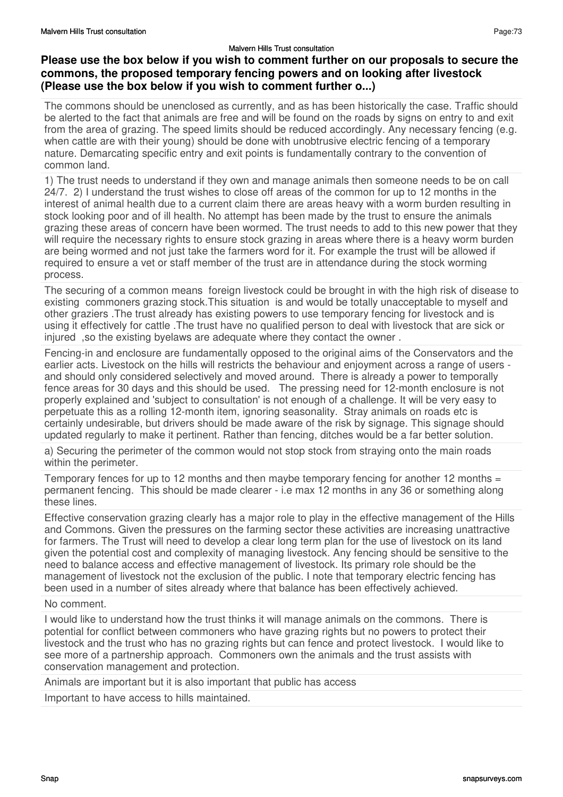# **Please use the box below if you wish to comment further on our proposals to secure the commons, the proposed temporary fencing powers and on looking after livestock (Please use the box below if you wish to comment further o...)**

The commons should be unenclosed as currently, and as has been historically the case. Traffic should be alerted to the fact that animals are free and will be found on the roads by signs on entry to and exit from the area of grazing. The speed limits should be reduced accordingly. Any necessary fencing (e.g. when cattle are with their young) should be done with unobtrusive electric fencing of a temporary nature. Demarcating specific entry and exit points is fundamentally contrary to the convention of common land.

1) The trust needs to understand if they own and manage animals then someone needs to be on call 24/7. 2) I understand the trust wishes to close off areas of the common for up to 12 months in the interest of animal health due to a current claim there are areas heavy with a worm burden resulting in stock looking poor and of ill health. No attempt has been made by the trust to ensure the animals grazing these areas of concern have been wormed. The trust needs to add to this new power that they will require the necessary rights to ensure stock grazing in areas where there is a heavy worm burden are being wormed and not just take the farmers word for it. For example the trust will be allowed if required to ensure a vet or staff member of the trust are in attendance during the stock worming process.

The securing of a common means foreign livestock could be brought in with the high risk of disease to existing commoners grazing stock.This situation is and would be totally unacceptable to myself and other graziers .The trust already has existing powers to use temporary fencing for livestock and is using it effectively for cattle .The trust have no qualified person to deal with livestock that are sick or injured ,so the existing byelaws are adequate where they contact the owner .

Fencing-in and enclosure are fundamentally opposed to the original aims of the Conservators and the earlier acts. Livestock on the hills will restricts the behaviour and enjoyment across a range of users and should only considered selectively and moved around. There is already a power to temporally fence areas for 30 days and this should be used. The pressing need for 12-month enclosure is not properly explained and 'subject to consultation' is not enough of a challenge. It will be very easy to perpetuate this as a rolling 12-month item, ignoring seasonality. Stray animals on roads etc is certainly undesirable, but drivers should be made aware of the risk by signage. This signage should updated regularly to make it pertinent. Rather than fencing, ditches would be a far better solution.

a) Securing the perimeter of the common would not stop stock from straying onto the main roads within the perimeter.

Temporary fences for up to 12 months and then maybe temporary fencing for another 12 months  $=$ permanent fencing. This should be made clearer - i.e max 12 months in any 36 or something along these lines.

Effective conservation grazing clearly has a major role to play in the effective management of the Hills and Commons. Given the pressures on the farming sector these activities are increasing unattractive for farmers. The Trust will need to develop a clear long term plan for the use of livestock on its land given the potential cost and complexity of managing livestock. Any fencing should be sensitive to the need to balance access and effective management of livestock. Its primary role should be the management of livestock not the exclusion of the public. I note that temporary electric fencing has been used in a number of sites already where that balance has been effectively achieved.

### No comment.

I would like to understand how the trust thinks it will manage animals on the commons. There is potential for conflict between commoners who have grazing rights but no powers to protect their livestock and the trust who has no grazing rights but can fence and protect livestock. I would like to see more of a partnership approach. Commoners own the animals and the trust assists with conservation management and protection.

Animals are important but it is also important that public has access

Important to have access to hills maintained.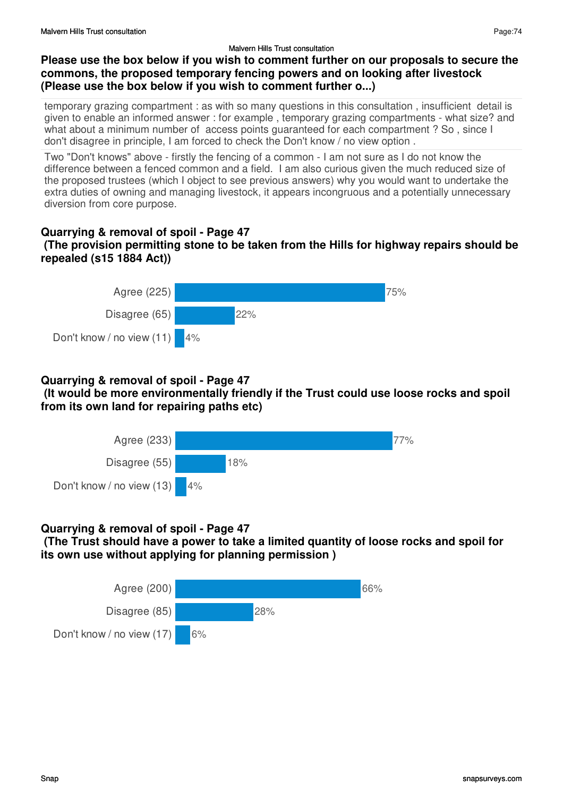# **Please use the box below if you wish to comment further on our proposals to secure the commons, the proposed temporary fencing powers and on looking after livestock (Please use the box below if you wish to comment further o...)**

temporary grazing compartment : as with so many questions in this consultation , insufficient detail is given to enable an informed answer : for example , temporary grazing compartments - what size? and what about a minimum number of access points guaranteed for each compartment ? So, since I don't disagree in principle, I am forced to check the Don't know / no view option .

Two "Don't knows" above - firstly the fencing of a common - I am not sure as I do not know the difference between a fenced common and a field. I am also curious given the much reduced size of the proposed trustees (which I object to see previous answers) why you would want to undertake the extra duties of owning and managing livestock, it appears incongruous and a potentially unnecessary diversion from core purpose.

### **Quarrying & removal of spoil - Page 47 (The provision permitting stone to be taken from the Hills for highway repairs should be repealed (s15 1884 Act))**



# **Quarrying & removal of spoil - Page 47**

 **(It would be more environmentally friendly if the Trust could use loose rocks and spoil from its own land for repairing paths etc)**



# **Quarrying & removal of spoil - Page 47**

 **(The Trust should have a power to take a limited quantity of loose rocks and spoil for its own use without applying for planning permission )**

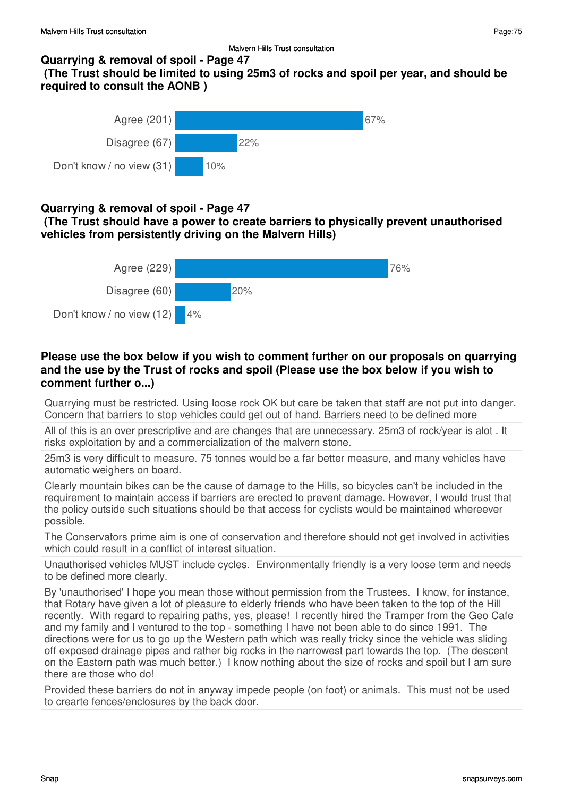### **Quarrying & removal of spoil - Page 47**

 **(The Trust should be limited to using 25m3 of rocks and spoil per year, and should be required to consult the AONB )**



## **Quarrying & removal of spoil - Page 47**

 **(The Trust should have a power to create barriers to physically prevent unauthorised vehicles from persistently driving on the Malvern Hills)**



## **Please use the box below if you wish to comment further on our proposals on quarrying and the use by the Trust of rocks and spoil (Please use the box below if you wish to comment further o...)**

Quarrying must be restricted. Using loose rock OK but care be taken that staff are not put into danger. Concern that barriers to stop vehicles could get out of hand. Barriers need to be defined more

All of this is an over prescriptive and are changes that are unnecessary. 25m3 of rock/year is alot . It risks exploitation by and a commercialization of the malvern stone.

25m3 is very difficult to measure. 75 tonnes would be a far better measure, and many vehicles have automatic weighers on board.

Clearly mountain bikes can be the cause of damage to the Hills, so bicycles can't be included in the requirement to maintain access if barriers are erected to prevent damage. However, I would trust that the policy outside such situations should be that access for cyclists would be maintained whereever possible.

The Conservators prime aim is one of conservation and therefore should not get involved in activities which could result in a conflict of interest situation.

Unauthorised vehicles MUST include cycles. Environmentally friendly is a very loose term and needs to be defined more clearly.

By 'unauthorised' I hope you mean those without permission from the Trustees. I know, for instance, that Rotary have given a lot of pleasure to elderly friends who have been taken to the top of the Hill recently. With regard to repairing paths, yes, please! I recently hired the Tramper from the Geo Cafe and my family and I ventured to the top - something I have not been able to do since 1991. The directions were for us to go up the Western path which was really tricky since the vehicle was sliding off exposed drainage pipes and rather big rocks in the narrowest part towards the top. (The descent on the Eastern path was much better.) I know nothing about the size of rocks and spoil but I am sure there are those who do!

Provided these barriers do not in anyway impede people (on foot) or animals. This must not be used to crearte fences/enclosures by the back door.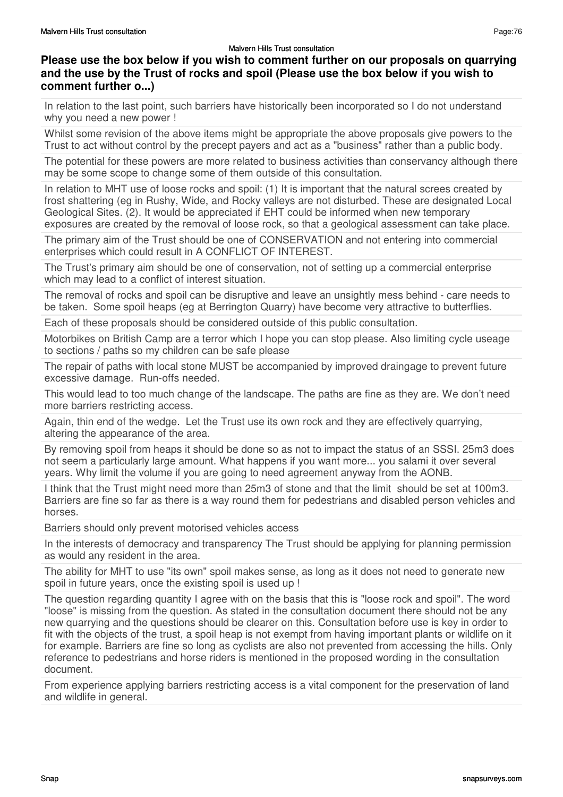# **Please use the box below if you wish to comment further on our proposals on quarrying and the use by the Trust of rocks and spoil (Please use the box below if you wish to comment further o...)**

In relation to the last point, such barriers have historically been incorporated so I do not understand why you need a new power !

Whilst some revision of the above items might be appropriate the above proposals give powers to the Trust to act without control by the precept payers and act as a "business" rather than a public body.

The potential for these powers are more related to business activities than conservancy although there may be some scope to change some of them outside of this consultation.

In relation to MHT use of loose rocks and spoil: (1) It is important that the natural screes created by frost shattering (eg in Rushy, Wide, and Rocky valleys are not disturbed. These are designated Local Geological Sites. (2). It would be appreciated if EHT could be informed when new temporary exposures are created by the removal of loose rock, so that a geological assessment can take place.

The primary aim of the Trust should be one of CONSERVATION and not entering into commercial enterprises which could result in A CONFLICT OF INTEREST.

The Trust's primary aim should be one of conservation, not of setting up a commercial enterprise which may lead to a conflict of interest situation.

The removal of rocks and spoil can be disruptive and leave an unsightly mess behind - care needs to be taken. Some spoil heaps (eg at Berrington Quarry) have become very attractive to butterflies.

Each of these proposals should be considered outside of this public consultation.

Motorbikes on British Camp are a terror which I hope you can stop please. Also limiting cycle useage to sections / paths so my children can be safe please

The repair of paths with local stone MUST be accompanied by improved draingage to prevent future excessive damage. Run-offs needed.

This would lead to too much change of the landscape. The paths are fine as they are. We don't need more barriers restricting access.

Again, thin end of the wedge. Let the Trust use its own rock and they are effectively quarrying, altering the appearance of the area.

By removing spoil from heaps it should be done so as not to impact the status of an SSSI. 25m3 does not seem a particularly large amount. What happens if you want more... you salami it over several years. Why limit the volume if you are going to need agreement anyway from the AONB.

I think that the Trust might need more than 25m3 of stone and that the limit should be set at 100m3. Barriers are fine so far as there is a way round them for pedestrians and disabled person vehicles and horses.

Barriers should only prevent motorised vehicles access

In the interests of democracy and transparency The Trust should be applying for planning permission as would any resident in the area.

The ability for MHT to use "its own" spoil makes sense, as long as it does not need to generate new spoil in future years, once the existing spoil is used up !

The question regarding quantity I agree with on the basis that this is "loose rock and spoil". The word "loose" is missing from the question. As stated in the consultation document there should not be any new quarrying and the questions should be clearer on this. Consultation before use is key in order to fit with the objects of the trust, a spoil heap is not exempt from having important plants or wildlife on it for example. Barriers are fine so long as cyclists are also not prevented from accessing the hills. Only reference to pedestrians and horse riders is mentioned in the proposed wording in the consultation document.

From experience applying barriers restricting access is a vital component for the preservation of land and wildlife in general.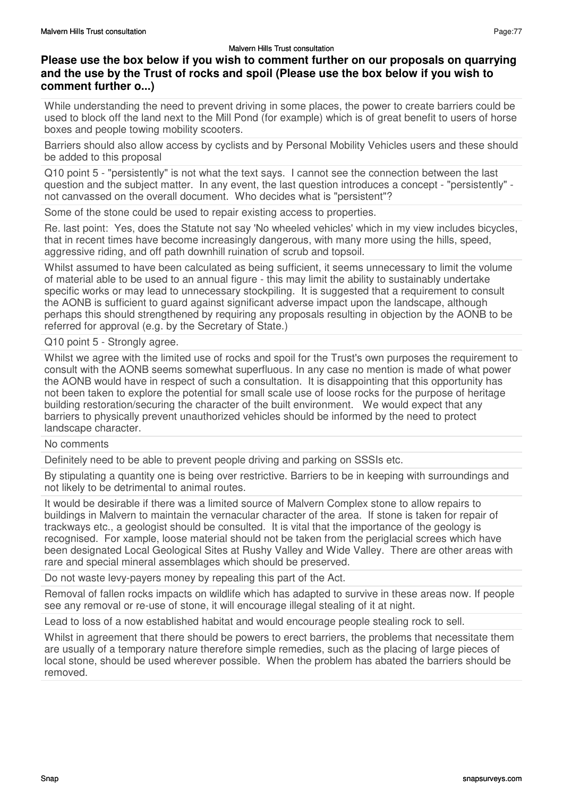# **Please use the box below if you wish to comment further on our proposals on quarrying and the use by the Trust of rocks and spoil (Please use the box below if you wish to comment further o...)**

While understanding the need to prevent driving in some places, the power to create barriers could be used to block off the land next to the Mill Pond (for example) which is of great benefit to users of horse boxes and people towing mobility scooters.

Barriers should also allow access by cyclists and by Personal Mobility Vehicles users and these should be added to this proposal

Q10 point 5 - "persistently" is not what the text says. I cannot see the connection between the last question and the subject matter. In any event, the last question introduces a concept - "persistently" not canvassed on the overall document. Who decides what is "persistent"?

Some of the stone could be used to repair existing access to properties.

Re. last point: Yes, does the Statute not say 'No wheeled vehicles' which in my view includes bicycles, that in recent times have become increasingly dangerous, with many more using the hills, speed, aggressive riding, and off path downhill ruination of scrub and topsoil.

Whilst assumed to have been calculated as being sufficient, it seems unnecessary to limit the volume of material able to be used to an annual figure - this may limit the ability to sustainably undertake specific works or may lead to unnecessary stockpiling. It is suggested that a requirement to consult the AONB is sufficient to guard against significant adverse impact upon the landscape, although perhaps this should strengthened by requiring any proposals resulting in objection by the AONB to be referred for approval (e.g. by the Secretary of State.)

Q10 point 5 - Strongly agree.

Whilst we agree with the limited use of rocks and spoil for the Trust's own purposes the requirement to consult with the AONB seems somewhat superfluous. In any case no mention is made of what power the AONB would have in respect of such a consultation. It is disappointing that this opportunity has not been taken to explore the potential for small scale use of loose rocks for the purpose of heritage building restoration/securing the character of the built environment. We would expect that any barriers to physically prevent unauthorized vehicles should be informed by the need to protect landscape character.

### No comments

Definitely need to be able to prevent people driving and parking on SSSIs etc.

By stipulating a quantity one is being over restrictive. Barriers to be in keeping with surroundings and not likely to be detrimental to animal routes.

It would be desirable if there was a limited source of Malvern Complex stone to allow repairs to buildings in Malvern to maintain the vernacular character of the area. If stone is taken for repair of trackways etc., a geologist should be consulted. It is vital that the importance of the geology is recognised. For xample, loose material should not be taken from the periglacial screes which have been designated Local Geological Sites at Rushy Valley and Wide Valley. There are other areas with rare and special mineral assemblages which should be preserved.

Do not waste levy-payers money by repealing this part of the Act.

Removal of fallen rocks impacts on wildlife which has adapted to survive in these areas now. If people see any removal or re-use of stone, it will encourage illegal stealing of it at night.

Lead to loss of a now established habitat and would encourage people stealing rock to sell.

Whilst in agreement that there should be powers to erect barriers, the problems that necessitate them are usually of a temporary nature therefore simple remedies, such as the placing of large pieces of local stone, should be used wherever possible. When the problem has abated the barriers should be removed.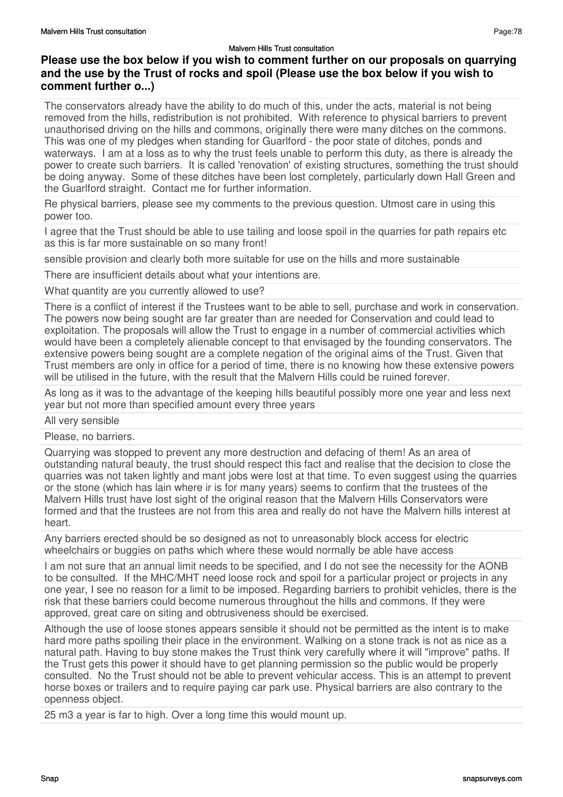# **Please use the box below if you wish to comment further on our proposals on quarrying and the use by the Trust of rocks and spoil (Please use the box below if you wish to comment further o...)**

The conservators already have the ability to do much of this, under the acts, material is not being removed from the hills, redistribution is not prohibited. With reference to physical barriers to prevent unauthorised driving on the hills and commons, originally there were many ditches on the commons. This was one of my pledges when standing for Guarlford - the poor state of ditches, ponds and waterways. I am at a loss as to why the trust feels unable to perform this duty, as there is already the power to create such barriers. It is called 'renovation' of existing structures, something the trust should be doing anyway. Some of these ditches have been lost completely, particularly down Hall Green and the Guarlford straight. Contact me for further information.

Re physical barriers, please see my comments to the previous question. Utmost care in using this power too.

I agree that the Trust should be able to use tailing and loose spoil in the quarries for path repairs etc as this is far more sustainable on so many front!

sensible provision and clearly both more suitable for use on the hills and more sustainable

There are insufficient details about what your intentions are.

What quantity are you currently allowed to use?

There is a conflict of interest if the Trustees want to be able to sell, purchase and work in conservation. The powers now being sought are far greater than are needed for Conservation and could lead to exploitation. The proposals will allow the Trust to engage in a number of commercial activities which would have been a completely alienable concept to that envisaged by the founding conservators. The extensive powers being sought are a complete negation of the original aims of the Trust. Given that Trust members are only in office for a period of time, there is no knowing how these extensive powers will be utilised in the future, with the result that the Malvern Hills could be ruined forever.

As long as it was to the advantage of the keeping hills beautiful possibly more one year and less next year but not more than specified amount every three years

All very sensible

Please, no barriers.

Quarrying was stopped to prevent any more destruction and defacing of them! As an area of outstanding natural beauty, the trust should respect this fact and realise that the decision to close the quarries was not taken lightly and mant jobs were lost at that time. To even suggest using the quarries or the stone (which has lain where ir is for many years) seems to confirm that the trustees of the Malvern Hills trust have lost sight of the original reason that the Malvern Hills Conservators were formed and that the trustees are not from this area and really do not have the Malvern hills interest at heart.

Any barriers erected should be so designed as not to unreasonably block access for electric wheelchairs or buggies on paths which where these would normally be able have access

I am not sure that an annual limit needs to be specified, and I do not see the necessity for the AONB to be consulted. If the MHC/MHT need loose rock and spoil for a particular project or projects in any one year, I see no reason for a limit to be imposed. Regarding barriers to prohibit vehicles, there is the risk that these barriers could become numerous throughout the hills and commons. If they were approved, great care on siting and obtrusiveness should be exercised.

Although the use of loose stones appears sensible it should not be permitted as the intent is to make hard more paths spoiling their place in the environment. Walking on a stone track is not as nice as a natural path. Having to buy stone makes the Trust think very carefully where it will "improve" paths. If the Trust gets this power it should have to get planning permission so the public would be properly consulted. No the Trust should not be able to prevent vehicular access. This is an attempt to prevent horse boxes or trailers and to require paying car park use. Physical barriers are also contrary to the openness object.

25 m3 a year is far to high. Over a long time this would mount up.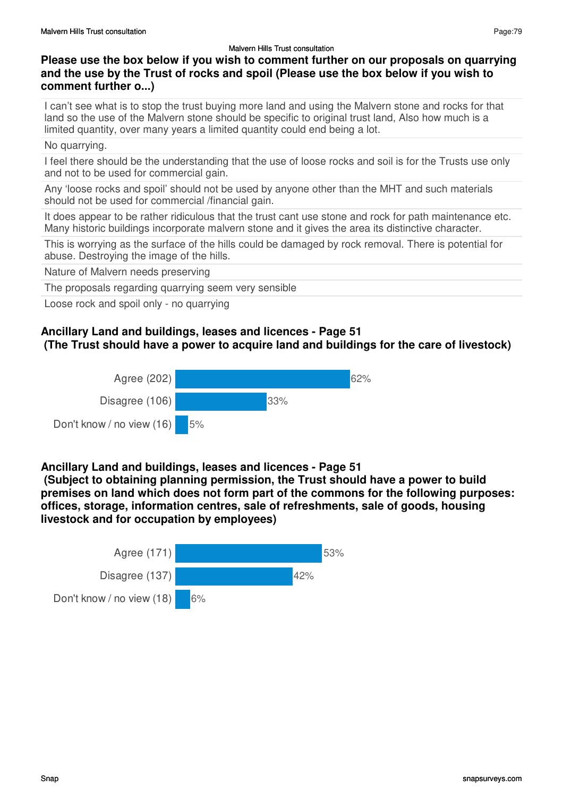# **Please use the box below if you wish to comment further on our proposals on quarrying and the use by the Trust of rocks and spoil (Please use the box below if you wish to comment further o...)**

I can't see what is to stop the trust buying more land and using the Malvern stone and rocks for that land so the use of the Malvern stone should be specific to original trust land, Also how much is a limited quantity, over many years a limited quantity could end being a lot.

### No quarrying.

I feel there should be the understanding that the use of loose rocks and soil is for the Trusts use only and not to be used for commercial gain.

Any 'loose rocks and spoil' should not be used by anyone other than the MHT and such materials should not be used for commercial /financial gain.

It does appear to be rather ridiculous that the trust cant use stone and rock for path maintenance etc. Many historic buildings incorporate malvern stone and it gives the area its distinctive character.

This is worrying as the surface of the hills could be damaged by rock removal. There is potential for abuse. Destroying the image of the hills.

Nature of Malvern needs preserving

The proposals regarding quarrying seem very sensible

Loose rock and spoil only - no quarrying

# **Ancillary Land and buildings, leases and licences - Page 51**

### **(The Trust should have a power to acquire land and buildings for the care of livestock)**



### **Ancillary Land and buildings, leases and licences - Page 51**

 **(Subject to obtaining planning permission, the Trust should have a power to build premises on land which does not form part of the commons for the following purposes: offices, storage, information centres, sale of refreshments, sale of goods, housing livestock and for occupation by employees)**



Page:79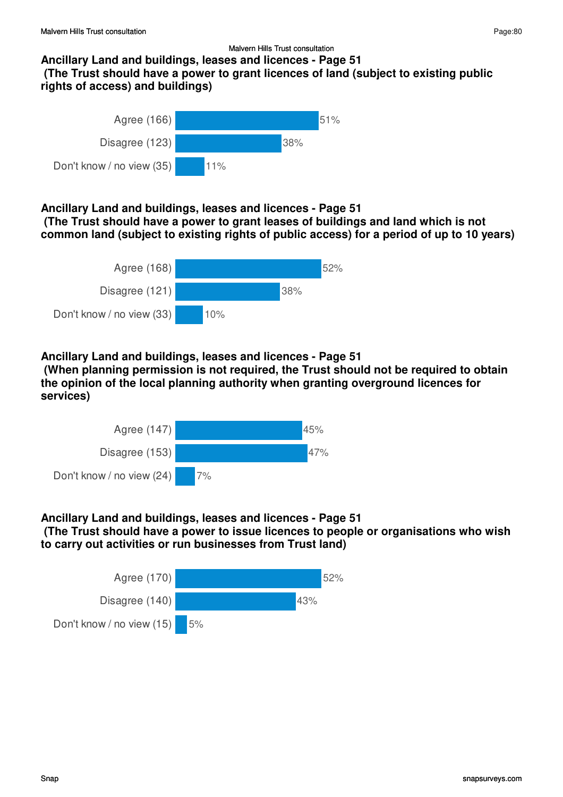### **Ancillary Land and buildings, leases and licences - Page 51 (The Trust should have a power to grant licences of land (subject to existing public rights of access) and buildings)**



### **Ancillary Land and buildings, leases and licences - Page 51**

 **(The Trust should have a power to grant leases of buildings and land which is not common land (subject to existing rights of public access) for a period of up to 10 years)**



### **Ancillary Land and buildings, leases and licences - Page 51**

 **(When planning permission is not required, the Trust should not be required to obtain the opinion of the local planning authority when granting overground licences for services)**



### **Ancillary Land and buildings, leases and licences - Page 51**

 **(The Trust should have a power to issue licences to people or organisations who wish to carry out activities or run businesses from Trust land)**

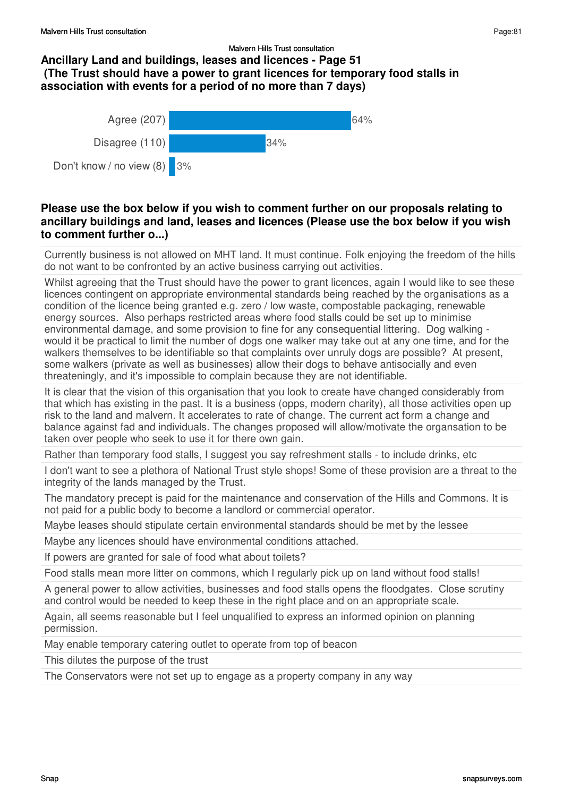### Malvern Hills Trust consultation **Ancillary Land and buildings, leases and licences - Page 51 (The Trust should have a power to grant licences for temporary food stalls in association with events for a period of no more than 7 days)**



# **Please use the box below if you wish to comment further on our proposals relating to ancillary buildings and land, leases and licences (Please use the box below if you wish to comment further o...)**

Currently business is not allowed on MHT land. It must continue. Folk enjoying the freedom of the hills do not want to be confronted by an active business carrying out activities.

Whilst agreeing that the Trust should have the power to grant licences, again I would like to see these licences contingent on appropriate environmental standards being reached by the organisations as a condition of the licence being granted e.g. zero / low waste, compostable packaging, renewable energy sources. Also perhaps restricted areas where food stalls could be set up to minimise environmental damage, and some provision to fine for any consequential littering. Dog walking would it be practical to limit the number of dogs one walker may take out at any one time, and for the walkers themselves to be identifiable so that complaints over unruly dogs are possible? At present, some walkers (private as well as businesses) allow their dogs to behave antisocially and even threateningly, and it's impossible to complain because they are not identifiable.

It is clear that the vision of this organisation that you look to create have changed considerably from that which has existing in the past. It is a business (opps, modern charity), all those activities open up risk to the land and malvern. It accelerates to rate of change. The current act form a change and balance against fad and individuals. The changes proposed will allow/motivate the organsation to be taken over people who seek to use it for there own gain.

Rather than temporary food stalls, I suggest you say refreshment stalls - to include drinks, etc

I don't want to see a plethora of National Trust style shops! Some of these provision are a threat to the integrity of the lands managed by the Trust.

The mandatory precept is paid for the maintenance and conservation of the Hills and Commons. It is not paid for a public body to become a landlord or commercial operator.

Maybe leases should stipulate certain environmental standards should be met by the lessee

Maybe any licences should have environmental conditions attached.

If powers are granted for sale of food what about toilets?

Food stalls mean more litter on commons, which I regularly pick up on land without food stalls!

A general power to allow activities, businesses and food stalls opens the floodgates. Close scrutiny and control would be needed to keep these in the right place and on an appropriate scale.

Again, all seems reasonable but I feel unqualified to express an informed opinion on planning permission.

May enable temporary catering outlet to operate from top of beacon

This dilutes the purpose of the trust

The Conservators were not set up to engage as a property company in any way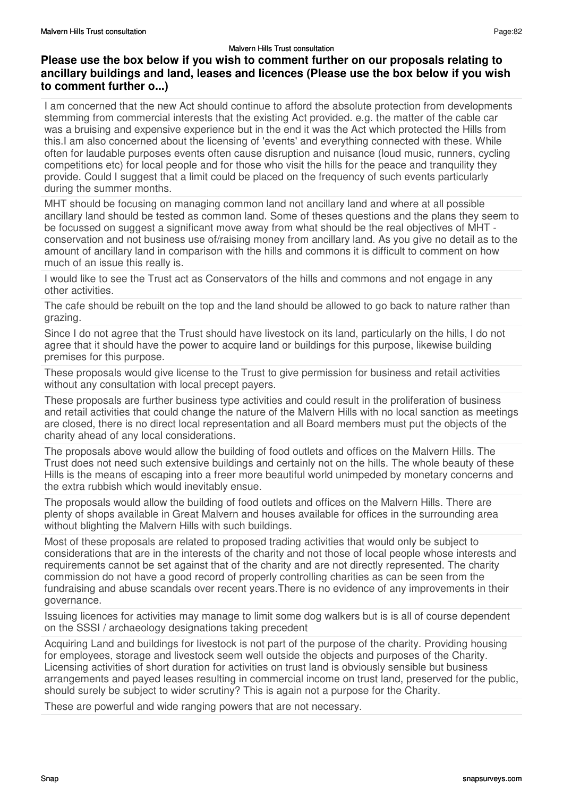I am concerned that the new Act should continue to afford the absolute protection from developments stemming from commercial interests that the existing Act provided. e.g. the matter of the cable car was a bruising and expensive experience but in the end it was the Act which protected the Hills from this.I am also concerned about the licensing of 'events' and everything connected with these. While often for laudable purposes events often cause disruption and nuisance (loud music, runners, cycling competitions etc) for local people and for those who visit the hills for the peace and tranquility they provide. Could I suggest that a limit could be placed on the frequency of such events particularly during the summer months.

MHT should be focusing on managing common land not ancillary land and where at all possible ancillary land should be tested as common land. Some of theses questions and the plans they seem to be focussed on suggest a significant move away from what should be the real objectives of MHT conservation and not business use of/raising money from ancillary land. As you give no detail as to the amount of ancillary land in comparison with the hills and commons it is difficult to comment on how much of an issue this really is.

I would like to see the Trust act as Conservators of the hills and commons and not engage in any other activities.

The cafe should be rebuilt on the top and the land should be allowed to go back to nature rather than grazing.

Since I do not agree that the Trust should have livestock on its land, particularly on the hills, I do not agree that it should have the power to acquire land or buildings for this purpose, likewise building premises for this purpose.

These proposals would give license to the Trust to give permission for business and retail activities without any consultation with local precept payers.

These proposals are further business type activities and could result in the proliferation of business and retail activities that could change the nature of the Malvern Hills with no local sanction as meetings are closed, there is no direct local representation and all Board members must put the objects of the charity ahead of any local considerations.

The proposals above would allow the building of food outlets and offices on the Malvern Hills. The Trust does not need such extensive buildings and certainly not on the hills. The whole beauty of these Hills is the means of escaping into a freer more beautiful world unimpeded by monetary concerns and the extra rubbish which would inevitably ensue.

The proposals would allow the building of food outlets and offices on the Malvern Hills. There are plenty of shops available in Great Malvern and houses available for offices in the surrounding area without blighting the Malvern Hills with such buildings.

Most of these proposals are related to proposed trading activities that would only be subject to considerations that are in the interests of the charity and not those of local people whose interests and requirements cannot be set against that of the charity and are not directly represented. The charity commission do not have a good record of properly controlling charities as can be seen from the fundraising and abuse scandals over recent years.There is no evidence of any improvements in their governance.

Issuing licences for activities may manage to limit some dog walkers but is is all of course dependent on the SSSI / archaeology designations taking precedent

Acquiring Land and buildings for livestock is not part of the purpose of the charity. Providing housing for employees, storage and livestock seem well outside the objects and purposes of the Charity. Licensing activities of short duration for activities on trust land is obviously sensible but business arrangements and payed leases resulting in commercial income on trust land, preserved for the public, should surely be subject to wider scrutiny? This is again not a purpose for the Charity.

These are powerful and wide ranging powers that are not necessary.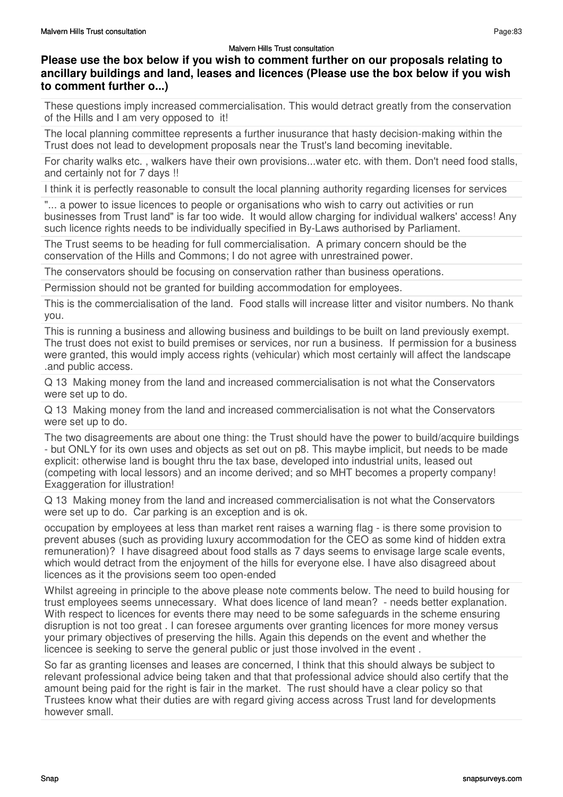# **Please use the box below if you wish to comment further on our proposals relating to ancillary buildings and land, leases and licences (Please use the box below if you wish to comment further o...)**

These questions imply increased commercialisation. This would detract greatly from the conservation of the Hills and I am very opposed to it!

The local planning committee represents a further inusurance that hasty decision-making within the Trust does not lead to development proposals near the Trust's land becoming inevitable.

For charity walks etc. , walkers have their own provisions...water etc. with them. Don't need food stalls, and certainly not for 7 days !!

I think it is perfectly reasonable to consult the local planning authority regarding licenses for services

"... a power to issue licences to people or organisations who wish to carry out activities or run businesses from Trust land" is far too wide. It would allow charging for individual walkers' access! Any such licence rights needs to be individually specified in By-Laws authorised by Parliament.

The Trust seems to be heading for full commercialisation. A primary concern should be the conservation of the Hills and Commons; I do not agree with unrestrained power.

The conservators should be focusing on conservation rather than business operations.

Permission should not be granted for building accommodation for employees.

This is the commercialisation of the land. Food stalls will increase litter and visitor numbers. No thank you.

This is running a business and allowing business and buildings to be built on land previously exempt. The trust does not exist to build premises or services, nor run a business. If permission for a business were granted, this would imply access rights (vehicular) which most certainly will affect the landscape .and public access.

Q 13 Making money from the land and increased commercialisation is not what the Conservators were set up to do.

Q 13 Making money from the land and increased commercialisation is not what the Conservators were set up to do.

The two disagreements are about one thing: the Trust should have the power to build/acquire buildings - but ONLY for its own uses and objects as set out on p8. This maybe implicit, but needs to be made explicit: otherwise land is bought thru the tax base, developed into industrial units, leased out (competing with local lessors) and an income derived; and so MHT becomes a property company! Exaggeration for illustration!

Q 13 Making money from the land and increased commercialisation is not what the Conservators were set up to do. Car parking is an exception and is ok.

occupation by employees at less than market rent raises a warning flag - is there some provision to prevent abuses (such as providing luxury accommodation for the CEO as some kind of hidden extra remuneration)? I have disagreed about food stalls as 7 days seems to envisage large scale events, which would detract from the enjoyment of the hills for everyone else. I have also disagreed about licences as it the provisions seem too open-ended

Whilst agreeing in principle to the above please note comments below. The need to build housing for trust employees seems unnecessary. What does licence of land mean? - needs better explanation. With respect to licences for events there may need to be some safeguards in the scheme ensuring disruption is not too great . I can foresee arguments over granting licences for more money versus your primary objectives of preserving the hills. Again this depends on the event and whether the licencee is seeking to serve the general public or just those involved in the event .

So far as granting licenses and leases are concerned, I think that this should always be subject to relevant professional advice being taken and that that professional advice should also certify that the amount being paid for the right is fair in the market. The rust should have a clear policy so that Trustees know what their duties are with regard giving access across Trust land for developments however small.

Page:83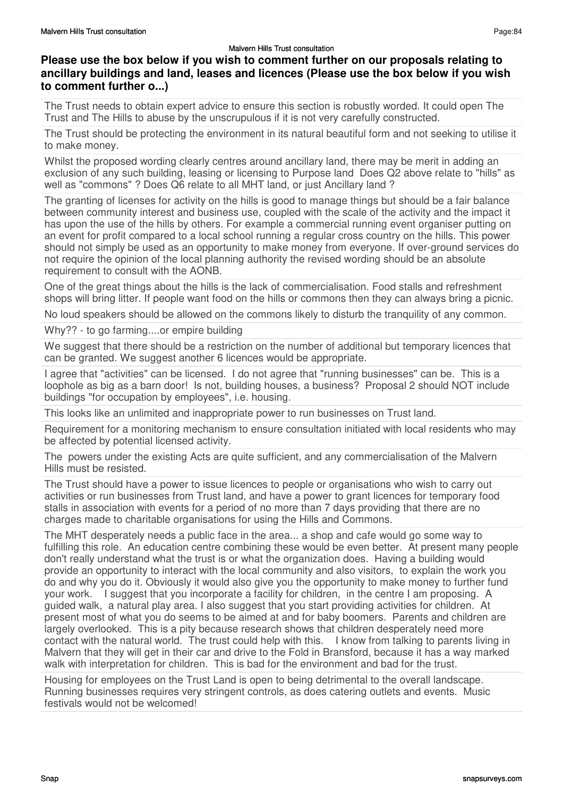## **Please use the box below if you wish to comment further on our proposals relating to ancillary buildings and land, leases and licences (Please use the box below if you wish to comment further o...)**

The Trust needs to obtain expert advice to ensure this section is robustly worded. It could open The Trust and The Hills to abuse by the unscrupulous if it is not very carefully constructed.

The Trust should be protecting the environment in its natural beautiful form and not seeking to utilise it to make money.

Whilst the proposed wording clearly centres around ancillary land, there may be merit in adding an exclusion of any such building, leasing or licensing to Purpose land Does Q2 above relate to "hills" as well as "commons" ? Does Q6 relate to all MHT land, or just Ancillary land ?

The granting of licenses for activity on the hills is good to manage things but should be a fair balance between community interest and business use, coupled with the scale of the activity and the impact it has upon the use of the hills by others. For example a commercial running event organiser putting on an event for profit compared to a local school running a regular cross country on the hills. This power should not simply be used as an opportunity to make money from everyone. If over-ground services do not require the opinion of the local planning authority the revised wording should be an absolute requirement to consult with the AONB.

One of the great things about the hills is the lack of commercialisation. Food stalls and refreshment shops will bring litter. If people want food on the hills or commons then they can always bring a picnic.

No loud speakers should be allowed on the commons likely to disturb the tranquility of any common.

Why?? - to go farming....or empire building

We suggest that there should be a restriction on the number of additional but temporary licences that can be granted. We suggest another 6 licences would be appropriate.

I agree that "activities" can be licensed. I do not agree that "running businesses" can be. This is a loophole as big as a barn door! Is not, building houses, a business? Proposal 2 should NOT include buildings "for occupation by employees", i.e. housing.

This looks like an unlimited and inappropriate power to run businesses on Trust land.

Requirement for a monitoring mechanism to ensure consultation initiated with local residents who may be affected by potential licensed activity.

The powers under the existing Acts are quite sufficient, and any commercialisation of the Malvern Hills must be resisted.

The Trust should have a power to issue licences to people or organisations who wish to carry out activities or run businesses from Trust land, and have a power to grant licences for temporary food stalls in association with events for a period of no more than 7 days providing that there are no charges made to charitable organisations for using the Hills and Commons.

The MHT desperately needs a public face in the area... a shop and cafe would go some way to fulfilling this role. An education centre combining these would be even better. At present many people don't really understand what the trust is or what the organization does. Having a building would provide an opportunity to interact with the local community and also visitors, to explain the work you do and why you do it. Obviously it would also give you the opportunity to make money to further fund your work. I suggest that you incorporate a facility for children, in the centre I am proposing. A guided walk, a natural play area. I also suggest that you start providing activities for children. At present most of what you do seems to be aimed at and for baby boomers. Parents and children are largely overlooked. This is a pity because research shows that children desperately need more contact with the natural world. The trust could help with this. I know from talking to parents living in Malvern that they will get in their car and drive to the Fold in Bransford, because it has a way marked walk with interpretation for children. This is bad for the environment and bad for the trust.

Housing for employees on the Trust Land is open to being detrimental to the overall landscape. Running businesses requires very stringent controls, as does catering outlets and events. Music festivals would not be welcomed!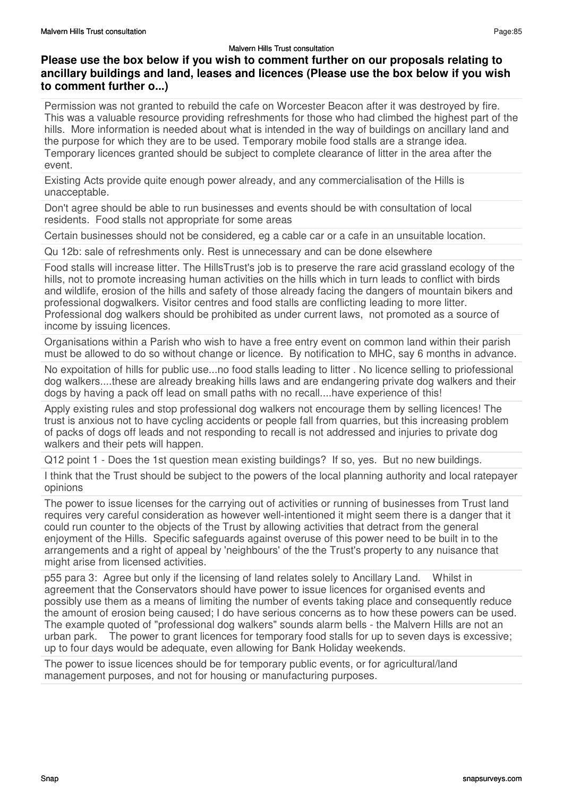# **Please use the box below if you wish to comment further on our proposals relating to ancillary buildings and land, leases and licences (Please use the box below if you wish to comment further o...)**

Permission was not granted to rebuild the cafe on Worcester Beacon after it was destroyed by fire. This was a valuable resource providing refreshments for those who had climbed the highest part of the hills. More information is needed about what is intended in the way of buildings on ancillary land and the purpose for which they are to be used. Temporary mobile food stalls are a strange idea. Temporary licences granted should be subject to complete clearance of litter in the area after the event.

Existing Acts provide quite enough power already, and any commercialisation of the Hills is unacceptable.

Don't agree should be able to run businesses and events should be with consultation of local residents. Food stalls not appropriate for some areas

Certain businesses should not be considered, eg a cable car or a cafe in an unsuitable location.

Qu 12b: sale of refreshments only. Rest is unnecessary and can be done elsewhere

Food stalls will increase litter. The HillsTrust's job is to preserve the rare acid grassland ecology of the hills, not to promote increasing human activities on the hills which in turn leads to conflict with birds and wildlife, erosion of the hills and safety of those already facing the dangers of mountain bikers and professional dogwalkers. Visitor centres and food stalls are conflicting leading to more litter. Professional dog walkers should be prohibited as under current laws, not promoted as a source of income by issuing licences.

Organisations within a Parish who wish to have a free entry event on common land within their parish must be allowed to do so without change or licence. By notification to MHC, say 6 months in advance.

No expoitation of hills for public use...no food stalls leading to litter . No licence selling to priofessional dog walkers....these are already breaking hills laws and are endangering private dog walkers and their dogs by having a pack off lead on small paths with no recall....have experience of this!

Apply existing rules and stop professional dog walkers not encourage them by selling licences! The trust is anxious not to have cycling accidents or people fall from quarries, but this increasing problem of packs of dogs off leads and not responding to recall is not addressed and injuries to private dog walkers and their pets will happen.

Q12 point 1 - Does the 1st question mean existing buildings? If so, yes. But no new buildings.

I think that the Trust should be subject to the powers of the local planning authority and local ratepayer opinions

The power to issue licenses for the carrying out of activities or running of businesses from Trust land requires very careful consideration as however well-intentioned it might seem there is a danger that it could run counter to the objects of the Trust by allowing activities that detract from the general enjoyment of the Hills. Specific safeguards against overuse of this power need to be built in to the arrangements and a right of appeal by 'neighbours' of the the Trust's property to any nuisance that might arise from licensed activities.

p55 para 3: Agree but only if the licensing of land relates solely to Ancillary Land. Whilst in agreement that the Conservators should have power to issue licences for organised events and possibly use them as a means of limiting the number of events taking place and consequently reduce the amount of erosion being caused; I do have serious concerns as to how these powers can be used. The example quoted of "professional dog walkers" sounds alarm bells - the Malvern Hills are not an urban park. The power to grant licences for temporary food stalls for up to seven days is excessive; up to four days would be adequate, even allowing for Bank Holiday weekends.

The power to issue licences should be for temporary public events, or for agricultural/land management purposes, and not for housing or manufacturing purposes.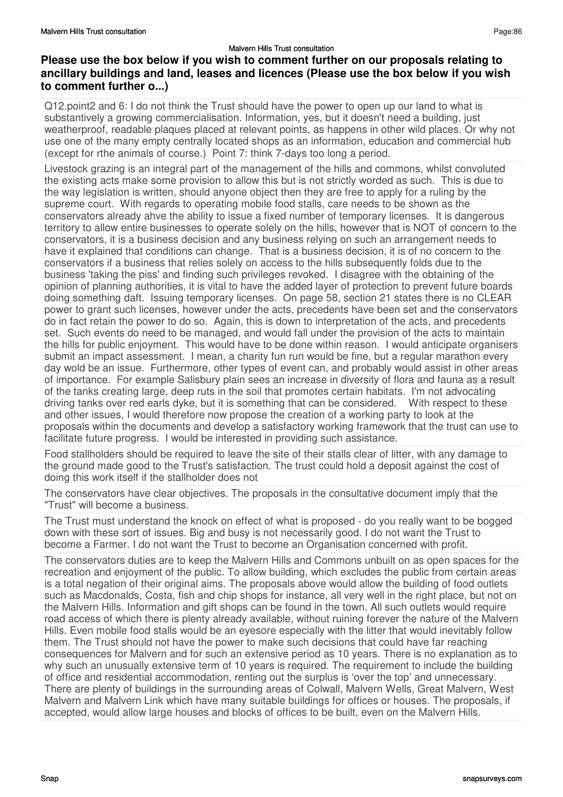# **Please use the box below if you wish to comment further on our proposals relating to ancillary buildings and land, leases and licences (Please use the box below if you wish to comment further o...)**

Q12.point2 and 6: I do not think the Trust should have the power to open up our land to what is substantively a growing commercialisation. Information, yes, but it doesn't need a building, just weatherproof, readable plaques placed at relevant points, as happens in other wild places. Or why not use one of the many empty centrally located shops as an information, education and commercial hub (except for rthe animals of course.) Point 7: think 7-days too long a period.

Livestock grazing is an integral part of the management of the hills and commons, whilst convoluted the existing acts make some provision to allow this but is not strictly worded as such. This is due to the way legislation is written, should anyone object then they are free to apply for a ruling by the supreme court. With regards to operating mobile food stalls, care needs to be shown as the conservators already ahve the ability to issue a fixed number of temporary licenses. It is dangerous territory to allow entire businesses to operate solely on the hills, however that is NOT of concern to the conservators, it is a business decision and any business relying on such an arrangement needs to have it explained that conditions can change. That is a business decision, it is of no concern to the conservators if a business that relies solely on access to the hills subsequently folds due to the business 'taking the piss' and finding such privileges revoked. I disagree with the obtaining of the opinion of planning authorities, it is vital to have the added layer of protection to prevent future boards doing something daft. Issuing temporary licenses. On page 58, section 21 states there is no CLEAR power to grant such licenses, however under the acts, precedents have been set and the conservators do in fact retain the power to do so. Again, this is down to interpretation of the acts, and precedents set. Such events do need to be managed, and would fall under the provision of the acts to maintain the hills for public enjoyment. This would have to be done within reason. I would anticipate organisers submit an impact assessment. I mean, a charity fun run would be fine, but a regular marathon every day wold be an issue. Furthermore, other types of event can, and probably would assist in other areas of importance. For example Salisbury plain sees an increase in diversity of flora and fauna as a result of the tanks creating large, deep ruts in the soil that promotes certain habitats. I'm not advocating driving tanks over red earls dyke, but it is something that can be considered. With respect to these and other issues, I would therefore now propose the creation of a working party to look at the proposals within the documents and develop a satisfactory working framework that the trust can use to facilitate future progress. I would be interested in providing such assistance.

Food stallholders should be required to leave the site of their stalls clear of litter, with any damage to the ground made good to the Trust's satisfaction. The trust could hold a deposit against the cost of doing this work itself if the stallholder does not

The conservators have clear objectives. The proposals in the consultative document imply that the "Trust" will become a business.

The Trust must understand the knock on effect of what is proposed - do you really want to be bogged down with these sort of issues. Big and busy is not necessarily good. I do not want the Trust to become a Farmer. I do not want the Trust to become an Organisation concerned with profit.

The conservators duties are to keep the Malvern Hills and Commons unbuilt on as open spaces for the recreation and enjoyment of the public. To allow building, which excludes the public from certain areas is a total negation of their original aims. The proposals above would allow the building of food outlets such as Macdonalds, Costa, fish and chip shops for instance, all very well in the right place, but not on the Malvern Hills. Information and gift shops can be found in the town. All such outlets would require road access of which there is plenty already available, without ruining forever the nature of the Malvern Hills. Even mobile food stalls would be an eyesore especially with the litter that would inevitably follow them. The Trust should not have the power to make such decisions that could have far reaching consequences for Malvern and for such an extensive period as 10 years. There is no explanation as to why such an unusually extensive term of 10 years is required. The requirement to include the building of office and residential accommodation, renting out the surplus is 'over the top' and unnecessary. There are plenty of buildings in the surrounding areas of Colwall, Malvern Wells, Great Malvern, West Malvern and Malvern Link which have many suitable buildings for offices or houses. The proposals, if accepted, would allow large houses and blocks of offices to be built, even on the Malvern Hills.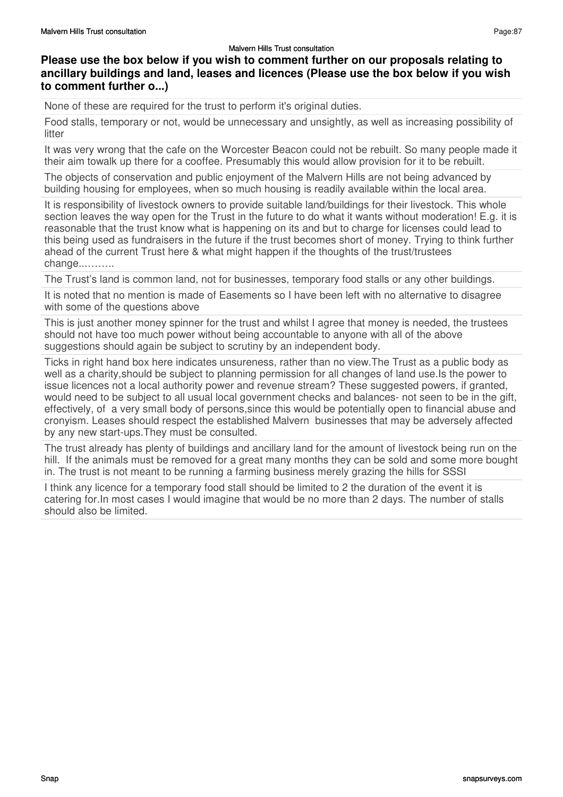Page:87

### **Please use the box below if you wish to comment further on our proposals relating to ancillary buildings and land, leases and licences (Please use the box below if you wish to comment further o...)**

None of these are required for the trust to perform it's original duties.

Food stalls, temporary or not, would be unnecessary and unsightly, as well as increasing possibility of litter

It was very wrong that the cafe on the Worcester Beacon could not be rebuilt. So many people made it their aim towalk up there for a cooffee. Presumably this would allow provision for it to be rebuilt.

The objects of conservation and public enjoyment of the Malvern Hills are not being advanced by building housing for employees, when so much housing is readily available within the local area.

It is responsibility of livestock owners to provide suitable land/buildings for their livestock. This whole section leaves the way open for the Trust in the future to do what it wants without moderation! E.g. it is reasonable that the trust know what is happening on its and but to charge for licenses could lead to this being used as fundraisers in the future if the trust becomes short of money. Trying to think further ahead of the current Trust here & what might happen if the thoughts of the trust/trustees change...……..

The Trust's land is common land, not for businesses, temporary food stalls or any other buildings.

It is noted that no mention is made of Easements so I have been left with no alternative to disagree with some of the questions above

This is just another money spinner for the trust and whilst I agree that money is needed, the trustees should not have too much power without being accountable to anyone with all of the above suggestions should again be subject to scrutiny by an independent body.

Ticks in right hand box here indicates unsureness, rather than no view.The Trust as a public body as well as a charity,should be subject to planning permission for all changes of land use.Is the power to issue licences not a local authority power and revenue stream? These suggested powers, if granted, would need to be subject to all usual local government checks and balances- not seen to be in the gift, effectively, of a very small body of persons,since this would be potentially open to financial abuse and cronyism. Leases should respect the established Malvern businesses that may be adversely affected by any new start-ups.They must be consulted.

The trust already has plenty of buildings and ancillary land for the amount of livestock being run on the hill. If the animals must be removed for a great many months they can be sold and some more bought in. The trust is not meant to be running a farming business merely grazing the hills for SSSI

I think any licence for a temporary food stall should be limited to 2 the duration of the event it is catering for.In most cases I would imagine that would be no more than 2 days. The number of stalls should also be limited.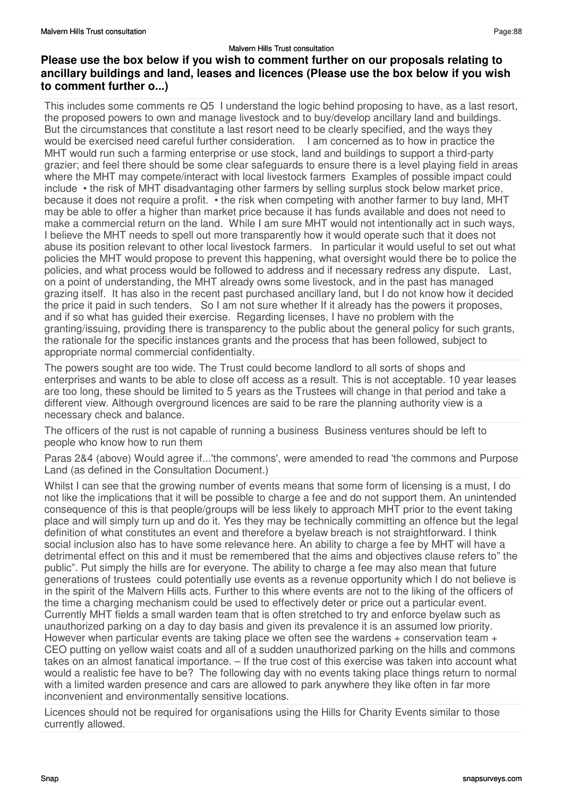# **Please use the box below if you wish to comment further on our proposals relating to ancillary buildings and land, leases and licences (Please use the box below if you wish to comment further o...)**

This includes some comments re Q5 I understand the logic behind proposing to have, as a last resort, the proposed powers to own and manage livestock and to buy/develop ancillary land and buildings. But the circumstances that constitute a last resort need to be clearly specified, and the ways they would be exercised need careful further consideration. I am concerned as to how in practice the MHT would run such a farming enterprise or use stock, land and buildings to support a third-party grazier; and feel there should be some clear safeguards to ensure there is a level playing field in areas where the MHT may compete/interact with local livestock farmers Examples of possible impact could include • the risk of MHT disadvantaging other farmers by selling surplus stock below market price, because it does not require a profit. • the risk when competing with another farmer to buy land, MHT may be able to offer a higher than market price because it has funds available and does not need to make a commercial return on the land. While I am sure MHT would not intentionally act in such ways, I believe the MHT needs to spell out more transparently how it would operate such that it does not abuse its position relevant to other local livestock farmers. In particular it would useful to set out what policies the MHT would propose to prevent this happening, what oversight would there be to police the policies, and what process would be followed to address and if necessary redress any dispute. Last, on a point of understanding, the MHT already owns some livestock, and in the past has managed grazing itself. It has also in the recent past purchased ancillary land, but I do not know how it decided the price it paid in such tenders. So I am not sure whether If it already has the powers it proposes, and if so what has guided their exercise. Regarding licenses, I have no problem with the granting/issuing, providing there is transparency to the public about the general policy for such grants, the rationale for the specific instances grants and the process that has been followed, subject to appropriate normal commercial confidentialty.

The powers sought are too wide. The Trust could become landlord to all sorts of shops and enterprises and wants to be able to close off access as a result. This is not acceptable. 10 year leases are too long, these should be limited to 5 years as the Trustees will change in that period and take a different view. Although overground licences are said to be rare the planning authority view is a necessary check and balance.

The officers of the rust is not capable of running a business Business ventures should be left to people who know how to run them

Paras 2&4 (above) Would agree if...'the commons', were amended to read 'the commons and Purpose Land (as defined in the Consultation Document.)

Whilst I can see that the growing number of events means that some form of licensing is a must, I do not like the implications that it will be possible to charge a fee and do not support them. An unintended consequence of this is that people/groups will be less likely to approach MHT prior to the event taking place and will simply turn up and do it. Yes they may be technically committing an offence but the legal definition of what constitutes an event and therefore a byelaw breach is not straightforward. I think social inclusion also has to have some relevance here. An ability to charge a fee by MHT will have a detrimental effect on this and it must be remembered that the aims and objectives clause refers to" the public". Put simply the hills are for everyone. The ability to charge a fee may also mean that future generations of trustees could potentially use events as a revenue opportunity which I do not believe is in the spirit of the Malvern Hills acts. Further to this where events are not to the liking of the officers of the time a charging mechanism could be used to effectively deter or price out a particular event. Currently MHT fields a small warden team that is often stretched to try and enforce byelaw such as unauthorized parking on a day to day basis and given its prevalence it is an assumed low priority. However when particular events are taking place we often see the wardens + conservation team + CEO putting on yellow waist coats and all of a sudden unauthorized parking on the hills and commons takes on an almost fanatical importance. – If the true cost of this exercise was taken into account what would a realistic fee have to be? The following day with no events taking place things return to normal with a limited warden presence and cars are allowed to park anywhere they like often in far more inconvenient and environmentally sensitive locations.

Licences should not be required for organisations using the Hills for Charity Events similar to those currently allowed.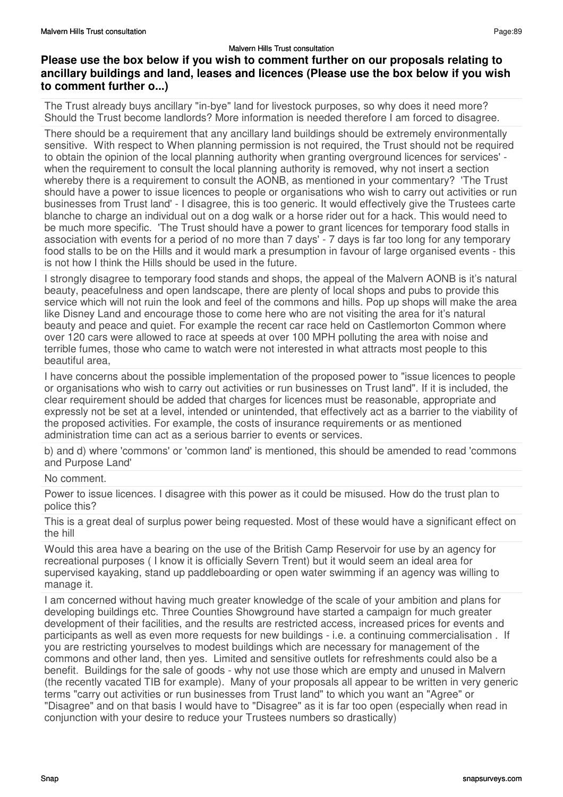The Trust already buys ancillary "in-bye" land for livestock purposes, so why does it need more? Should the Trust become landlords? More information is needed therefore I am forced to disagree.

There should be a requirement that any ancillary land buildings should be extremely environmentally sensitive. With respect to When planning permission is not required, the Trust should not be required to obtain the opinion of the local planning authority when granting overground licences for services' when the requirement to consult the local planning authority is removed, why not insert a section whereby there is a requirement to consult the AONB, as mentioned in your commentary? 'The Trust should have a power to issue licences to people or organisations who wish to carry out activities or run businesses from Trust land' - I disagree, this is too generic. It would effectively give the Trustees carte blanche to charge an individual out on a dog walk or a horse rider out for a hack. This would need to be much more specific. 'The Trust should have a power to grant licences for temporary food stalls in association with events for a period of no more than 7 days' - 7 days is far too long for any temporary food stalls to be on the Hills and it would mark a presumption in favour of large organised events - this is not how I think the Hills should be used in the future.

I strongly disagree to temporary food stands and shops, the appeal of the Malvern AONB is it's natural beauty, peacefulness and open landscape, there are plenty of local shops and pubs to provide this service which will not ruin the look and feel of the commons and hills. Pop up shops will make the area like Disney Land and encourage those to come here who are not visiting the area for it's natural beauty and peace and quiet. For example the recent car race held on Castlemorton Common where over 120 cars were allowed to race at speeds at over 100 MPH polluting the area with noise and terrible fumes, those who came to watch were not interested in what attracts most people to this beautiful area,

I have concerns about the possible implementation of the proposed power to "issue licences to people or organisations who wish to carry out activities or run businesses on Trust land". If it is included, the clear requirement should be added that charges for licences must be reasonable, appropriate and expressly not be set at a level, intended or unintended, that effectively act as a barrier to the viability of the proposed activities. For example, the costs of insurance requirements or as mentioned administration time can act as a serious barrier to events or services.

b) and d) where 'commons' or 'common land' is mentioned, this should be amended to read 'commons and Purpose Land'

### No comment.

Power to issue licences. I disagree with this power as it could be misused. How do the trust plan to police this?

This is a great deal of surplus power being requested. Most of these would have a significant effect on the hill

Would this area have a bearing on the use of the British Camp Reservoir for use by an agency for recreational purposes ( I know it is officially Severn Trent) but it would seem an ideal area for supervised kayaking, stand up paddleboarding or open water swimming if an agency was willing to manage it.

I am concerned without having much greater knowledge of the scale of your ambition and plans for developing buildings etc. Three Counties Showground have started a campaign for much greater development of their facilities, and the results are restricted access, increased prices for events and participants as well as even more requests for new buildings - i.e. a continuing commercialisation . If you are restricting yourselves to modest buildings which are necessary for management of the commons and other land, then yes. Limited and sensitive outlets for refreshments could also be a benefit. Buildings for the sale of goods - why not use those which are empty and unused in Malvern (the recently vacated TIB for example). Many of your proposals all appear to be written in very generic terms "carry out activities or run businesses from Trust land" to which you want an "Agree" or "Disagree" and on that basis I would have to "Disagree" as it is far too open (especially when read in conjunction with your desire to reduce your Trustees numbers so drastically)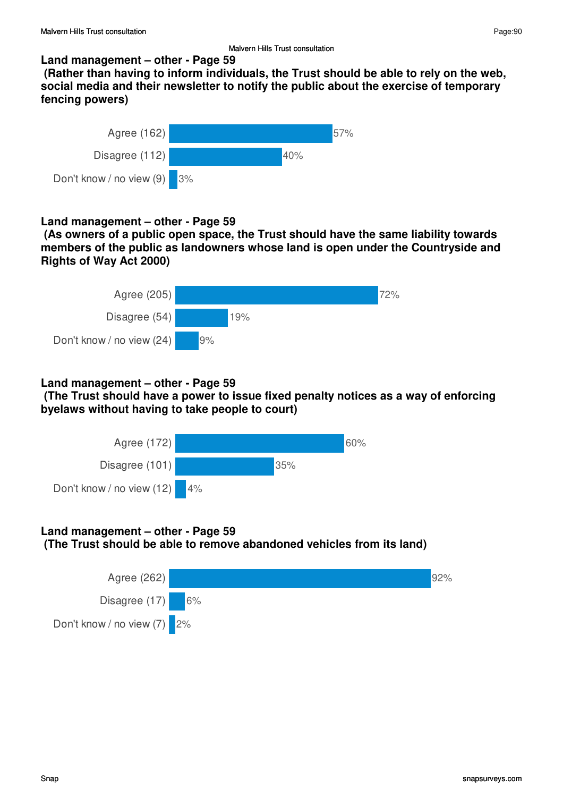### **Land management – other - Page 59**

 **(Rather than having to inform individuals, the Trust should be able to rely on the web, social media and their newsletter to notify the public about the exercise of temporary fencing powers)**



### **Land management – other - Page 59**

 **(As owners of a public open space, the Trust should have the same liability towards members of the public as landowners whose land is open under the Countryside and Rights of Way Act 2000)**



### **Land management – other - Page 59**

 **(The Trust should have a power to issue fixed penalty notices as a way of enforcing byelaws without having to take people to court)**



# **Land management – other - Page 59**

 **(The Trust should be able to remove abandoned vehicles from its land)**

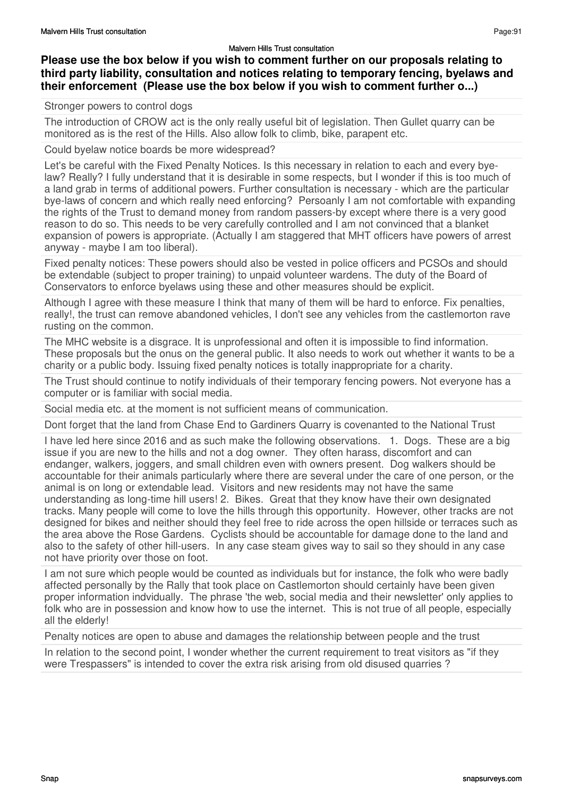# **Please use the box below if you wish to comment further on our proposals relating to third party liability, consultation and notices relating to temporary fencing, byelaws and their enforcement (Please use the box below if you wish to comment further o...)**

### Stronger powers to control dogs

The introduction of CROW act is the only really useful bit of legislation. Then Gullet quarry can be monitored as is the rest of the Hills. Also allow folk to climb, bike, parapent etc.

Could byelaw notice boards be more widespread?

Let's be careful with the Fixed Penalty Notices. Is this necessary in relation to each and every byelaw? Really? I fully understand that it is desirable in some respects, but I wonder if this is too much of a land grab in terms of additional powers. Further consultation is necessary - which are the particular bye-laws of concern and which really need enforcing? Persoanly I am not comfortable with expanding the rights of the Trust to demand money from random passers-by except where there is a very good reason to do so. This needs to be very carefully controlled and I am not convinced that a blanket expansion of powers is appropriate. (Actually I am staggered that MHT officers have powers of arrest anyway - maybe I am too liberal).

Fixed penalty notices: These powers should also be vested in police officers and PCSOs and should be extendable (subject to proper training) to unpaid volunteer wardens. The duty of the Board of Conservators to enforce byelaws using these and other measures should be explicit.

Although I agree with these measure I think that many of them will be hard to enforce. Fix penalties, really!, the trust can remove abandoned vehicles, I don't see any vehicles from the castlemorton rave rusting on the common.

The MHC website is a disgrace. It is unprofessional and often it is impossible to find information. These proposals but the onus on the general public. It also needs to work out whether it wants to be a charity or a public body. Issuing fixed penalty notices is totally inappropriate for a charity.

The Trust should continue to notify individuals of their temporary fencing powers. Not everyone has a computer or is familiar with social media.

Social media etc. at the moment is not sufficient means of communication.

Dont forget that the land from Chase End to Gardiners Quarry is covenanted to the National Trust

I have led here since 2016 and as such make the following observations. 1. Dogs. These are a big issue if you are new to the hills and not a dog owner. They often harass, discomfort and can endanger, walkers, joggers, and small children even with owners present. Dog walkers should be accountable for their animals particularly where there are several under the care of one person, or the animal is on long or extendable lead. Visitors and new residents may not have the same understanding as long-time hill users! 2. Bikes. Great that they know have their own designated tracks. Many people will come to love the hills through this opportunity. However, other tracks are not designed for bikes and neither should they feel free to ride across the open hillside or terraces such as the area above the Rose Gardens. Cyclists should be accountable for damage done to the land and also to the safety of other hill-users. In any case steam gives way to sail so they should in any case not have priority over those on foot.

I am not sure which people would be counted as individuals but for instance, the folk who were badly affected personally by the Rally that took place on Castlemorton should certainly have been given proper information indvidually. The phrase 'the web, social media and their newsletter' only applies to folk who are in possession and know how to use the internet. This is not true of all people, especially all the elderly!

Penalty notices are open to abuse and damages the relationship between people and the trust

In relation to the second point. I wonder whether the current requirement to treat visitors as "if they were Trespassers" is intended to cover the extra risk arising from old disused quarries ?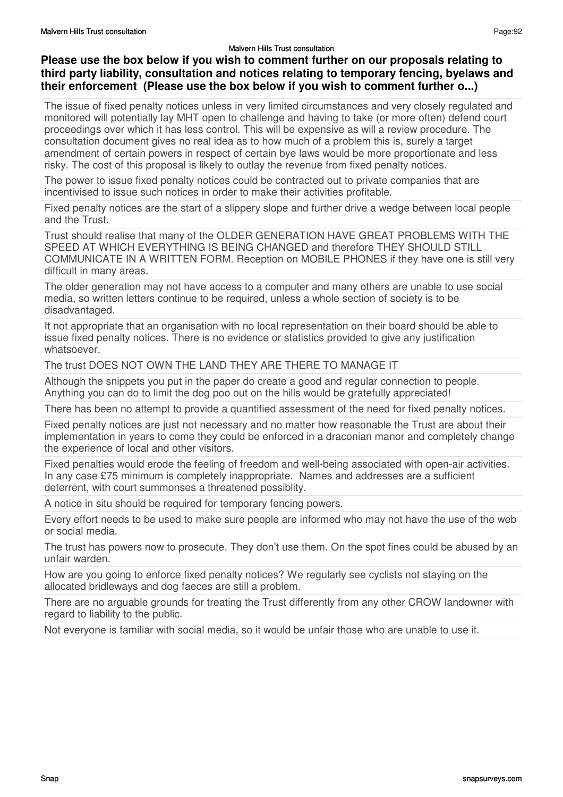## **Please use the box below if you wish to comment further on our proposals relating to third party liability, consultation and notices relating to temporary fencing, byelaws and their enforcement (Please use the box below if you wish to comment further o...)**

The issue of fixed penalty notices unless in very limited circumstances and very closely regulated and monitored will potentially lay MHT open to challenge and having to take (or more often) defend court proceedings over which it has less control. This will be expensive as will a review procedure. The consultation document gives no real idea as to how much of a problem this is, surely a target amendment of certain powers in respect of certain bye laws would be more proportionate and less risky. The cost of this proposal is likely to outlay the revenue from fixed penalty notices.

The power to issue fixed penalty notices could be contracted out to private companies that are incentivised to issue such notices in order to make their activities profitable.

Fixed penalty notices are the start of a slippery slope and further drive a wedge between local people and the Trust.

Trust should realise that many of the OLDER GENERATION HAVE GREAT PROBLEMS WITH THE SPEED AT WHICH EVERYTHING IS BEING CHANGED and therefore THEY SHOULD STILL COMMUNICATE IN A WRITTEN FORM. Reception on MOBILE PHONES if they have one is still very difficult in many areas.

The older generation may not have access to a computer and many others are unable to use social media, so written letters continue to be required, unless a whole section of society is to be disadvantaged.

It not appropriate that an organisation with no local representation on their board should be able to issue fixed penalty notices. There is no evidence or statistics provided to give any justification whatsoever.

The trust DOES NOT OWN THE LAND THEY ARE THERE TO MANAGE IT

Although the snippets you put in the paper do create a good and regular connection to people. Anything you can do to limit the dog poo out on the hills would be gratefully appreciated!

There has been no attempt to provide a quantified assessment of the need for fixed penalty notices.

Fixed penalty notices are just not necessary and no matter how reasonable the Trust are about their implementation in years to come they could be enforced in a draconian manor and completely change the experience of local and other visitors.

Fixed penalties would erode the feeling of freedom and well-being associated with open-air activities. In any case £75 minimum is completely inappropriate. Names and addresses are a sufficient deterrent, with court summonses a threatened possiblity.

A notice in situ should be required for temporary fencing powers.

Every effort needs to be used to make sure people are informed who may not have the use of the web or social media.

The trust has powers now to prosecute. They don't use them. On the spot fines could be abused by an unfair warden.

How are you going to enforce fixed penalty notices? We regularly see cyclists not staying on the allocated bridleways and dog faeces are still a problem.

There are no arguable grounds for treating the Trust differently from any other CROW landowner with regard to liability to the public.

Not everyone is familiar with social media, so it would be unfair those who are unable to use it.

Page:92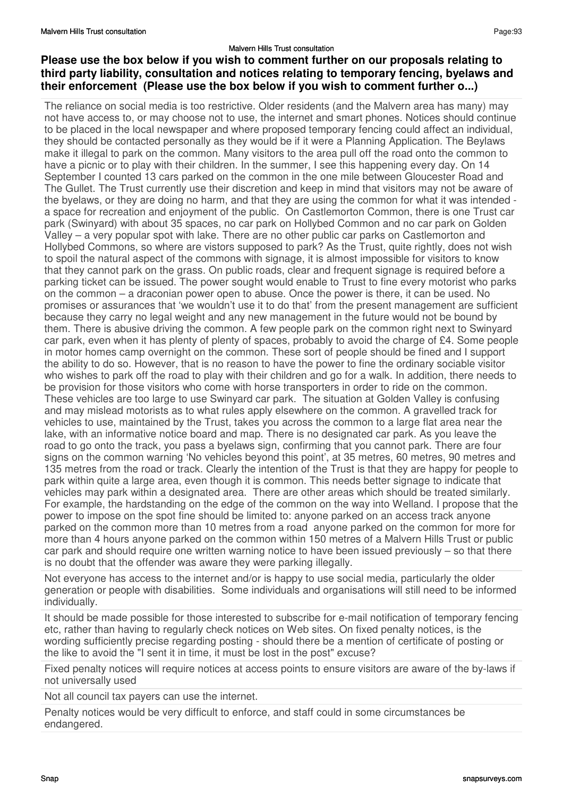## **Please use the box below if you wish to comment further on our proposals relating to third party liability, consultation and notices relating to temporary fencing, byelaws and their enforcement (Please use the box below if you wish to comment further o...)**

The reliance on social media is too restrictive. Older residents (and the Malvern area has many) may not have access to, or may choose not to use, the internet and smart phones. Notices should continue to be placed in the local newspaper and where proposed temporary fencing could affect an individual, they should be contacted personally as they would be if it were a Planning Application. The Beylaws make it illegal to park on the common. Many visitors to the area pull off the road onto the common to have a picnic or to play with their children. In the summer, I see this happening every day. On 14 September I counted 13 cars parked on the common in the one mile between Gloucester Road and The Gullet. The Trust currently use their discretion and keep in mind that visitors may not be aware of the byelaws, or they are doing no harm, and that they are using the common for what it was intended a space for recreation and enjoyment of the public. On Castlemorton Common, there is one Trust car park (Swinyard) with about 35 spaces, no car park on Hollybed Common and no car park on Golden Valley – a very popular spot with lake. There are no other public car parks on Castlemorton and Hollybed Commons, so where are vistors supposed to park? As the Trust, quite rightly, does not wish to spoil the natural aspect of the commons with signage, it is almost impossible for visitors to know that they cannot park on the grass. On public roads, clear and frequent signage is required before a parking ticket can be issued. The power sought would enable to Trust to fine every motorist who parks on the common – a draconian power open to abuse. Once the power is there, it can be used. No promises or assurances that 'we wouldn't use it to do that' from the present management are sufficient because they carry no legal weight and any new management in the future would not be bound by them. There is abusive driving the common. A few people park on the common right next to Swinyard car park, even when it has plenty of plenty of spaces, probably to avoid the charge of £4. Some people in motor homes camp overnight on the common. These sort of people should be fined and I support the ability to do so. However, that is no reason to have the power to fine the ordinary sociable visitor who wishes to park off the road to play with their children and go for a walk. In addition, there needs to be provision for those visitors who come with horse transporters in order to ride on the common. These vehicles are too large to use Swinyard car park. The situation at Golden Valley is confusing and may mislead motorists as to what rules apply elsewhere on the common. A gravelled track for vehicles to use, maintained by the Trust, takes you across the common to a large flat area near the lake, with an informative notice board and map. There is no designated car park. As you leave the road to go onto the track, you pass a byelaws sign, confirming that you cannot park. There are four signs on the common warning 'No vehicles beyond this point', at 35 metres, 60 metres, 90 metres and 135 metres from the road or track. Clearly the intention of the Trust is that they are happy for people to park within quite a large area, even though it is common. This needs better signage to indicate that vehicles may park within a designated area. There are other areas which should be treated similarly. For example, the hardstanding on the edge of the common on the way into Welland. I propose that the power to impose on the spot fine should be limited to: anyone parked on an access track anyone parked on the common more than 10 metres from a road anyone parked on the common for more for more than 4 hours anyone parked on the common within 150 metres of a Malvern Hills Trust or public car park and should require one written warning notice to have been issued previously – so that there is no doubt that the offender was aware they were parking illegally.

Not everyone has access to the internet and/or is happy to use social media, particularly the older generation or people with disabilities. Some individuals and organisations will still need to be informed individually.

It should be made possible for those interested to subscribe for e-mail notification of temporary fencing etc, rather than having to regularly check notices on Web sites. On fixed penalty notices, is the wording sufficiently precise regarding posting - should there be a mention of certificate of posting or the like to avoid the "I sent it in time, it must be lost in the post" excuse?

Fixed penalty notices will require notices at access points to ensure visitors are aware of the by-laws if not universally used

Not all council tax payers can use the internet.

Penalty notices would be very difficult to enforce, and staff could in some circumstances be endangered.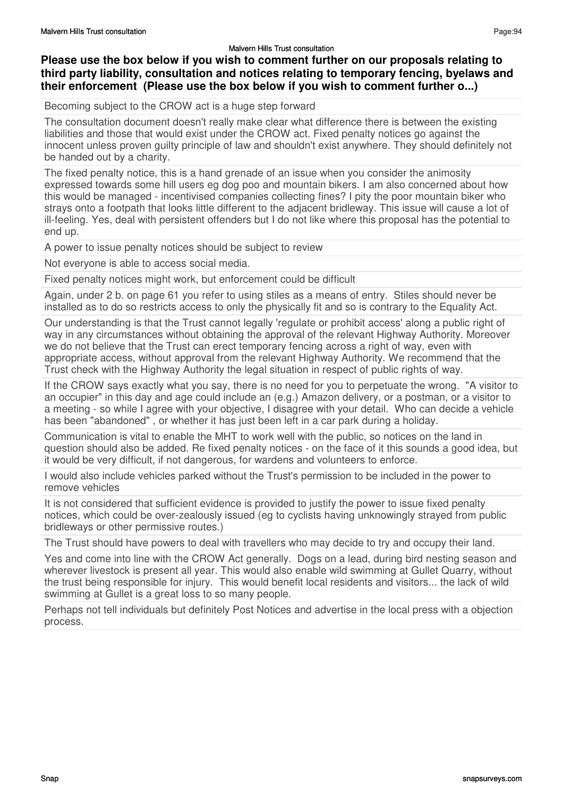## **Please use the box below if you wish to comment further on our proposals relating to third party liability, consultation and notices relating to temporary fencing, byelaws and their enforcement (Please use the box below if you wish to comment further o...)**

Becoming subject to the CROW act is a huge step forward

The consultation document doesn't really make clear what difference there is between the existing liabilities and those that would exist under the CROW act. Fixed penalty notices go against the innocent unless proven guilty principle of law and shouldn't exist anywhere. They should definitely not be handed out by a charity.

The fixed penalty notice, this is a hand grenade of an issue when you consider the animosity expressed towards some hill users eg dog poo and mountain bikers. I am also concerned about how this would be managed - incentivised companies collecting fines? I pity the poor mountain biker who strays onto a footpath that looks little different to the adjacent bridleway. This issue will cause a lot of ill-feeling. Yes, deal with persistent offenders but I do not like where this proposal has the potential to end up.

A power to issue penalty notices should be subject to review

Not everyone is able to access social media.

Fixed penalty notices might work, but enforcement could be difficult

Again, under 2 b. on page 61 you refer to using stiles as a means of entry. Stiles should never be installed as to do so restricts access to only the physically fit and so is contrary to the Equality Act.

Our understanding is that the Trust cannot legally 'regulate or prohibit access' along a public right of way in any circumstances without obtaining the approval of the relevant Highway Authority. Moreover we do not believe that the Trust can erect temporary fencing across a right of way, even with appropriate access, without approval from the relevant Highway Authority. We recommend that the Trust check with the Highway Authority the legal situation in respect of public rights of way.

If the CROW says exactly what you say, there is no need for you to perpetuate the wrong. "A visitor to an occupier" in this day and age could include an (e.g.) Amazon delivery, or a postman, or a visitor to a meeting - so while I agree with your objective, I disagree with your detail. Who can decide a vehicle has been "abandoned" , or whether it has just been left in a car park during a holiday.

Communication is vital to enable the MHT to work well with the public, so notices on the land in question should also be added. Re fixed penalty notices - on the face of it this sounds a good idea, but it would be very difficult, if not dangerous, for wardens and volunteers to enforce.

I would also include vehicles parked without the Trust's permission to be included in the power to remove vehicles

It is not considered that sufficient evidence is provided to justify the power to issue fixed penalty notices, which could be over-zealously issued (eg to cyclists having unknowingly strayed from public bridleways or other permissive routes.)

The Trust should have powers to deal with travellers who may decide to try and occupy their land.

Yes and come into line with the CROW Act generally. Dogs on a lead, during bird nesting season and wherever livestock is present all year. This would also enable wild swimming at Gullet Quarry, without the trust being responsible for injury. This would benefit local residents and visitors... the lack of wild swimming at Gullet is a great loss to so many people.

Perhaps not tell individuals but definitely Post Notices and advertise in the local press with a objection process.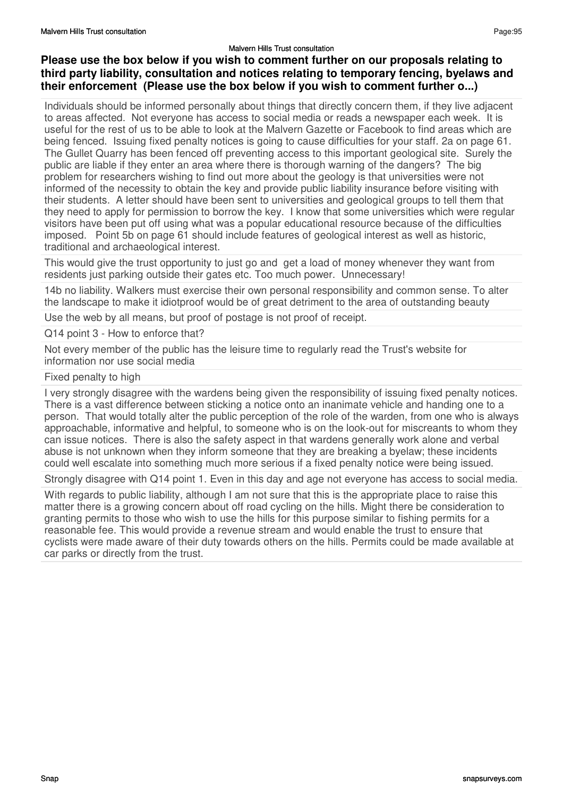# **Please use the box below if you wish to comment further on our proposals relating to third party liability, consultation and notices relating to temporary fencing, byelaws and their enforcement (Please use the box below if you wish to comment further o...)**

Individuals should be informed personally about things that directly concern them, if they live adjacent to areas affected. Not everyone has access to social media or reads a newspaper each week. It is useful for the rest of us to be able to look at the Malvern Gazette or Facebook to find areas which are being fenced. Issuing fixed penalty notices is going to cause difficulties for your staff. 2a on page 61. The Gullet Quarry has been fenced off preventing access to this important geological site. Surely the public are liable if they enter an area where there is thorough warning of the dangers? The big problem for researchers wishing to find out more about the geology is that universities were not informed of the necessity to obtain the key and provide public liability insurance before visiting with their students. A letter should have been sent to universities and geological groups to tell them that they need to apply for permission to borrow the key. I know that some universities which were regular visitors have been put off using what was a popular educational resource because of the difficulties imposed. Point 5b on page 61 should include features of geological interest as well as historic, traditional and archaeological interest.

This would give the trust opportunity to just go and get a load of money whenever they want from residents just parking outside their gates etc. Too much power. Unnecessary!

14b no liability. Walkers must exercise their own personal responsibility and common sense. To alter the landscape to make it idiotproof would be of great detriment to the area of outstanding beauty

Use the web by all means, but proof of postage is not proof of receipt.

Q14 point 3 - How to enforce that?

Not every member of the public has the leisure time to regularly read the Trust's website for information nor use social media

### Fixed penalty to high

I very strongly disagree with the wardens being given the responsibility of issuing fixed penalty notices. There is a vast difference between sticking a notice onto an inanimate vehicle and handing one to a person. That would totally alter the public perception of the role of the warden, from one who is always approachable, informative and helpful, to someone who is on the look-out for miscreants to whom they can issue notices. There is also the safety aspect in that wardens generally work alone and verbal abuse is not unknown when they inform someone that they are breaking a byelaw; these incidents could well escalate into something much more serious if a fixed penalty notice were being issued.

Strongly disagree with Q14 point 1. Even in this day and age not everyone has access to social media.

With regards to public liability, although I am not sure that this is the appropriate place to raise this matter there is a growing concern about off road cycling on the hills. Might there be consideration to granting permits to those who wish to use the hills for this purpose similar to fishing permits for a reasonable fee. This would provide a revenue stream and would enable the trust to ensure that cyclists were made aware of their duty towards others on the hills. Permits could be made available at car parks or directly from the trust.

Page:95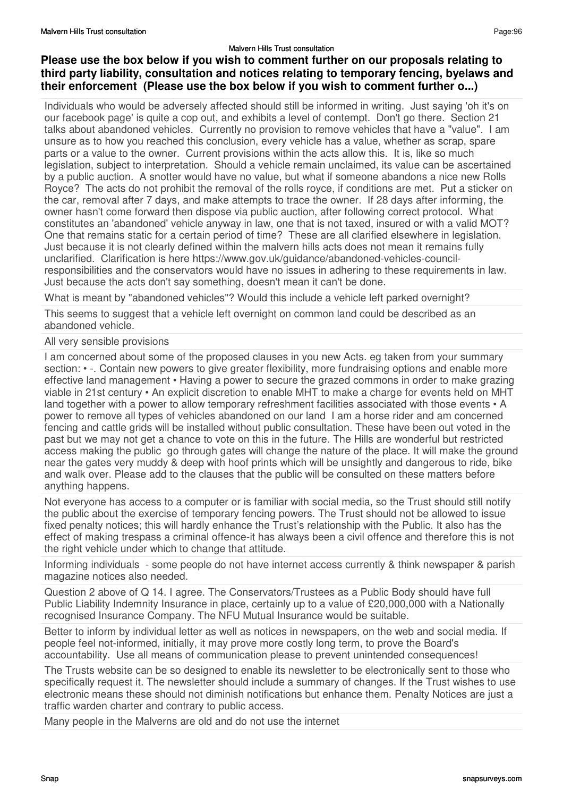## **Please use the box below if you wish to comment further on our proposals relating to third party liability, consultation and notices relating to temporary fencing, byelaws and their enforcement (Please use the box below if you wish to comment further o...)**

Individuals who would be adversely affected should still be informed in writing. Just saying 'oh it's on our facebook page' is quite a cop out, and exhibits a level of contempt. Don't go there. Section 21 talks about abandoned vehicles. Currently no provision to remove vehicles that have a "value". I am unsure as to how you reached this conclusion, every vehicle has a value, whether as scrap, spare parts or a value to the owner. Current provisions within the acts allow this. It is, like so much legislation, subject to interpretation. Should a vehicle remain unclaimed, its value can be ascertained by a public auction. A snotter would have no value, but what if someone abandons a nice new Rolls Royce? The acts do not prohibit the removal of the rolls royce, if conditions are met. Put a sticker on the car, removal after 7 days, and make attempts to trace the owner. If 28 days after informing, the owner hasn't come forward then dispose via public auction, after following correct protocol. What constitutes an 'abandoned' vehicle anyway in law, one that is not taxed, insured or with a valid MOT? One that remains static for a certain period of time? These are all clarified elsewhere in legislation. Just because it is not clearly defined within the malvern hills acts does not mean it remains fully unclarified. Clarification is here https://www.gov.uk/guidance/abandoned-vehicles-councilresponsibilities and the conservators would have no issues in adhering to these requirements in law. Just because the acts don't say something, doesn't mean it can't be done.

What is meant by "abandoned vehicles"? Would this include a vehicle left parked overnight?

This seems to suggest that a vehicle left overnight on common land could be described as an abandoned vehicle.

### All very sensible provisions

I am concerned about some of the proposed clauses in you new Acts. eg taken from your summary section: • -. Contain new powers to give greater flexibility, more fundraising options and enable more effective land management • Having a power to secure the grazed commons in order to make grazing viable in 21st century • An explicit discretion to enable MHT to make a charge for events held on MHT land together with a power to allow temporary refreshment facilities associated with those events  $\cdot$  A power to remove all types of vehicles abandoned on our land I am a horse rider and am concerned fencing and cattle grids will be installed without public consultation. These have been out voted in the past but we may not get a chance to vote on this in the future. The Hills are wonderful but restricted access making the public go through gates will change the nature of the place. It will make the ground near the gates very muddy & deep with hoof prints which will be unsightly and dangerous to ride, bike and walk over. Please add to the clauses that the public will be consulted on these matters before anything happens.

Not everyone has access to a computer or is familiar with social media, so the Trust should still notify the public about the exercise of temporary fencing powers. The Trust should not be allowed to issue fixed penalty notices; this will hardly enhance the Trust's relationship with the Public. It also has the effect of making trespass a criminal offence-it has always been a civil offence and therefore this is not the right vehicle under which to change that attitude.

Informing individuals - some people do not have internet access currently & think newspaper & parish magazine notices also needed.

Question 2 above of Q 14. I agree. The Conservators/Trustees as a Public Body should have full Public Liability Indemnity Insurance in place, certainly up to a value of £20,000,000 with a Nationally recognised Insurance Company. The NFU Mutual Insurance would be suitable.

Better to inform by individual letter as well as notices in newspapers, on the web and social media. If people feel not-informed, initially, it may prove more costly long term, to prove the Board's accountability. Use all means of communication please to prevent unintended consequences!

The Trusts website can be so designed to enable its newsletter to be electronically sent to those who specifically request it. The newsletter should include a summary of changes. If the Trust wishes to use electronic means these should not diminish notifications but enhance them. Penalty Notices are just a traffic warden charter and contrary to public access.

Many people in the Malverns are old and do not use the internet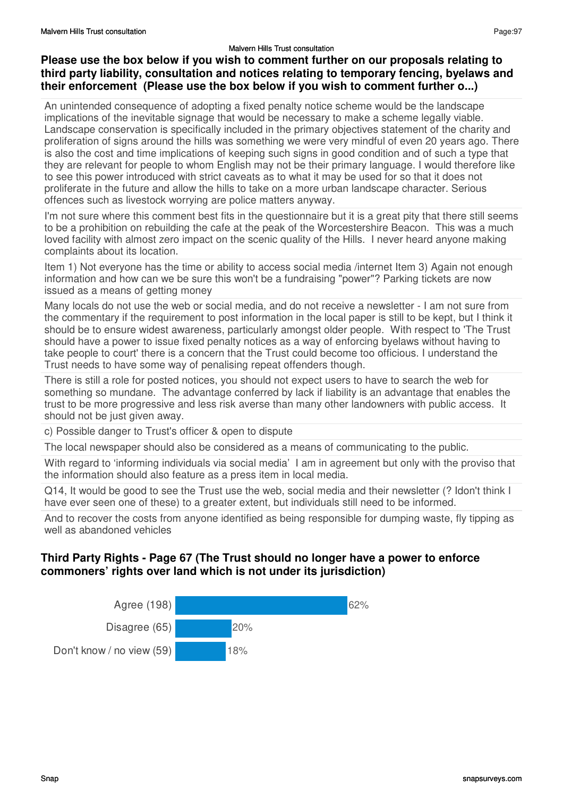# **Please use the box below if you wish to comment further on our proposals relating to third party liability, consultation and notices relating to temporary fencing, byelaws and their enforcement (Please use the box below if you wish to comment further o...)**

An unintended consequence of adopting a fixed penalty notice scheme would be the landscape implications of the inevitable signage that would be necessary to make a scheme legally viable. Landscape conservation is specifically included in the primary objectives statement of the charity and proliferation of signs around the hills was something we were very mindful of even 20 years ago. There is also the cost and time implications of keeping such signs in good condition and of such a type that they are relevant for people to whom English may not be their primary language. I would therefore like to see this power introduced with strict caveats as to what it may be used for so that it does not proliferate in the future and allow the hills to take on a more urban landscape character. Serious offences such as livestock worrying are police matters anyway.

I'm not sure where this comment best fits in the questionnaire but it is a great pity that there still seems to be a prohibition on rebuilding the cafe at the peak of the Worcestershire Beacon. This was a much loved facility with almost zero impact on the scenic quality of the Hills. I never heard anyone making complaints about its location.

Item 1) Not everyone has the time or ability to access social media /internet Item 3) Again not enough information and how can we be sure this won't be a fundraising "power"? Parking tickets are now issued as a means of getting money

Many locals do not use the web or social media, and do not receive a newsletter - I am not sure from the commentary if the requirement to post information in the local paper is still to be kept, but I think it should be to ensure widest awareness, particularly amongst older people. With respect to 'The Trust should have a power to issue fixed penalty notices as a way of enforcing byelaws without having to take people to court' there is a concern that the Trust could become too officious. I understand the Trust needs to have some way of penalising repeat offenders though.

There is still a role for posted notices, you should not expect users to have to search the web for something so mundane. The advantage conferred by lack if liability is an advantage that enables the trust to be more progressive and less risk averse than many other landowners with public access. It should not be just given away.

c) Possible danger to Trust's officer & open to dispute

The local newspaper should also be considered as a means of communicating to the public.

With regard to 'informing individuals via social media' I am in agreement but only with the proviso that the information should also feature as a press item in local media.

Q14, It would be good to see the Trust use the web, social media and their newsletter (? Idon't think I have ever seen one of these) to a greater extent, but individuals still need to be informed.

And to recover the costs from anyone identified as being responsible for dumping waste, fly tipping as well as abandoned vehicles

## **Third Party Rights - Page 67 (The Trust should no longer have a power to enforce commoners' rights over land which is not under its jurisdiction)**

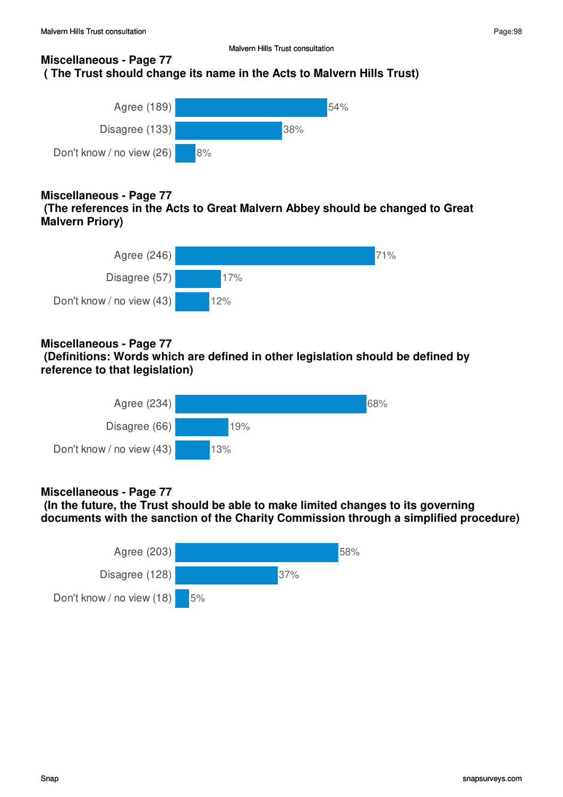# **Miscellaneous - Page 77 ( The Trust should change its name in the Acts to Malvern Hills Trust)**



# **Miscellaneous - Page 77**

 **(The references in the Acts to Great Malvern Abbey should be changed to Great Malvern Priory)**



# **Miscellaneous - Page 77**

 **(Definitions: Words which are defined in other legislation should be defined by reference to that legislation)**



# **Miscellaneous - Page 77**

 **(In the future, the Trust should be able to make limited changes to its governing documents with the sanction of the Charity Commission through a simplified procedure)**

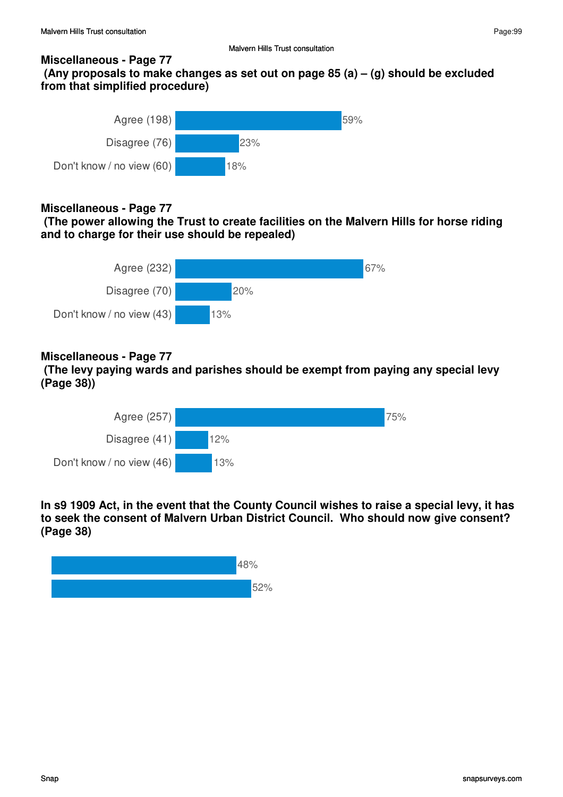### **Miscellaneous - Page 77**

 **(Any proposals to make changes as set out on page 85 (a) – (g) should be excluded from that simplified procedure)**



# **Miscellaneous - Page 77**

 **(The power allowing the Trust to create facilities on the Malvern Hills for horse riding and to charge for their use should be repealed)**



# **Miscellaneous - Page 77**

 **(The levy paying wards and parishes should be exempt from paying any special levy (Page 38))**



**In s9 1909 Act, in the event that the County Council wishes to raise a special levy, it has to seek the consent of Malvern Urban District Council. Who should now give consent? (Page 38)**

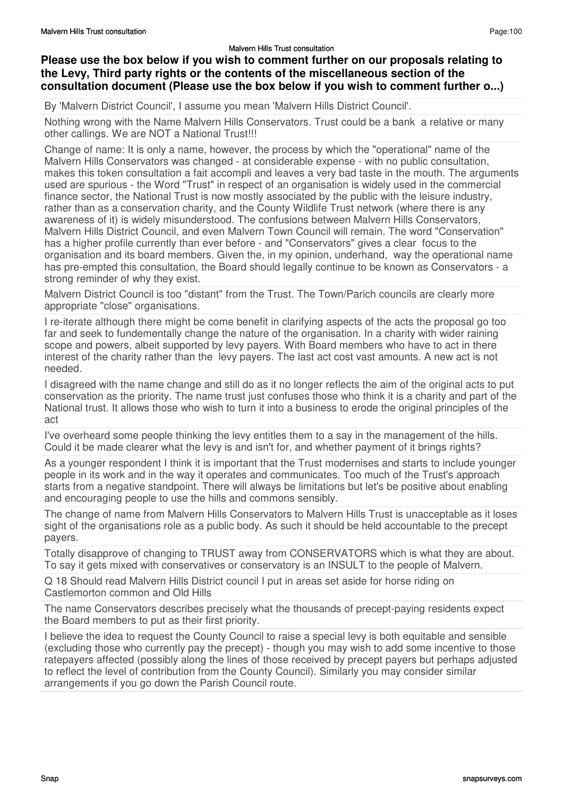## **Please use the box below if you wish to comment further on our proposals relating to the Levy, Third party rights or the contents of the miscellaneous section of the consultation document (Please use the box below if you wish to comment further o...)**

By 'Malvern District Council', I assume you mean 'Malvern Hills District Council'.

Nothing wrong with the Name Malvern Hills Conservators. Trust could be a bank a relative or many other callings. We are NOT a National Trust!!!

Change of name: It is only a name, however, the process by which the "operational" name of the Malvern Hills Conservators was changed - at considerable expense - with no public consultation, makes this token consultation a fait accompli and leaves a very bad taste in the mouth. The arguments used are spurious - the Word "Trust" in respect of an organisation is widely used in the commercial finance sector, the National Trust is now mostly associated by the public with the leisure industry, rather than as a conservation charity, and the County Wildlife Trust network (where there is any awareness of it) is widely misunderstood. The confusions between Malvern Hills Conservators, Malvern Hills District Council, and even Malvern Town Council will remain. The word "Conservation" has a higher profile currently than ever before - and "Conservators" gives a clear focus to the organisation and its board members. Given the, in my opinion, underhand, way the operational name has pre-empted this consultation, the Board should legally continue to be known as Conservators - a strong reminder of why they exist.

Malvern District Council is too "distant" from the Trust. The Town/Parich councils are clearly more appropriate "close" organisations.

I re-iterate although there might be come benefit in clarifying aspects of the acts the proposal go too far and seek to fundementally change the nature of the organisation. In a charity with wider raining scope and powers, albeit supported by levy payers. With Board members who have to act in there interest of the charity rather than the levy payers. The last act cost vast amounts. A new act is not needed.

I disagreed with the name change and still do as it no longer reflects the aim of the original acts to put conservation as the priority. The name trust just confuses those who think it is a charity and part of the National trust. It allows those who wish to turn it into a business to erode the original principles of the act

I've overheard some people thinking the levy entitles them to a say in the management of the hills. Could it be made clearer what the levy is and isn't for, and whether payment of it brings rights?

As a younger respondent I think it is important that the Trust modernises and starts to include younger people in its work and in the way it operates and communicates. Too much of the Trust's approach starts from a negative standpoint. There will always be limitations but let's be positive about enabling and encouraging people to use the hills and commons sensibly.

The change of name from Malvern Hills Conservators to Malvern Hills Trust is unacceptable as it loses sight of the organisations role as a public body. As such it should be held accountable to the precept payers.

Totally disapprove of changing to TRUST away from CONSERVATORS which is what they are about. To say it gets mixed with conservatives or conservatory is an INSULT to the people of Malvern.

Q 18 Should read Malvern Hills District council I put in areas set aside for horse riding on Castlemorton common and Old Hills

The name Conservators describes precisely what the thousands of precept-paying residents expect the Board members to put as their first priority.

I believe the idea to request the County Council to raise a special levy is both equitable and sensible (excluding those who currently pay the precept) - though you may wish to add some incentive to those ratepayers affected (possibly along the lines of those received by precept payers but perhaps adjusted to reflect the level of contribution from the County Council). Similarly you may consider similar arrangements if you go down the Parish Council route.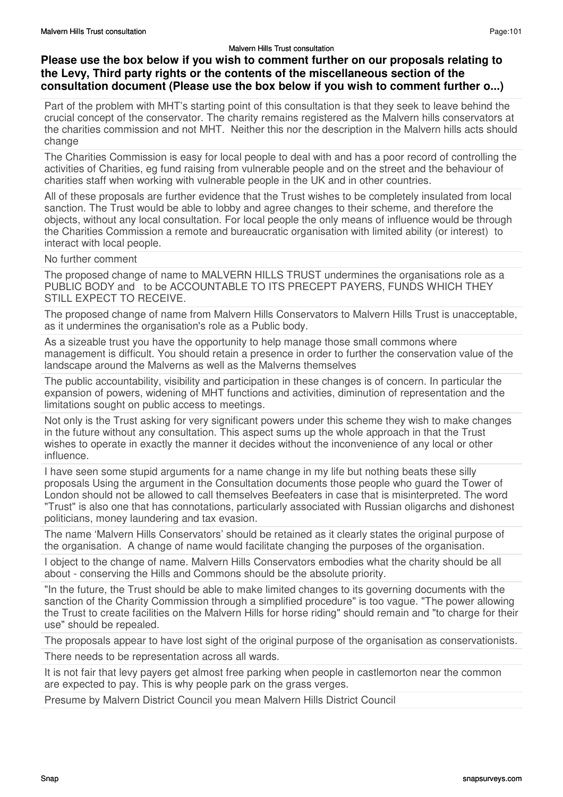## **Please use the box below if you wish to comment further on our proposals relating to the Levy, Third party rights or the contents of the miscellaneous section of the consultation document (Please use the box below if you wish to comment further o...)**

Part of the problem with MHT's starting point of this consultation is that they seek to leave behind the crucial concept of the conservator. The charity remains registered as the Malvern hills conservators at the charities commission and not MHT. Neither this nor the description in the Malvern hills acts should change

The Charities Commission is easy for local people to deal with and has a poor record of controlling the activities of Charities, eg fund raising from vulnerable people and on the street and the behaviour of charities staff when working with vulnerable people in the UK and in other countries.

All of these proposals are further evidence that the Trust wishes to be completely insulated from local sanction. The Trust would be able to lobby and agree changes to their scheme, and therefore the objects, without any local consultation. For local people the only means of influence would be through the Charities Commission a remote and bureaucratic organisation with limited ability (or interest) to interact with local people.

No further comment

The proposed change of name to MALVERN HILLS TRUST undermines the organisations role as a PUBLIC BODY and to be ACCOUNTABLE TO ITS PRECEPT PAYERS, FUNDS WHICH THEY STILL EXPECT TO RECEIVE.

The proposed change of name from Malvern Hills Conservators to Malvern Hills Trust is unacceptable, as it undermines the organisation's role as a Public body.

As a sizeable trust you have the opportunity to help manage those small commons where management is difficult. You should retain a presence in order to further the conservation value of the landscape around the Malverns as well as the Malverns themselves

The public accountability, visibility and participation in these changes is of concern. In particular the expansion of powers, widening of MHT functions and activities, diminution of representation and the limitations sought on public access to meetings.

Not only is the Trust asking for very significant powers under this scheme they wish to make changes in the future without any consultation. This aspect sums up the whole approach in that the Trust wishes to operate in exactly the manner it decides without the inconvenience of any local or other influence.

I have seen some stupid arguments for a name change in my life but nothing beats these silly proposals Using the argument in the Consultation documents those people who guard the Tower of London should not be allowed to call themselves Beefeaters in case that is misinterpreted. The word "Trust" is also one that has connotations, particularly associated with Russian oligarchs and dishonest politicians, money laundering and tax evasion.

The name 'Malvern Hills Conservators' should be retained as it clearly states the original purpose of the organisation. A change of name would facilitate changing the purposes of the organisation.

I object to the change of name. Malvern Hills Conservators embodies what the charity should be all about - conserving the Hills and Commons should be the absolute priority.

"In the future, the Trust should be able to make limited changes to its governing documents with the sanction of the Charity Commission through a simplified procedure" is too vague. "The power allowing the Trust to create facilities on the Malvern Hills for horse riding" should remain and "to charge for their use" should be repealed.

The proposals appear to have lost sight of the original purpose of the organisation as conservationists.

There needs to be representation across all wards.

It is not fair that levy payers get almost free parking when people in castlemorton near the common are expected to pay. This is why people park on the grass verges.

Presume by Malvern District Council you mean Malvern Hills District Council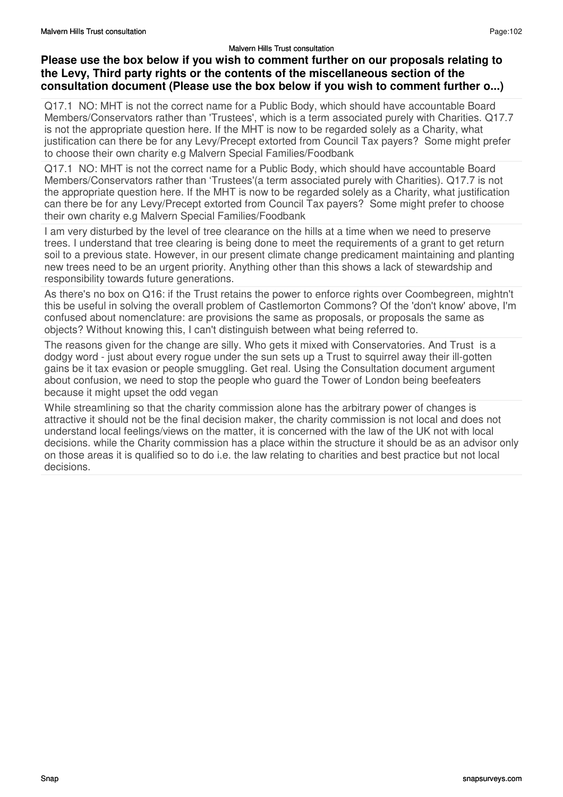## **Please use the box below if you wish to comment further on our proposals relating to the Levy, Third party rights or the contents of the miscellaneous section of the consultation document (Please use the box below if you wish to comment further o...)**

Q17.1 NO: MHT is not the correct name for a Public Body, which should have accountable Board Members/Conservators rather than 'Trustees', which is a term associated purely with Charities. Q17.7 is not the appropriate question here. If the MHT is now to be regarded solely as a Charity, what justification can there be for any Levy/Precept extorted from Council Tax payers? Some might prefer to choose their own charity e.g Malvern Special Families/Foodbank

Q17.1 NO: MHT is not the correct name for a Public Body, which should have accountable Board Members/Conservators rather than 'Trustees'(a term associated purely with Charities). Q17.7 is not the appropriate question here. If the MHT is now to be regarded solely as a Charity, what justification can there be for any Levy/Precept extorted from Council Tax payers? Some might prefer to choose their own charity e.g Malvern Special Families/Foodbank

I am very disturbed by the level of tree clearance on the hills at a time when we need to preserve trees. I understand that tree clearing is being done to meet the requirements of a grant to get return soil to a previous state. However, in our present climate change predicament maintaining and planting new trees need to be an urgent priority. Anything other than this shows a lack of stewardship and responsibility towards future generations.

As there's no box on Q16: if the Trust retains the power to enforce rights over Coombegreen, mightn't this be useful in solving the overall problem of Castlemorton Commons? Of the 'don't know' above, I'm confused about nomenclature: are provisions the same as proposals, or proposals the same as objects? Without knowing this, I can't distinguish between what being referred to.

The reasons given for the change are silly. Who gets it mixed with Conservatories. And Trust is a dodgy word - just about every rogue under the sun sets up a Trust to squirrel away their ill-gotten gains be it tax evasion or people smuggling. Get real. Using the Consultation document argument about confusion, we need to stop the people who guard the Tower of London being beefeaters because it might upset the odd vegan

While streamlining so that the charity commission alone has the arbitrary power of changes is attractive it should not be the final decision maker, the charity commission is not local and does not understand local feelings/views on the matter, it is concerned with the law of the UK not with local decisions. while the Charity commission has a place within the structure it should be as an advisor only on those areas it is qualified so to do i.e. the law relating to charities and best practice but not local decisions.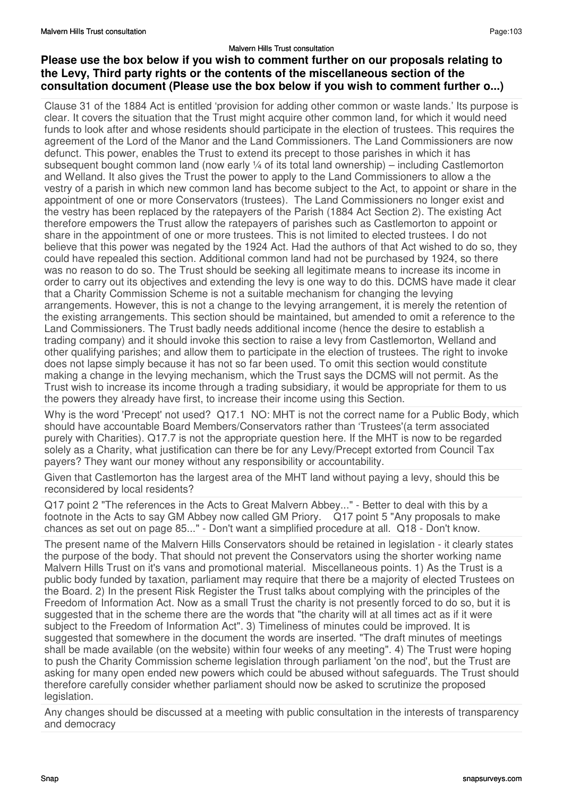## **Please use the box below if you wish to comment further on our proposals relating to the Levy, Third party rights or the contents of the miscellaneous section of the consultation document (Please use the box below if you wish to comment further o...)**

Clause 31 of the 1884 Act is entitled 'provision for adding other common or waste lands.' Its purpose is clear. It covers the situation that the Trust might acquire other common land, for which it would need funds to look after and whose residents should participate in the election of trustees. This requires the agreement of the Lord of the Manor and the Land Commissioners. The Land Commissioners are now defunct. This power, enables the Trust to extend its precept to those parishes in which it has subsequent bought common land (now early  $\frac{1}{4}$  of its total land ownership) – including Castlemorton and Welland. It also gives the Trust the power to apply to the Land Commissioners to allow a the vestry of a parish in which new common land has become subject to the Act, to appoint or share in the appointment of one or more Conservators (trustees). The Land Commissioners no longer exist and the vestry has been replaced by the ratepayers of the Parish (1884 Act Section 2). The existing Act therefore empowers the Trust allow the ratepayers of parishes such as Castlemorton to appoint or share in the appointment of one or more trustees. This is not limited to elected trustees. I do not believe that this power was negated by the 1924 Act. Had the authors of that Act wished to do so, they could have repealed this section. Additional common land had not be purchased by 1924, so there was no reason to do so. The Trust should be seeking all legitimate means to increase its income in order to carry out its objectives and extending the levy is one way to do this. DCMS have made it clear that a Charity Commission Scheme is not a suitable mechanism for changing the levying arrangements. However, this is not a change to the levying arrangement, it is merely the retention of the existing arrangements. This section should be maintained, but amended to omit a reference to the Land Commissioners. The Trust badly needs additional income (hence the desire to establish a trading company) and it should invoke this section to raise a levy from Castlemorton, Welland and other qualifying parishes; and allow them to participate in the election of trustees. The right to invoke does not lapse simply because it has not so far been used. To omit this section would constitute making a change in the levying mechanism, which the Trust says the DCMS will not permit. As the Trust wish to increase its income through a trading subsidiary, it would be appropriate for them to us the powers they already have first, to increase their income using this Section.

Why is the word 'Precept' not used? Q17.1 NO: MHT is not the correct name for a Public Body, which should have accountable Board Members/Conservators rather than 'Trustees'(a term associated purely with Charities). Q17.7 is not the appropriate question here. If the MHT is now to be regarded solely as a Charity, what justification can there be for any Levy/Precept extorted from Council Tax payers? They want our money without any responsibility or accountability.

Given that Castlemorton has the largest area of the MHT land without paying a levy, should this be reconsidered by local residents?

Q17 point 2 "The references in the Acts to Great Malvern Abbey..." - Better to deal with this by a footnote in the Acts to say GM Abbey now called GM Priory. Q17 point 5 "Any proposals to make chances as set out on page 85..." - Don't want a simplified procedure at all. Q18 - Don't know.

The present name of the Malvern Hills Conservators should be retained in legislation - it clearly states the purpose of the body. That should not prevent the Conservators using the shorter working name Malvern Hills Trust on it's vans and promotional material. Miscellaneous points. 1) As the Trust is a public body funded by taxation, parliament may require that there be a majority of elected Trustees on the Board. 2) In the present Risk Register the Trust talks about complying with the principles of the Freedom of Information Act. Now as a small Trust the charity is not presently forced to do so, but it is suggested that in the scheme there are the words that "the charity will at all times act as if it were subject to the Freedom of Information Act". 3) Timeliness of minutes could be improved. It is suggested that somewhere in the document the words are inserted. "The draft minutes of meetings shall be made available (on the website) within four weeks of any meeting". 4) The Trust were hoping to push the Charity Commission scheme legislation through parliament 'on the nod', but the Trust are asking for many open ended new powers which could be abused without safeguards. The Trust should therefore carefully consider whether parliament should now be asked to scrutinize the proposed legislation.

Any changes should be discussed at a meeting with public consultation in the interests of transparency and democracy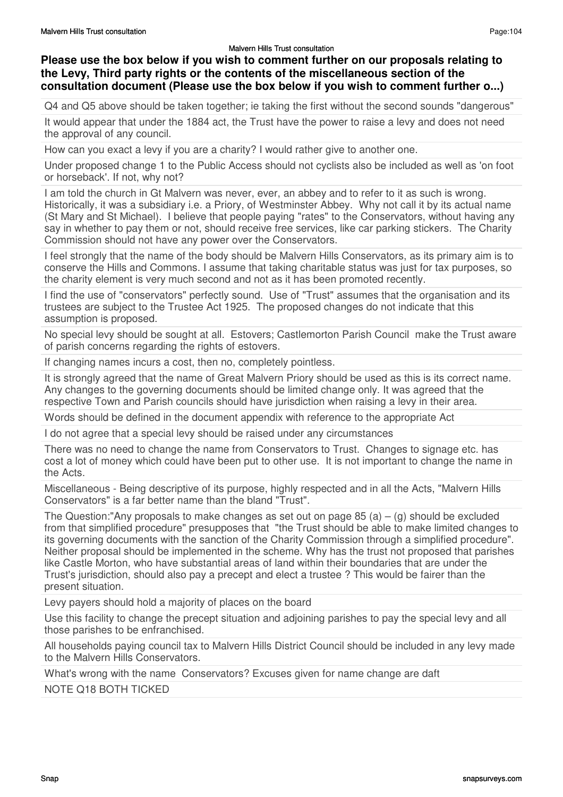# **Please use the box below if you wish to comment further on our proposals relating to the Levy, Third party rights or the contents of the miscellaneous section of the consultation document (Please use the box below if you wish to comment further o...)**

Q4 and Q5 above should be taken together; ie taking the first without the second sounds "dangerous"

It would appear that under the 1884 act, the Trust have the power to raise a levy and does not need the approval of any council.

How can you exact a levy if you are a charity? I would rather give to another one.

Under proposed change 1 to the Public Access should not cyclists also be included as well as 'on foot or horseback'. If not, why not?

I am told the church in Gt Malvern was never, ever, an abbey and to refer to it as such is wrong. Historically, it was a subsidiary i.e. a Priory, of Westminster Abbey. Why not call it by its actual name (St Mary and St Michael). I believe that people paying "rates" to the Conservators, without having any say in whether to pay them or not, should receive free services, like car parking stickers. The Charity Commission should not have any power over the Conservators.

I feel strongly that the name of the body should be Malvern Hills Conservators, as its primary aim is to conserve the Hills and Commons. I assume that taking charitable status was just for tax purposes, so the charity element is very much second and not as it has been promoted recently.

I find the use of "conservators" perfectly sound. Use of "Trust" assumes that the organisation and its trustees are subject to the Trustee Act 1925. The proposed changes do not indicate that this assumption is proposed.

No special levy should be sought at all. Estovers; Castlemorton Parish Council make the Trust aware of parish concerns regarding the rights of estovers.

If changing names incurs a cost, then no, completely pointless.

It is strongly agreed that the name of Great Malvern Priory should be used as this is its correct name. Any changes to the governing documents should be limited change only. It was agreed that the respective Town and Parish councils should have jurisdiction when raising a levy in their area.

Words should be defined in the document appendix with reference to the appropriate Act

I do not agree that a special levy should be raised under any circumstances

There was no need to change the name from Conservators to Trust. Changes to signage etc. has cost a lot of money which could have been put to other use. It is not important to change the name in the Acts.

Miscellaneous - Being descriptive of its purpose, highly respected and in all the Acts, "Malvern Hills Conservators" is a far better name than the bland "Trust".

The Question:"Any proposals to make changes as set out on page 85 (a) – (g) should be excluded from that simplified procedure" presupposes that "the Trust should be able to make limited changes to its governing documents with the sanction of the Charity Commission through a simplified procedure". Neither proposal should be implemented in the scheme. Why has the trust not proposed that parishes like Castle Morton, who have substantial areas of land within their boundaries that are under the Trust's jurisdiction, should also pay a precept and elect a trustee ? This would be fairer than the present situation.

Levy payers should hold a majority of places on the board

Use this facility to change the precept situation and adjoining parishes to pay the special levy and all those parishes to be enfranchised.

All households paying council tax to Malvern Hills District Council should be included in any levy made to the Malvern Hills Conservators.

What's wrong with the name Conservators? Excuses given for name change are daft

NOTE Q18 BOTH TICKED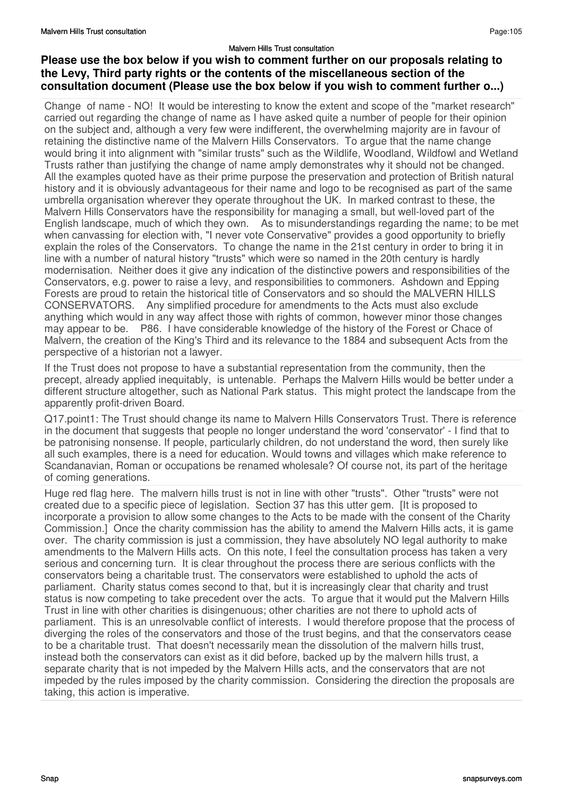## **Please use the box below if you wish to comment further on our proposals relating to the Levy, Third party rights or the contents of the miscellaneous section of the consultation document (Please use the box below if you wish to comment further o...)**

Change of name - NO! It would be interesting to know the extent and scope of the "market research" carried out regarding the change of name as I have asked quite a number of people for their opinion on the subject and, although a very few were indifferent, the overwhelming majority are in favour of retaining the distinctive name of the Malvern Hills Conservators. To argue that the name change would bring it into alignment with "similar trusts" such as the Wildlife, Woodland, Wildfowl and Wetland Trusts rather than justifying the change of name amply demonstrates why it should not be changed. All the examples quoted have as their prime purpose the preservation and protection of British natural history and it is obviously advantageous for their name and logo to be recognised as part of the same umbrella organisation wherever they operate throughout the UK. In marked contrast to these, the Malvern Hills Conservators have the responsibility for managing a small, but well-loved part of the English landscape, much of which they own. As to misunderstandings regarding the name; to be met when canvassing for election with, "I never vote Conservative" provides a good opportunity to briefly explain the roles of the Conservators. To change the name in the 21st century in order to bring it in line with a number of natural history "trusts" which were so named in the 20th century is hardly modernisation. Neither does it give any indication of the distinctive powers and responsibilities of the Conservators, e.g. power to raise a levy, and responsibilities to commoners. Ashdown and Epping Forests are proud to retain the historical title of Conservators and so should the MALVERN HILLS CONSERVATORS. Any simplified procedure for amendments to the Acts must also exclude anything which would in any way affect those with rights of common, however minor those changes may appear to be. P86. I have considerable knowledge of the history of the Forest or Chace of Malvern, the creation of the King's Third and its relevance to the 1884 and subsequent Acts from the perspective of a historian not a lawyer.

If the Trust does not propose to have a substantial representation from the community, then the precept, already applied inequitably, is untenable. Perhaps the Malvern Hills would be better under a different structure altogether, such as National Park status. This might protect the landscape from the apparently profit-driven Board.

Q17.point1: The Trust should change its name to Malvern Hills Conservators Trust. There is reference in the document that suggests that people no longer understand the word 'conservator' - I find that to be patronising nonsense. If people, particularly children, do not understand the word, then surely like all such examples, there is a need for education. Would towns and villages which make reference to Scandanavian, Roman or occupations be renamed wholesale? Of course not, its part of the heritage of coming generations.

Huge red flag here. The malvern hills trust is not in line with other "trusts". Other "trusts" were not created due to a specific piece of legislation. Section 37 has this utter gem. [It is proposed to incorporate a provision to allow some changes to the Acts to be made with the consent of the Charity Commission.] Once the charity commission has the ability to amend the Malvern Hills acts, it is game over. The charity commission is just a commission, they have absolutely NO legal authority to make amendments to the Malvern Hills acts. On this note, I feel the consultation process has taken a very serious and concerning turn. It is clear throughout the process there are serious conflicts with the conservators being a charitable trust. The conservators were established to uphold the acts of parliament. Charity status comes second to that, but it is increasingly clear that charity and trust status is now competing to take precedent over the acts. To argue that it would put the Malvern Hills Trust in line with other charities is disingenuous; other charities are not there to uphold acts of parliament. This is an unresolvable conflict of interests. I would therefore propose that the process of diverging the roles of the conservators and those of the trust begins, and that the conservators cease to be a charitable trust. That doesn't necessarily mean the dissolution of the malvern hills trust, instead both the conservators can exist as it did before, backed up by the malvern hills trust, a separate charity that is not impeded by the Malvern Hills acts, and the conservators that are not impeded by the rules imposed by the charity commission. Considering the direction the proposals are taking, this action is imperative.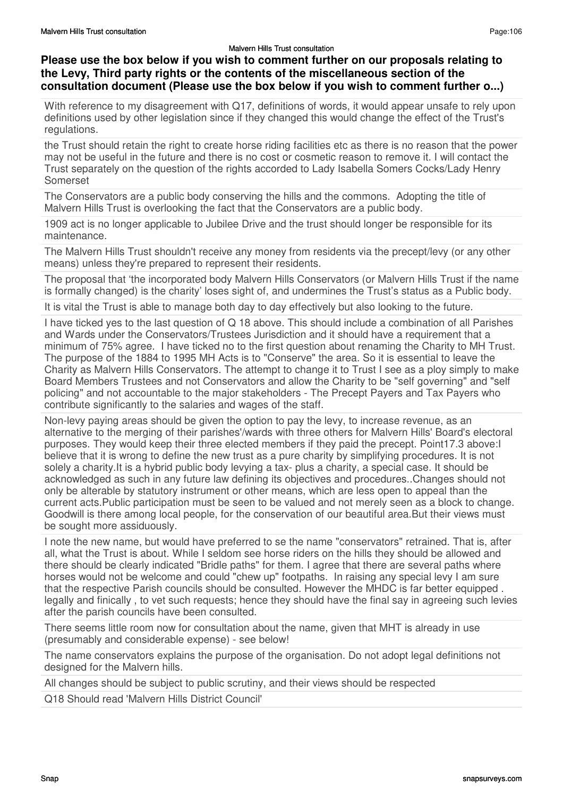## **Please use the box below if you wish to comment further on our proposals relating to the Levy, Third party rights or the contents of the miscellaneous section of the consultation document (Please use the box below if you wish to comment further o...)**

With reference to my disagreement with Q17, definitions of words, it would appear unsafe to rely upon definitions used by other legislation since if they changed this would change the effect of the Trust's regulations.

the Trust should retain the right to create horse riding facilities etc as there is no reason that the power may not be useful in the future and there is no cost or cosmetic reason to remove it. I will contact the Trust separately on the question of the rights accorded to Lady Isabella Somers Cocks/Lady Henry Somerset

The Conservators are a public body conserving the hills and the commons. Adopting the title of Malvern Hills Trust is overlooking the fact that the Conservators are a public body.

1909 act is no longer applicable to Jubilee Drive and the trust should longer be responsible for its maintenance.

The Malvern Hills Trust shouldn't receive any money from residents via the precept/levy (or any other means) unless they're prepared to represent their residents.

The proposal that 'the incorporated body Malvern Hills Conservators (or Malvern Hills Trust if the name is formally changed) is the charity' loses sight of, and undermines the Trust's status as a Public body.

It is vital the Trust is able to manage both day to day effectively but also looking to the future.

I have ticked yes to the last question of Q 18 above. This should include a combination of all Parishes and Wards under the Conservators/Trustees Jurisdiction and it should have a requirement that a minimum of 75% agree. I have ticked no to the first question about renaming the Charity to MH Trust. The purpose of the 1884 to 1995 MH Acts is to "Conserve" the area. So it is essential to leave the Charity as Malvern Hills Conservators. The attempt to change it to Trust I see as a ploy simply to make Board Members Trustees and not Conservators and allow the Charity to be "self governing" and "self policing" and not accountable to the major stakeholders - The Precept Payers and Tax Payers who contribute significantly to the salaries and wages of the staff.

Non-levy paying areas should be given the option to pay the levy, to increase revenue, as an alternative to the merging of their parishes'/wards with three others for Malvern Hills' Board's electoral purposes. They would keep their three elected members if they paid the precept. Point17.3 above:I believe that it is wrong to define the new trust as a pure charity by simplifying procedures. It is not solely a charity.It is a hybrid public body levying a tax- plus a charity, a special case. It should be acknowledged as such in any future law defining its objectives and procedures..Changes should not only be alterable by statutory instrument or other means, which are less open to appeal than the current acts.Public participation must be seen to be valued and not merely seen as a block to change. Goodwill is there among local people, for the conservation of our beautiful area.But their views must be sought more assiduously.

I note the new name, but would have preferred to se the name "conservators" retrained. That is, after all, what the Trust is about. While I seldom see horse riders on the hills they should be allowed and there should be clearly indicated "Bridle paths" for them. I agree that there are several paths where horses would not be welcome and could "chew up" footpaths. In raising any special levy I am sure that the respective Parish councils should be consulted. However the MHDC is far better equipped . legally and finically , to vet such requests; hence they should have the final say in agreeing such levies after the parish councils have been consulted.

There seems little room now for consultation about the name, given that MHT is already in use (presumably and considerable expense) - see below!

The name conservators explains the purpose of the organisation. Do not adopt legal definitions not designed for the Malvern hills.

All changes should be subject to public scrutiny, and their views should be respected

Q18 Should read 'Malvern Hills District Council'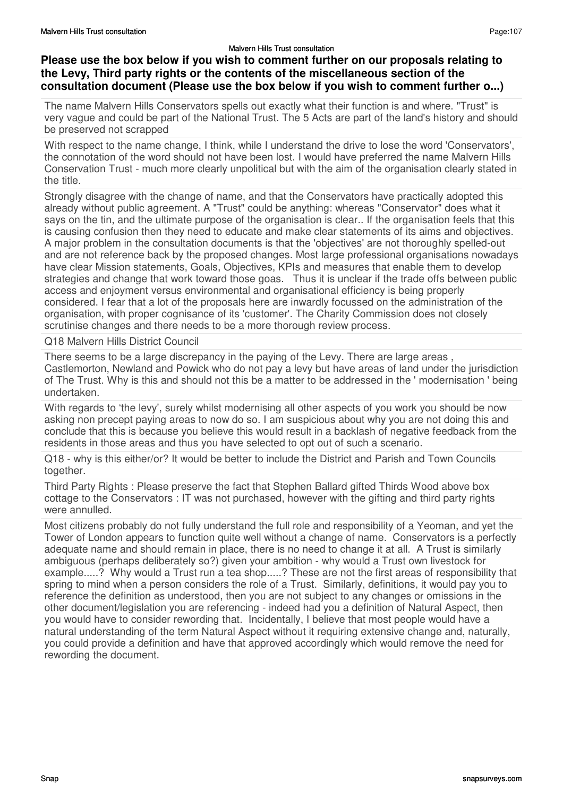## **Please use the box below if you wish to comment further on our proposals relating to the Levy, Third party rights or the contents of the miscellaneous section of the consultation document (Please use the box below if you wish to comment further o...)**

The name Malvern Hills Conservators spells out exactly what their function is and where. "Trust" is very vague and could be part of the National Trust. The 5 Acts are part of the land's history and should be preserved not scrapped

With respect to the name change, I think, while I understand the drive to lose the word 'Conservators', the connotation of the word should not have been lost. I would have preferred the name Malvern Hills Conservation Trust - much more clearly unpolitical but with the aim of the organisation clearly stated in the title.

Strongly disagree with the change of name, and that the Conservators have practically adopted this already without public agreement. A "Trust" could be anything: whereas "Conservator" does what it says on the tin, and the ultimate purpose of the organisation is clear.. If the organisation feels that this is causing confusion then they need to educate and make clear statements of its aims and objectives. A major problem in the consultation documents is that the 'objectives' are not thoroughly spelled-out and are not reference back by the proposed changes. Most large professional organisations nowadays have clear Mission statements, Goals, Objectives, KPIs and measures that enable them to develop strategies and change that work toward those goas. Thus it is unclear if the trade offs between public access and enjoyment versus environmental and organisational efficiency is being properly considered. I fear that a lot of the proposals here are inwardly focussed on the administration of the organisation, with proper cognisance of its 'customer'. The Charity Commission does not closely scrutinise changes and there needs to be a more thorough review process.

Q18 Malvern Hills District Council

There seems to be a large discrepancy in the paying of the Levy. There are large areas , Castlemorton, Newland and Powick who do not pay a levy but have areas of land under the jurisdiction of The Trust. Why is this and should not this be a matter to be addressed in the ' modernisation ' being undertaken.

With regards to 'the levy', surely whilst modernising all other aspects of you work you should be now asking non precept paying areas to now do so. I am suspicious about why you are not doing this and conclude that this is because you believe this would result in a backlash of negative feedback from the residents in those areas and thus you have selected to opt out of such a scenario.

Q18 - why is this either/or? It would be better to include the District and Parish and Town Councils together.

Third Party Rights : Please preserve the fact that Stephen Ballard gifted Thirds Wood above box cottage to the Conservators : IT was not purchased, however with the gifting and third party rights were annulled.

Most citizens probably do not fully understand the full role and responsibility of a Yeoman, and yet the Tower of London appears to function quite well without a change of name. Conservators is a perfectly adequate name and should remain in place, there is no need to change it at all. A Trust is similarly ambiguous (perhaps deliberately so?) given your ambition - why would a Trust own livestock for example.....? Why would a Trust run a tea shop.....? These are not the first areas of responsibility that spring to mind when a person considers the role of a Trust. Similarly, definitions, it would pay you to reference the definition as understood, then you are not subject to any changes or omissions in the other document/legislation you are referencing - indeed had you a definition of Natural Aspect, then you would have to consider rewording that. Incidentally, I believe that most people would have a natural understanding of the term Natural Aspect without it requiring extensive change and, naturally, you could provide a definition and have that approved accordingly which would remove the need for rewording the document.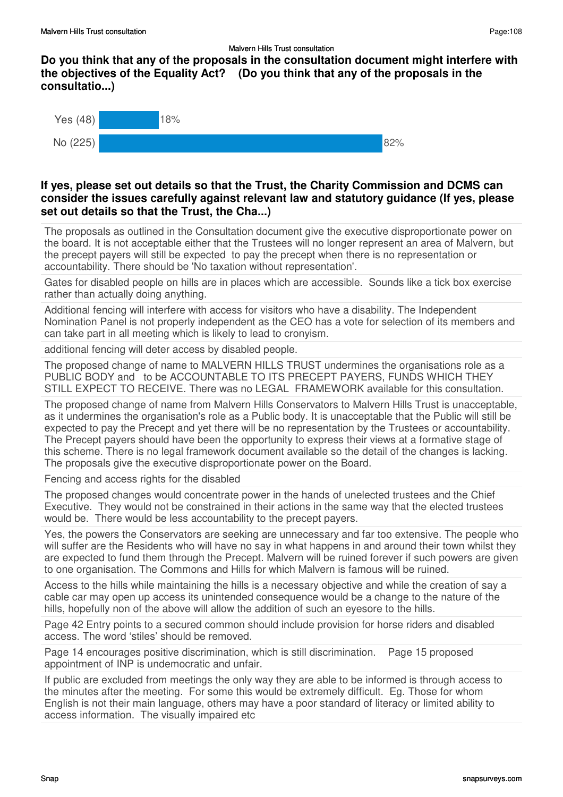**Do you think that any of the proposals in the consultation document might interfere with the objectives of the Equality Act? (Do you think that any of the proposals in the consultatio...)**



### **If yes, please set out details so that the Trust, the Charity Commission and DCMS can consider the issues carefully against relevant law and statutory guidance (If yes, please set out details so that the Trust, the Cha...)**

The proposals as outlined in the Consultation document give the executive disproportionate power on the board. It is not acceptable either that the Trustees will no longer represent an area of Malvern, but the precept payers will still be expected to pay the precept when there is no representation or accountability. There should be 'No taxation without representation'.

Gates for disabled people on hills are in places which are accessible. Sounds like a tick box exercise rather than actually doing anything.

Additional fencing will interfere with access for visitors who have a disability. The Independent Nomination Panel is not properly independent as the CEO has a vote for selection of its members and can take part in all meeting which is likely to lead to cronyism.

additional fencing will deter access by disabled people.

The proposed change of name to MALVERN HILLS TRUST undermines the organisations role as a PUBLIC BODY and to be ACCOUNTABLE TO ITS PRECEPT PAYERS, FUNDS WHICH THEY STILL EXPECT TO RECEIVE. There was no LEGAL FRAMEWORK available for this consultation.

The proposed change of name from Malvern Hills Conservators to Malvern Hills Trust is unacceptable, as it undermines the organisation's role as a Public body. It is unacceptable that the Public will still be expected to pay the Precept and yet there will be no representation by the Trustees or accountability. The Precept payers should have been the opportunity to express their views at a formative stage of this scheme. There is no legal framework document available so the detail of the changes is lacking. The proposals give the executive disproportionate power on the Board.

Fencing and access rights for the disabled

The proposed changes would concentrate power in the hands of unelected trustees and the Chief Executive. They would not be constrained in their actions in the same way that the elected trustees would be. There would be less accountability to the precept payers.

Yes, the powers the Conservators are seeking are unnecessary and far too extensive. The people who will suffer are the Residents who will have no say in what happens in and around their town whilst they are expected to fund them through the Precept. Malvern will be ruined forever if such powers are given to one organisation. The Commons and Hills for which Malvern is famous will be ruined.

Access to the hills while maintaining the hills is a necessary objective and while the creation of say a cable car may open up access its unintended consequence would be a change to the nature of the hills, hopefully non of the above will allow the addition of such an eyesore to the hills.

Page 42 Entry points to a secured common should include provision for horse riders and disabled access. The word 'stiles' should be removed.

Page 14 encourages positive discrimination, which is still discrimination. Page 15 proposed appointment of INP is undemocratic and unfair.

If public are excluded from meetings the only way they are able to be informed is through access to the minutes after the meeting. For some this would be extremely difficult. Eg. Those for whom English is not their main language, others may have a poor standard of literacy or limited ability to access information. The visually impaired etc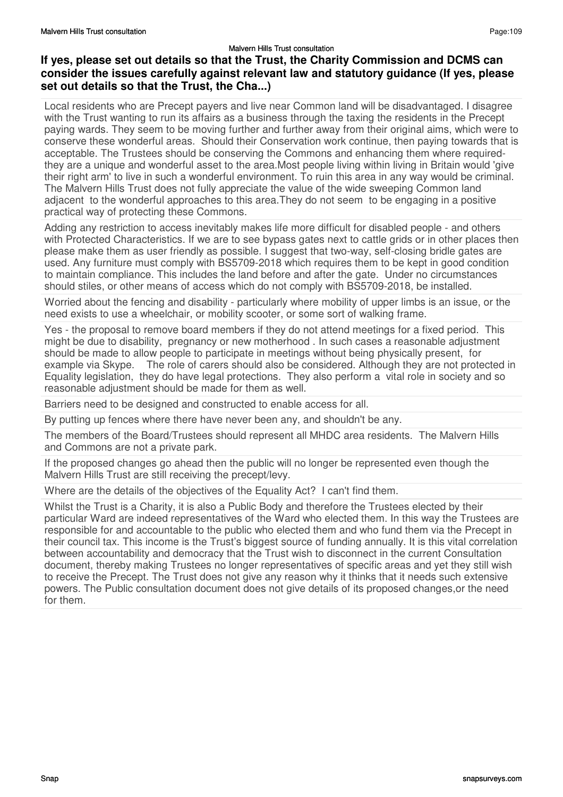### **If yes, please set out details so that the Trust, the Charity Commission and DCMS can consider the issues carefully against relevant law and statutory guidance (If yes, please set out details so that the Trust, the Cha...)**

Local residents who are Precept payers and live near Common land will be disadvantaged. I disagree with the Trust wanting to run its affairs as a business through the taxing the residents in the Precept paying wards. They seem to be moving further and further away from their original aims, which were to conserve these wonderful areas. Should their Conservation work continue, then paying towards that is acceptable. The Trustees should be conserving the Commons and enhancing them where requiredthey are a unique and wonderful asset to the area.Most people living within living in Britain would 'give their right arm' to live in such a wonderful environment. To ruin this area in any way would be criminal. The Malvern Hills Trust does not fully appreciate the value of the wide sweeping Common land adjacent to the wonderful approaches to this area.They do not seem to be engaging in a positive practical way of protecting these Commons.

Adding any restriction to access inevitably makes life more difficult for disabled people - and others with Protected Characteristics. If we are to see bypass gates next to cattle grids or in other places then please make them as user friendly as possible. I suggest that two-way, self-closing bridle gates are used. Any furniture must comply with BS5709-2018 which requires them to be kept in good condition to maintain compliance. This includes the land before and after the gate. Under no circumstances should stiles, or other means of access which do not comply with BS5709-2018, be installed.

Worried about the fencing and disability - particularly where mobility of upper limbs is an issue, or the need exists to use a wheelchair, or mobility scooter, or some sort of walking frame.

Yes - the proposal to remove board members if they do not attend meetings for a fixed period. This might be due to disability, pregnancy or new motherhood . In such cases a reasonable adjustment should be made to allow people to participate in meetings without being physically present, for example via Skype. The role of carers should also be considered. Although they are not protected in Equality legislation, they do have legal protections. They also perform a vital role in society and so reasonable adjustment should be made for them as well.

Barriers need to be designed and constructed to enable access for all.

By putting up fences where there have never been any, and shouldn't be any.

The members of the Board/Trustees should represent all MHDC area residents. The Malvern Hills and Commons are not a private park.

If the proposed changes go ahead then the public will no longer be represented even though the Malvern Hills Trust are still receiving the precept/levy.

Where are the details of the objectives of the Equality Act? I can't find them.

Whilst the Trust is a Charity, it is also a Public Body and therefore the Trustees elected by their particular Ward are indeed representatives of the Ward who elected them. In this way the Trustees are responsible for and accountable to the public who elected them and who fund them via the Precept in their council tax. This income is the Trust's biggest source of funding annually. It is this vital correlation between accountability and democracy that the Trust wish to disconnect in the current Consultation document, thereby making Trustees no longer representatives of specific areas and yet they still wish to receive the Precept. The Trust does not give any reason why it thinks that it needs such extensive powers. The Public consultation document does not give details of its proposed changes,or the need for them.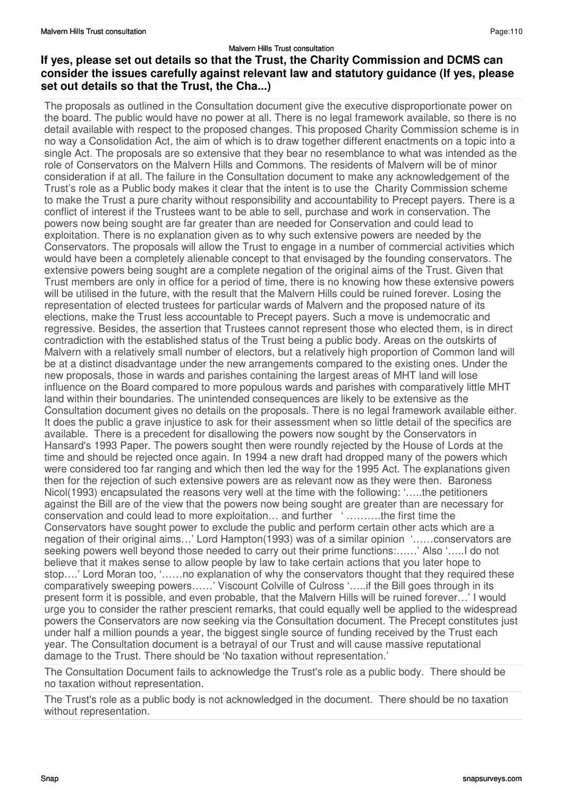### **If yes, please set out details so that the Trust, the Charity Commission and DCMS can consider the issues carefully against relevant law and statutory guidance (If yes, please set out details so that the Trust, the Cha...)**

The proposals as outlined in the Consultation document give the executive disproportionate power on the board. The public would have no power at all. There is no legal framework available, so there is no detail available with respect to the proposed changes. This proposed Charity Commission scheme is in no way a Consolidation Act, the aim of which is to draw together different enactments on a topic into a single Act. The proposals are so extensive that they bear no resemblance to what was intended as the role of Conservators on the Malvern Hills and Commons. The residents of Malvern will be of minor consideration if at all. The failure in the Consultation document to make any acknowledgement of the Trust's role as a Public body makes it clear that the intent is to use the Charity Commission scheme to make the Trust a pure charity without responsibility and accountability to Precept payers. There is a conflict of interest if the Trustees want to be able to sell, purchase and work in conservation. The powers now being sought are far greater than are needed for Conservation and could lead to exploitation. There is no explanation given as to why such extensive powers are needed by the Conservators. The proposals will allow the Trust to engage in a number of commercial activities which would have been a completely alienable concept to that envisaged by the founding conservators. The extensive powers being sought are a complete negation of the original aims of the Trust. Given that Trust members are only in office for a period of time, there is no knowing how these extensive powers will be utilised in the future, with the result that the Malvern Hills could be ruined forever. Losing the representation of elected trustees for particular wards of Malvern and the proposed nature of its elections, make the Trust less accountable to Precept payers. Such a move is undemocratic and regressive. Besides, the assertion that Trustees cannot represent those who elected them, is in direct contradiction with the established status of the Trust being a public body. Areas on the outskirts of Malvern with a relatively small number of electors, but a relatively high proportion of Common land will be at a distinct disadvantage under the new arrangements compared to the existing ones. Under the new proposals, those in wards and parishes containing the largest areas of MHT land will lose influence on the Board compared to more populous wards and parishes with comparatively little MHT land within their boundaries. The unintended consequences are likely to be extensive as the Consultation document gives no details on the proposals. There is no legal framework available either. It does the public a grave injustice to ask for their assessment when so little detail of the specifics are available. There is a precedent for disallowing the powers now sought by the Conservators in Hansard's 1993 Paper. The powers sought then were roundly rejected by the House of Lords at the time and should be rejected once again. In 1994 a new draft had dropped many of the powers which were considered too far ranging and which then led the way for the 1995 Act. The explanations given then for the rejection of such extensive powers are as relevant now as they were then. Baroness Nicol(1993) encapsulated the reasons very well at the time with the following: '…..the petitioners against the Bill are of the view that the powers now being sought are greater than are necessary for conservation and could lead to more exploitation… and further ' ……….the first time the Conservators have sought power to exclude the public and perform certain other acts which are a negation of their original aims…' Lord Hampton(1993) was of a similar opinion '……conservators are seeking powers well beyond those needed to carry out their prime functions:……' Also '…..I do not believe that it makes sense to allow people by law to take certain actions that you later hope to stop….' Lord Moran too, '……no explanation of why the conservators thought that they required these comparatively sweeping powers……' Viscount Colville of Culross '…..if the Bill goes through in its present form it is possible, and even probable, that the Malvern Hills will be ruined forever…' I would urge you to consider the rather prescient remarks, that could equally well be applied to the widespread powers the Conservators are now seeking via the Consultation document. The Precept constitutes just under half a million pounds a year, the biggest single source of funding received by the Trust each year. The Consultation document is a betrayal of our Trust and will cause massive reputational damage to the Trust. There should be 'No taxation without representation.'

The Consultation Document fails to acknowledge the Trust's role as a public body. There should be no taxation without representation.

The Trust's role as a public body is not acknowledged in the document. There should be no taxation without representation.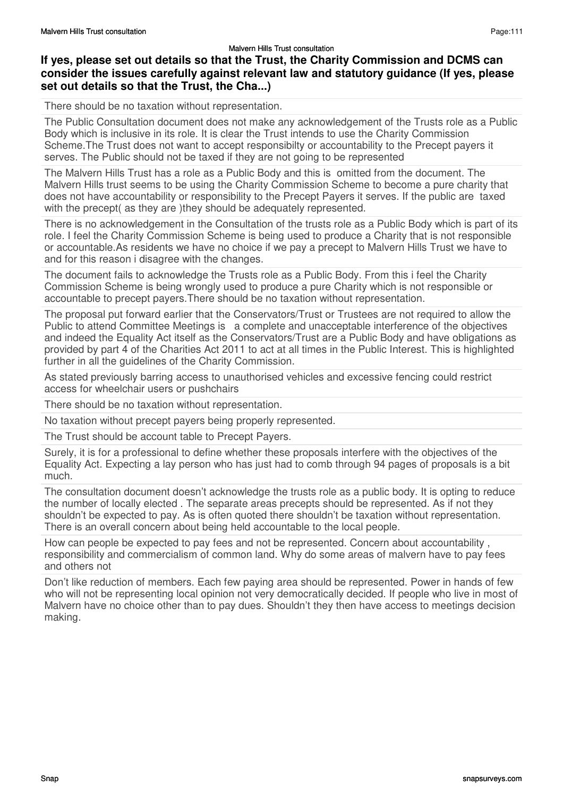### **If yes, please set out details so that the Trust, the Charity Commission and DCMS can consider the issues carefully against relevant law and statutory guidance (If yes, please set out details so that the Trust, the Cha...)**

There should be no taxation without representation.

The Public Consultation document does not make any acknowledgement of the Trusts role as a Public Body which is inclusive in its role. It is clear the Trust intends to use the Charity Commission Scheme.The Trust does not want to accept responsibilty or accountability to the Precept payers it serves. The Public should not be taxed if they are not going to be represented

The Malvern Hills Trust has a role as a Public Body and this is omitted from the document. The Malvern Hills trust seems to be using the Charity Commission Scheme to become a pure charity that does not have accountability or responsibility to the Precept Payers it serves. If the public are taxed with the precept (as they are ) they should be adequately represented.

There is no acknowledgement in the Consultation of the trusts role as a Public Body which is part of its role. I feel the Charity Commission Scheme is being used to produce a Charity that is not responsible or accountable.As residents we have no choice if we pay a precept to Malvern Hills Trust we have to and for this reason i disagree with the changes.

The document fails to acknowledge the Trusts role as a Public Body. From this i feel the Charity Commission Scheme is being wrongly used to produce a pure Charity which is not responsible or accountable to precept payers.There should be no taxation without representation.

The proposal put forward earlier that the Conservators/Trust or Trustees are not required to allow the Public to attend Committee Meetings is a complete and unacceptable interference of the objectives and indeed the Equality Act itself as the Conservators/Trust are a Public Body and have obligations as provided by part 4 of the Charities Act 2011 to act at all times in the Public Interest. This is highlighted further in all the guidelines of the Charity Commission.

As stated previously barring access to unauthorised vehicles and excessive fencing could restrict access for wheelchair users or pushchairs

There should be no taxation without representation.

No taxation without precept payers being properly represented.

The Trust should be account table to Precept Payers.

Surely, it is for a professional to define whether these proposals interfere with the objectives of the Equality Act. Expecting a lay person who has just had to comb through 94 pages of proposals is a bit much.

The consultation document doesn't acknowledge the trusts role as a public body. It is opting to reduce the number of locally elected . The separate areas precepts should be represented. As if not they shouldn't be expected to pay. As is often quoted there shouldn't be taxation without representation. There is an overall concern about being held accountable to the local people.

How can people be expected to pay fees and not be represented. Concern about accountability , responsibility and commercialism of common land. Why do some areas of malvern have to pay fees and others not

Don't like reduction of members. Each few paying area should be represented. Power in hands of few who will not be representing local opinion not very democratically decided. If people who live in most of Malvern have no choice other than to pay dues. Shouldn't they then have access to meetings decision making.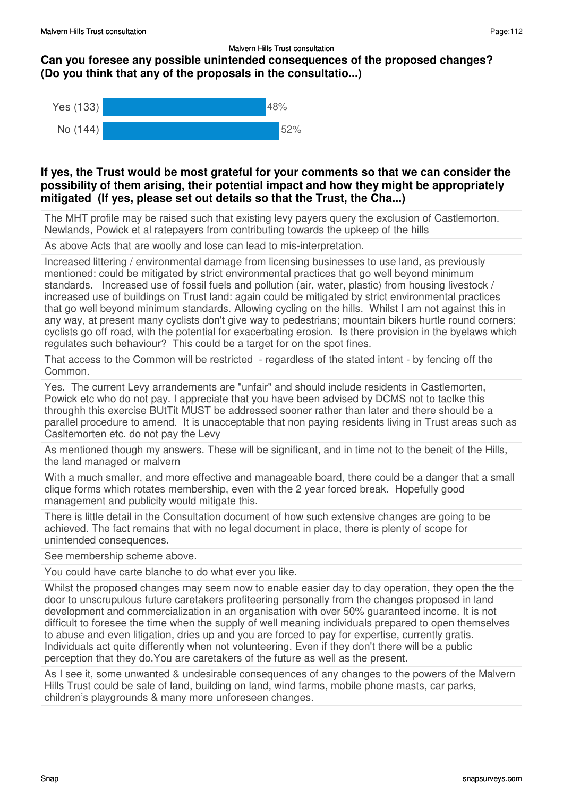## **Can you foresee any possible unintended consequences of the proposed changes? (Do you think that any of the proposals in the consultatio...)**



### **If yes, the Trust would be most grateful for your comments so that we can consider the possibility of them arising, their potential impact and how they might be appropriately mitigated (If yes, please set out details so that the Trust, the Cha...)**

The MHT profile may be raised such that existing levy payers query the exclusion of Castlemorton. Newlands, Powick et al ratepayers from contributing towards the upkeep of the hills

As above Acts that are woolly and lose can lead to mis-interpretation.

Increased littering / environmental damage from licensing businesses to use land, as previously mentioned: could be mitigated by strict environmental practices that go well beyond minimum standards. Increased use of fossil fuels and pollution (air, water, plastic) from housing livestock / increased use of buildings on Trust land: again could be mitigated by strict environmental practices that go well beyond minimum standards. Allowing cycling on the hills. Whilst I am not against this in any way, at present many cyclists don't give way to pedestrians; mountain bikers hurtle round corners; cyclists go off road, with the potential for exacerbating erosion. Is there provision in the byelaws which regulates such behaviour? This could be a target for on the spot fines.

That access to the Common will be restricted - regardless of the stated intent - by fencing off the Common.

Yes. The current Levy arrandements are "unfair" and should include residents in Castlemorten, Powick etc who do not pay. I appreciate that you have been advised by DCMS not to taclke this throughh this exercise BUtTit MUST be addressed sooner rather than later and there should be a parallel procedure to amend. It is unacceptable that non paying residents living in Trust areas such as Casltemorten etc. do not pay the Levy

As mentioned though my answers. These will be significant, and in time not to the beneit of the Hills, the land managed or malvern

With a much smaller, and more effective and manageable board, there could be a danger that a small clique forms which rotates membership, even with the 2 year forced break. Hopefully good management and publicity would mitigate this.

There is little detail in the Consultation document of how such extensive changes are going to be achieved. The fact remains that with no legal document in place, there is plenty of scope for unintended consequences.

See membership scheme above.

You could have carte blanche to do what ever you like.

Whilst the proposed changes may seem now to enable easier day to day operation, they open the the door to unscrupulous future caretakers profiteering personally from the changes proposed in land development and commercialization in an organisation with over 50% guaranteed income. It is not difficult to foresee the time when the supply of well meaning individuals prepared to open themselves to abuse and even litigation, dries up and you are forced to pay for expertise, currently gratis. Individuals act quite differently when not volunteering. Even if they don't there will be a public perception that they do.You are caretakers of the future as well as the present.

As I see it, some unwanted & undesirable consequences of any changes to the powers of the Malvern Hills Trust could be sale of land, building on land, wind farms, mobile phone masts, car parks, children's playgrounds & many more unforeseen changes.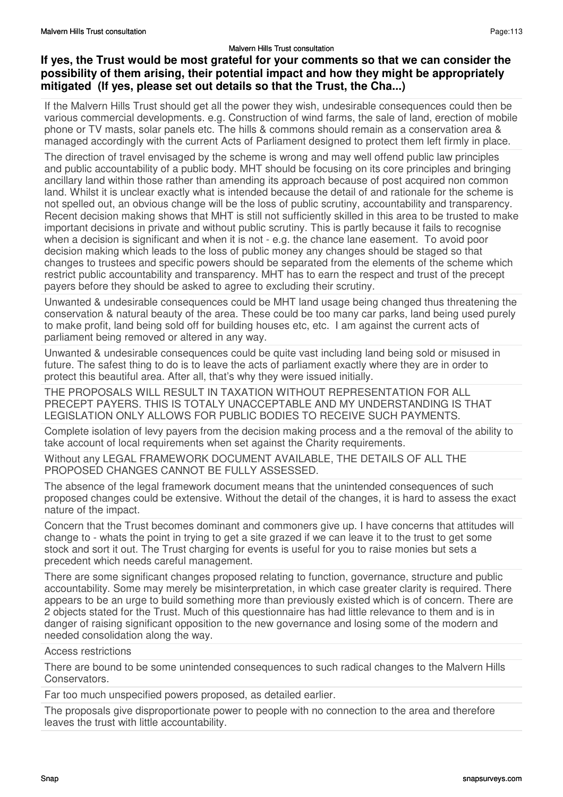### **If yes, the Trust would be most grateful for your comments so that we can consider the possibility of them arising, their potential impact and how they might be appropriately mitigated (If yes, please set out details so that the Trust, the Cha...)**

If the Malvern Hills Trust should get all the power they wish, undesirable consequences could then be various commercial developments. e.g. Construction of wind farms, the sale of land, erection of mobile phone or TV masts, solar panels etc. The hills & commons should remain as a conservation area & managed accordingly with the current Acts of Parliament designed to protect them left firmly in place.

The direction of travel envisaged by the scheme is wrong and may well offend public law principles and public accountability of a public body. MHT should be focusing on its core principles and bringing ancillary land within those rather than amending its approach because of post acquired non common land. Whilst it is unclear exactly what is intended because the detail of and rationale for the scheme is not spelled out, an obvious change will be the loss of public scrutiny, accountability and transparency. Recent decision making shows that MHT is still not sufficiently skilled in this area to be trusted to make important decisions in private and without public scrutiny. This is partly because it fails to recognise when a decision is significant and when it is not - e.g. the chance lane easement. To avoid poor decision making which leads to the loss of public money any changes should be staged so that changes to trustees and specific powers should be separated from the elements of the scheme which restrict public accountability and transparency. MHT has to earn the respect and trust of the precept payers before they should be asked to agree to excluding their scrutiny.

Unwanted & undesirable consequences could be MHT land usage being changed thus threatening the conservation & natural beauty of the area. These could be too many car parks, land being used purely to make profit, land being sold off for building houses etc, etc. I am against the current acts of parliament being removed or altered in any way.

Unwanted & undesirable consequences could be quite vast including land being sold or misused in future. The safest thing to do is to leave the acts of parliament exactly where they are in order to protect this beautiful area. After all, that's why they were issued initially.

THE PROPOSALS WILL RESULT IN TAXATION WITHOUT REPRESENTATION FOR ALL PRECEPT PAYERS. THIS IS TOTALY UNACCEPTABLE AND MY UNDERSTANDING IS THAT LEGISLATION ONLY ALLOWS FOR PUBLIC BODIES TO RECEIVE SUCH PAYMENTS.

Complete isolation of levy payers from the decision making process and a the removal of the ability to take account of local requirements when set against the Charity requirements.

Without any LEGAL FRAMEWORK DOCUMENT AVAILABLE, THE DETAILS OF ALL THE PROPOSED CHANGES CANNOT BE FULLY ASSESSED.

The absence of the legal framework document means that the unintended consequences of such proposed changes could be extensive. Without the detail of the changes, it is hard to assess the exact nature of the impact.

Concern that the Trust becomes dominant and commoners give up. I have concerns that attitudes will change to - whats the point in trying to get a site grazed if we can leave it to the trust to get some stock and sort it out. The Trust charging for events is useful for you to raise monies but sets a precedent which needs careful management.

There are some significant changes proposed relating to function, governance, structure and public accountability. Some may merely be misinterpretation, in which case greater clarity is required. There appears to be an urge to build something more than previously existed which is of concern. There are 2 objects stated for the Trust. Much of this questionnaire has had little relevance to them and is in danger of raising significant opposition to the new governance and losing some of the modern and needed consolidation along the way.

Access restrictions

There are bound to be some unintended consequences to such radical changes to the Malvern Hills Conservators.

Far too much unspecified powers proposed, as detailed earlier.

The proposals give disproportionate power to people with no connection to the area and therefore leaves the trust with little accountability.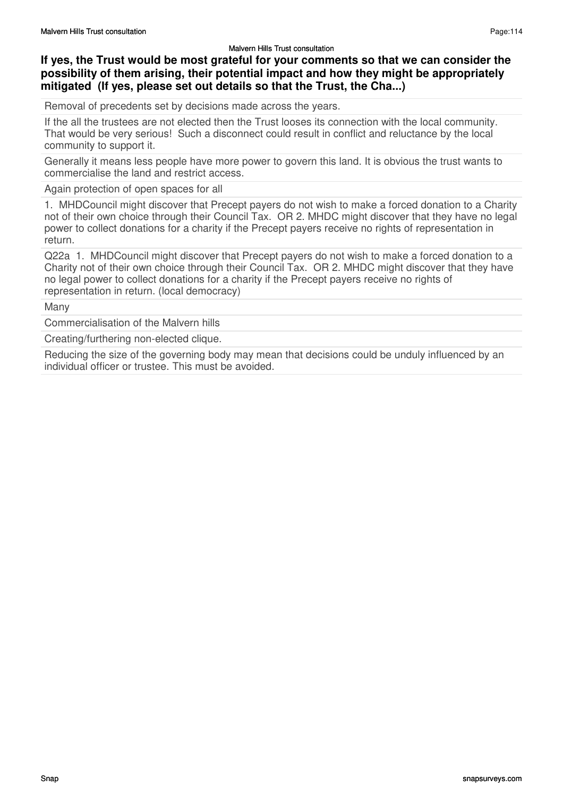## **If yes, the Trust would be most grateful for your comments so that we can consider the possibility of them arising, their potential impact and how they might be appropriately mitigated (If yes, please set out details so that the Trust, the Cha...)**

Removal of precedents set by decisions made across the years.

If the all the trustees are not elected then the Trust looses its connection with the local community. That would be very serious! Such a disconnect could result in conflict and reluctance by the local community to support it.

Generally it means less people have more power to govern this land. It is obvious the trust wants to commercialise the land and restrict access.

Again protection of open spaces for all

1. MHDCouncil might discover that Precept payers do not wish to make a forced donation to a Charity not of their own choice through their Council Tax. OR 2. MHDC might discover that they have no legal power to collect donations for a charity if the Precept payers receive no rights of representation in return.

Q22a 1. MHDCouncil might discover that Precept payers do not wish to make a forced donation to a Charity not of their own choice through their Council Tax. OR 2. MHDC might discover that they have no legal power to collect donations for a charity if the Precept payers receive no rights of representation in return. (local democracy)

Many

Commercialisation of the Malvern hills

Creating/furthering non-elected clique.

Reducing the size of the governing body may mean that decisions could be unduly influenced by an individual officer or trustee. This must be avoided.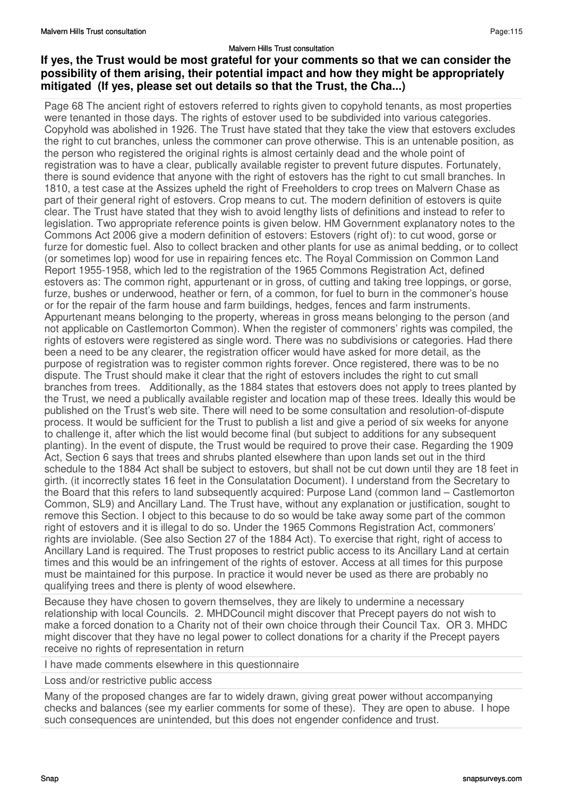### **If yes, the Trust would be most grateful for your comments so that we can consider the possibility of them arising, their potential impact and how they might be appropriately mitigated (If yes, please set out details so that the Trust, the Cha...)**

Page 68 The ancient right of estovers referred to rights given to copyhold tenants, as most properties were tenanted in those days. The rights of estover used to be subdivided into various categories. Copyhold was abolished in 1926. The Trust have stated that they take the view that estovers excludes the right to cut branches, unless the commoner can prove otherwise. This is an untenable position, as the person who registered the original rights is almost certainly dead and the whole point of registration was to have a clear, publically available register to prevent future disputes. Fortunately, there is sound evidence that anyone with the right of estovers has the right to cut small branches. In 1810, a test case at the Assizes upheld the right of Freeholders to crop trees on Malvern Chase as part of their general right of estovers. Crop means to cut. The modern definition of estovers is quite clear. The Trust have stated that they wish to avoid lengthy lists of definitions and instead to refer to legislation. Two appropriate reference points is given below. HM Government explanatory notes to the Commons Act 2006 give a modern definition of estovers: Estovers (right of): to cut wood, gorse or furze for domestic fuel. Also to collect bracken and other plants for use as animal bedding, or to collect (or sometimes lop) wood for use in repairing fences etc. The Royal Commission on Common Land Report 1955-1958, which led to the registration of the 1965 Commons Registration Act, defined estovers as: The common right, appurtenant or in gross, of cutting and taking tree loppings, or gorse, furze, bushes or underwood, heather or fern, of a common, for fuel to burn in the commoner's house or for the repair of the farm house and farm buildings, hedges, fences and farm instruments. Appurtenant means belonging to the property, whereas in gross means belonging to the person (and not applicable on Castlemorton Common). When the register of commoners' rights was compiled, the rights of estovers were registered as single word. There was no subdivisions or categories. Had there been a need to be any clearer, the registration officer would have asked for more detail, as the purpose of registration was to register common rights forever. Once registered, there was to be no dispute. The Trust should make it clear that the right of estovers includes the right to cut small branches from trees. Additionally, as the 1884 states that estovers does not apply to trees planted by the Trust, we need a publically available register and location map of these trees. Ideally this would be published on the Trust's web site. There will need to be some consultation and resolution-of-dispute process. It would be sufficient for the Trust to publish a list and give a period of six weeks for anyone to challenge it, after which the list would become final (but subject to additions for any subsequent planting). In the event of dispute, the Trust would be required to prove their case. Regarding the 1909 Act, Section 6 says that trees and shrubs planted elsewhere than upon lands set out in the third schedule to the 1884 Act shall be subject to estovers, but shall not be cut down until they are 18 feet in girth. (it incorrectly states 16 feet in the Consulatation Document). I understand from the Secretary to the Board that this refers to land subsequently acquired: Purpose Land (common land – Castlemorton Common, SL9) and Ancillary Land. The Trust have, without any explanation or justification, sought to remove this Section. I object to this because to do so would be take away some part of the common right of estovers and it is illegal to do so. Under the 1965 Commons Registration Act, commoners' rights are inviolable. (See also Section 27 of the 1884 Act). To exercise that right, right of access to Ancillary Land is required. The Trust proposes to restrict public access to its Ancillary Land at certain times and this would be an infringement of the rights of estover. Access at all times for this purpose must be maintained for this purpose. In practice it would never be used as there are probably no qualifying trees and there is plenty of wood elsewhere.

Because they have chosen to govern themselves, they are likely to undermine a necessary relationship with local Councils. 2. MHDCouncil might discover that Precept payers do not wish to make a forced donation to a Charity not of their own choice through their Council Tax. OR 3. MHDC might discover that they have no legal power to collect donations for a charity if the Precept payers receive no rights of representation in return

I have made comments elsewhere in this questionnaire

Loss and/or restrictive public access

Many of the proposed changes are far to widely drawn, giving great power without accompanying checks and balances (see my earlier comments for some of these). They are open to abuse. I hope such consequences are unintended, but this does not engender confidence and trust.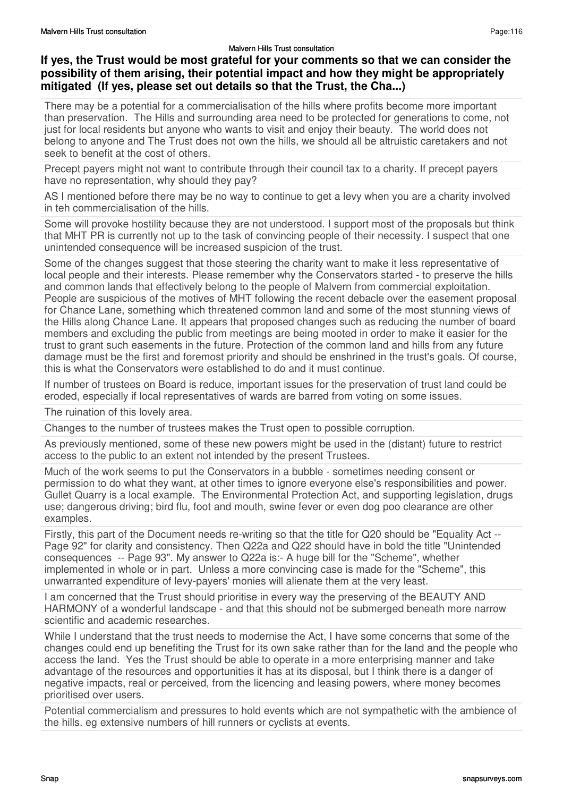### **If yes, the Trust would be most grateful for your comments so that we can consider the possibility of them arising, their potential impact and how they might be appropriately mitigated (If yes, please set out details so that the Trust, the Cha...)**

There may be a potential for a commercialisation of the hills where profits become more important than preservation. The Hills and surrounding area need to be protected for generations to come, not just for local residents but anyone who wants to visit and enjoy their beauty. The world does not belong to anyone and The Trust does not own the hills, we should all be altruistic caretakers and not seek to benefit at the cost of others.

Precept payers might not want to contribute through their council tax to a charity. If precept payers have no representation, why should they pay?

AS I mentioned before there may be no way to continue to get a levy when you are a charity involved in teh commercialisation of the hills.

Some will provoke hostility because they are not understood. I support most of the proposals but think that MHT PR is currently not up to the task of convincing people of their necessity. I suspect that one unintended consequence will be increased suspicion of the trust.

Some of the changes suggest that those steering the charity want to make it less representative of local people and their interests. Please remember why the Conservators started - to preserve the hills and common lands that effectively belong to the people of Malvern from commercial exploitation. People are suspicious of the motives of MHT following the recent debacle over the easement proposal for Chance Lane, something which threatened common land and some of the most stunning views of the Hills along Chance Lane. It appears that proposed changes such as reducing the number of board members and excluding the public from meetings are being mooted in order to make it easier for the trust to grant such easements in the future. Protection of the common land and hills from any future damage must be the first and foremost priority and should be enshrined in the trust's goals. Of course, this is what the Conservators were established to do and it must continue.

If number of trustees on Board is reduce, important issues for the preservation of trust land could be eroded, especially if local representatives of wards are barred from voting on some issues.

The ruination of this lovely area.

Changes to the number of trustees makes the Trust open to possible corruption.

As previously mentioned, some of these new powers might be used in the (distant) future to restrict access to the public to an extent not intended by the present Trustees.

Much of the work seems to put the Conservators in a bubble - sometimes needing consent or permission to do what they want, at other times to ignore everyone else's responsibilities and power. Gullet Quarry is a local example. The Environmental Protection Act, and supporting legislation, drugs use; dangerous driving; bird flu, foot and mouth, swine fever or even dog poo clearance are other examples.

Firstly, this part of the Document needs re-writing so that the title for Q20 should be "Equality Act -- Page 92" for clarity and consistency. Then Q22a and Q22 should have in bold the title "Unintended consequences -- Page 93". My answer to Q22a is:- A huge bill for the "Scheme", whether implemented in whole or in part. Unless a more convincing case is made for the "Scheme", this unwarranted expenditure of levy-payers' monies will alienate them at the very least.

I am concerned that the Trust should prioritise in every way the preserving of the BEAUTY AND HARMONY of a wonderful landscape - and that this should not be submerged beneath more narrow scientific and academic researches.

While I understand that the trust needs to modernise the Act, I have some concerns that some of the changes could end up benefiting the Trust for its own sake rather than for the land and the people who access the land. Yes the Trust should be able to operate in a more enterprising manner and take advantage of the resources and opportunities it has at its disposal, but I think there is a danger of negative impacts, real or perceived, from the licencing and leasing powers, where money becomes prioritised over users.

Potential commercialism and pressures to hold events which are not sympathetic with the ambience of the hills. eg extensive numbers of hill runners or cyclists at events.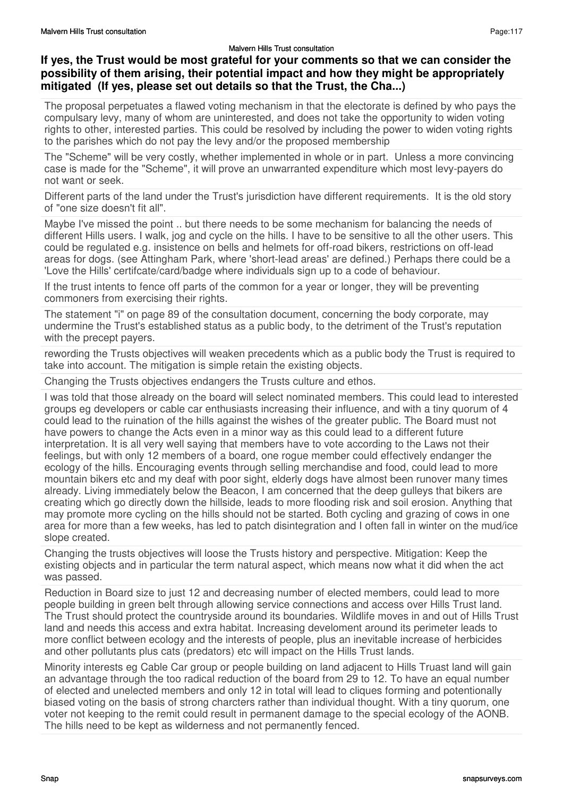### **If yes, the Trust would be most grateful for your comments so that we can consider the possibility of them arising, their potential impact and how they might be appropriately mitigated (If yes, please set out details so that the Trust, the Cha...)**

The proposal perpetuates a flawed voting mechanism in that the electorate is defined by who pays the compulsary levy, many of whom are uninterested, and does not take the opportunity to widen voting rights to other, interested parties. This could be resolved by including the power to widen voting rights to the parishes which do not pay the levy and/or the proposed membership

The "Scheme" will be very costly, whether implemented in whole or in part. Unless a more convincing case is made for the "Scheme", it will prove an unwarranted expenditure which most levy-payers do not want or seek.

Different parts of the land under the Trust's jurisdiction have different requirements. It is the old story of "one size doesn't fit all".

Maybe I've missed the point .. but there needs to be some mechanism for balancing the needs of different Hills users. I walk, jog and cycle on the hills. I have to be sensitive to all the other users. This could be regulated e.g. insistence on bells and helmets for off-road bikers, restrictions on off-lead areas for dogs. (see Attingham Park, where 'short-lead areas' are defined.) Perhaps there could be a 'Love the Hills' certifcate/card/badge where individuals sign up to a code of behaviour.

If the trust intents to fence off parts of the common for a year or longer, they will be preventing commoners from exercising their rights.

The statement "i" on page 89 of the consultation document, concerning the body corporate, may undermine the Trust's established status as a public body, to the detriment of the Trust's reputation with the precept payers.

rewording the Trusts objectives will weaken precedents which as a public body the Trust is required to take into account. The mitigation is simple retain the existing objects.

Changing the Trusts objectives endangers the Trusts culture and ethos.

I was told that those already on the board will select nominated members. This could lead to interested groups eg developers or cable car enthusiasts increasing their influence, and with a tiny quorum of 4 could lead to the ruination of the hills against the wishes of the greater public. The Board must not have powers to change the Acts even in a minor way as this could lead to a different future interpretation. It is all very well saying that members have to vote according to the Laws not their feelings, but with only 12 members of a board, one rogue member could effectively endanger the ecology of the hills. Encouraging events through selling merchandise and food, could lead to more mountain bikers etc and my deaf with poor sight, elderly dogs have almost been runover many times already. Living immediately below the Beacon, I am concerned that the deep gulleys that bikers are creating which go directly down the hillside, leads to more flooding risk and soil erosion. Anything that may promote more cycling on the hills should not be started. Both cycling and grazing of cows in one area for more than a few weeks, has led to patch disintegration and I often fall in winter on the mud/ice slope created.

Changing the trusts objectives will loose the Trusts history and perspective. Mitigation: Keep the existing objects and in particular the term natural aspect, which means now what it did when the act was passed.

Reduction in Board size to just 12 and decreasing number of elected members, could lead to more people building in green belt through allowing service connections and access over Hills Trust land. The Trust should protect the countryside around its boundaries. Wildlife moves in and out of Hills Trust land and needs this access and extra habitat. Increasing develoment around its perimeter leads to more conflict between ecology and the interests of people, plus an inevitable increase of herbicides and other pollutants plus cats (predators) etc will impact on the Hills Trust lands.

Minority interests eg Cable Car group or people building on land adjacent to Hills Truast land will gain an advantage through the too radical reduction of the board from 29 to 12. To have an equal number of elected and unelected members and only 12 in total will lead to cliques forming and potentionally biased voting on the basis of strong charcters rather than individual thought. With a tiny quorum, one voter not keeping to the remit could result in permanent damage to the special ecology of the AONB. The hills need to be kept as wilderness and not permanently fenced.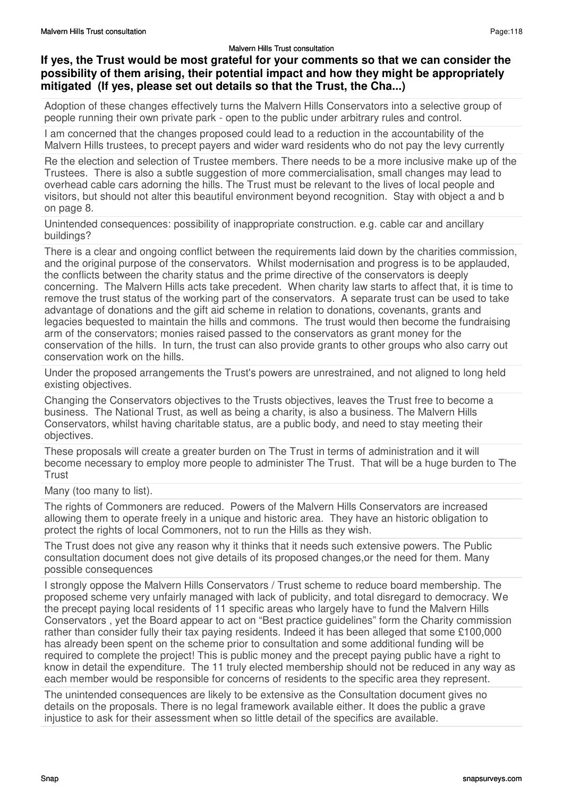### **If yes, the Trust would be most grateful for your comments so that we can consider the possibility of them arising, their potential impact and how they might be appropriately mitigated (If yes, please set out details so that the Trust, the Cha...)**

Adoption of these changes effectively turns the Malvern Hills Conservators into a selective group of people running their own private park - open to the public under arbitrary rules and control.

I am concerned that the changes proposed could lead to a reduction in the accountability of the Malvern Hills trustees, to precept payers and wider ward residents who do not pay the levy currently

Re the election and selection of Trustee members. There needs to be a more inclusive make up of the Trustees. There is also a subtle suggestion of more commercialisation, small changes may lead to overhead cable cars adorning the hills. The Trust must be relevant to the lives of local people and visitors, but should not alter this beautiful environment beyond recognition. Stay with object a and b on page 8.

Unintended consequences: possibility of inappropriate construction. e.g. cable car and ancillary buildings?

There is a clear and ongoing conflict between the requirements laid down by the charities commission, and the original purpose of the conservators. Whilst modernisation and progress is to be applauded, the conflicts between the charity status and the prime directive of the conservators is deeply concerning. The Malvern Hills acts take precedent. When charity law starts to affect that, it is time to remove the trust status of the working part of the conservators. A separate trust can be used to take advantage of donations and the gift aid scheme in relation to donations, covenants, grants and legacies bequested to maintain the hills and commons. The trust would then become the fundraising arm of the conservators; monies raised passed to the conservators as grant money for the conservation of the hills. In turn, the trust can also provide grants to other groups who also carry out conservation work on the hills.

Under the proposed arrangements the Trust's powers are unrestrained, and not aligned to long held existing objectives.

Changing the Conservators objectives to the Trusts objectives, leaves the Trust free to become a business. The National Trust, as well as being a charity, is also a business. The Malvern Hills Conservators, whilst having charitable status, are a public body, and need to stay meeting their objectives.

These proposals will create a greater burden on The Trust in terms of administration and it will become necessary to employ more people to administer The Trust. That will be a huge burden to The **Trust** 

Many (too many to list).

The rights of Commoners are reduced. Powers of the Malvern Hills Conservators are increased allowing them to operate freely in a unique and historic area. They have an historic obligation to protect the rights of local Commoners, not to run the Hills as they wish.

The Trust does not give any reason why it thinks that it needs such extensive powers. The Public consultation document does not give details of its proposed changes,or the need for them. Many possible consequences

I strongly oppose the Malvern Hills Conservators / Trust scheme to reduce board membership. The proposed scheme very unfairly managed with lack of publicity, and total disregard to democracy. We the precept paying local residents of 11 specific areas who largely have to fund the Malvern Hills Conservators , yet the Board appear to act on "Best practice guidelines" form the Charity commission rather than consider fully their tax paying residents. Indeed it has been alleged that some £100,000 has already been spent on the scheme prior to consultation and some additional funding will be required to complete the project! This is public money and the precept paying public have a right to know in detail the expenditure. The 11 truly elected membership should not be reduced in any way as each member would be responsible for concerns of residents to the specific area they represent.

The unintended consequences are likely to be extensive as the Consultation document gives no details on the proposals. There is no legal framework available either. It does the public a grave injustice to ask for their assessment when so little detail of the specifics are available.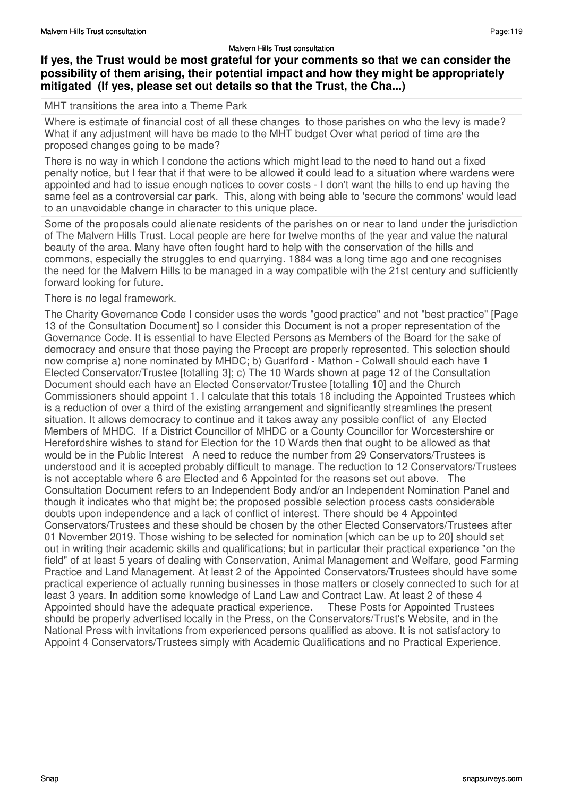### **If yes, the Trust would be most grateful for your comments so that we can consider the possibility of them arising, their potential impact and how they might be appropriately mitigated (If yes, please set out details so that the Trust, the Cha...)**

### MHT transitions the area into a Theme Park

Where is estimate of financial cost of all these changes to those parishes on who the levy is made? What if any adjustment will have be made to the MHT budget Over what period of time are the proposed changes going to be made?

There is no way in which I condone the actions which might lead to the need to hand out a fixed penalty notice, but I fear that if that were to be allowed it could lead to a situation where wardens were appointed and had to issue enough notices to cover costs - I don't want the hills to end up having the same feel as a controversial car park. This, along with being able to 'secure the commons' would lead to an unavoidable change in character to this unique place.

Some of the proposals could alienate residents of the parishes on or near to land under the jurisdiction of The Malvern Hills Trust. Local people are here for twelve months of the year and value the natural beauty of the area. Many have often fought hard to help with the conservation of the hills and commons, especially the struggles to end quarrying. 1884 was a long time ago and one recognises the need for the Malvern Hills to be managed in a way compatible with the 21st century and sufficiently forward looking for future.

### There is no legal framework.

The Charity Governance Code I consider uses the words "good practice" and not "best practice" [Page 13 of the Consultation Document] so I consider this Document is not a proper representation of the Governance Code. It is essential to have Elected Persons as Members of the Board for the sake of democracy and ensure that those paying the Precept are properly represented. This selection should now comprise a) none nominated by MHDC; b) Guarlford - Mathon - Colwall should each have 1 Elected Conservator/Trustee [totalling 3]; c) The 10 Wards shown at page 12 of the Consultation Document should each have an Elected Conservator/Trustee [totalling 10] and the Church Commissioners should appoint 1. I calculate that this totals 18 including the Appointed Trustees which is a reduction of over a third of the existing arrangement and significantly streamlines the present situation. It allows democracy to continue and it takes away any possible conflict of any Elected Members of MHDC. If a District Councillor of MHDC or a County Councillor for Worcestershire or Herefordshire wishes to stand for Election for the 10 Wards then that ought to be allowed as that would be in the Public Interest A need to reduce the number from 29 Conservators/Trustees is understood and it is accepted probably difficult to manage. The reduction to 12 Conservators/Trustees is not acceptable where 6 are Elected and 6 Appointed for the reasons set out above. The Consultation Document refers to an Independent Body and/or an Independent Nomination Panel and though it indicates who that might be; the proposed possible selection process casts considerable doubts upon independence and a lack of conflict of interest. There should be 4 Appointed Conservators/Trustees and these should be chosen by the other Elected Conservators/Trustees after 01 November 2019. Those wishing to be selected for nomination [which can be up to 20] should set out in writing their academic skills and qualifications; but in particular their practical experience "on the field" of at least 5 years of dealing with Conservation, Animal Management and Welfare, good Farming Practice and Land Management. At least 2 of the Appointed Conservators/Trustees should have some practical experience of actually running businesses in those matters or closely connected to such for at least 3 years. In addition some knowledge of Land Law and Contract Law. At least 2 of these 4<br>Appointed should have the adequate practical experience. These Posts for Appointed Trustees Appointed should have the adequate practical experience. should be properly advertised locally in the Press, on the Conservators/Trust's Website, and in the National Press with invitations from experienced persons qualified as above. It is not satisfactory to Appoint 4 Conservators/Trustees simply with Academic Qualifications and no Practical Experience.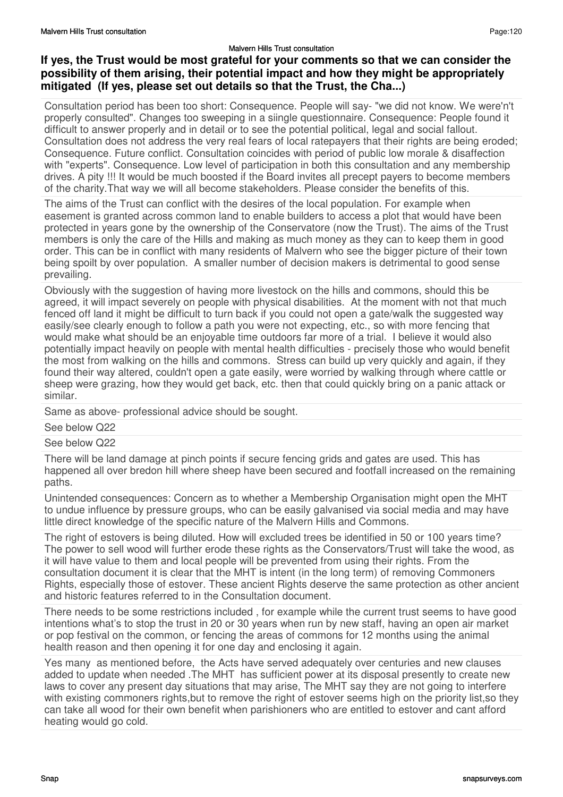# **If yes, the Trust would be most grateful for your comments so that we can consider the possibility of them arising, their potential impact and how they might be appropriately mitigated (If yes, please set out details so that the Trust, the Cha...)**

Consultation period has been too short: Consequence. People will say- "we did not know. We were'n't properly consulted". Changes too sweeping in a siingle questionnaire. Consequence: People found it difficult to answer properly and in detail or to see the potential political, legal and social fallout. Consultation does not address the very real fears of local ratepayers that their rights are being eroded; Consequence. Future conflict. Consultation coincides with period of public low morale & disaffection with "experts". Consequence. Low level of participation in both this consultation and any membership drives. A pity !!! It would be much boosted if the Board invites all precept payers to become members of the charity.That way we will all become stakeholders. Please consider the benefits of this.

The aims of the Trust can conflict with the desires of the local population. For example when easement is granted across common land to enable builders to access a plot that would have been protected in years gone by the ownership of the Conservatore (now the Trust). The aims of the Trust members is only the care of the Hills and making as much money as they can to keep them in good order. This can be in conflict with many residents of Malvern who see the bigger picture of their town being spoilt by over population. A smaller number of decision makers is detrimental to good sense prevailing.

Obviously with the suggestion of having more livestock on the hills and commons, should this be agreed, it will impact severely on people with physical disabilities. At the moment with not that much fenced off land it might be difficult to turn back if you could not open a gate/walk the suggested way easily/see clearly enough to follow a path you were not expecting, etc., so with more fencing that would make what should be an enjoyable time outdoors far more of a trial. I believe it would also potentially impact heavily on people with mental health difficulties - precisely those who would benefit the most from walking on the hills and commons. Stress can build up very quickly and again, if they found their way altered, couldn't open a gate easily, were worried by walking through where cattle or sheep were grazing, how they would get back, etc. then that could quickly bring on a panic attack or similar.

Same as above- professional advice should be sought.

See below Q22

## See below Q22

There will be land damage at pinch points if secure fencing grids and gates are used. This has happened all over bredon hill where sheep have been secured and footfall increased on the remaining paths.

Unintended consequences: Concern as to whether a Membership Organisation might open the MHT to undue influence by pressure groups, who can be easily galvanised via social media and may have little direct knowledge of the specific nature of the Malvern Hills and Commons.

The right of estovers is being diluted. How will excluded trees be identified in 50 or 100 years time? The power to sell wood will further erode these rights as the Conservators/Trust will take the wood, as it will have value to them and local people will be prevented from using their rights. From the consultation document it is clear that the MHT is intent (in the long term) of removing Commoners Rights, especially those of estover. These ancient Rights deserve the same protection as other ancient and historic features referred to in the Consultation document.

There needs to be some restrictions included , for example while the current trust seems to have good intentions what's to stop the trust in 20 or 30 years when run by new staff, having an open air market or pop festival on the common, or fencing the areas of commons for 12 months using the animal health reason and then opening it for one day and enclosing it again.

Yes many as mentioned before, the Acts have served adequately over centuries and new clauses added to update when needed .The MHT has sufficient power at its disposal presently to create new laws to cover any present day situations that may arise, The MHT say they are not going to interfere with existing commoners rights, but to remove the right of estover seems high on the priority list, so they can take all wood for their own benefit when parishioners who are entitled to estover and cant afford heating would go cold.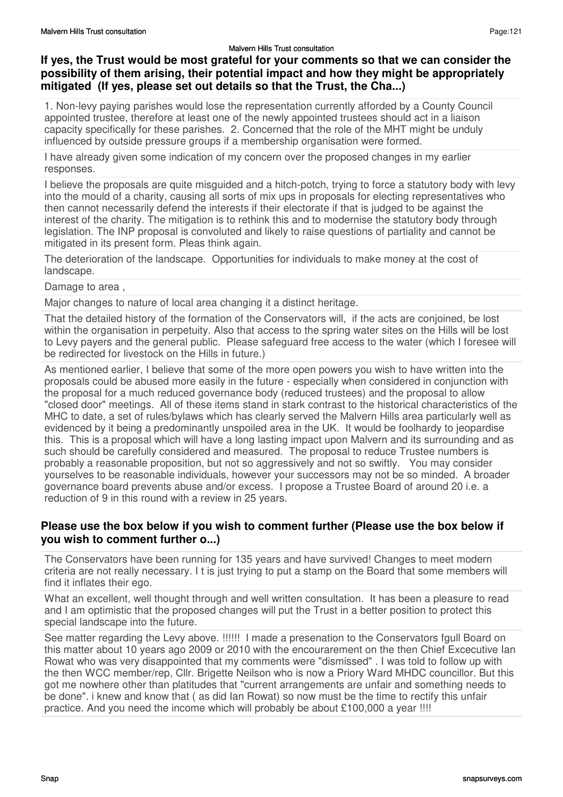## **If yes, the Trust would be most grateful for your comments so that we can consider the possibility of them arising, their potential impact and how they might be appropriately mitigated (If yes, please set out details so that the Trust, the Cha...)**

1. Non-levy paying parishes would lose the representation currently afforded by a County Council appointed trustee, therefore at least one of the newly appointed trustees should act in a liaison capacity specifically for these parishes. 2. Concerned that the role of the MHT might be unduly influenced by outside pressure groups if a membership organisation were formed.

I have already given some indication of my concern over the proposed changes in my earlier responses.

I believe the proposals are quite misguided and a hitch-potch, trying to force a statutory body with levy into the mould of a charity, causing all sorts of mix ups in proposals for electing representatives who then cannot necessarily defend the interests if their electorate if that is judged to be against the interest of the charity. The mitigation is to rethink this and to modernise the statutory body through legislation. The INP proposal is convoluted and likely to raise questions of partiality and cannot be mitigated in its present form. Pleas think again.

The deterioration of the landscape. Opportunities for individuals to make money at the cost of landscape.

Damage to area ,

Major changes to nature of local area changing it a distinct heritage.

That the detailed history of the formation of the Conservators will, if the acts are conjoined, be lost within the organisation in perpetuity. Also that access to the spring water sites on the Hills will be lost to Levy payers and the general public. Please safeguard free access to the water (which I foresee will be redirected for livestock on the Hills in future.)

As mentioned earlier, I believe that some of the more open powers you wish to have written into the proposals could be abused more easily in the future - especially when considered in conjunction with the proposal for a much reduced governance body (reduced trustees) and the proposal to allow "closed door" meetings. All of these items stand in stark contrast to the historical characteristics of the MHC to date, a set of rules/bylaws which has clearly served the Malvern Hills area particularly well as evidenced by it being a predominantly unspoiled area in the UK. It would be foolhardy to jeopardise this. This is a proposal which will have a long lasting impact upon Malvern and its surrounding and as such should be carefully considered and measured. The proposal to reduce Trustee numbers is probably a reasonable proposition, but not so aggressively and not so swiftly. You may consider yourselves to be reasonable individuals, however your successors may not be so minded. A broader governance board prevents abuse and/or excess. I propose a Trustee Board of around 20 i.e. a reduction of 9 in this round with a review in 25 years.

## **Please use the box below if you wish to comment further (Please use the box below if you wish to comment further o...)**

The Conservators have been running for 135 years and have survived! Changes to meet modern criteria are not really necessary. I t is just trying to put a stamp on the Board that some members will find it inflates their ego.

What an excellent, well thought through and well written consultation. It has been a pleasure to read and I am optimistic that the proposed changes will put the Trust in a better position to protect this special landscape into the future.

See matter regarding the Levy above. !!!!!! I made a presenation to the Conservators fgull Board on this matter about 10 years ago 2009 or 2010 with the encourarement on the then Chief Excecutive Ian Rowat who was very disappointed that my comments were "dismissed" . I was told to follow up with the then WCC member/rep, Cllr. Brigette Neilson who is now a Priory Ward MHDC councillor. But this got me nowhere other than platitudes that "current arrangements are unfair and something needs to be done". i knew and know that ( as did Ian Rowat) so now must be the time to rectify this unfair practice. And you need the income which will probably be about £100,000 a year !!!!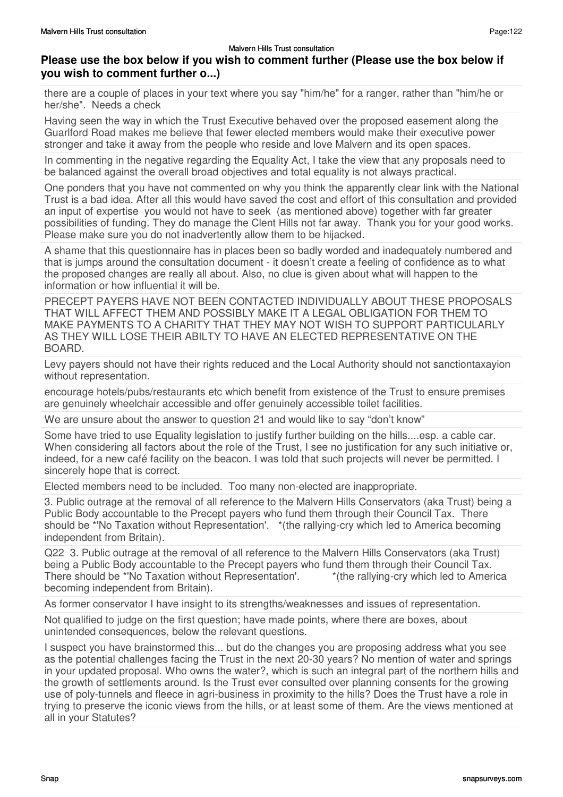# **Please use the box below if you wish to comment further (Please use the box below if you wish to comment further o...)**

there are a couple of places in your text where you say "him/he" for a ranger, rather than "him/he or her/she". Needs a check

Having seen the way in which the Trust Executive behaved over the proposed easement along the Guarlford Road makes me believe that fewer elected members would make their executive power stronger and take it away from the people who reside and love Malvern and its open spaces.

In commenting in the negative regarding the Equality Act, I take the view that any proposals need to be balanced against the overall broad objectives and total equality is not always practical.

One ponders that you have not commented on why you think the apparently clear link with the National Trust is a bad idea. After all this would have saved the cost and effort of this consultation and provided an input of expertise you would not have to seek (as mentioned above) together with far greater possibilities of funding. They do manage the Clent Hills not far away. Thank you for your good works. Please make sure you do not inadvertently allow them to be hijacked.

A shame that this questionnaire has in places been so badly worded and inadequately numbered and that is jumps around the consultation document - it doesn't create a feeling of confidence as to what the proposed changes are really all about. Also, no clue is given about what will happen to the information or how influential it will be.

PRECEPT PAYERS HAVE NOT BEEN CONTACTED INDIVIDUALLY ABOUT THESE PROPOSALS THAT WILL AFFECT THEM AND POSSIBLY MAKE IT A LEGAL OBLIGATION FOR THEM TO MAKE PAYMENTS TO A CHARITY THAT THEY MAY NOT WISH TO SUPPORT PARTICULARLY AS THEY WILL LOSE THEIR ABILTY TO HAVE AN ELECTED REPRESENTATIVE ON THE BOARD.

Levy payers should not have their rights reduced and the Local Authority should not sanctiontaxayion without representation.

encourage hotels/pubs/restaurants etc which benefit from existence of the Trust to ensure premises are genuinely wheelchair accessible and offer genuinely accessible toilet facilities.

We are unsure about the answer to question 21 and would like to say "don't know"

Some have tried to use Equality legislation to justify further building on the hills....esp. a cable car. When considering all factors about the role of the Trust, I see no justification for any such initiative or, indeed, for a new café facility on the beacon. I was told that such projects will never be permitted. I sincerely hope that is correct.

Elected members need to be included. Too many non-elected are inappropriate.

3. Public outrage at the removal of all reference to the Malvern Hills Conservators (aka Trust) being a Public Body accountable to the Precept payers who fund them through their Council Tax. There should be \*'No Taxation without Representation'. \*(the rallying-cry which led to America becoming independent from Britain).

Q22 3. Public outrage at the removal of all reference to the Malvern Hills Conservators (aka Trust) being a Public Body accountable to the Precept payers who fund them through their Council Tax. There should be \*'No Taxation without Representation'. \*(the rallying-cry which led to America becoming independent from Britain).

As former conservator I have insight to its strengths/weaknesses and issues of representation.

Not qualified to judge on the first question; have made points, where there are boxes, about unintended consequences, below the relevant questions.

I suspect you have brainstormed this... but do the changes you are proposing address what you see as the potential challenges facing the Trust in the next 20-30 years? No mention of water and springs in your updated proposal. Who owns the water?, which is such an integral part of the northern hills and the growth of settlements around. Is the Trust ever consulted over planning consents for the growing use of poly-tunnels and fleece in agri-business in proximity to the hills? Does the Trust have a role in trying to preserve the iconic views from the hills, or at least some of them. Are the views mentioned at all in your Statutes?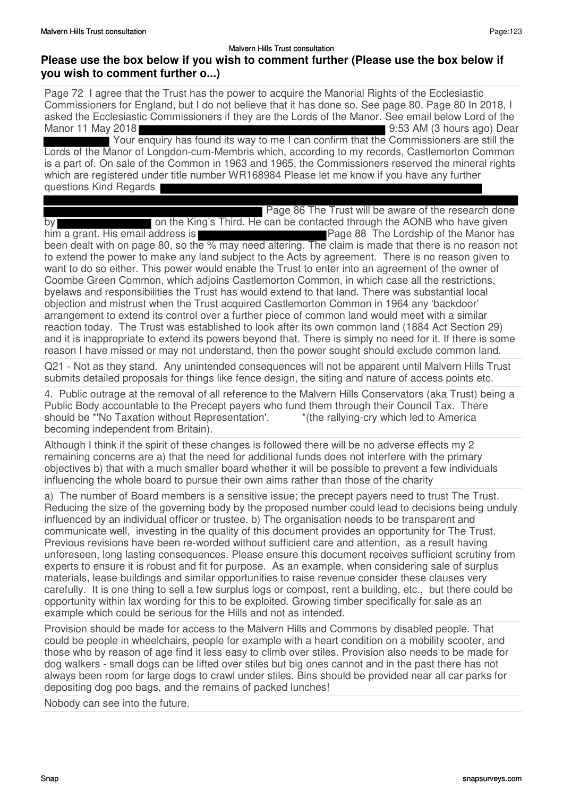Page 72 I agree that the Trust has the power to acquire the Manorial Rights of the Ecclesiastic Commissioners for England, but I do not believe that it has done so. See page 80. Page 80 In 2018, I asked the Ecclesiastic Commissioners if they are the Lords of the Manor. See email below Lord of the Manor 11 May 2018 9:53 AM (3 hours ago) Dear Your enquiry has found its way to me I can confirm that the Commissioners are still the Lords of the Manor of Longdon-cum-Membris which, according to my records, Castlemorton Common is a part of. On sale of the Common in 1963 and 1965, the Commissioners reserved the mineral rights which are registered under title number WR168984 Please let me know if you have any further questions Kind Regards

Page 86 The Trust will be aware of the research done

by **Exercise 20** on the King's Third. He can be contacted through the AONB who have given him a grant. His email address is **Page 88** The Lordship of the Manor has been dealt with on page 80, so the % may need altering. The claim is made that there is no reason not to extend the power to make any land subject to the Acts by agreement. There is no reason given to want to do so either. This power would enable the Trust to enter into an agreement of the owner of Coombe Green Common, which adjoins Castlemorton Common, in which case all the restrictions, byelaws and responsibilities the Trust has would extend to that land. There was substantial local objection and mistrust when the Trust acquired Castlemorton Common in 1964 any 'backdoor' arrangement to extend its control over a further piece of common land would meet with a similar reaction today. The Trust was established to look after its own common land (1884 Act Section 29) and it is inappropriate to extend its powers beyond that. There is simply no need for it. If there is some reason I have missed or may not understand, then the power sought should exclude common land.

Q21 - Not as they stand. Any unintended consequences will not be apparent until Malvern Hills Trust submits detailed proposals for things like fence design, the siting and nature of access points etc.

4. Public outrage at the removal of all reference to the Malvern Hills Conservators (aka Trust) being a Public Body accountable to the Precept payers who fund them through their Council Tax. There should be \*'No Taxation without Representation'.  $*$  (the rallying-cry which led to America becoming independent from Britain).

Although I think if the spirit of these changes is followed there will be no adverse effects my 2 remaining concerns are a) that the need for additional funds does not interfere with the primary objectives b) that with a much smaller board whether it will be possible to prevent a few individuals influencing the whole board to pursue their own aims rather than those of the charity

a) The number of Board members is a sensitive issue; the precept payers need to trust The Trust. Reducing the size of the governing body by the proposed number could lead to decisions being unduly influenced by an individual officer or trustee. b) The organisation needs to be transparent and communicate well, investing in the quality of this document provides an opportunity for The Trust. Previous revisions have been re-worded without sufficient care and attention, as a result having unforeseen, long lasting consequences. Please ensure this document receives sufficient scrutiny from experts to ensure it is robust and fit for purpose. As an example, when considering sale of surplus materials, lease buildings and similar opportunities to raise revenue consider these clauses very carefully. It is one thing to sell a few surplus logs or compost, rent a building, etc., but there could be opportunity within lax wording for this to be exploited. Growing timber specifically for sale as an example which could be serious for the Hills and not as intended.

Provision should be made for access to the Malvern Hills and Commons by disabled people. That could be people in wheelchairs, people for example with a heart condition on a mobility scooter, and those who by reason of age find it less easy to climb over stiles. Provision also needs to be made for dog walkers - small dogs can be lifted over stiles but big ones cannot and in the past there has not always been room for large dogs to crawl under stiles. Bins should be provided near all car parks for depositing dog poo bags, and the remains of packed lunches!

Nobody can see into the future.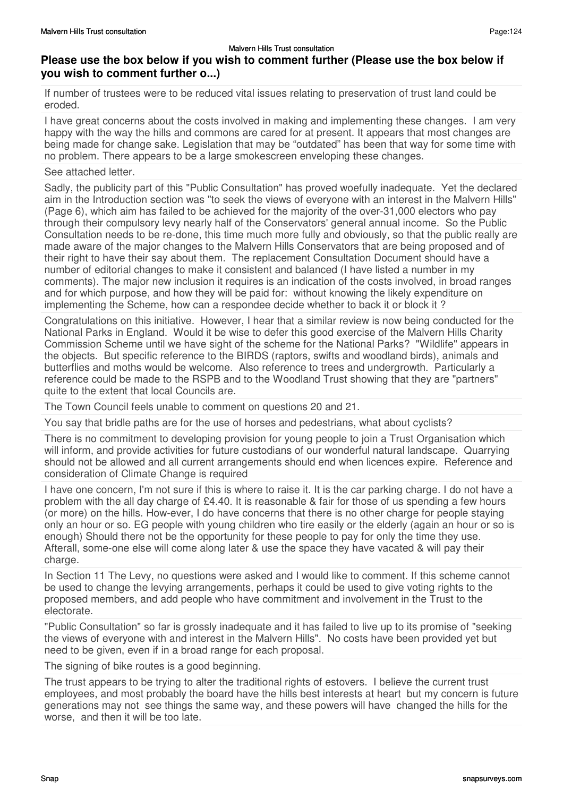If number of trustees were to be reduced vital issues relating to preservation of trust land could be eroded.

I have great concerns about the costs involved in making and implementing these changes. I am very happy with the way the hills and commons are cared for at present. It appears that most changes are being made for change sake. Legislation that may be "outdated" has been that way for some time with no problem. There appears to be a large smokescreen enveloping these changes.

### See attached letter.

Sadly, the publicity part of this "Public Consultation" has proved woefully inadequate. Yet the declared aim in the Introduction section was "to seek the views of everyone with an interest in the Malvern Hills" (Page 6), which aim has failed to be achieved for the majority of the over-31,000 electors who pay through their compulsory levy nearly half of the Conservators' general annual income. So the Public Consultation needs to be re-done, this time much more fully and obviously, so that the public really are made aware of the major changes to the Malvern Hills Conservators that are being proposed and of their right to have their say about them. The replacement Consultation Document should have a number of editorial changes to make it consistent and balanced (I have listed a number in my comments). The major new inclusion it requires is an indication of the costs involved, in broad ranges and for which purpose, and how they will be paid for: without knowing the likely expenditure on implementing the Scheme, how can a respondee decide whether to back it or block it?

Congratulations on this initiative. However, I hear that a similar review is now being conducted for the National Parks in England. Would it be wise to defer this good exercise of the Malvern Hills Charity Commission Scheme until we have sight of the scheme for the National Parks? "Wildlife" appears in the objects. But specific reference to the BIRDS (raptors, swifts and woodland birds), animals and butterflies and moths would be welcome. Also reference to trees and undergrowth. Particularly a reference could be made to the RSPB and to the Woodland Trust showing that they are "partners" quite to the extent that local Councils are.

The Town Council feels unable to comment on questions 20 and 21.

You say that bridle paths are for the use of horses and pedestrians, what about cyclists?

There is no commitment to developing provision for young people to join a Trust Organisation which will inform, and provide activities for future custodians of our wonderful natural landscape. Quarrying should not be allowed and all current arrangements should end when licences expire. Reference and consideration of Climate Change is required

I have one concern, I'm not sure if this is where to raise it. It is the car parking charge. I do not have a problem with the all day charge of £4.40. It is reasonable & fair for those of us spending a few hours (or more) on the hills. How-ever, I do have concerns that there is no other charge for people staying only an hour or so. EG people with young children who tire easily or the elderly (again an hour or so is enough) Should there not be the opportunity for these people to pay for only the time they use. Afterall, some-one else will come along later & use the space they have vacated & will pay their charge.

In Section 11 The Levy, no questions were asked and I would like to comment. If this scheme cannot be used to change the levying arrangements, perhaps it could be used to give voting rights to the proposed members, and add people who have commitment and involvement in the Trust to the electorate.

"Public Consultation" so far is grossly inadequate and it has failed to live up to its promise of "seeking the views of everyone with and interest in the Malvern Hills". No costs have been provided yet but need to be given, even if in a broad range for each proposal.

The signing of bike routes is a good beginning.

The trust appears to be trying to alter the traditional rights of estovers. I believe the current trust employees, and most probably the board have the hills best interests at heart but my concern is future generations may not see things the same way, and these powers will have changed the hills for the worse, and then it will be too late.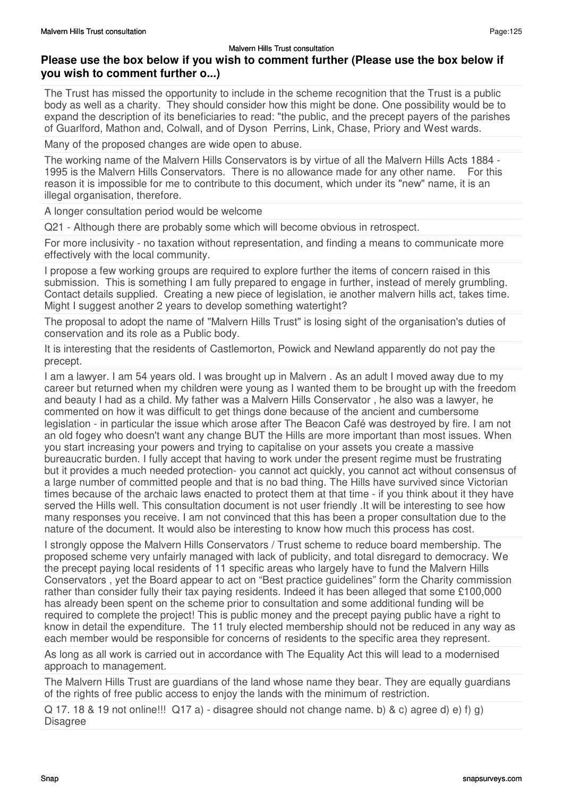# **Please use the box below if you wish to comment further (Please use the box below if you wish to comment further o...)**

The Trust has missed the opportunity to include in the scheme recognition that the Trust is a public body as well as a charity. They should consider how this might be done. One possibility would be to expand the description of its beneficiaries to read: "the public, and the precept payers of the parishes of Guarlford, Mathon and, Colwall, and of Dyson Perrins, Link, Chase, Priory and West wards.

Many of the proposed changes are wide open to abuse.

The working name of the Malvern Hills Conservators is by virtue of all the Malvern Hills Acts 1884 - 1995 is the Malvern Hills Conservators. There is no allowance made for any other name. For this reason it is impossible for me to contribute to this document, which under its "new" name, it is an illegal organisation, therefore.

A longer consultation period would be welcome

Q21 - Although there are probably some which will become obvious in retrospect.

For more inclusivity - no taxation without representation, and finding a means to communicate more effectively with the local community.

I propose a few working groups are required to explore further the items of concern raised in this submission. This is something I am fully prepared to engage in further, instead of merely grumbling. Contact details supplied. Creating a new piece of legislation, ie another malvern hills act, takes time. Might I suggest another 2 years to develop something watertight?

The proposal to adopt the name of "Malvern Hills Trust" is losing sight of the organisation's duties of conservation and its role as a Public body.

It is interesting that the residents of Castlemorton, Powick and Newland apparently do not pay the precept.

I am a lawyer. I am 54 years old. I was brought up in Malvern . As an adult I moved away due to my career but returned when my children were young as I wanted them to be brought up with the freedom and beauty I had as a child. My father was a Malvern Hills Conservator , he also was a lawyer, he commented on how it was difficult to get things done because of the ancient and cumbersome legislation - in particular the issue which arose after The Beacon Café was destroyed by fire. I am not an old fogey who doesn't want any change BUT the Hills are more important than most issues. When you start increasing your powers and trying to capitalise on your assets you create a massive bureaucratic burden. I fully accept that having to work under the present regime must be frustrating but it provides a much needed protection- you cannot act quickly, you cannot act without consensus of a large number of committed people and that is no bad thing. The Hills have survived since Victorian times because of the archaic laws enacted to protect them at that time - if you think about it they have served the Hills well. This consultation document is not user friendly .It will be interesting to see how many responses you receive. I am not convinced that this has been a proper consultation due to the nature of the document. It would also be interesting to know how much this process has cost.

I strongly oppose the Malvern Hills Conservators / Trust scheme to reduce board membership. The proposed scheme very unfairly managed with lack of publicity, and total disregard to democracy. We the precept paying local residents of 11 specific areas who largely have to fund the Malvern Hills Conservators , yet the Board appear to act on "Best practice guidelines" form the Charity commission rather than consider fully their tax paying residents. Indeed it has been alleged that some £100,000 has already been spent on the scheme prior to consultation and some additional funding will be required to complete the project! This is public money and the precept paying public have a right to know in detail the expenditure. The 11 truly elected membership should not be reduced in any way as each member would be responsible for concerns of residents to the specific area they represent.

As long as all work is carried out in accordance with The Equality Act this will lead to a modernised approach to management.

The Malvern Hills Trust are guardians of the land whose name they bear. They are equally guardians of the rights of free public access to enjoy the lands with the minimum of restriction.

 $Q$  17. 18 & 19 not online!!!  $Q$ 17 a) - disagree should not change name. b) & c) agree d) e) f) g) Disagree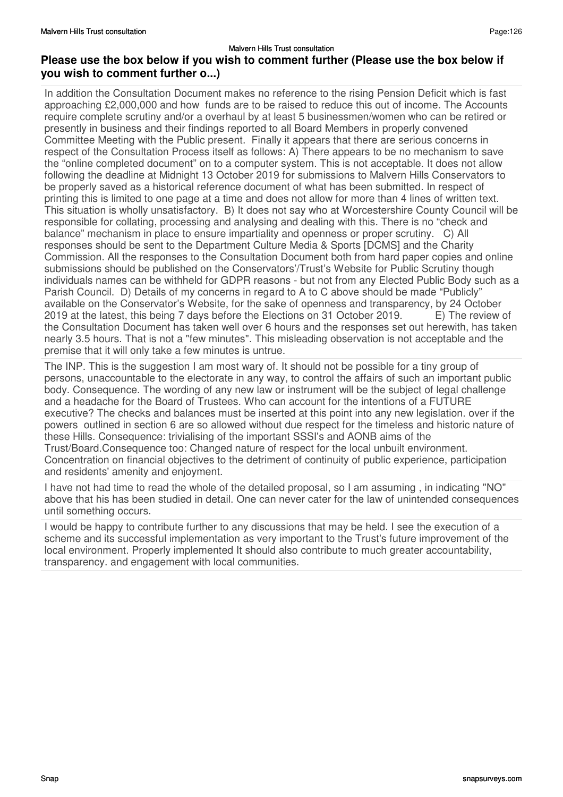In addition the Consultation Document makes no reference to the rising Pension Deficit which is fast approaching £2,000,000 and how funds are to be raised to reduce this out of income. The Accounts require complete scrutiny and/or a overhaul by at least 5 businessmen/women who can be retired or presently in business and their findings reported to all Board Members in properly convened Committee Meeting with the Public present. Finally it appears that there are serious concerns in respect of the Consultation Process itself as follows: A) There appears to be no mechanism to save the "online completed document" on to a computer system. This is not acceptable. It does not allow following the deadline at Midnight 13 October 2019 for submissions to Malvern Hills Conservators to be properly saved as a historical reference document of what has been submitted. In respect of printing this is limited to one page at a time and does not allow for more than 4 lines of written text. This situation is wholly unsatisfactory. B) It does not say who at Worcestershire County Council will be responsible for collating, processing and analysing and dealing with this. There is no "check and balance" mechanism in place to ensure impartiality and openness or proper scrutiny. C) All responses should be sent to the Department Culture Media & Sports [DCMS] and the Charity Commission. All the responses to the Consultation Document both from hard paper copies and online submissions should be published on the Conservators'/Trust's Website for Public Scrutiny though individuals names can be withheld for GDPR reasons - but not from any Elected Public Body such as a Parish Council. D) Details of my concerns in regard to A to C above should be made "Publicly" available on the Conservator's Website, for the sake of openness and transparency, by 24 October 2019 at the latest, this being 7 days before the Elections on 31 October 2019. E) The review of the Consultation Document has taken well over 6 hours and the responses set out herewith, has taken nearly 3.5 hours. That is not a "few minutes". This misleading observation is not acceptable and the premise that it will only take a few minutes is untrue.

The INP. This is the suggestion I am most wary of. It should not be possible for a tiny group of persons, unaccountable to the electorate in any way, to control the affairs of such an important public body. Consequence. The wording of any new law or instrument will be the subject of legal challenge and a headache for the Board of Trustees. Who can account for the intentions of a FUTURE executive? The checks and balances must be inserted at this point into any new legislation. over if the powers outlined in section 6 are so allowed without due respect for the timeless and historic nature of these Hills. Consequence: trivialising of the important SSSI's and AONB aims of the Trust/Board.Consequence too: Changed nature of respect for the local unbuilt environment. Concentration on financial objectives to the detriment of continuity of public experience, participation and residents' amenity and enjoyment.

I have not had time to read the whole of the detailed proposal, so I am assuming , in indicating "NO" above that his has been studied in detail. One can never cater for the law of unintended consequences until something occurs.

I would be happy to contribute further to any discussions that may be held. I see the execution of a scheme and its successful implementation as very important to the Trust's future improvement of the local environment. Properly implemented It should also contribute to much greater accountability, transparency. and engagement with local communities.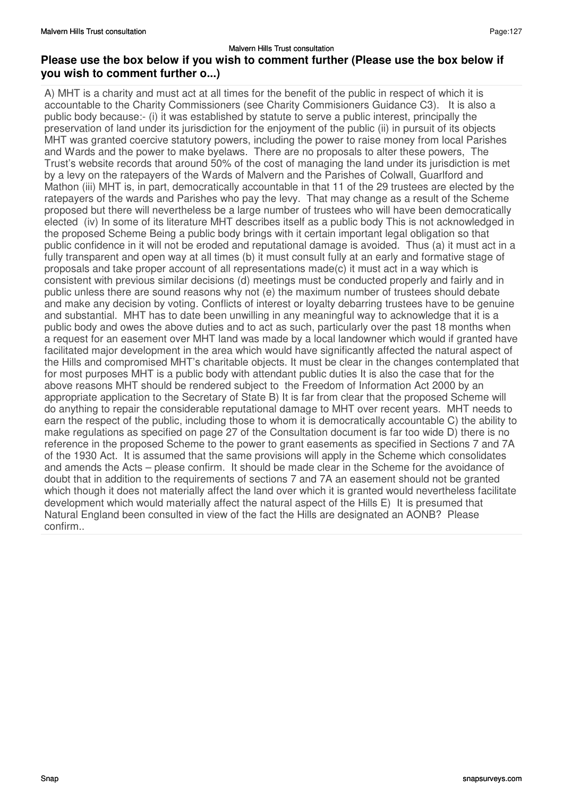A) MHT is a charity and must act at all times for the benefit of the public in respect of which it is accountable to the Charity Commissioners (see Charity Commisioners Guidance C3). It is also a public body because:- (i) it was established by statute to serve a public interest, principally the preservation of land under its jurisdiction for the enjoyment of the public (ii) in pursuit of its objects MHT was granted coercive statutory powers, including the power to raise money from local Parishes and Wards and the power to make byelaws. There are no proposals to alter these powers, The Trust's website records that around 50% of the cost of managing the land under its jurisdiction is met by a levy on the ratepayers of the Wards of Malvern and the Parishes of Colwall, Guarlford and Mathon (iii) MHT is, in part, democratically accountable in that 11 of the 29 trustees are elected by the ratepayers of the wards and Parishes who pay the levy. That may change as a result of the Scheme proposed but there will nevertheless be a large number of trustees who will have been democratically elected (iv) In some of its literature MHT describes itself as a public body This is not acknowledged in the proposed Scheme Being a public body brings with it certain important legal obligation so that public confidence in it will not be eroded and reputational damage is avoided. Thus (a) it must act in a fully transparent and open way at all times (b) it must consult fully at an early and formative stage of proposals and take proper account of all representations made(c) it must act in a way which is consistent with previous similar decisions (d) meetings must be conducted properly and fairly and in public unless there are sound reasons why not (e) the maximum number of trustees should debate and make any decision by voting. Conflicts of interest or loyalty debarring trustees have to be genuine and substantial. MHT has to date been unwilling in any meaningful way to acknowledge that it is a public body and owes the above duties and to act as such, particularly over the past 18 months when a request for an easement over MHT land was made by a local landowner which would if granted have facilitated major development in the area which would have significantly affected the natural aspect of the Hills and compromised MHT's charitable objects. It must be clear in the changes contemplated that for most purposes MHT is a public body with attendant public duties It is also the case that for the above reasons MHT should be rendered subject to the Freedom of Information Act 2000 by an appropriate application to the Secretary of State B) It is far from clear that the proposed Scheme will do anything to repair the considerable reputational damage to MHT over recent years. MHT needs to earn the respect of the public, including those to whom it is democratically accountable C) the ability to make regulations as specified on page 27 of the Consultation document is far too wide D) there is no reference in the proposed Scheme to the power to grant easements as specified in Sections 7 and 7A of the 1930 Act. It is assumed that the same provisions will apply in the Scheme which consolidates and amends the Acts – please confirm. It should be made clear in the Scheme for the avoidance of doubt that in addition to the requirements of sections 7 and 7A an easement should not be granted which though it does not materially affect the land over which it is granted would nevertheless facilitate development which would materially affect the natural aspect of the Hills E) It is presumed that Natural England been consulted in view of the fact the Hills are designated an AONB? Please confirm..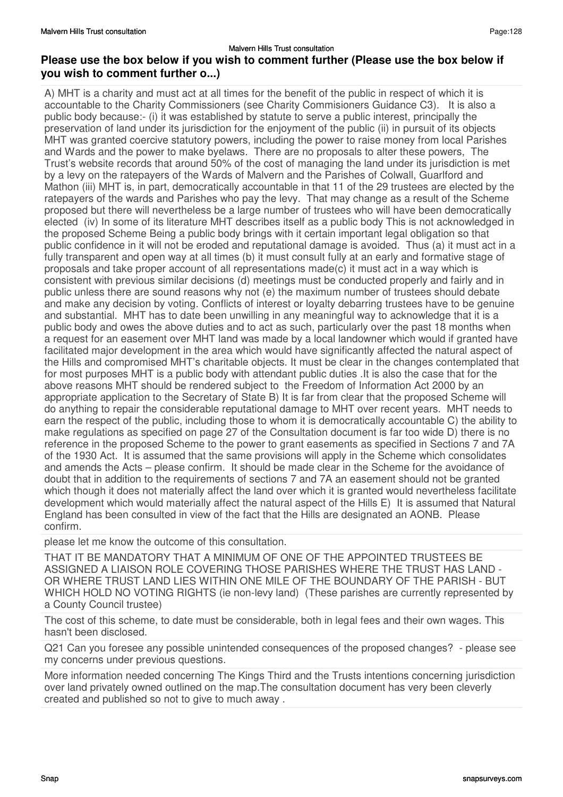A) MHT is a charity and must act at all times for the benefit of the public in respect of which it is accountable to the Charity Commissioners (see Charity Commisioners Guidance C3). It is also a public body because:- (i) it was established by statute to serve a public interest, principally the preservation of land under its jurisdiction for the enjoyment of the public (ii) in pursuit of its objects MHT was granted coercive statutory powers, including the power to raise money from local Parishes and Wards and the power to make byelaws. There are no proposals to alter these powers, The Trust's website records that around 50% of the cost of managing the land under its jurisdiction is met by a levy on the ratepayers of the Wards of Malvern and the Parishes of Colwall, Guarlford and Mathon (iii) MHT is, in part, democratically accountable in that 11 of the 29 trustees are elected by the ratepayers of the wards and Parishes who pay the levy. That may change as a result of the Scheme proposed but there will nevertheless be a large number of trustees who will have been democratically elected (iv) In some of its literature MHT describes itself as a public body This is not acknowledged in the proposed Scheme Being a public body brings with it certain important legal obligation so that public confidence in it will not be eroded and reputational damage is avoided. Thus (a) it must act in a fully transparent and open way at all times (b) it must consult fully at an early and formative stage of proposals and take proper account of all representations made(c) it must act in a way which is consistent with previous similar decisions (d) meetings must be conducted properly and fairly and in public unless there are sound reasons why not (e) the maximum number of trustees should debate and make any decision by voting. Conflicts of interest or loyalty debarring trustees have to be genuine and substantial. MHT has to date been unwilling in any meaningful way to acknowledge that it is a public body and owes the above duties and to act as such, particularly over the past 18 months when a request for an easement over MHT land was made by a local landowner which would if granted have facilitated major development in the area which would have significantly affected the natural aspect of the Hills and compromised MHT's charitable objects. It must be clear in the changes contemplated that for most purposes MHT is a public body with attendant public duties .It is also the case that for the above reasons MHT should be rendered subject to the Freedom of Information Act 2000 by an appropriate application to the Secretary of State B) It is far from clear that the proposed Scheme will do anything to repair the considerable reputational damage to MHT over recent years. MHT needs to earn the respect of the public, including those to whom it is democratically accountable C) the ability to make regulations as specified on page 27 of the Consultation document is far too wide D) there is no reference in the proposed Scheme to the power to grant easements as specified in Sections 7 and 7A of the 1930 Act. It is assumed that the same provisions will apply in the Scheme which consolidates and amends the Acts – please confirm. It should be made clear in the Scheme for the avoidance of doubt that in addition to the requirements of sections 7 and 7A an easement should not be granted which though it does not materially affect the land over which it is granted would nevertheless facilitate development which would materially affect the natural aspect of the Hills E) It is assumed that Natural England has been consulted in view of the fact that the Hills are designated an AONB. Please confirm.

please let me know the outcome of this consultation.

THAT IT BE MANDATORY THAT A MINIMUM OF ONE OF THE APPOINTED TRUSTEES BE ASSIGNED A LIAISON ROLE COVERING THOSE PARISHES WHERE THE TRUST HAS LAND - OR WHERE TRUST LAND LIES WITHIN ONE MILE OF THE BOUNDARY OF THE PARISH - BUT WHICH HOLD NO VOTING RIGHTS (ie non-levy land) (These parishes are currently represented by a County Council trustee)

The cost of this scheme, to date must be considerable, both in legal fees and their own wages. This hasn't been disclosed.

Q21 Can you foresee any possible unintended consequences of the proposed changes? - please see my concerns under previous questions.

More information needed concerning The Kings Third and the Trusts intentions concerning jurisdiction over land privately owned outlined on the map.The consultation document has very been cleverly created and published so not to give to much away .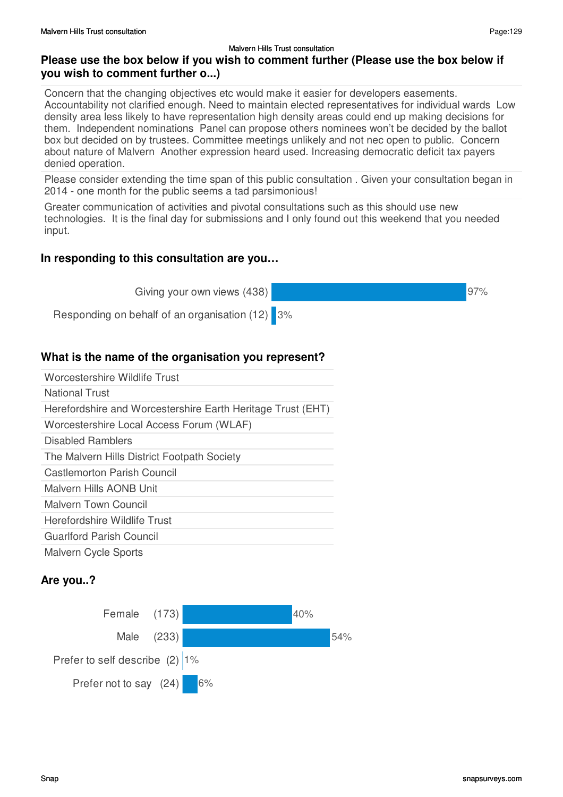Concern that the changing objectives etc would make it easier for developers easements. Accountability not clarified enough. Need to maintain elected representatives for individual wards Low density area less likely to have representation high density areas could end up making decisions for them. Independent nominations Panel can propose others nominees won't be decided by the ballot box but decided on by trustees. Committee meetings unlikely and not nec open to public. Concern about nature of Malvern Another expression heard used. Increasing democratic deficit tax payers denied operation.

Please consider extending the time span of this public consultation . Given your consultation began in 2014 - one month for the public seems a tad parsimonious!

Greater communication of activities and pivotal consultations such as this should use new technologies. It is the final day for submissions and I only found out this weekend that you needed input.

### **In responding to this consultation are you…**

Giving your own views (438)



Responding on behalf of an organisation (12) 3%

# **What is the name of the organisation you represent?**

| Worcestershire Wildlife Trust                               |
|-------------------------------------------------------------|
| <b>National Trust</b>                                       |
| Herefordshire and Worcestershire Earth Heritage Trust (EHT) |
| Worcestershire Local Access Forum (WLAF)                    |
| Disabled Ramblers                                           |
| The Malvern Hills District Footpath Society                 |
| Castlemorton Parish Council                                 |
| Malvern Hills AONB Unit                                     |
| Malvern Town Council                                        |
| Herefordshire Wildlife Trust                                |
| Guarlford Parish Council                                    |
| <b>Malvern Cycle Sports</b>                                 |

## **Are you..?**